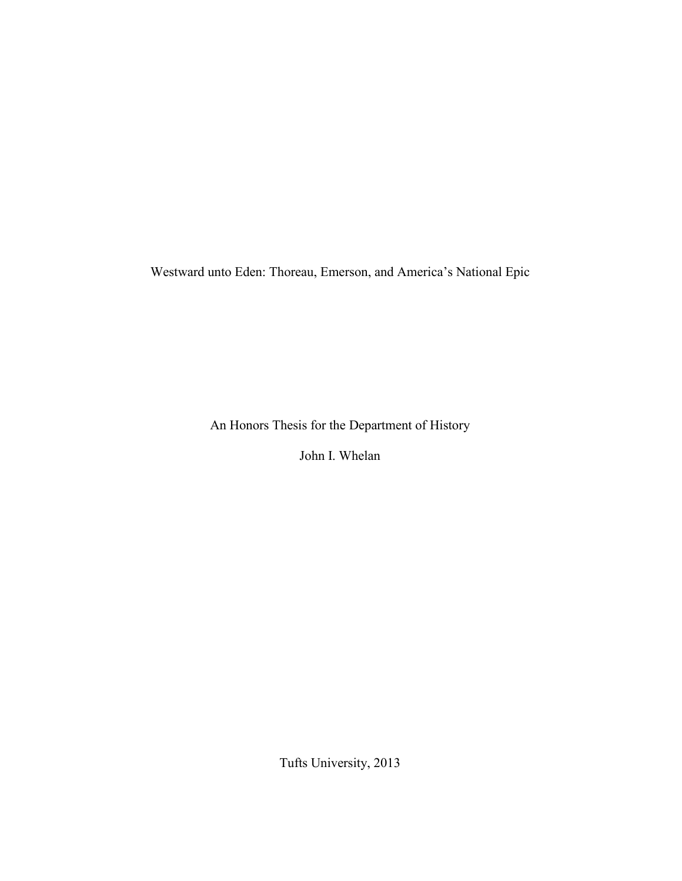Westward unto Eden: Thoreau, Emerson, and America's National Epic

An Honors Thesis for the Department of History

John I. Whelan

Tufts University, 2013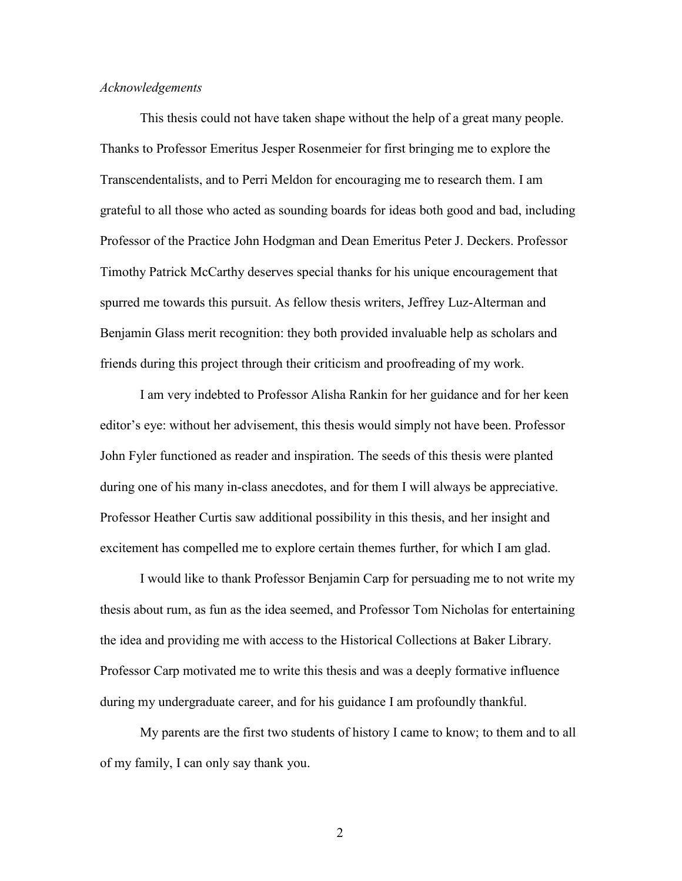#### *Acknowledgements*

This thesis could not have taken shape without the help of a great many people. Thanks to Professor Emeritus Jesper Rosenmeier for first bringing me to explore the Transcendentalists, and to Perri Meldon for encouraging me to research them. I am grateful to all those who acted as sounding boards for ideas both good and bad, including Professor of the Practice John Hodgman and Dean Emeritus Peter J. Deckers. Professor Timothy Patrick McCarthy deserves special thanks for his unique encouragement that spurred me towards this pursuit. As fellow thesis writers, Jeffrey Luz-Alterman and Benjamin Glass merit recognition: they both provided invaluable help as scholars and friends during this project through their criticism and proofreading of my work.

I am very indebted to Professor Alisha Rankin for her guidance and for her keen editor's eye: without her advisement, this thesis would simply not have been. Professor John Fyler functioned as reader and inspiration. The seeds of this thesis were planted during one of his many in-class anecdotes, and for them I will always be appreciative. Professor Heather Curtis saw additional possibility in this thesis, and her insight and excitement has compelled me to explore certain themes further, for which I am glad.

I would like to thank Professor Benjamin Carp for persuading me to not write my thesis about rum, as fun as the idea seemed, and Professor Tom Nicholas for entertaining the idea and providing me with access to the Historical Collections at Baker Library. Professor Carp motivated me to write this thesis and was a deeply formative influence during my undergraduate career, and for his guidance I am profoundly thankful.

My parents are the first two students of history I came to know; to them and to all of my family, I can only say thank you.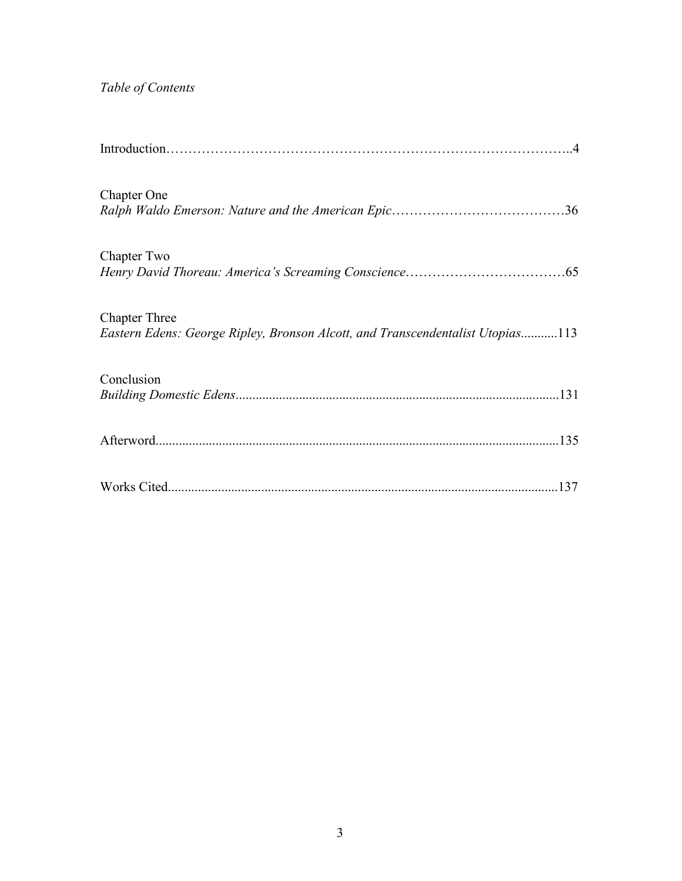# *Table of Contents*

| <b>Chapter One</b>                                                                                     |
|--------------------------------------------------------------------------------------------------------|
| Chapter Two                                                                                            |
| <b>Chapter Three</b><br>Eastern Edens: George Ripley, Bronson Alcott, and Transcendentalist Utopias113 |
| Conclusion                                                                                             |
|                                                                                                        |
| 137                                                                                                    |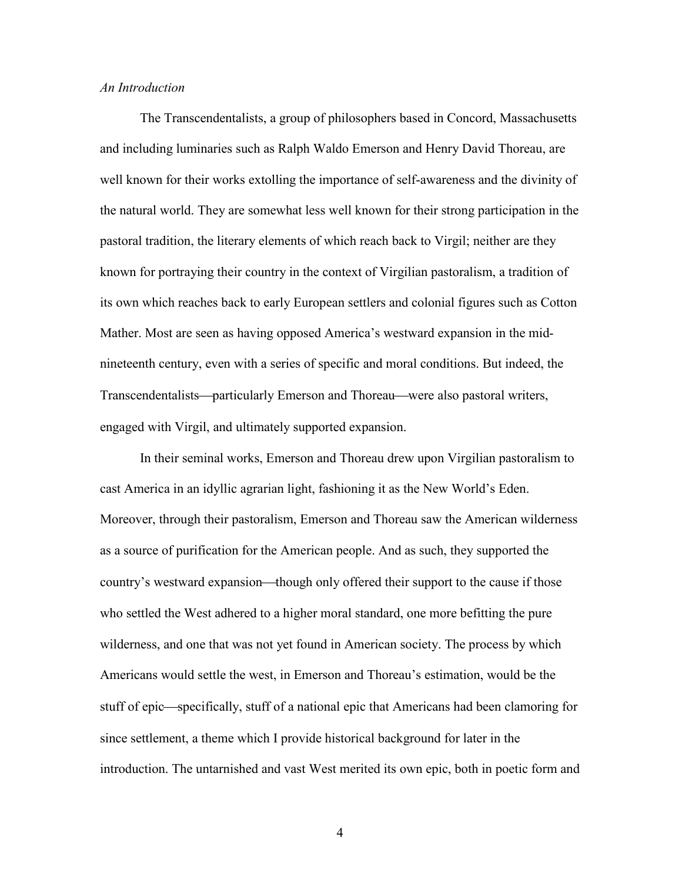#### *An Introduction*

The Transcendentalists, a group of philosophers based in Concord, Massachusetts and including luminaries such as Ralph Waldo Emerson and Henry David Thoreau, are well known for their works extolling the importance of self-awareness and the divinity of the natural world. They are somewhat less well known for their strong participation in the pastoral tradition, the literary elements of which reach back to Virgil; neither are they known for portraying their country in the context of Virgilian pastoralism, a tradition of its own which reaches back to early European settlers and colonial figures such as Cotton Mather. Most are seen as having opposed America's westward expansion in the midnineteenth century, even with a series of specific and moral conditions. But indeed, the Transcendentalists—particularly Emerson and Thoreau—were also pastoral writers, engaged with Virgil, and ultimately supported expansion.

In their seminal works, Emerson and Thoreau drew upon Virgilian pastoralism to cast America in an idyllic agrarian light, fashioning it as the New World's Eden. Moreover, through their pastoralism, Emerson and Thoreau saw the American wilderness as a source of purification for the American people. And as such, they supported the country's westward expansion—though only offered their support to the cause if those who settled the West adhered to a higher moral standard, one more befitting the pure wilderness, and one that was not yet found in American society. The process by which Americans would settle the west, in Emerson and Thoreau's estimation, would be the stuff of epic—specifically, stuff of a national epic that Americans had been clamoring for since settlement, a theme which I provide historical background for later in the introduction. The untarnished and vast West merited its own epic, both in poetic form and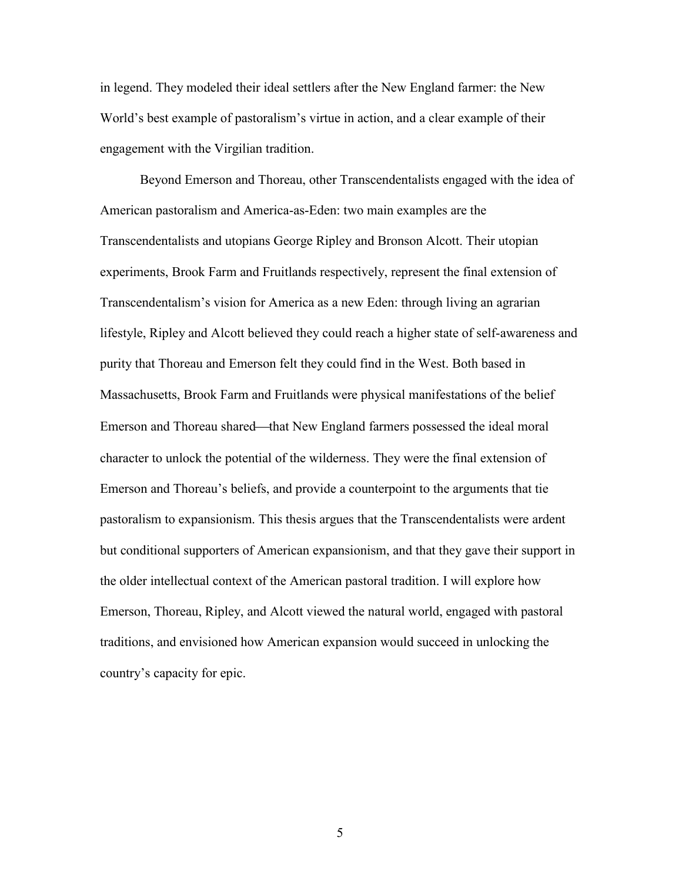in legend. They modeled their ideal settlers after the New England farmer: the New World's best example of pastoralism's virtue in action, and a clear example of their engagement with the Virgilian tradition.

Beyond Emerson and Thoreau, other Transcendentalists engaged with the idea of American pastoralism and America-as-Eden: two main examples are the Transcendentalists and utopians George Ripley and Bronson Alcott. Their utopian experiments, Brook Farm and Fruitlands respectively, represent the final extension of Transcendentalism's vision for America as a new Eden: through living an agrarian lifestyle, Ripley and Alcott believed they could reach a higher state of self-awareness and purity that Thoreau and Emerson felt they could find in the West. Both based in Massachusetts, Brook Farm and Fruitlands were physical manifestations of the belief Emerson and Thoreau shared—that New England farmers possessed the ideal moral character to unlock the potential of the wilderness. They were the final extension of Emerson and Thoreau's beliefs, and provide a counterpoint to the arguments that tie pastoralism to expansionism. This thesis argues that the Transcendentalists were ardent but conditional supporters of American expansionism, and that they gave their support in the older intellectual context of the American pastoral tradition. I will explore how Emerson, Thoreau, Ripley, and Alcott viewed the natural world, engaged with pastoral traditions, and envisioned how American expansion would succeed in unlocking the country's capacity for epic.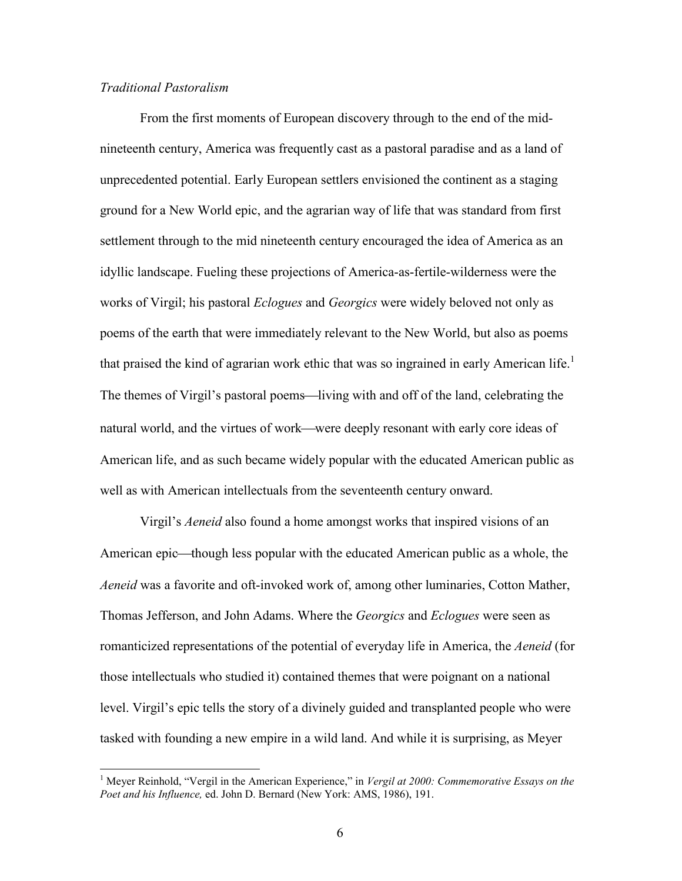# *Traditional Pastoralism*

From the first moments of European discovery through to the end of the midnineteenth century, America was frequently cast as a pastoral paradise and as a land of unprecedented potential. Early European settlers envisioned the continent as a staging ground for a New World epic, and the agrarian way of life that was standard from first settlement through to the mid nineteenth century encouraged the idea of America as an idyllic landscape. Fueling these projections of America-as-fertile-wilderness were the works of Virgil; his pastoral *Eclogues* and *Georgics* were widely beloved not only as poems of the earth that were immediately relevant to the New World, but also as poems that praised the kind of agrarian work ethic that was so ingrained in early American life.<sup>1</sup> The themes of Virgil's pastoral poems—living with and off of the land, celebrating the natural world, and the virtues of work—were deeply resonant with early core ideas of American life, and as such became widely popular with the educated American public as well as with American intellectuals from the seventeenth century onward.

Virgil's *Aeneid* also found a home amongst works that inspired visions of an American epic—though less popular with the educated American public as a whole, the *Aeneid* was a favorite and oft-invoked work of, among other luminaries, Cotton Mather, Thomas Jefferson, and John Adams. Where the *Georgics* and *Eclogues* were seen as romanticized representations of the potential of everyday life in America, the *Aeneid* (for those intellectuals who studied it) contained themes that were poignant on a national level. Virgil's epic tells the story of a divinely guided and transplanted people who were tasked with founding a new empire in a wild land. And while it is surprising, as Meyer

<sup>&</sup>lt;sup>1</sup> Meyer Reinhold, "Vergil in the American Experience," in *Vergil at 2000: Commemorative Essays on the Poet and his Influence,* ed. John D. Bernard (New York: AMS, 1986), 191.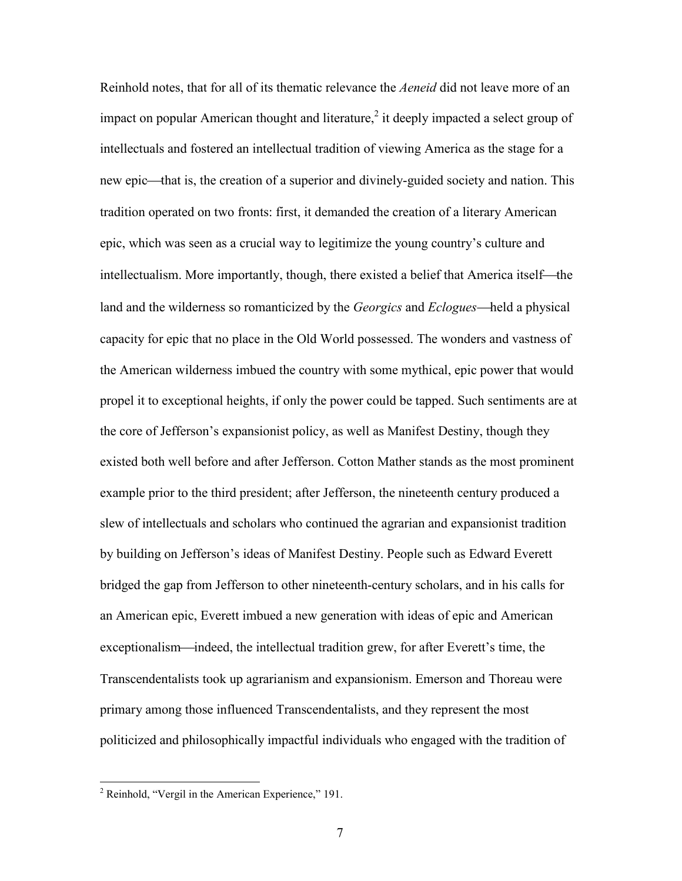Reinhold notes, that for all of its thematic relevance the *Aeneid* did not leave more of an impact on popular American thought and literature, $2$  it deeply impacted a select group of intellectuals and fostered an intellectual tradition of viewing America as the stage for a new epic—that is, the creation of a superior and divinely-guided society and nation. This tradition operated on two fronts: first, it demanded the creation of a literary American epic, which was seen as a crucial way to legitimize the young country's culture and intellectualism. More importantly, though, there existed a belief that America itself—the land and the wilderness so romanticized by the *Georgics* and *Eclogues*—held a physical capacity for epic that no place in the Old World possessed. The wonders and vastness of the American wilderness imbued the country with some mythical, epic power that would propel it to exceptional heights, if only the power could be tapped. Such sentiments are at the core of Jefferson's expansionist policy, as well as Manifest Destiny, though they existed both well before and after Jefferson. Cotton Mather stands as the most prominent example prior to the third president; after Jefferson, the nineteenth century produced a slew of intellectuals and scholars who continued the agrarian and expansionist tradition by building on Jefferson's ideas of Manifest Destiny. People such as Edward Everett bridged the gap from Jefferson to other nineteenth-century scholars, and in his calls for an American epic, Everett imbued a new generation with ideas of epic and American exceptionalism—indeed, the intellectual tradition grew, for after Everett's time, the Transcendentalists took up agrarianism and expansionism. Emerson and Thoreau were primary among those influenced Transcendentalists, and they represent the most politicized and philosophically impactful individuals who engaged with the tradition of

<sup>2</sup> Reinhold, "Vergil in the American Experience," 191.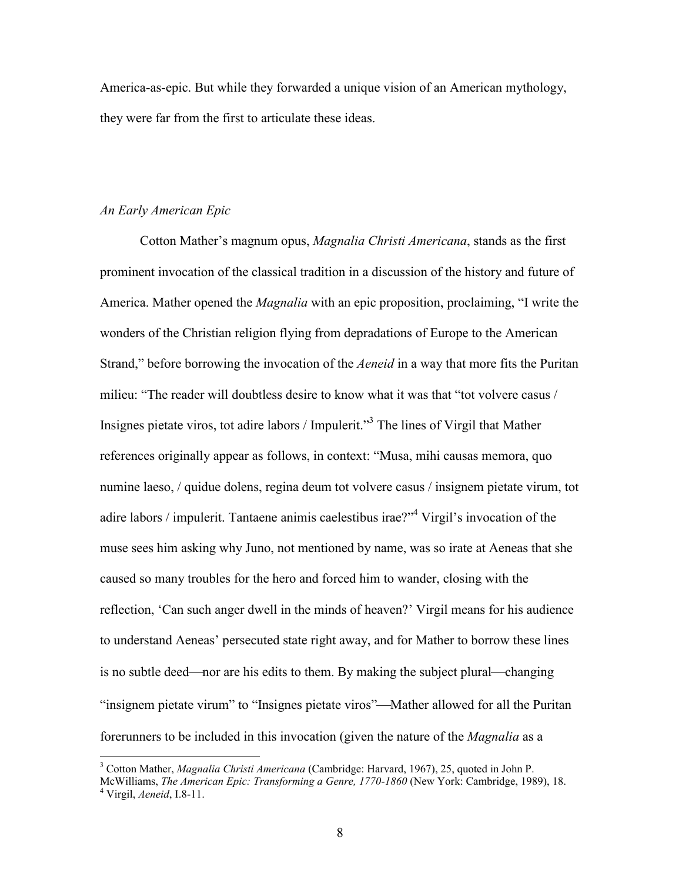America-as-epic. But while they forwarded a unique vision of an American mythology, they were far from the first to articulate these ideas.

#### *An Early American Epic*

Cotton Mather's magnum opus, *Magnalia Christi Americana*, stands as the first prominent invocation of the classical tradition in a discussion of the history and future of America. Mather opened the *Magnalia* with an epic proposition, proclaiming, "I write the wonders of the Christian religion flying from depradations of Europe to the American Strand," before borrowing the invocation of the *Aeneid* in a way that more fits the Puritan milieu: "The reader will doubtless desire to know what it was that "tot volvere casus / Insignes pietate viros, tot adire labors / Impulerit."<sup>3</sup> The lines of Virgil that Mather references originally appear as follows, in context: "Musa, mihi causas memora, quo numine laeso, / quidue dolens, regina deum tot volvere casus / insignem pietate virum, tot adire labors / impulerit. Tantaene animis caelestibus irae? $2^{34}$  Virgil's invocation of the muse sees him asking why Juno, not mentioned by name, was so irate at Aeneas that she caused so many troubles for the hero and forced him to wander, closing with the reflection, 'Can such anger dwell in the minds of heaven?' Virgil means for his audience to understand Aeneas' persecuted state right away, and for Mather to borrow these lines is no subtle deed—nor are his edits to them. By making the subject plural—changing "insignem pietate virum" to "Insignes pietate viros"—Mather allowed for all the Puritan forerunners to be included in this invocation (given the nature of the *Magnalia* as a

<sup>3</sup> Cotton Mather, *Magnalia Christi Americana* (Cambridge: Harvard, 1967), 25, quoted in John P.

McWilliams, *The American Epic: Transforming a Genre, 1770-1860* (New York: Cambridge, 1989), 18. <sup>4</sup> Virgil, *Aeneid*, I.8-11.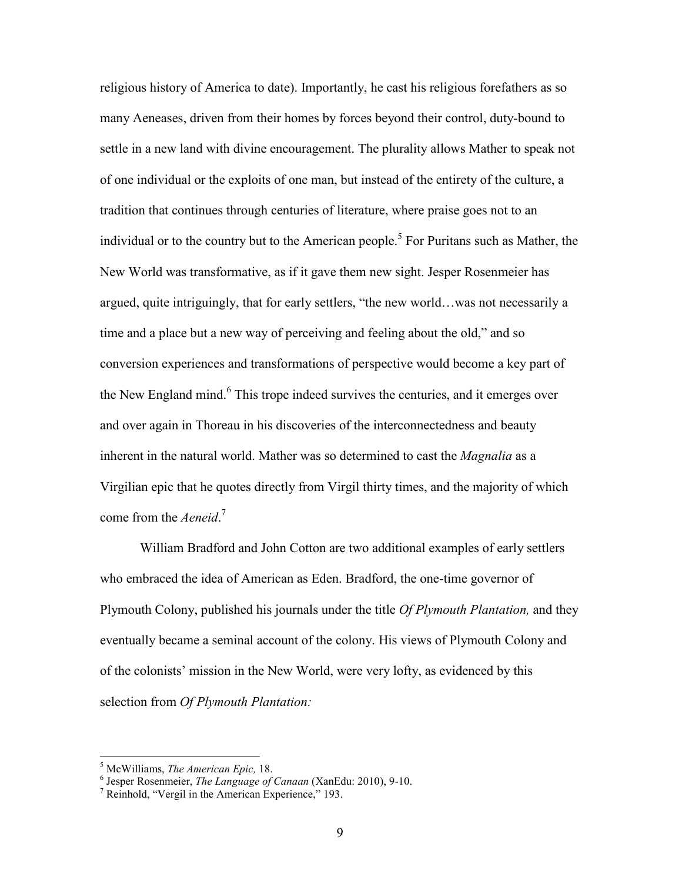religious history of America to date). Importantly, he cast his religious forefathers as so many Aeneases, driven from their homes by forces beyond their control, duty-bound to settle in a new land with divine encouragement. The plurality allows Mather to speak not of one individual or the exploits of one man, but instead of the entirety of the culture, a tradition that continues through centuries of literature, where praise goes not to an individual or to the country but to the American people.<sup>5</sup> For Puritans such as Mather, the New World was transformative, as if it gave them new sight. Jesper Rosenmeier has argued, quite intriguingly, that for early settlers, "the new world…was not necessarily a time and a place but a new way of perceiving and feeling about the old," and so conversion experiences and transformations of perspective would become a key part of the New England mind.<sup>6</sup> This trope indeed survives the centuries, and it emerges over and over again in Thoreau in his discoveries of the interconnectedness and beauty inherent in the natural world. Mather was so determined to cast the *Magnalia* as a Virgilian epic that he quotes directly from Virgil thirty times, and the majority of which come from the *Aeneid*. 7

William Bradford and John Cotton are two additional examples of early settlers who embraced the idea of American as Eden. Bradford, the one-time governor of Plymouth Colony, published his journals under the title *Of Plymouth Plantation,* and they eventually became a seminal account of the colony. His views of Plymouth Colony and of the colonists' mission in the New World, were very lofty, as evidenced by this selection from *Of Plymouth Plantation:*

<sup>5</sup> McWilliams, *The American Epic,* 18. 6 Jesper Rosenmeier, *The Language of Canaan* (XanEdu: 2010), 9-10.

<sup>7</sup> Reinhold, "Vergil in the American Experience," 193.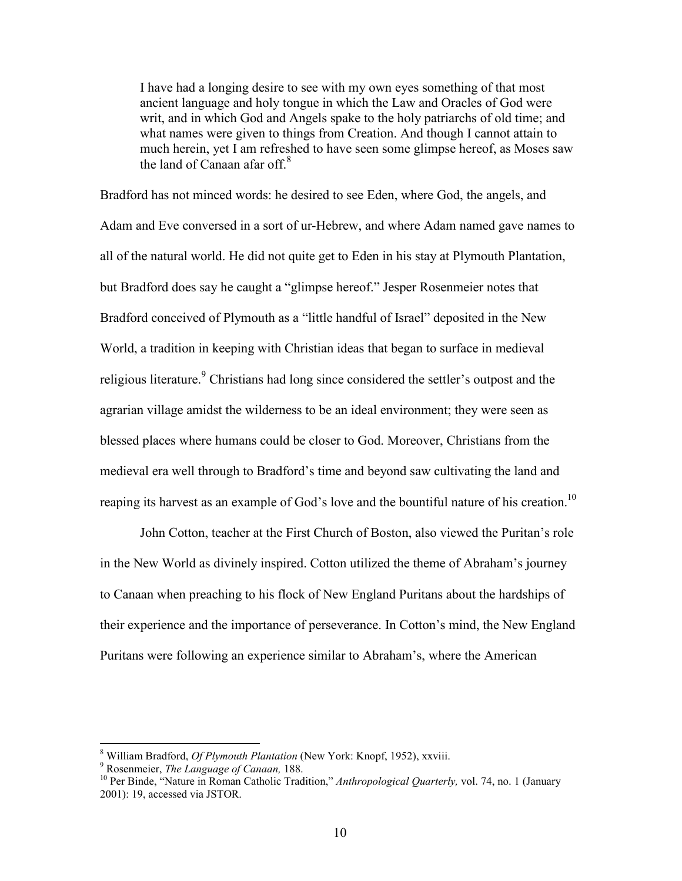I have had a longing desire to see with my own eyes something of that most ancient language and holy tongue in which the Law and Oracles of God were writ, and in which God and Angels spake to the holy patriarchs of old time; and what names were given to things from Creation. And though I cannot attain to much herein, yet I am refreshed to have seen some glimpse hereof, as Moses saw the land of Canaan afar off. $8$ 

Bradford has not minced words: he desired to see Eden, where God, the angels, and Adam and Eve conversed in a sort of ur-Hebrew, and where Adam named gave names to all of the natural world. He did not quite get to Eden in his stay at Plymouth Plantation, but Bradford does say he caught a "glimpse hereof." Jesper Rosenmeier notes that Bradford conceived of Plymouth as a "little handful of Israel" deposited in the New World, a tradition in keeping with Christian ideas that began to surface in medieval religious literature.<sup>9</sup> Christians had long since considered the settler's outpost and the agrarian village amidst the wilderness to be an ideal environment; they were seen as blessed places where humans could be closer to God. Moreover, Christians from the medieval era well through to Bradford's time and beyond saw cultivating the land and reaping its harvest as an example of God's love and the bountiful nature of his creation.<sup>10</sup>

John Cotton, teacher at the First Church of Boston, also viewed the Puritan's role in the New World as divinely inspired. Cotton utilized the theme of Abraham's journey to Canaan when preaching to his flock of New England Puritans about the hardships of their experience and the importance of perseverance. In Cotton's mind, the New England Puritans were following an experience similar to Abraham's, where the American

<sup>8</sup> William Bradford, *Of Plymouth Plantation* (New York: Knopf, 1952), xxviii.

<sup>9</sup> Rosenmeier, *The Language of Canaan,* 188.

<sup>&</sup>lt;sup>10</sup> Per Binde, "Nature in Roman Catholic Tradition," *Anthropological Quarterly*, vol. 74, no. 1 (January 2001): 19, accessed via JSTOR.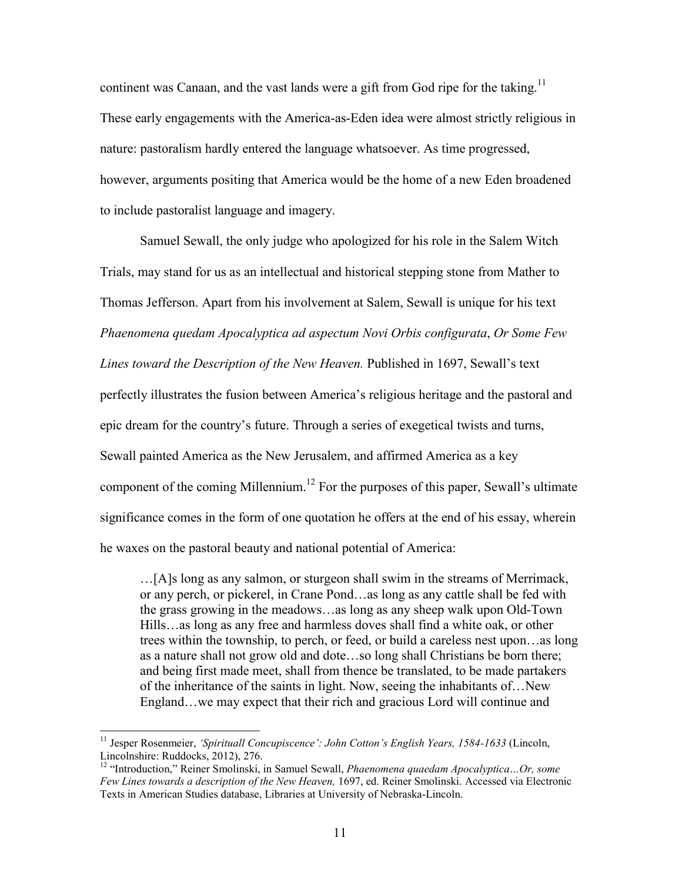continent was Canaan, and the vast lands were a gift from God ripe for the taking.<sup>11</sup> These early engagements with the America-as-Eden idea were almost strictly religious in nature: pastoralism hardly entered the language whatsoever. As time progressed, however, arguments positing that America would be the home of a new Eden broadened to include pastoralist language and imagery.

Samuel Sewall, the only judge who apologized for his role in the Salem Witch Trials, may stand for us as an intellectual and historical stepping stone from Mather to Thomas Jefferson. Apart from his involvement at Salem, Sewall is unique for his text *Phaenomena quedam Apocalyptica ad aspectum Novi Orbis configurata*, *Or Some Few Lines toward the Description of the New Heaven.* Published in 1697, Sewall's text perfectly illustrates the fusion between America's religious heritage and the pastoral and epic dream for the country's future. Through a series of exegetical twists and turns, Sewall painted America as the New Jerusalem, and affirmed America as a key component of the coming Millennium.<sup>12</sup> For the purposes of this paper, Sewall's ultimate significance comes in the form of one quotation he offers at the end of his essay, wherein he waxes on the pastoral beauty and national potential of America:

…[A]s long as any salmon, or sturgeon shall swim in the streams of Merrimack, or any perch, or pickerel, in Crane Pond…as long as any cattle shall be fed with the grass growing in the meadows…as long as any sheep walk upon Old-Town Hills…as long as any free and harmless doves shall find a white oak, or other trees within the township, to perch, or feed, or build a careless nest upon…as long as a nature shall not grow old and dote…so long shall Christians be born there; and being first made meet, shall from thence be translated, to be made partakers of the inheritance of the saints in light. Now, seeing the inhabitants of…New England…we may expect that their rich and gracious Lord will continue and

<sup>&</sup>lt;sup>11</sup> Jesper Rosenmeier, 'Spirituall Concupiscence': John Cotton's English Years, 1584-1633 (Lincoln, Lincolnshire: Ruddocks, 2012), 276.

<sup>12</sup> "Introduction," Reiner Smolinski, in Samuel Sewall, *Phaenomena quaedam Apocalyptica…Or, some Few Lines towards a description of the New Heaven,* 1697, ed. Reiner Smolinski. Accessed via Electronic Texts in American Studies database, Libraries at University of Nebraska-Lincoln.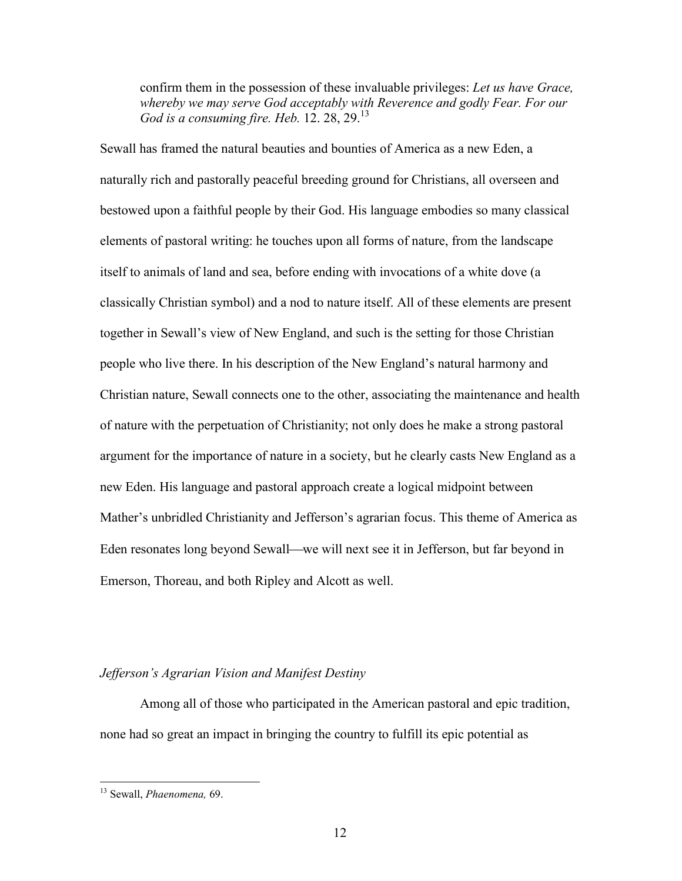confirm them in the possession of these invaluable privileges: *Let us have Grace, whereby we may serve God acceptably with Reverence and godly Fear. For our God is a consuming fire. Heb.* 12. 28, 29.<sup>13</sup>

Sewall has framed the natural beauties and bounties of America as a new Eden, a naturally rich and pastorally peaceful breeding ground for Christians, all overseen and bestowed upon a faithful people by their God. His language embodies so many classical elements of pastoral writing: he touches upon all forms of nature, from the landscape itself to animals of land and sea, before ending with invocations of a white dove (a classically Christian symbol) and a nod to nature itself. All of these elements are present together in Sewall's view of New England, and such is the setting for those Christian people who live there. In his description of the New England's natural harmony and Christian nature, Sewall connects one to the other, associating the maintenance and health of nature with the perpetuation of Christianity; not only does he make a strong pastoral argument for the importance of nature in a society, but he clearly casts New England as a new Eden. His language and pastoral approach create a logical midpoint between Mather's unbridled Christianity and Jefferson's agrarian focus. This theme of America as Eden resonates long beyond Sewall—we will next see it in Jefferson, but far beyond in Emerson, Thoreau, and both Ripley and Alcott as well.

# *Jefferson's Agrarian Vision and Manifest Destiny*

Among all of those who participated in the American pastoral and epic tradition, none had so great an impact in bringing the country to fulfill its epic potential as

<sup>13</sup> Sewall, *Phaenomena,* 69.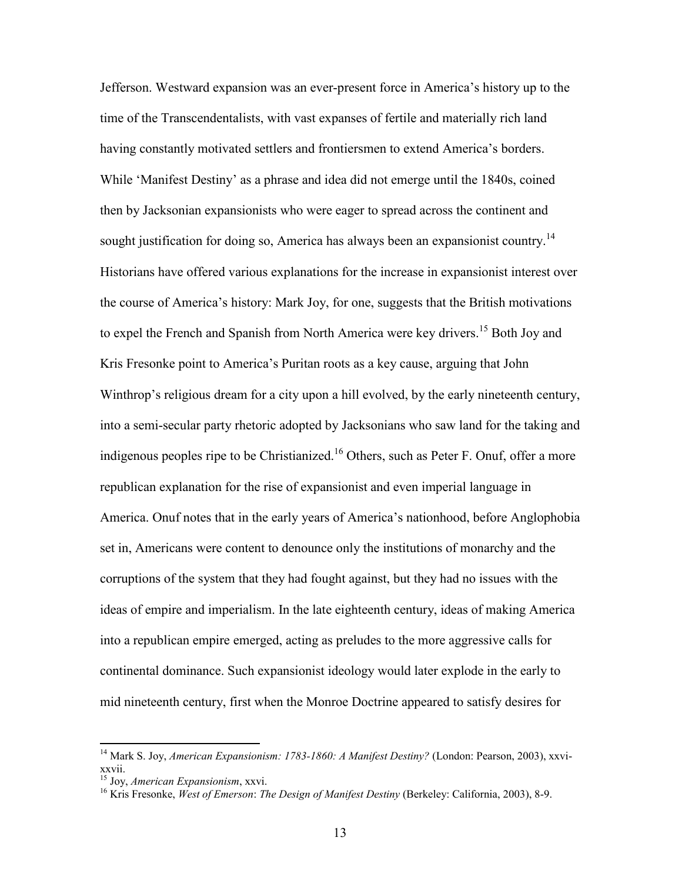Jefferson. Westward expansion was an ever-present force in America's history up to the time of the Transcendentalists, with vast expanses of fertile and materially rich land having constantly motivated settlers and frontiersmen to extend America's borders. While 'Manifest Destiny' as a phrase and idea did not emerge until the 1840s, coined then by Jacksonian expansionists who were eager to spread across the continent and sought justification for doing so, America has always been an expansionist country.<sup>14</sup> Historians have offered various explanations for the increase in expansionist interest over the course of America's history: Mark Joy, for one, suggests that the British motivations to expel the French and Spanish from North America were key drivers.<sup>15</sup> Both Joy and Kris Fresonke point to America's Puritan roots as a key cause, arguing that John Winthrop's religious dream for a city upon a hill evolved, by the early nineteenth century, into a semi-secular party rhetoric adopted by Jacksonians who saw land for the taking and indigenous peoples ripe to be Christianized.<sup>16</sup> Others, such as Peter F. Onuf, offer a more republican explanation for the rise of expansionist and even imperial language in America. Onuf notes that in the early years of America's nationhood, before Anglophobia set in, Americans were content to denounce only the institutions of monarchy and the corruptions of the system that they had fought against, but they had no issues with the ideas of empire and imperialism. In the late eighteenth century, ideas of making America into a republican empire emerged, acting as preludes to the more aggressive calls for continental dominance. Such expansionist ideology would later explode in the early to mid nineteenth century, first when the Monroe Doctrine appeared to satisfy desires for

<sup>&</sup>lt;sup>14</sup> Mark S. Joy, *American Expansionism: 1783-1860: A Manifest Destiny?* (London: Pearson, 2003), xxvixxvii.

<sup>15</sup> Joy, *American Expansionism*, xxvi.

<sup>16</sup> Kris Fresonke, *West of Emerson*: *The Design of Manifest Destiny* (Berkeley: California, 2003), 8-9.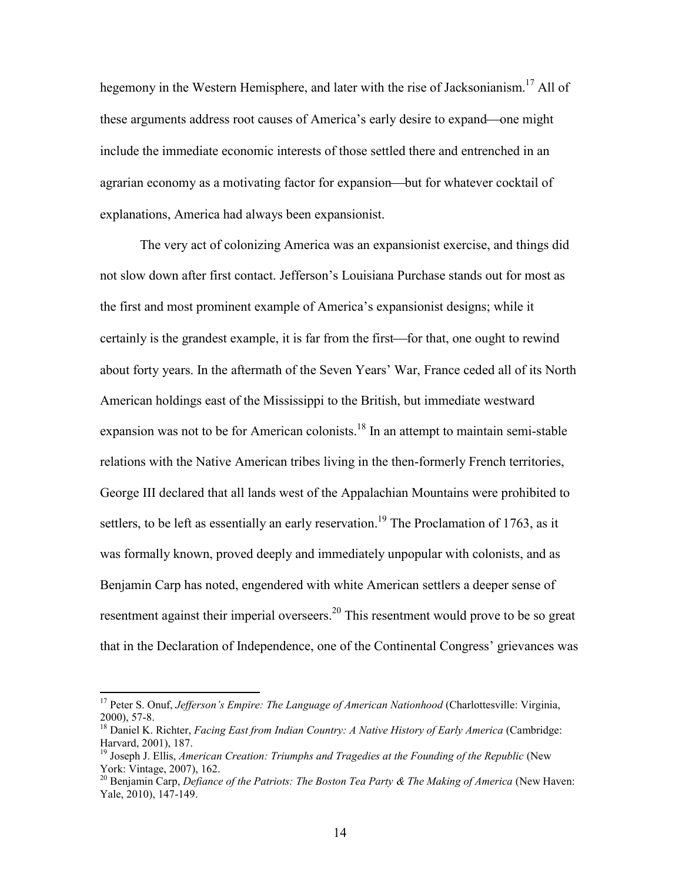hegemony in the Western Hemisphere, and later with the rise of Jacksonianism.<sup>17</sup> All of these arguments address root causes of America's early desire to expand—one might include the immediate economic interests of those settled there and entrenched in an agrarian economy as a motivating factor for expansion—but for whatever cocktail of explanations, America had always been expansionist.

The very act of colonizing America was an expansionist exercise, and things did not slow down after first contact. Jefferson's Louisiana Purchase stands out for most as the first and most prominent example of America's expansionist designs; while it certainly is the grandest example, it is far from the first—for that, one ought to rewind about forty years. In the aftermath of the Seven Years' War, France ceded all of its North American holdings east of the Mississippi to the British, but immediate westward expansion was not to be for American colonists.<sup>18</sup> In an attempt to maintain semi-stable relations with the Native American tribes living in the then-formerly French territories, George III declared that all lands west of the Appalachian Mountains were prohibited to settlers, to be left as essentially an early reservation.<sup>19</sup> The Proclamation of 1763, as it was formally known, proved deeply and immediately unpopular with colonists, and as Benjamin Carp has noted, engendered with white American settlers a deeper sense of resentment against their imperial overseers.<sup>20</sup> This resentment would prove to be so great that in the Declaration of Independence, one of the Continental Congress' grievances was

<sup>&</sup>lt;sup>17</sup> Peter S. Onuf, *Jefferson's Empire: The Language of American Nationhood* (Charlottesville: Virginia, 2000), 57-8.

<sup>&</sup>lt;sup>18</sup> Daniel K. Richter, *Facing East from Indian Country: A Native History of Early America* (Cambridge: Harvard, 2001), 187.

<sup>&</sup>lt;sup>19</sup> Joseph J. Ellis, *American Creation: Triumphs and Tragedies at the Founding of the Republic* (New York: Vintage, 2007), 162.

<sup>20</sup> Benjamin Carp, *Defiance of the Patriots: The Boston Tea Party & The Making of America* (New Haven: Yale, 2010), 147-149.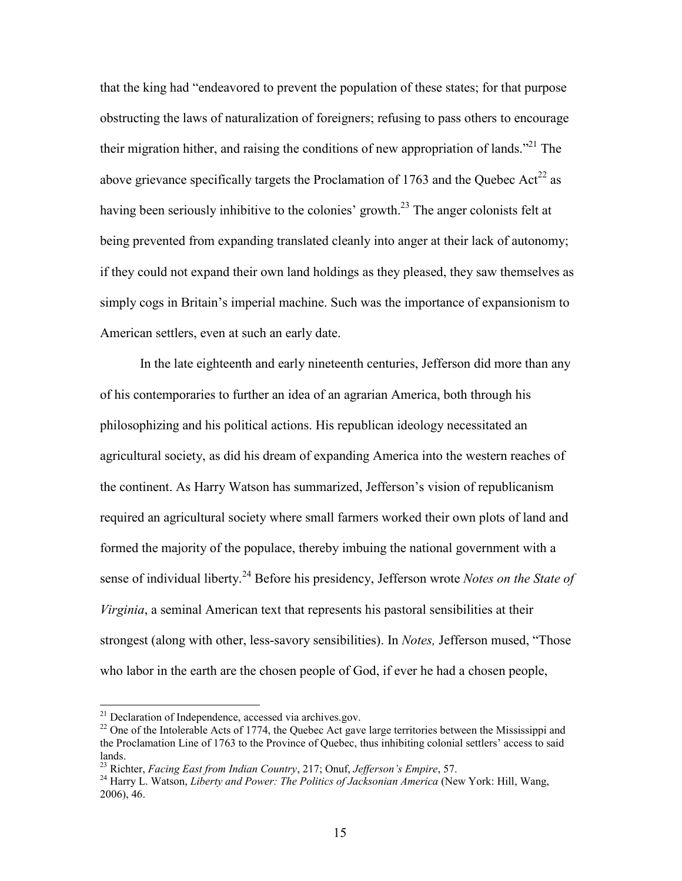that the king had "endeavored to prevent the population of these states; for that purpose obstructing the laws of naturalization of foreigners; refusing to pass others to encourage their migration hither, and raising the conditions of new appropriation of lands.<sup> $21$ </sup> The above grievance specifically targets the Proclamation of 1763 and the Quebec Act<sup>22</sup> as having been seriously inhibitive to the colonies' growth.<sup>23</sup> The anger colonists felt at being prevented from expanding translated cleanly into anger at their lack of autonomy; if they could not expand their own land holdings as they pleased, they saw themselves as simply cogs in Britain's imperial machine. Such was the importance of expansionism to American settlers, even at such an early date.

In the late eighteenth and early nineteenth centuries, Jefferson did more than any of his contemporaries to further an idea of an agrarian America, both through his philosophizing and his political actions. His republican ideology necessitated an agricultural society, as did his dream of expanding America into the western reaches of the continent. As Harry Watson has summarized, Jefferson's vision of republicanism required an agricultural society where small farmers worked their own plots of land and formed the majority of the populace, thereby imbuing the national government with a sense of individual liberty.<sup>24</sup> Before his presidency, Jefferson wrote *Notes on the State of Virginia*, a seminal American text that represents his pastoral sensibilities at their strongest (along with other, less-savory sensibilities). In *Notes,* Jefferson mused, "Those who labor in the earth are the chosen people of God, if ever he had a chosen people,

 $21$  Declaration of Independence, accessed via archives.gov.

<sup>&</sup>lt;sup>22</sup> One of the Intolerable Acts of 1774, the Quebec Act gave large territories between the Mississippi and the Proclamation Line of 1763 to the Province of Quebec, thus inhibiting colonial settlers' access to said lands.

<sup>23</sup> Richter, *Facing East from Indian Country*, 217; Onuf, *Jefferson's Empire*, 57.

<sup>24</sup> Harry L. Watson, *Liberty and Power: The Politics of Jacksonian America* (New York: Hill, Wang, 2006), 46.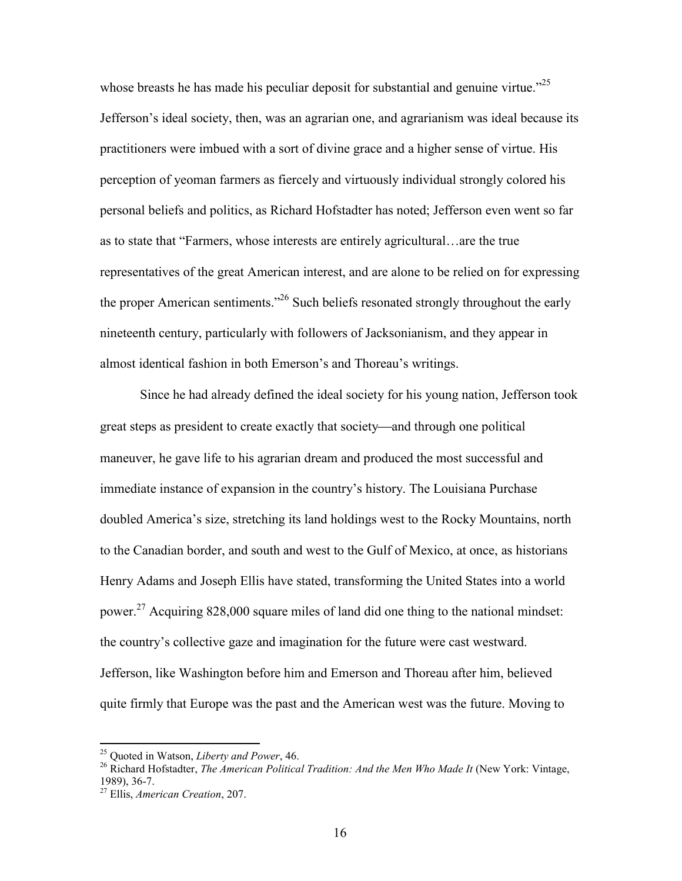whose breasts he has made his peculiar deposit for substantial and genuine virtue."<sup>25</sup> Jefferson's ideal society, then, was an agrarian one, and agrarianism was ideal because its practitioners were imbued with a sort of divine grace and a higher sense of virtue. His perception of yeoman farmers as fiercely and virtuously individual strongly colored his personal beliefs and politics, as Richard Hofstadter has noted; Jefferson even went so far as to state that "Farmers, whose interests are entirely agricultural…are the true representatives of the great American interest, and are alone to be relied on for expressing the proper American sentiments."<sup>26</sup> Such beliefs resonated strongly throughout the early nineteenth century, particularly with followers of Jacksonianism, and they appear in almost identical fashion in both Emerson's and Thoreau's writings.

Since he had already defined the ideal society for his young nation, Jefferson took great steps as president to create exactly that society—and through one political maneuver, he gave life to his agrarian dream and produced the most successful and immediate instance of expansion in the country's history. The Louisiana Purchase doubled America's size, stretching its land holdings west to the Rocky Mountains, north to the Canadian border, and south and west to the Gulf of Mexico, at once, as historians Henry Adams and Joseph Ellis have stated, transforming the United States into a world power.<sup>27</sup> Acquiring 828,000 square miles of land did one thing to the national mindset: the country's collective gaze and imagination for the future were cast westward. Jefferson, like Washington before him and Emerson and Thoreau after him, believed quite firmly that Europe was the past and the American west was the future. Moving to

<sup>25</sup> Quoted in Watson, *Liberty and Power*, 46.

<sup>26</sup> Richard Hofstadter, *The American Political Tradition: And the Men Who Made It* (New York: Vintage, 1989), 36-7.

<sup>27</sup> Ellis, *American Creation*, 207.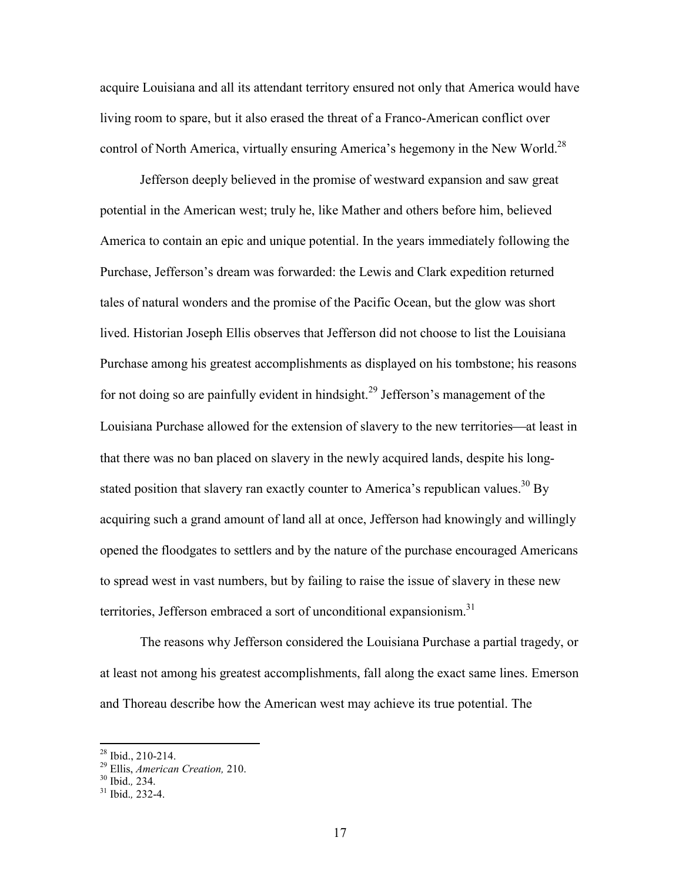acquire Louisiana and all its attendant territory ensured not only that America would have living room to spare, but it also erased the threat of a Franco-American conflict over control of North America, virtually ensuring America's hegemony in the New World.<sup>28</sup>

Jefferson deeply believed in the promise of westward expansion and saw great potential in the American west; truly he, like Mather and others before him, believed America to contain an epic and unique potential. In the years immediately following the Purchase, Jefferson's dream was forwarded: the Lewis and Clark expedition returned tales of natural wonders and the promise of the Pacific Ocean, but the glow was short lived. Historian Joseph Ellis observes that Jefferson did not choose to list the Louisiana Purchase among his greatest accomplishments as displayed on his tombstone; his reasons for not doing so are painfully evident in hindsight.<sup>29</sup> Jefferson's management of the Louisiana Purchase allowed for the extension of slavery to the new territories—at least in that there was no ban placed on slavery in the newly acquired lands, despite his longstated position that slavery ran exactly counter to America's republican values.<sup>30</sup> By acquiring such a grand amount of land all at once, Jefferson had knowingly and willingly opened the floodgates to settlers and by the nature of the purchase encouraged Americans to spread west in vast numbers, but by failing to raise the issue of slavery in these new territories, Jefferson embraced a sort of unconditional expansionism.<sup>31</sup>

The reasons why Jefferson considered the Louisiana Purchase a partial tragedy, or at least not among his greatest accomplishments, fall along the exact same lines. Emerson and Thoreau describe how the American west may achieve its true potential. The

 $^{28}$  Ibid., 210-214.

<sup>29</sup> Ellis, *American Creation,* 210.

<sup>30</sup> Ibid.*,* 234.

 $31$  Ibid. 232-4.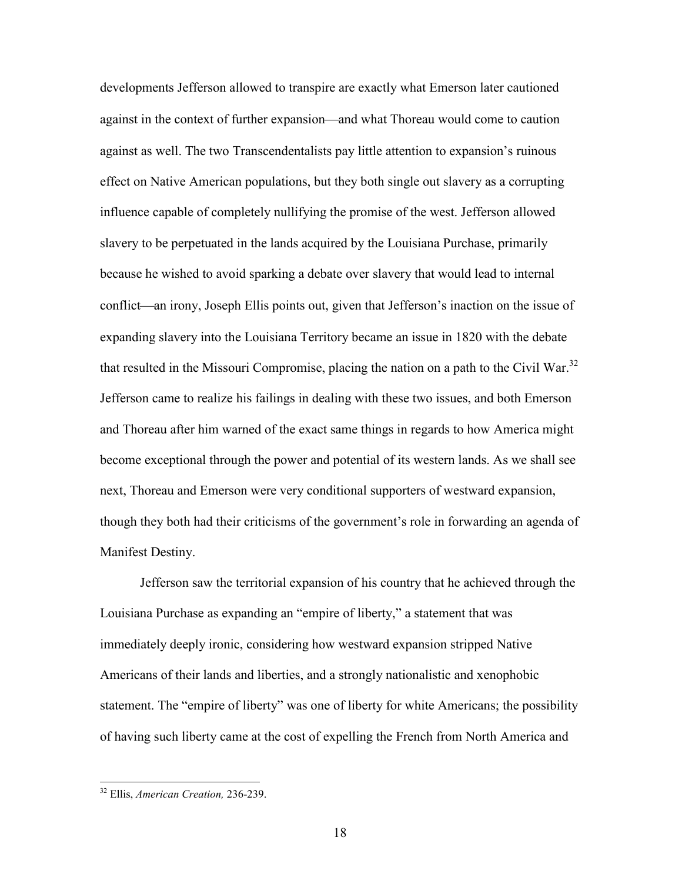developments Jefferson allowed to transpire are exactly what Emerson later cautioned against in the context of further expansion—and what Thoreau would come to caution against as well. The two Transcendentalists pay little attention to expansion's ruinous effect on Native American populations, but they both single out slavery as a corrupting influence capable of completely nullifying the promise of the west. Jefferson allowed slavery to be perpetuated in the lands acquired by the Louisiana Purchase, primarily because he wished to avoid sparking a debate over slavery that would lead to internal conflict—an irony, Joseph Ellis points out, given that Jefferson's inaction on the issue of expanding slavery into the Louisiana Territory became an issue in 1820 with the debate that resulted in the Missouri Compromise, placing the nation on a path to the Civil War.<sup>32</sup> Jefferson came to realize his failings in dealing with these two issues, and both Emerson and Thoreau after him warned of the exact same things in regards to how America might become exceptional through the power and potential of its western lands. As we shall see next, Thoreau and Emerson were very conditional supporters of westward expansion, though they both had their criticisms of the government's role in forwarding an agenda of Manifest Destiny.

Jefferson saw the territorial expansion of his country that he achieved through the Louisiana Purchase as expanding an "empire of liberty," a statement that was immediately deeply ironic, considering how westward expansion stripped Native Americans of their lands and liberties, and a strongly nationalistic and xenophobic statement. The "empire of liberty" was one of liberty for white Americans; the possibility of having such liberty came at the cost of expelling the French from North America and

<sup>32</sup> Ellis, *American Creation,* 236-239.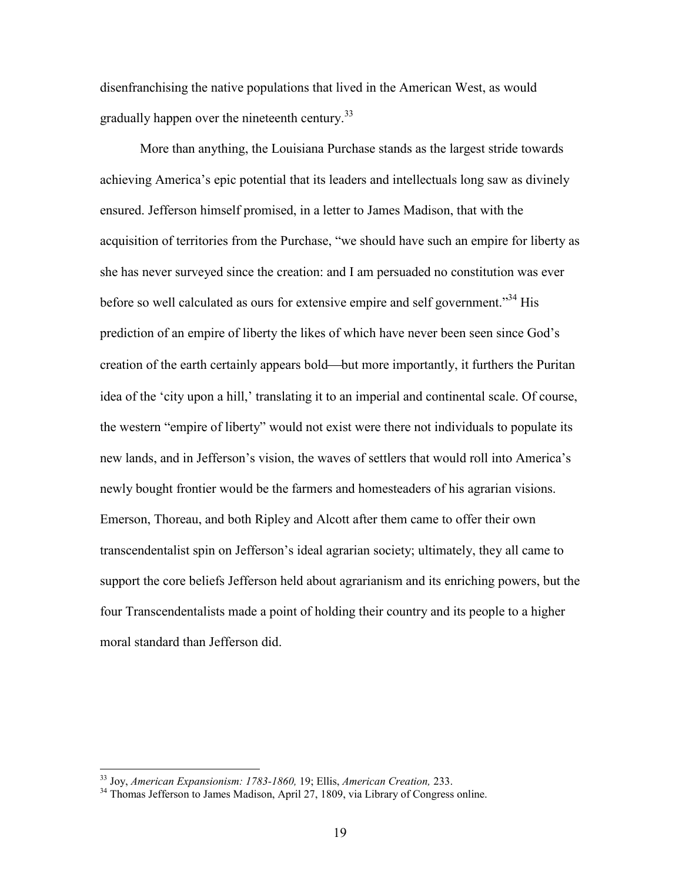disenfranchising the native populations that lived in the American West, as would gradually happen over the nineteenth century.<sup>33</sup>

More than anything, the Louisiana Purchase stands as the largest stride towards achieving America's epic potential that its leaders and intellectuals long saw as divinely ensured. Jefferson himself promised, in a letter to James Madison, that with the acquisition of territories from the Purchase, "we should have such an empire for liberty as she has never surveyed since the creation: and I am persuaded no constitution was ever before so well calculated as ours for extensive empire and self government."<sup>34</sup> His prediction of an empire of liberty the likes of which have never been seen since God's creation of the earth certainly appears bold—but more importantly, it furthers the Puritan idea of the 'city upon a hill,' translating it to an imperial and continental scale. Of course, the western "empire of liberty" would not exist were there not individuals to populate its new lands, and in Jefferson's vision, the waves of settlers that would roll into America's newly bought frontier would be the farmers and homesteaders of his agrarian visions. Emerson, Thoreau, and both Ripley and Alcott after them came to offer their own transcendentalist spin on Jefferson's ideal agrarian society; ultimately, they all came to support the core beliefs Jefferson held about agrarianism and its enriching powers, but the four Transcendentalists made a point of holding their country and its people to a higher moral standard than Jefferson did.

<sup>33</sup> Joy, *American Expansionism: 1783-1860,* 19; Ellis, *American Creation,* 233.

<sup>&</sup>lt;sup>34</sup> Thomas Jefferson to James Madison, April 27, 1809, via Library of Congress online.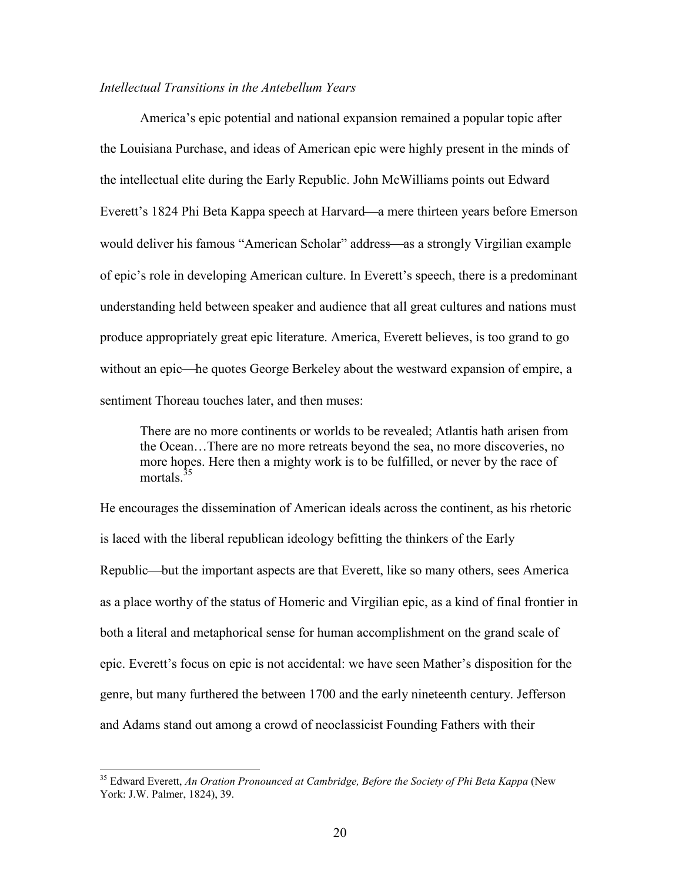# *Intellectual Transitions in the Antebellum Years*

America's epic potential and national expansion remained a popular topic after the Louisiana Purchase, and ideas of American epic were highly present in the minds of the intellectual elite during the Early Republic. John McWilliams points out Edward Everett's 1824 Phi Beta Kappa speech at Harvard—a mere thirteen years before Emerson would deliver his famous "American Scholar" address—as a strongly Virgilian example of epic's role in developing American culture. In Everett's speech, there is a predominant understanding held between speaker and audience that all great cultures and nations must produce appropriately great epic literature. America, Everett believes, is too grand to go without an epic—he quotes George Berkeley about the westward expansion of empire, a sentiment Thoreau touches later, and then muses:

There are no more continents or worlds to be revealed; Atlantis hath arisen from the Ocean…There are no more retreats beyond the sea, no more discoveries, no more hopes. Here then a mighty work is to be fulfilled, or never by the race of mortals  $35$ 

He encourages the dissemination of American ideals across the continent, as his rhetoric is laced with the liberal republican ideology befitting the thinkers of the Early Republic—but the important aspects are that Everett, like so many others, sees America as a place worthy of the status of Homeric and Virgilian epic, as a kind of final frontier in both a literal and metaphorical sense for human accomplishment on the grand scale of epic. Everett's focus on epic is not accidental: we have seen Mather's disposition for the genre, but many furthered the between 1700 and the early nineteenth century. Jefferson and Adams stand out among a crowd of neoclassicist Founding Fathers with their

<sup>35</sup> Edward Everett, *An Oration Pronounced at Cambridge, Before the Society of Phi Beta Kappa* (New York: J.W. Palmer, 1824), 39.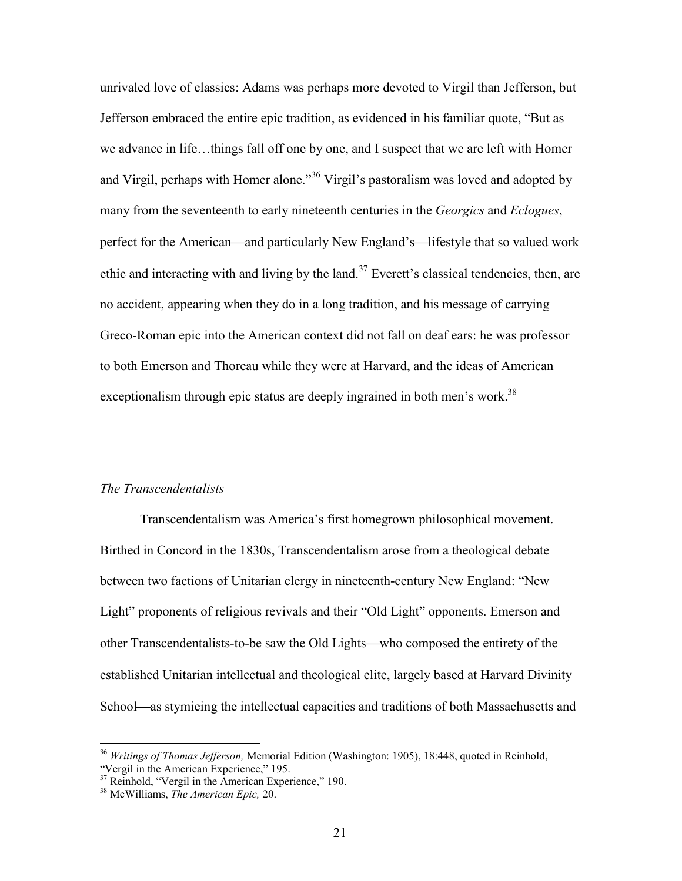unrivaled love of classics: Adams was perhaps more devoted to Virgil than Jefferson, but Jefferson embraced the entire epic tradition, as evidenced in his familiar quote, "But as we advance in life…things fall off one by one, and I suspect that we are left with Homer and Virgil, perhaps with Homer alone."<sup>36</sup> Virgil's pastoralism was loved and adopted by many from the seventeenth to early nineteenth centuries in the *Georgics* and *Eclogues*, perfect for the American—and particularly New England's—lifestyle that so valued work ethic and interacting with and living by the land.<sup>37</sup> Everett's classical tendencies, then, are no accident, appearing when they do in a long tradition, and his message of carrying Greco-Roman epic into the American context did not fall on deaf ears: he was professor to both Emerson and Thoreau while they were at Harvard, and the ideas of American exceptionalism through epic status are deeply ingrained in both men's work.<sup>38</sup>

# *The Transcendentalists*

Transcendentalism was America's first homegrown philosophical movement. Birthed in Concord in the 1830s, Transcendentalism arose from a theological debate between two factions of Unitarian clergy in nineteenth-century New England: "New Light" proponents of religious revivals and their "Old Light" opponents. Emerson and other Transcendentalists-to-be saw the Old Lights—who composed the entirety of the established Unitarian intellectual and theological elite, largely based at Harvard Divinity School—as stymieing the intellectual capacities and traditions of both Massachusetts and

<sup>36</sup> *Writings of Thomas Jefferson,* Memorial Edition (Washington: 1905), 18:448, quoted in Reinhold, "Vergil in the American Experience," 195.

<sup>&</sup>lt;sup>37</sup> Reinhold, "Vergil in the American Experience," 190.

<sup>38</sup> McWilliams, *The American Epic,* 20.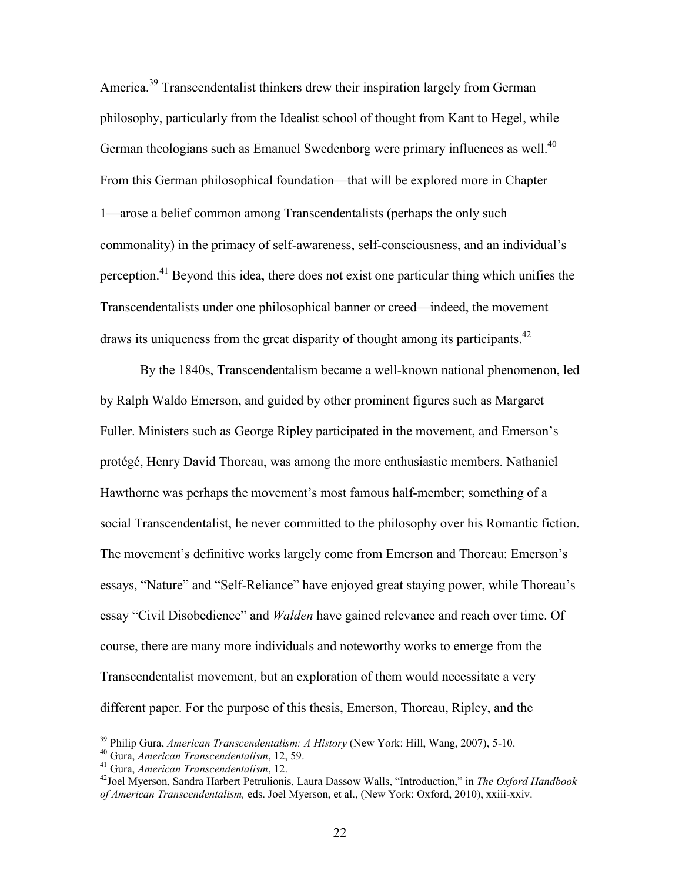America.<sup>39</sup> Transcendentalist thinkers drew their inspiration largely from German philosophy, particularly from the Idealist school of thought from Kant to Hegel, while German theologians such as Emanuel Swedenborg were primary influences as well.<sup>40</sup> From this German philosophical foundation—that will be explored more in Chapter 1—arose a belief common among Transcendentalists (perhaps the only such commonality) in the primacy of self-awareness, self-consciousness, and an individual's perception.<sup>41</sup> Beyond this idea, there does not exist one particular thing which unifies the Transcendentalists under one philosophical banner or creed—indeed, the movement draws its uniqueness from the great disparity of thought among its participants.<sup>42</sup>

By the 1840s, Transcendentalism became a well-known national phenomenon, led by Ralph Waldo Emerson, and guided by other prominent figures such as Margaret Fuller. Ministers such as George Ripley participated in the movement, and Emerson's protégé, Henry David Thoreau, was among the more enthusiastic members. Nathaniel Hawthorne was perhaps the movement's most famous half-member; something of a social Transcendentalist, he never committed to the philosophy over his Romantic fiction. The movement's definitive works largely come from Emerson and Thoreau: Emerson's essays, "Nature" and "Self-Reliance" have enjoyed great staying power, while Thoreau's essay "Civil Disobedience" and *Walden* have gained relevance and reach over time. Of course, there are many more individuals and noteworthy works to emerge from the Transcendentalist movement, but an exploration of them would necessitate a very different paper. For the purpose of this thesis, Emerson, Thoreau, Ripley, and the

<sup>39</sup> Philip Gura, *American Transcendentalism: A History* (New York: Hill, Wang, 2007), 5-10.

<sup>40</sup> Gura, *American Transcendentalism*, 12, 59.

<sup>41</sup> Gura, *American Transcendentalism*, 12.

<sup>42</sup>Joel Myerson, Sandra Harbert Petrulionis, Laura Dassow Walls, "Introduction," in *The Oxford Handbook of American Transcendentalism,* eds. Joel Myerson, et al., (New York: Oxford, 2010), xxiii-xxiv.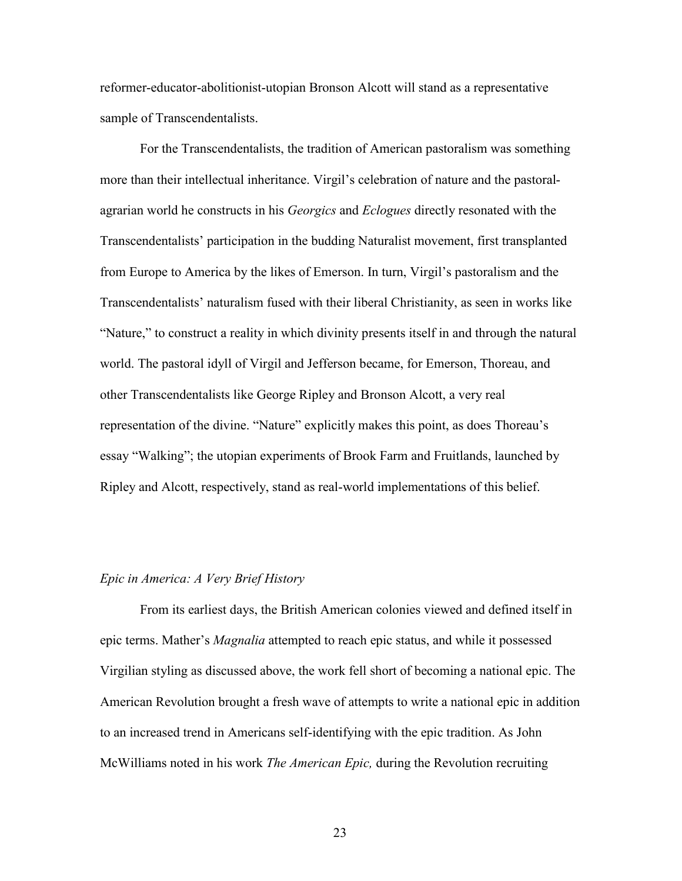reformer-educator-abolitionist-utopian Bronson Alcott will stand as a representative sample of Transcendentalists.

For the Transcendentalists, the tradition of American pastoralism was something more than their intellectual inheritance. Virgil's celebration of nature and the pastoralagrarian world he constructs in his *Georgics* and *Eclogues* directly resonated with the Transcendentalists' participation in the budding Naturalist movement, first transplanted from Europe to America by the likes of Emerson. In turn, Virgil's pastoralism and the Transcendentalists' naturalism fused with their liberal Christianity, as seen in works like "Nature," to construct a reality in which divinity presents itself in and through the natural world. The pastoral idyll of Virgil and Jefferson became, for Emerson, Thoreau, and other Transcendentalists like George Ripley and Bronson Alcott, a very real representation of the divine. "Nature" explicitly makes this point, as does Thoreau's essay "Walking"; the utopian experiments of Brook Farm and Fruitlands, launched by Ripley and Alcott, respectively, stand as real-world implementations of this belief.

### *Epic in America: A Very Brief History*

From its earliest days, the British American colonies viewed and defined itself in epic terms. Mather's *Magnalia* attempted to reach epic status, and while it possessed Virgilian styling as discussed above, the work fell short of becoming a national epic. The American Revolution brought a fresh wave of attempts to write a national epic in addition to an increased trend in Americans self-identifying with the epic tradition. As John McWilliams noted in his work *The American Epic,* during the Revolution recruiting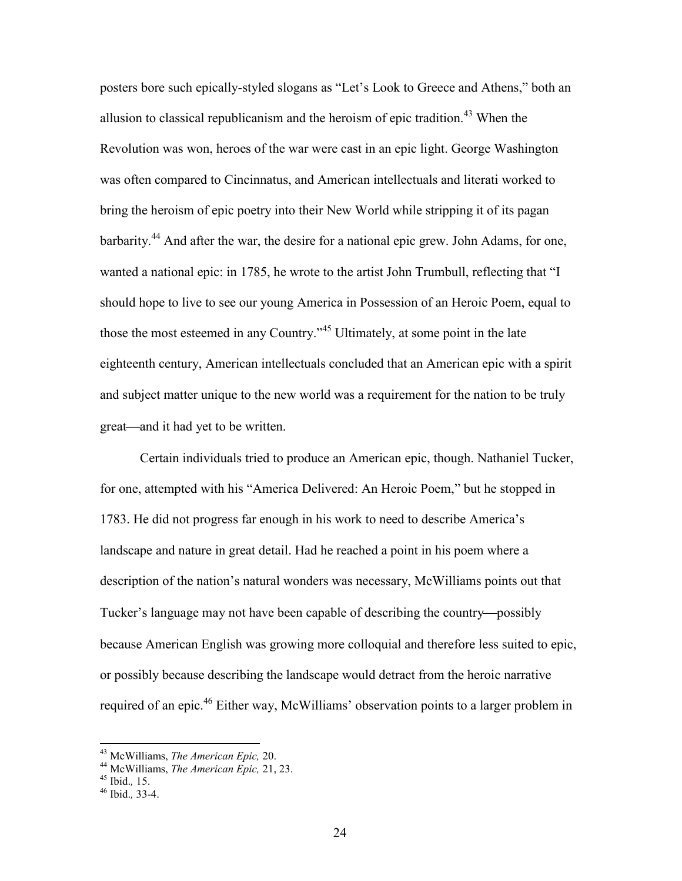posters bore such epically-styled slogans as "Let's Look to Greece and Athens," both an allusion to classical republicanism and the heroism of epic tradition.<sup>43</sup> When the Revolution was won, heroes of the war were cast in an epic light. George Washington was often compared to Cincinnatus, and American intellectuals and literati worked to bring the heroism of epic poetry into their New World while stripping it of its pagan barbarity.<sup>44</sup> And after the war, the desire for a national epic grew. John Adams, for one, wanted a national epic: in 1785, he wrote to the artist John Trumbull, reflecting that "I should hope to live to see our young America in Possession of an Heroic Poem, equal to those the most esteemed in any Country."<sup>45</sup> Ultimately, at some point in the late eighteenth century, American intellectuals concluded that an American epic with a spirit and subject matter unique to the new world was a requirement for the nation to be truly great—and it had yet to be written.

Certain individuals tried to produce an American epic, though. Nathaniel Tucker, for one, attempted with his "America Delivered: An Heroic Poem," but he stopped in 1783. He did not progress far enough in his work to need to describe America's landscape and nature in great detail. Had he reached a point in his poem where a description of the nation's natural wonders was necessary, McWilliams points out that Tucker's language may not have been capable of describing the country—possibly because American English was growing more colloquial and therefore less suited to epic, or possibly because describing the landscape would detract from the heroic narrative required of an epic.<sup>46</sup> Either way, McWilliams' observation points to a larger problem in

<sup>43</sup> McWilliams, *The American Epic,* 20.

<sup>44</sup> McWilliams, *The American Epic,* 21, 23.

<sup>45</sup> Ibid.*,* 15.

<sup>46</sup> Ibid.*,* 33-4.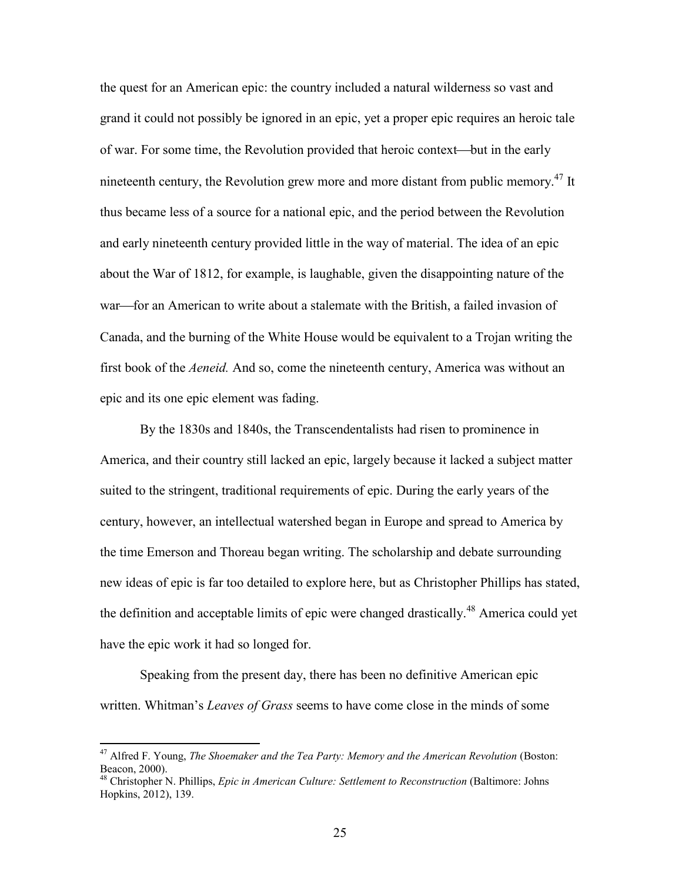the quest for an American epic: the country included a natural wilderness so vast and grand it could not possibly be ignored in an epic, yet a proper epic requires an heroic tale of war. For some time, the Revolution provided that heroic context—but in the early nineteenth century, the Revolution grew more and more distant from public memory.<sup>47</sup> It thus became less of a source for a national epic, and the period between the Revolution and early nineteenth century provided little in the way of material. The idea of an epic about the War of 1812, for example, is laughable, given the disappointing nature of the war—for an American to write about a stalemate with the British, a failed invasion of Canada, and the burning of the White House would be equivalent to a Trojan writing the first book of the *Aeneid.* And so, come the nineteenth century, America was without an epic and its one epic element was fading.

By the 1830s and 1840s, the Transcendentalists had risen to prominence in America, and their country still lacked an epic, largely because it lacked a subject matter suited to the stringent, traditional requirements of epic. During the early years of the century, however, an intellectual watershed began in Europe and spread to America by the time Emerson and Thoreau began writing. The scholarship and debate surrounding new ideas of epic is far too detailed to explore here, but as Christopher Phillips has stated, the definition and acceptable limits of epic were changed drastically.<sup>48</sup> America could yet have the epic work it had so longed for.

Speaking from the present day, there has been no definitive American epic written. Whitman's *Leaves of Grass* seems to have come close in the minds of some

<sup>47</sup> Alfred F. Young, *The Shoemaker and the Tea Party: Memory and the American Revolution* (Boston: Beacon, 2000).

<sup>48</sup> Christopher N. Phillips, *Epic in American Culture: Settlement to Reconstruction* (Baltimore: Johns Hopkins, 2012), 139.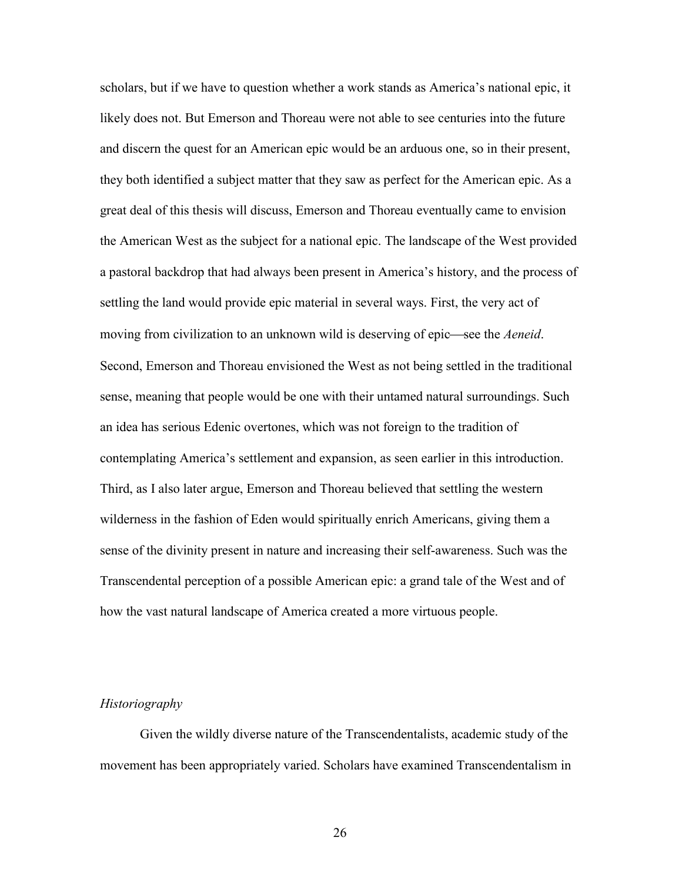scholars, but if we have to question whether a work stands as America's national epic, it likely does not. But Emerson and Thoreau were not able to see centuries into the future and discern the quest for an American epic would be an arduous one, so in their present, they both identified a subject matter that they saw as perfect for the American epic. As a great deal of this thesis will discuss, Emerson and Thoreau eventually came to envision the American West as the subject for a national epic. The landscape of the West provided a pastoral backdrop that had always been present in America's history, and the process of settling the land would provide epic material in several ways. First, the very act of moving from civilization to an unknown wild is deserving of epic—see the *Aeneid*. Second, Emerson and Thoreau envisioned the West as not being settled in the traditional sense, meaning that people would be one with their untamed natural surroundings. Such an idea has serious Edenic overtones, which was not foreign to the tradition of contemplating America's settlement and expansion, as seen earlier in this introduction. Third, as I also later argue, Emerson and Thoreau believed that settling the western wilderness in the fashion of Eden would spiritually enrich Americans, giving them a sense of the divinity present in nature and increasing their self-awareness. Such was the Transcendental perception of a possible American epic: a grand tale of the West and of how the vast natural landscape of America created a more virtuous people.

#### *Historiography*

Given the wildly diverse nature of the Transcendentalists, academic study of the movement has been appropriately varied. Scholars have examined Transcendentalism in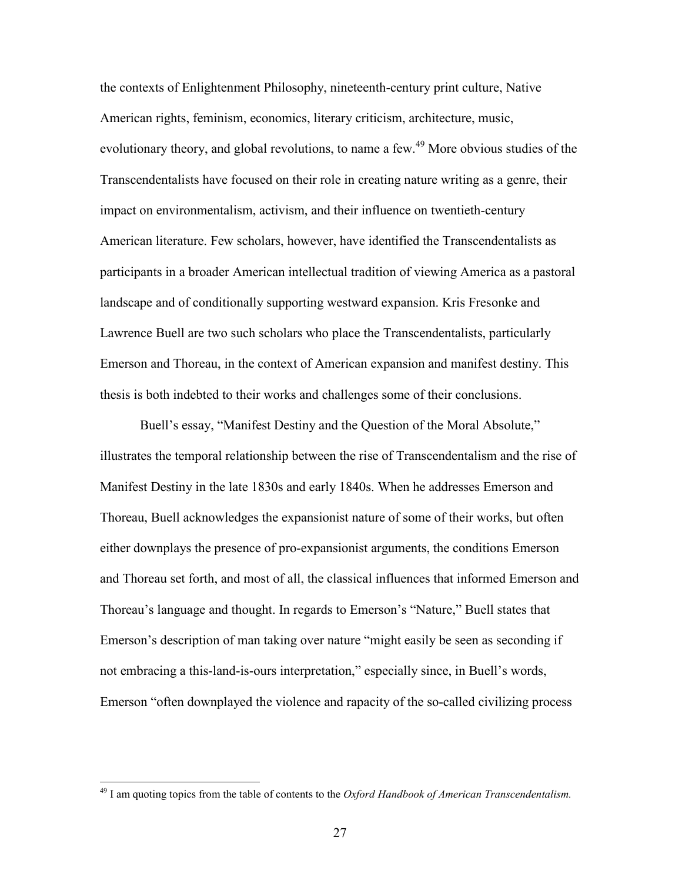the contexts of Enlightenment Philosophy, nineteenth-century print culture, Native American rights, feminism, economics, literary criticism, architecture, music, evolutionary theory, and global revolutions, to name a few.<sup>49</sup> More obvious studies of the Transcendentalists have focused on their role in creating nature writing as a genre, their impact on environmentalism, activism, and their influence on twentieth-century American literature. Few scholars, however, have identified the Transcendentalists as participants in a broader American intellectual tradition of viewing America as a pastoral landscape and of conditionally supporting westward expansion. Kris Fresonke and Lawrence Buell are two such scholars who place the Transcendentalists, particularly Emerson and Thoreau, in the context of American expansion and manifest destiny. This thesis is both indebted to their works and challenges some of their conclusions.

Buell's essay, "Manifest Destiny and the Question of the Moral Absolute," illustrates the temporal relationship between the rise of Transcendentalism and the rise of Manifest Destiny in the late 1830s and early 1840s. When he addresses Emerson and Thoreau, Buell acknowledges the expansionist nature of some of their works, but often either downplays the presence of pro-expansionist arguments, the conditions Emerson and Thoreau set forth, and most of all, the classical influences that informed Emerson and Thoreau's language and thought. In regards to Emerson's "Nature," Buell states that Emerson's description of man taking over nature "might easily be seen as seconding if not embracing a this-land-is-ours interpretation," especially since, in Buell's words, Emerson "often downplayed the violence and rapacity of the so-called civilizing process

<sup>49</sup> I am quoting topics from the table of contents to the *Oxford Handbook of American Transcendentalism.*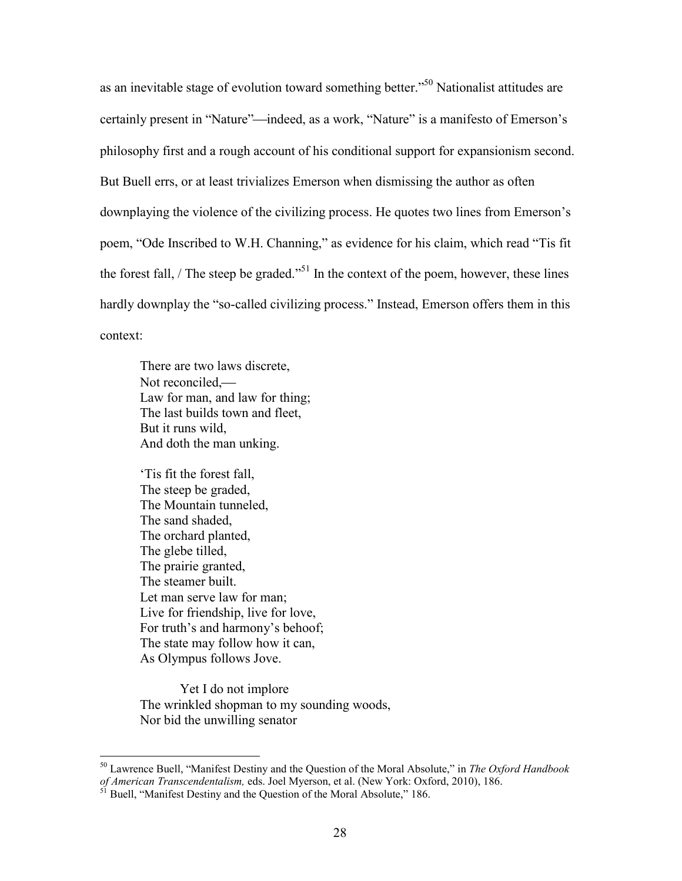as an inevitable stage of evolution toward something better."<sup>50</sup> Nationalist attitudes are certainly present in "Nature"—indeed, as a work, "Nature" is a manifesto of Emerson's philosophy first and a rough account of his conditional support for expansionism second. But Buell errs, or at least trivializes Emerson when dismissing the author as often downplaying the violence of the civilizing process. He quotes two lines from Emerson's poem, "Ode Inscribed to W.H. Channing," as evidence for his claim, which read "Tis fit the forest fall, / The steep be graded."<sup>51</sup> In the context of the poem, however, these lines hardly downplay the "so-called civilizing process." Instead, Emerson offers them in this context:

There are two laws discrete, Not reconciled,— Law for man, and law for thing; The last builds town and fleet, But it runs wild, And doth the man unking.

'Tis fit the forest fall, The steep be graded, The Mountain tunneled, The sand shaded, The orchard planted, The glebe tilled, The prairie granted, The steamer built. Let man serve law for man; Live for friendship, live for love, For truth's and harmony's behoof; The state may follow how it can, As Olympus follows Jove.

Yet I do not implore The wrinkled shopman to my sounding woods, Nor bid the unwilling senator

<sup>50</sup> Lawrence Buell, "Manifest Destiny and the Question of the Moral Absolute," in *The Oxford Handbook of American Transcendentalism,* eds. Joel Myerson, et al. (New York: Oxford, 2010), 186.

Buell, "Manifest Destiny and the Question of the Moral Absolute," 186.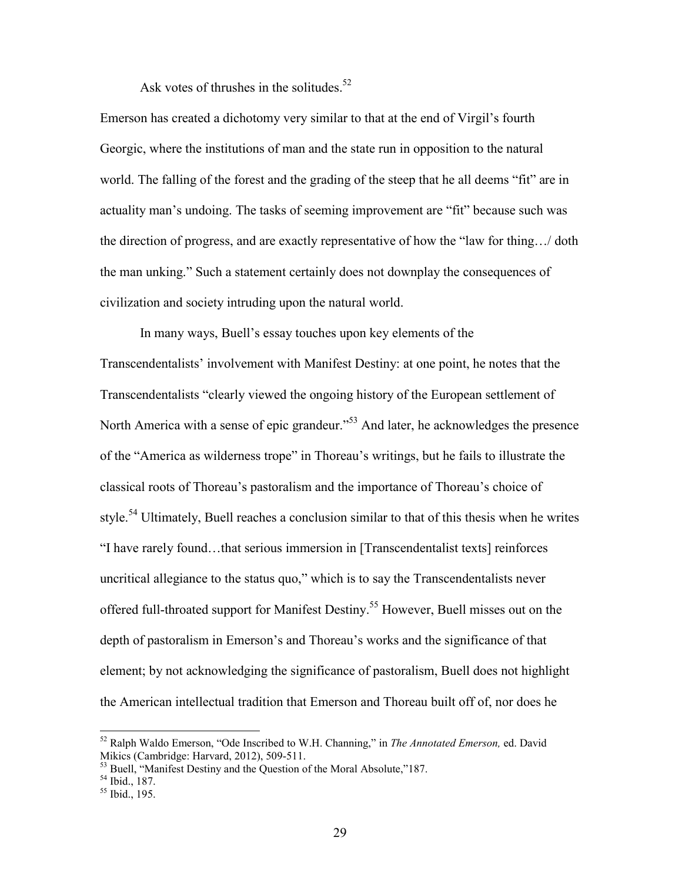Ask votes of thrushes in the solitudes.<sup>52</sup>

Emerson has created a dichotomy very similar to that at the end of Virgil's fourth Georgic, where the institutions of man and the state run in opposition to the natural world. The falling of the forest and the grading of the steep that he all deems "fit" are in actuality man's undoing. The tasks of seeming improvement are "fit" because such was the direction of progress, and are exactly representative of how the "law for thing…/ doth the man unking." Such a statement certainly does not downplay the consequences of civilization and society intruding upon the natural world.

In many ways, Buell's essay touches upon key elements of the Transcendentalists' involvement with Manifest Destiny: at one point, he notes that the Transcendentalists "clearly viewed the ongoing history of the European settlement of North America with a sense of epic grandeur.<sup>553</sup> And later, he acknowledges the presence of the "America as wilderness trope" in Thoreau's writings, but he fails to illustrate the classical roots of Thoreau's pastoralism and the importance of Thoreau's choice of style.<sup>54</sup> Ultimately, Buell reaches a conclusion similar to that of this thesis when he writes "I have rarely found…that serious immersion in [Transcendentalist texts] reinforces uncritical allegiance to the status quo," which is to say the Transcendentalists never offered full-throated support for Manifest Destiny.<sup>55</sup> However, Buell misses out on the depth of pastoralism in Emerson's and Thoreau's works and the significance of that element; by not acknowledging the significance of pastoralism, Buell does not highlight the American intellectual tradition that Emerson and Thoreau built off of, nor does he

<sup>52</sup> Ralph Waldo Emerson, "Ode Inscribed to W.H. Channing," in *The Annotated Emerson,* ed. David Mikics (Cambridge: Harvard, 2012), 509-511.

<sup>&</sup>lt;sup>53</sup> Buell, "Manifest Destiny and the Question of the Moral Absolute,"187.

<sup>54</sup> Ibid., 187.

 $55$  Ibid., 195.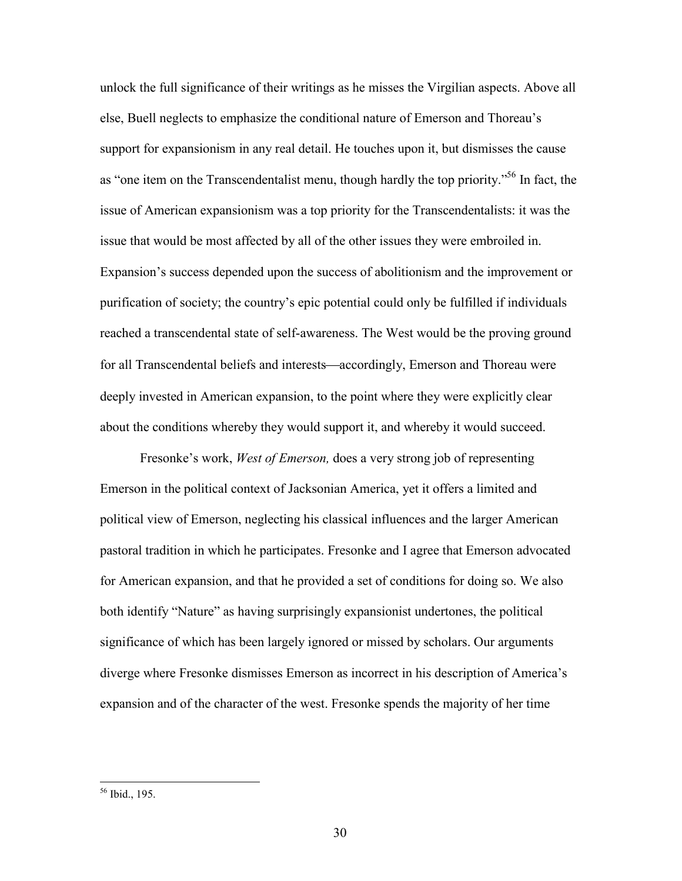unlock the full significance of their writings as he misses the Virgilian aspects. Above all else, Buell neglects to emphasize the conditional nature of Emerson and Thoreau's support for expansionism in any real detail. He touches upon it, but dismisses the cause as "one item on the Transcendentalist menu, though hardly the top priority."<sup>56</sup> In fact, the issue of American expansionism was a top priority for the Transcendentalists: it was the issue that would be most affected by all of the other issues they were embroiled in. Expansion's success depended upon the success of abolitionism and the improvement or purification of society; the country's epic potential could only be fulfilled if individuals reached a transcendental state of self-awareness. The West would be the proving ground for all Transcendental beliefs and interests—accordingly, Emerson and Thoreau were deeply invested in American expansion, to the point where they were explicitly clear about the conditions whereby they would support it, and whereby it would succeed.

Fresonke's work, *West of Emerson,* does a very strong job of representing Emerson in the political context of Jacksonian America, yet it offers a limited and political view of Emerson, neglecting his classical influences and the larger American pastoral tradition in which he participates. Fresonke and I agree that Emerson advocated for American expansion, and that he provided a set of conditions for doing so. We also both identify "Nature" as having surprisingly expansionist undertones, the political significance of which has been largely ignored or missed by scholars. Our arguments diverge where Fresonke dismisses Emerson as incorrect in his description of America's expansion and of the character of the west. Fresonke spends the majority of her time

<sup>56</sup> Ibid., 195.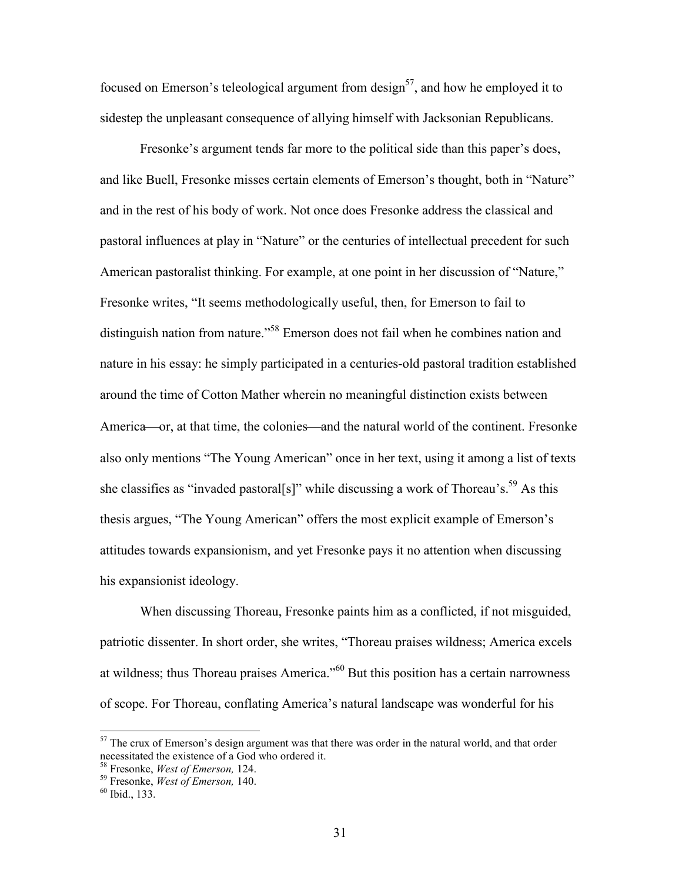focused on Emerson's teleological argument from design<sup>57</sup>, and how he employed it to sidestep the unpleasant consequence of allying himself with Jacksonian Republicans.

Fresonke's argument tends far more to the political side than this paper's does, and like Buell, Fresonke misses certain elements of Emerson's thought, both in "Nature" and in the rest of his body of work. Not once does Fresonke address the classical and pastoral influences at play in "Nature" or the centuries of intellectual precedent for such American pastoralist thinking. For example, at one point in her discussion of "Nature," Fresonke writes, "It seems methodologically useful, then, for Emerson to fail to distinguish nation from nature."<sup>58</sup> Emerson does not fail when he combines nation and nature in his essay: he simply participated in a centuries-old pastoral tradition established around the time of Cotton Mather wherein no meaningful distinction exists between America—or, at that time, the colonies—and the natural world of the continent. Fresonke also only mentions "The Young American" once in her text, using it among a list of texts she classifies as "invaded pastoral[s]" while discussing a work of Thoreau's.<sup>59</sup> As this thesis argues, "The Young American" offers the most explicit example of Emerson's attitudes towards expansionism, and yet Fresonke pays it no attention when discussing his expansionist ideology.

When discussing Thoreau, Fresonke paints him as a conflicted, if not misguided, patriotic dissenter. In short order, she writes, "Thoreau praises wildness; America excels at wildness; thus Thoreau praises America."<sup>60</sup> But this position has a certain narrowness of scope. For Thoreau, conflating America's natural landscape was wonderful for his

<sup>&</sup>lt;sup>57</sup> The crux of Emerson's design argument was that there was order in the natural world, and that order necessitated the existence of a God who ordered it.

<sup>58</sup> Fresonke, *West of Emerson,* 124.

<sup>59</sup> Fresonke, *West of Emerson,* 140.

 $60$  Ibid., 133.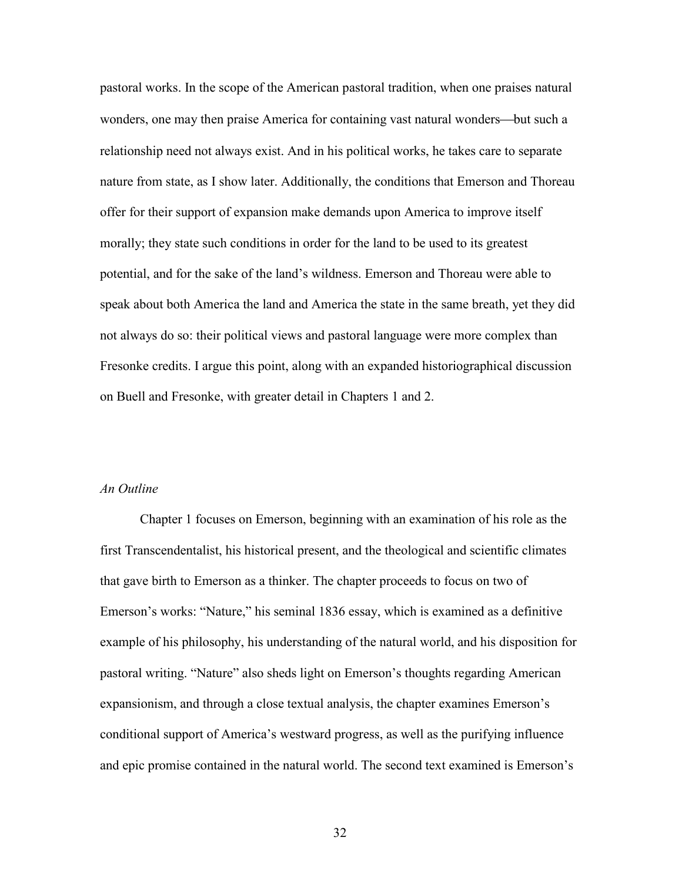pastoral works. In the scope of the American pastoral tradition, when one praises natural wonders, one may then praise America for containing vast natural wonders—but such a relationship need not always exist. And in his political works, he takes care to separate nature from state, as I show later. Additionally, the conditions that Emerson and Thoreau offer for their support of expansion make demands upon America to improve itself morally; they state such conditions in order for the land to be used to its greatest potential, and for the sake of the land's wildness. Emerson and Thoreau were able to speak about both America the land and America the state in the same breath, yet they did not always do so: their political views and pastoral language were more complex than Fresonke credits. I argue this point, along with an expanded historiographical discussion on Buell and Fresonke, with greater detail in Chapters 1 and 2.

#### *An Outline*

Chapter 1 focuses on Emerson, beginning with an examination of his role as the first Transcendentalist, his historical present, and the theological and scientific climates that gave birth to Emerson as a thinker. The chapter proceeds to focus on two of Emerson's works: "Nature," his seminal 1836 essay, which is examined as a definitive example of his philosophy, his understanding of the natural world, and his disposition for pastoral writing. "Nature" also sheds light on Emerson's thoughts regarding American expansionism, and through a close textual analysis, the chapter examines Emerson's conditional support of America's westward progress, as well as the purifying influence and epic promise contained in the natural world. The second text examined is Emerson's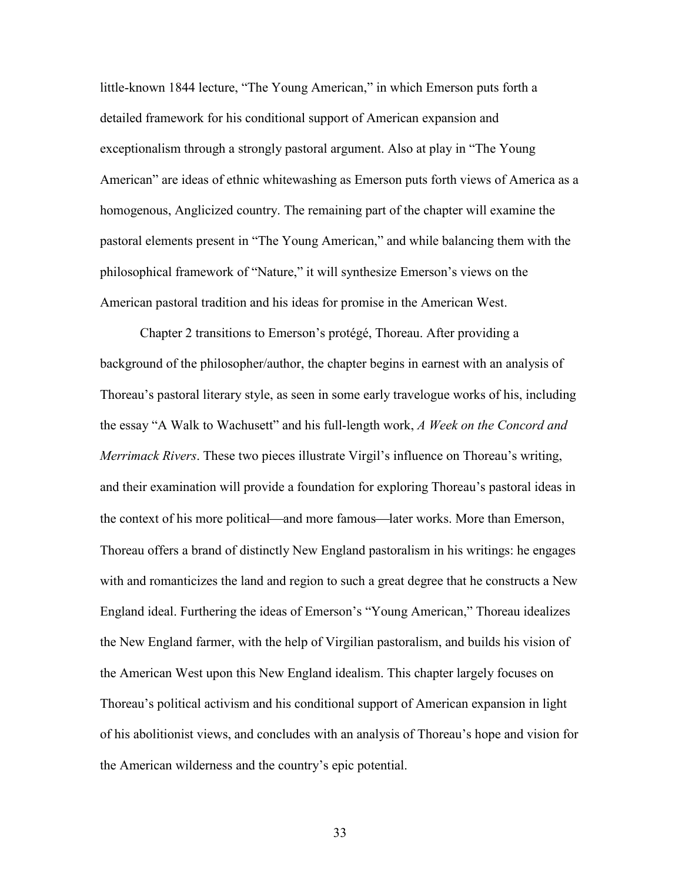little-known 1844 lecture, "The Young American," in which Emerson puts forth a detailed framework for his conditional support of American expansion and exceptionalism through a strongly pastoral argument. Also at play in "The Young American" are ideas of ethnic whitewashing as Emerson puts forth views of America as a homogenous, Anglicized country. The remaining part of the chapter will examine the pastoral elements present in "The Young American," and while balancing them with the philosophical framework of "Nature," it will synthesize Emerson's views on the American pastoral tradition and his ideas for promise in the American West.

Chapter 2 transitions to Emerson's protégé, Thoreau. After providing a background of the philosopher/author, the chapter begins in earnest with an analysis of Thoreau's pastoral literary style, as seen in some early travelogue works of his, including the essay "A Walk to Wachusett" and his full-length work, *A Week on the Concord and Merrimack Rivers*. These two pieces illustrate Virgil's influence on Thoreau's writing, and their examination will provide a foundation for exploring Thoreau's pastoral ideas in the context of his more political—and more famous—later works. More than Emerson, Thoreau offers a brand of distinctly New England pastoralism in his writings: he engages with and romanticizes the land and region to such a great degree that he constructs a New England ideal. Furthering the ideas of Emerson's "Young American," Thoreau idealizes the New England farmer, with the help of Virgilian pastoralism, and builds his vision of the American West upon this New England idealism. This chapter largely focuses on Thoreau's political activism and his conditional support of American expansion in light of his abolitionist views, and concludes with an analysis of Thoreau's hope and vision for the American wilderness and the country's epic potential.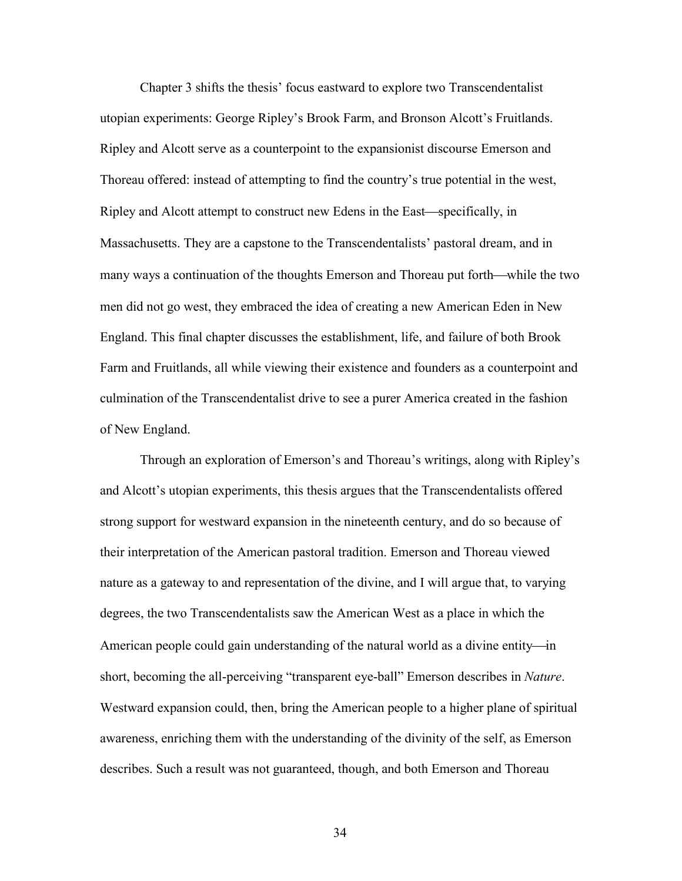Chapter 3 shifts the thesis' focus eastward to explore two Transcendentalist utopian experiments: George Ripley's Brook Farm, and Bronson Alcott's Fruitlands. Ripley and Alcott serve as a counterpoint to the expansionist discourse Emerson and Thoreau offered: instead of attempting to find the country's true potential in the west, Ripley and Alcott attempt to construct new Edens in the East—specifically, in Massachusetts. They are a capstone to the Transcendentalists' pastoral dream, and in many ways a continuation of the thoughts Emerson and Thoreau put forth—while the two men did not go west, they embraced the idea of creating a new American Eden in New England. This final chapter discusses the establishment, life, and failure of both Brook Farm and Fruitlands, all while viewing their existence and founders as a counterpoint and culmination of the Transcendentalist drive to see a purer America created in the fashion of New England.

Through an exploration of Emerson's and Thoreau's writings, along with Ripley's and Alcott's utopian experiments, this thesis argues that the Transcendentalists offered strong support for westward expansion in the nineteenth century, and do so because of their interpretation of the American pastoral tradition. Emerson and Thoreau viewed nature as a gateway to and representation of the divine, and I will argue that, to varying degrees, the two Transcendentalists saw the American West as a place in which the American people could gain understanding of the natural world as a divine entity—in short, becoming the all-perceiving "transparent eye-ball" Emerson describes in *Nature*. Westward expansion could, then, bring the American people to a higher plane of spiritual awareness, enriching them with the understanding of the divinity of the self, as Emerson describes. Such a result was not guaranteed, though, and both Emerson and Thoreau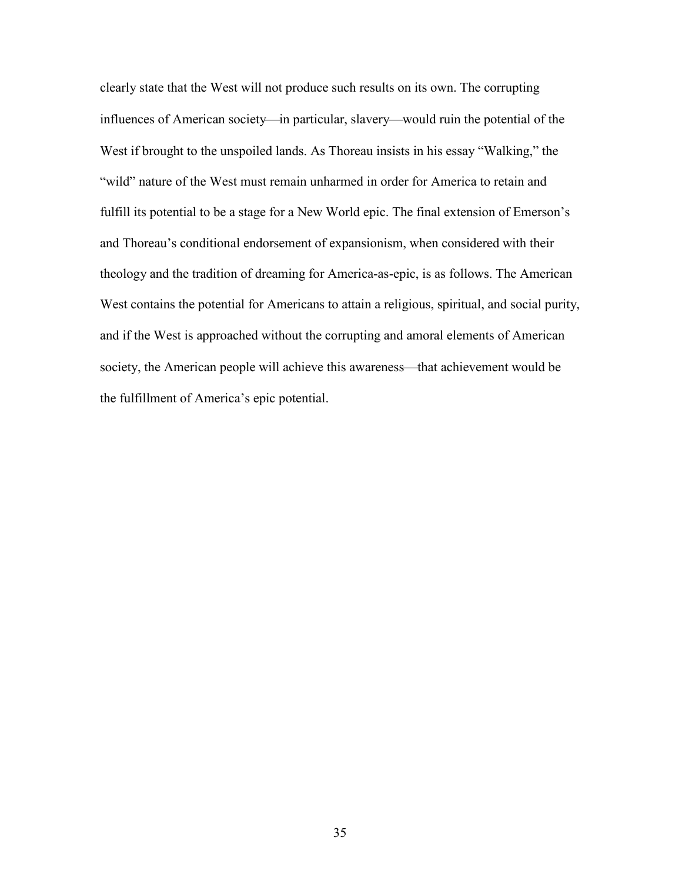clearly state that the West will not produce such results on its own. The corrupting influences of American society—in particular, slavery—would ruin the potential of the West if brought to the unspoiled lands. As Thoreau insists in his essay "Walking," the "wild" nature of the West must remain unharmed in order for America to retain and fulfill its potential to be a stage for a New World epic. The final extension of Emerson's and Thoreau's conditional endorsement of expansionism, when considered with their theology and the tradition of dreaming for America-as-epic, is as follows. The American West contains the potential for Americans to attain a religious, spiritual, and social purity, and if the West is approached without the corrupting and amoral elements of American society, the American people will achieve this awareness—that achievement would be the fulfillment of America's epic potential.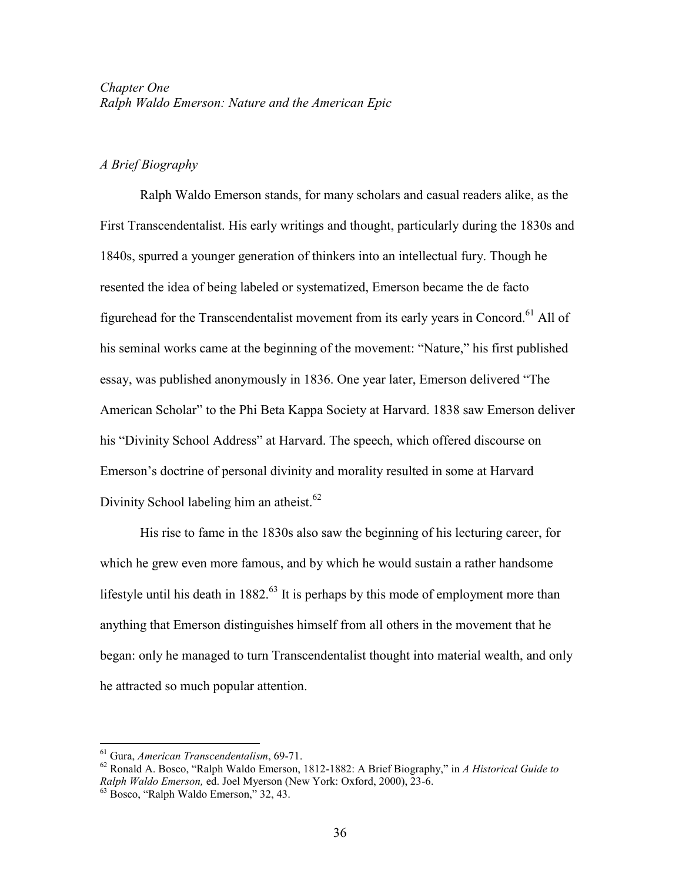# *A Brief Biography*

Ralph Waldo Emerson stands, for many scholars and casual readers alike, as the First Transcendentalist. His early writings and thought, particularly during the 1830s and 1840s, spurred a younger generation of thinkers into an intellectual fury. Though he resented the idea of being labeled or systematized, Emerson became the de facto figurehead for the Transcendentalist movement from its early vears in Concord.<sup>61</sup> All of his seminal works came at the beginning of the movement: "Nature," his first published essay, was published anonymously in 1836. One year later, Emerson delivered "The American Scholar" to the Phi Beta Kappa Society at Harvard. 1838 saw Emerson deliver his "Divinity School Address" at Harvard. The speech, which offered discourse on Emerson's doctrine of personal divinity and morality resulted in some at Harvard Divinity School labeling him an atheist. $62$ 

His rise to fame in the 1830s also saw the beginning of his lecturing career, for which he grew even more famous, and by which he would sustain a rather handsome lifestyle until his death in  $1882<sup>63</sup>$  It is perhaps by this mode of employment more than anything that Emerson distinguishes himself from all others in the movement that he began: only he managed to turn Transcendentalist thought into material wealth, and only he attracted so much popular attention.

<sup>61</sup> Gura, *American Transcendentalism*, 69-71.

<sup>62</sup> Ronald A. Bosco, "Ralph Waldo Emerson, 1812-1882: A Brief Biography," in *A Historical Guide to Ralph Waldo Emerson,* ed. Joel Myerson (New York: Oxford, 2000), 23-6.

<sup>63</sup> Bosco, "Ralph Waldo Emerson," 32, 43.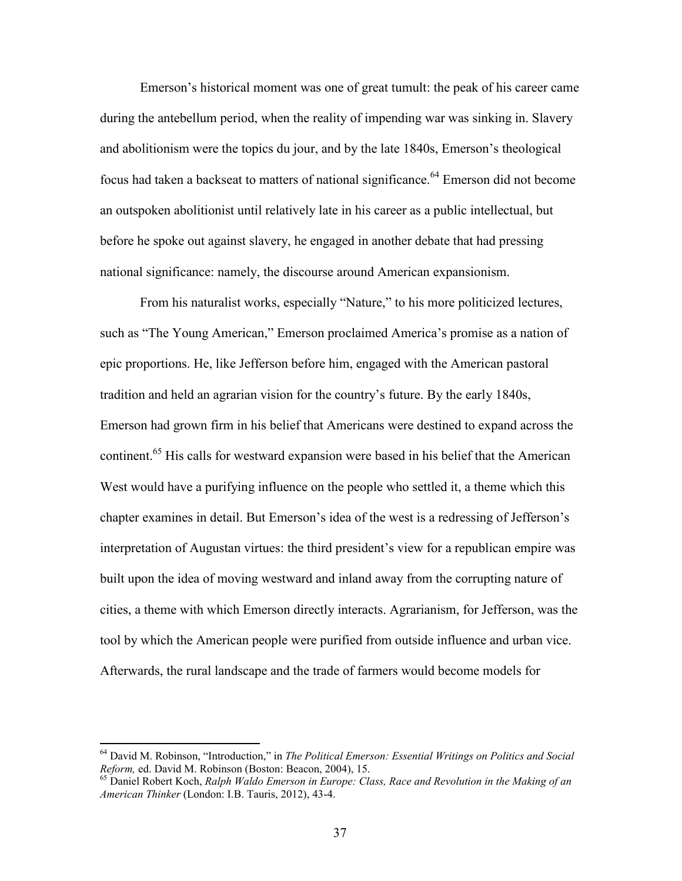Emerson's historical moment was one of great tumult: the peak of his career came during the antebellum period, when the reality of impending war was sinking in. Slavery and abolitionism were the topics du jour, and by the late 1840s, Emerson's theological focus had taken a backseat to matters of national significance.<sup>64</sup> Emerson did not become an outspoken abolitionist until relatively late in his career as a public intellectual, but before he spoke out against slavery, he engaged in another debate that had pressing national significance: namely, the discourse around American expansionism.

From his naturalist works, especially "Nature," to his more politicized lectures, such as "The Young American," Emerson proclaimed America's promise as a nation of epic proportions. He, like Jefferson before him, engaged with the American pastoral tradition and held an agrarian vision for the country's future. By the early 1840s, Emerson had grown firm in his belief that Americans were destined to expand across the continent.<sup>65</sup> His calls for westward expansion were based in his belief that the American West would have a purifying influence on the people who settled it, a theme which this chapter examines in detail. But Emerson's idea of the west is a redressing of Jefferson's interpretation of Augustan virtues: the third president's view for a republican empire was built upon the idea of moving westward and inland away from the corrupting nature of cities, a theme with which Emerson directly interacts. Agrarianism, for Jefferson, was the tool by which the American people were purified from outside influence and urban vice. Afterwards, the rural landscape and the trade of farmers would become models for

<sup>64</sup> David M. Robinson, "Introduction," in *The Political Emerson: Essential Writings on Politics and Social Reform,* ed. David M. Robinson (Boston: Beacon, 2004), 15.

<sup>65</sup> Daniel Robert Koch, *Ralph Waldo Emerson in Europe: Class, Race and Revolution in the Making of an American Thinker* (London: I.B. Tauris, 2012), 43-4.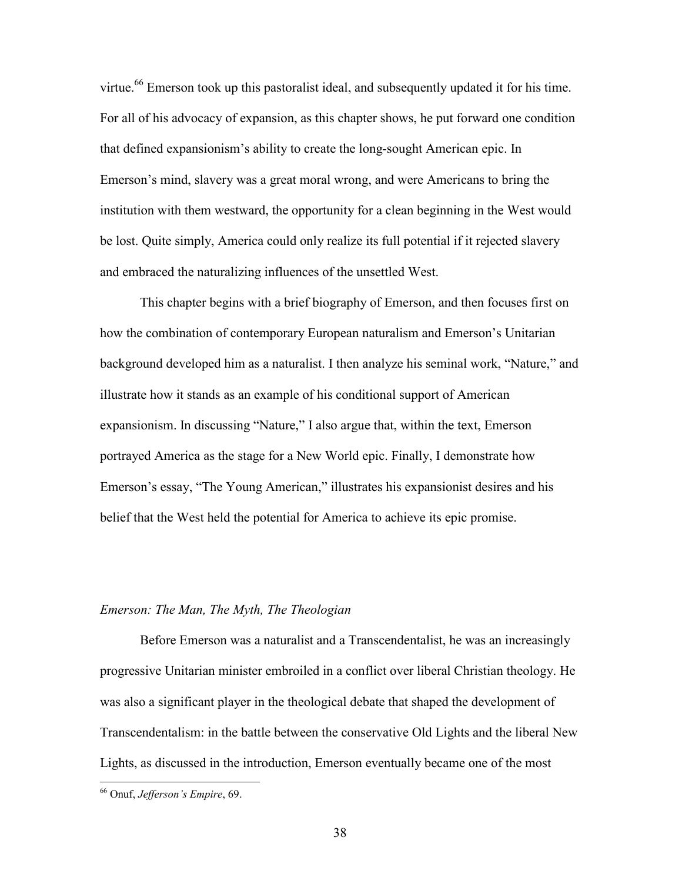virtue.<sup>66</sup> Emerson took up this pastoralist ideal, and subsequently updated it for his time. For all of his advocacy of expansion, as this chapter shows, he put forward one condition that defined expansionism's ability to create the long-sought American epic. In Emerson's mind, slavery was a great moral wrong, and were Americans to bring the institution with them westward, the opportunity for a clean beginning in the West would be lost. Quite simply, America could only realize its full potential if it rejected slavery and embraced the naturalizing influences of the unsettled West.

This chapter begins with a brief biography of Emerson, and then focuses first on how the combination of contemporary European naturalism and Emerson's Unitarian background developed him as a naturalist. I then analyze his seminal work, "Nature," and illustrate how it stands as an example of his conditional support of American expansionism. In discussing "Nature," I also argue that, within the text, Emerson portrayed America as the stage for a New World epic. Finally, I demonstrate how Emerson's essay, "The Young American," illustrates his expansionist desires and his belief that the West held the potential for America to achieve its epic promise.

## *Emerson: The Man, The Myth, The Theologian*

Before Emerson was a naturalist and a Transcendentalist, he was an increasingly progressive Unitarian minister embroiled in a conflict over liberal Christian theology. He was also a significant player in the theological debate that shaped the development of Transcendentalism: in the battle between the conservative Old Lights and the liberal New Lights, as discussed in the introduction, Emerson eventually became one of the most

<sup>66</sup> Onuf, *Jefferson's Empire*, 69.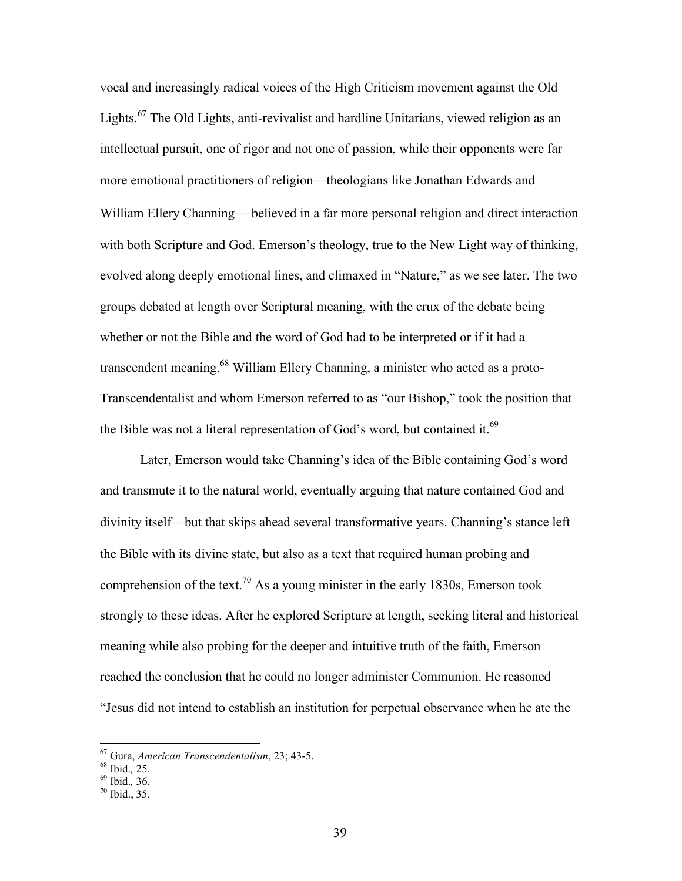vocal and increasingly radical voices of the High Criticism movement against the Old Lights.<sup>67</sup> The Old Lights, anti-revivalist and hardline Unitarians, viewed religion as an intellectual pursuit, one of rigor and not one of passion, while their opponents were far more emotional practitioners of religion—theologians like Jonathan Edwards and William Ellery Channing— believed in a far more personal religion and direct interaction with both Scripture and God. Emerson's theology, true to the New Light way of thinking, evolved along deeply emotional lines, and climaxed in "Nature," as we see later. The two groups debated at length over Scriptural meaning, with the crux of the debate being whether or not the Bible and the word of God had to be interpreted or if it had a transcendent meaning.<sup>68</sup> William Ellery Channing, a minister who acted as a proto-Transcendentalist and whom Emerson referred to as "our Bishop," took the position that the Bible was not a literal representation of God's word, but contained it.<sup>69</sup>

Later, Emerson would take Channing's idea of the Bible containing God's word and transmute it to the natural world, eventually arguing that nature contained God and divinity itself—but that skips ahead several transformative years. Channing's stance left the Bible with its divine state, but also as a text that required human probing and comprehension of the text.<sup>70</sup> As a young minister in the early 1830s, Emerson took strongly to these ideas. After he explored Scripture at length, seeking literal and historical meaning while also probing for the deeper and intuitive truth of the faith, Emerson reached the conclusion that he could no longer administer Communion. He reasoned "Jesus did not intend to establish an institution for perpetual observance when he ate the

<sup>67</sup> Gura, *American Transcendentalism*, 23; 43-5.

<sup>68</sup> Ibid.*,* 25.

<sup>69</sup> Ibid.*,* 36.

 $70$  Ibid., 35.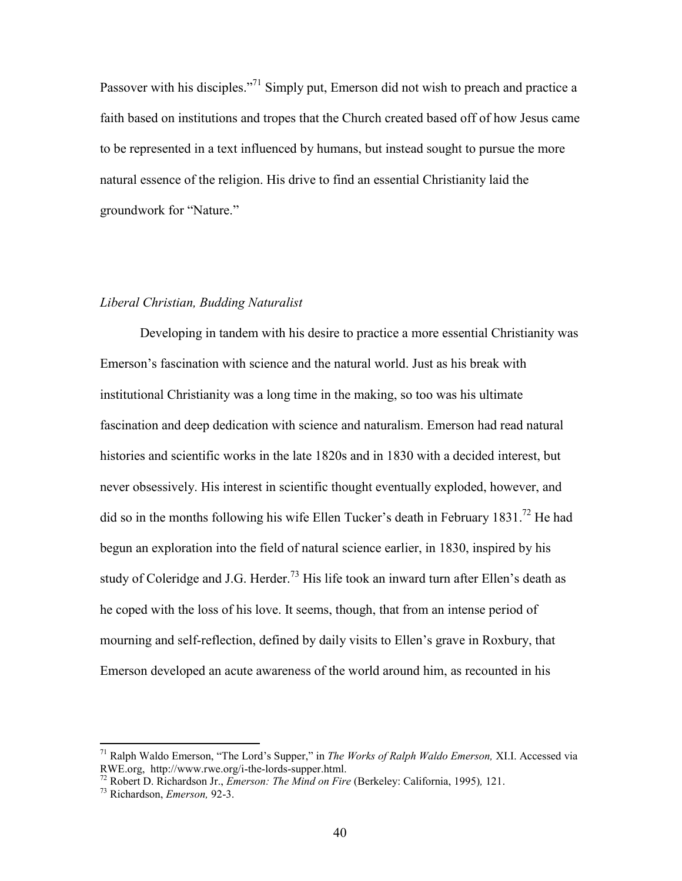Passover with his disciples."<sup>71</sup> Simply put, Emerson did not wish to preach and practice a faith based on institutions and tropes that the Church created based off of how Jesus came to be represented in a text influenced by humans, but instead sought to pursue the more natural essence of the religion. His drive to find an essential Christianity laid the groundwork for "Nature."

#### *Liberal Christian, Budding Naturalist*

Developing in tandem with his desire to practice a more essential Christianity was Emerson's fascination with science and the natural world. Just as his break with institutional Christianity was a long time in the making, so too was his ultimate fascination and deep dedication with science and naturalism. Emerson had read natural histories and scientific works in the late 1820s and in 1830 with a decided interest, but never obsessively. His interest in scientific thought eventually exploded, however, and did so in the months following his wife Ellen Tucker's death in February 1831.<sup>72</sup> He had begun an exploration into the field of natural science earlier, in 1830, inspired by his study of Coleridge and J.G. Herder.<sup>73</sup> His life took an inward turn after Ellen's death as he coped with the loss of his love. It seems, though, that from an intense period of mourning and self-reflection, defined by daily visits to Ellen's grave in Roxbury, that Emerson developed an acute awareness of the world around him, as recounted in his

<sup>71</sup> Ralph Waldo Emerson, "The Lord's Supper," in *The Works of Ralph Waldo Emerson,* XI.I. Accessed via RWE.org, http://www.rwe.org/i-the-lords-supper.html.

<sup>72</sup> Robert D. Richardson Jr., *Emerson: The Mind on Fire* (Berkeley: California, 1995)*,* 121.

<sup>73</sup> Richardson, *Emerson,* 92-3.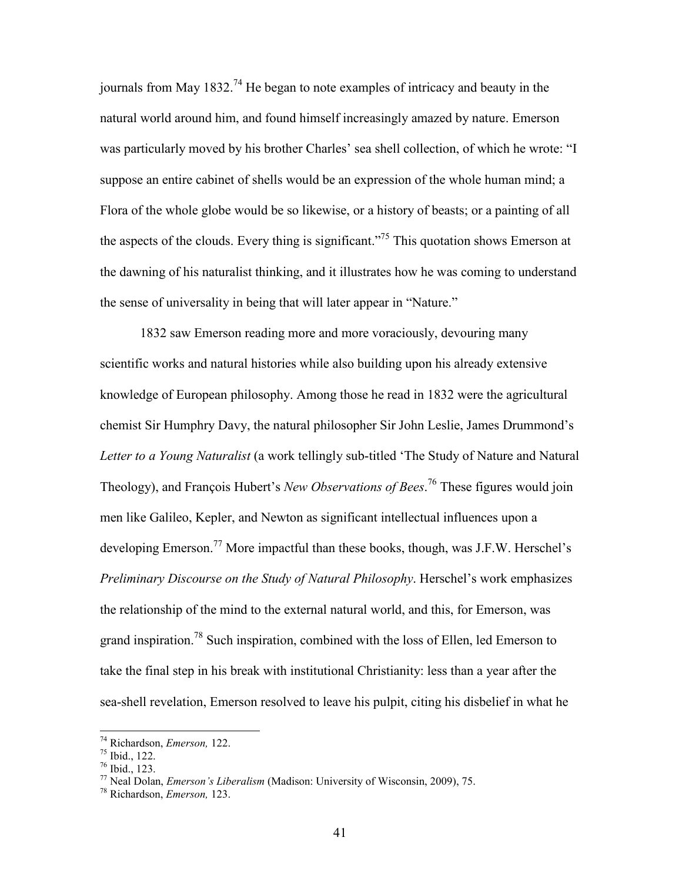journals from May  $1832<sup>74</sup>$  He began to note examples of intricacy and beauty in the natural world around him, and found himself increasingly amazed by nature. Emerson was particularly moved by his brother Charles' sea shell collection, of which he wrote: "I suppose an entire cabinet of shells would be an expression of the whole human mind; a Flora of the whole globe would be so likewise, or a history of beasts; or a painting of all the aspects of the clouds. Every thing is significant.<sup> $275$ </sup> This quotation shows Emerson at the dawning of his naturalist thinking, and it illustrates how he was coming to understand the sense of universality in being that will later appear in "Nature."

1832 saw Emerson reading more and more voraciously, devouring many scientific works and natural histories while also building upon his already extensive knowledge of European philosophy. Among those he read in 1832 were the agricultural chemist Sir Humphry Davy, the natural philosopher Sir John Leslie, James Drummond's *Letter to a Young Naturalist* (a work tellingly sub-titled 'The Study of Nature and Natural Theology), and François Hubert's *New Observations of Bees*. <sup>76</sup> These figures would join men like Galileo, Kepler, and Newton as significant intellectual influences upon a developing Emerson.<sup>77</sup> More impactful than these books, though, was J.F.W. Herschel's *Preliminary Discourse on the Study of Natural Philosophy*. Herschel's work emphasizes the relationship of the mind to the external natural world, and this, for Emerson, was grand inspiration.<sup>78</sup> Such inspiration, combined with the loss of Ellen, led Emerson to take the final step in his break with institutional Christianity: less than a year after the sea-shell revelation, Emerson resolved to leave his pulpit, citing his disbelief in what he

<sup>74</sup> Richardson, *Emerson,* 122.

<sup>75</sup> Ibid., 122.

<sup>76</sup> Ibid., 123.

<sup>77</sup> Neal Dolan, *Emerson's Liberalism* (Madison: University of Wisconsin, 2009), 75.

<sup>78</sup> Richardson, *Emerson,* 123.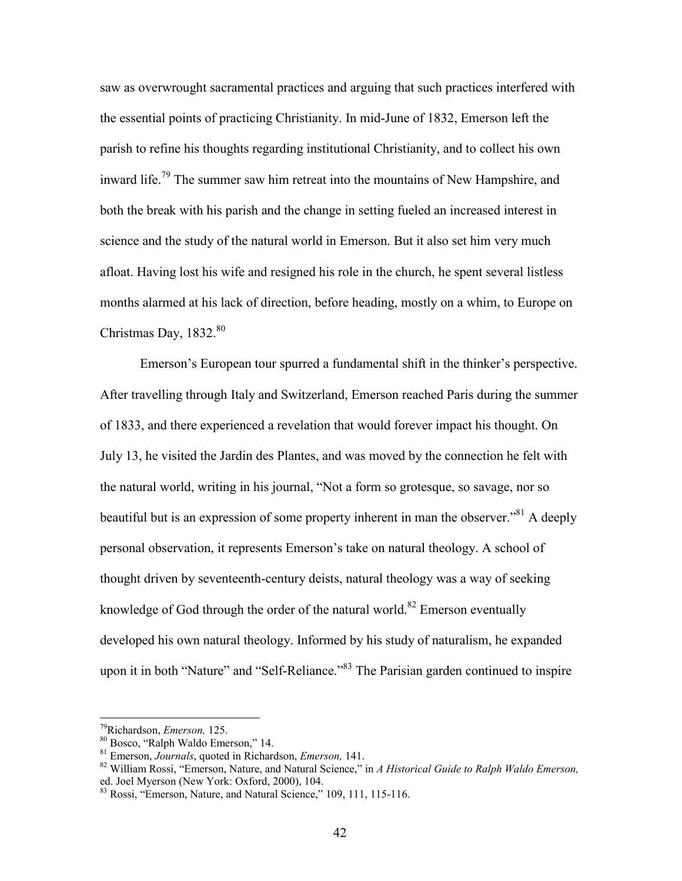saw as overwrought sacramental practices and arguing that such practices interfered with the essential points of practicing Christianity. In mid-June of 1832, Emerson left the parish to refine his thoughts regarding institutional Christianity, and to collect his own inward life.<sup>79</sup> The summer saw him retreat into the mountains of New Hampshire, and both the break with his parish and the change in setting fueled an increased interest in science and the study of the natural world in Emerson. But it also set him very much afloat. Having lost his wife and resigned his role in the church, he spent several listless months alarmed at his lack of direction, before heading, mostly on a whim, to Europe on Christmas Day,  $1832.^{80}$ 

Emerson's European tour spurred a fundamental shift in the thinker's perspective. After travelling through Italy and Switzerland, Emerson reached Paris during the summer of 1833, and there experienced a revelation that would forever impact his thought. On July 13, he visited the Jardin des Plantes, and was moved by the connection he felt with the natural world, writing in his journal, "Not a form so grotesque, so savage, nor so beautiful but is an expression of some property inherent in man the observer.<sup>381</sup> A deeply personal observation, it represents Emerson's take on natural theology. A school of thought driven by seventeenth-century deists, natural theology was a way of seeking knowledge of God through the order of the natural world.<sup>82</sup> Emerson eventually developed his own natural theology. Informed by his study of naturalism, he expanded upon it in both "Nature" and "Self-Reliance."<sup>83</sup> The Parisian garden continued to inspire

<sup>79</sup>Richardson, *Emerson,* 125.

<sup>80</sup> Bosco, "Ralph Waldo Emerson," 14.

<sup>81</sup> Emerson, *Journals*, quoted in Richardson, *Emerson,* 141.

<sup>82</sup> William Rossi, "Emerson, Nature, and Natural Science," in *A Historical Guide to Ralph Waldo Emerson,* ed. Joel Myerson (New York: Oxford, 2000), 104.

<sup>&</sup>lt;sup>83</sup> Rossi, "Emerson, Nature, and Natural Science," 109, 111, 115-116.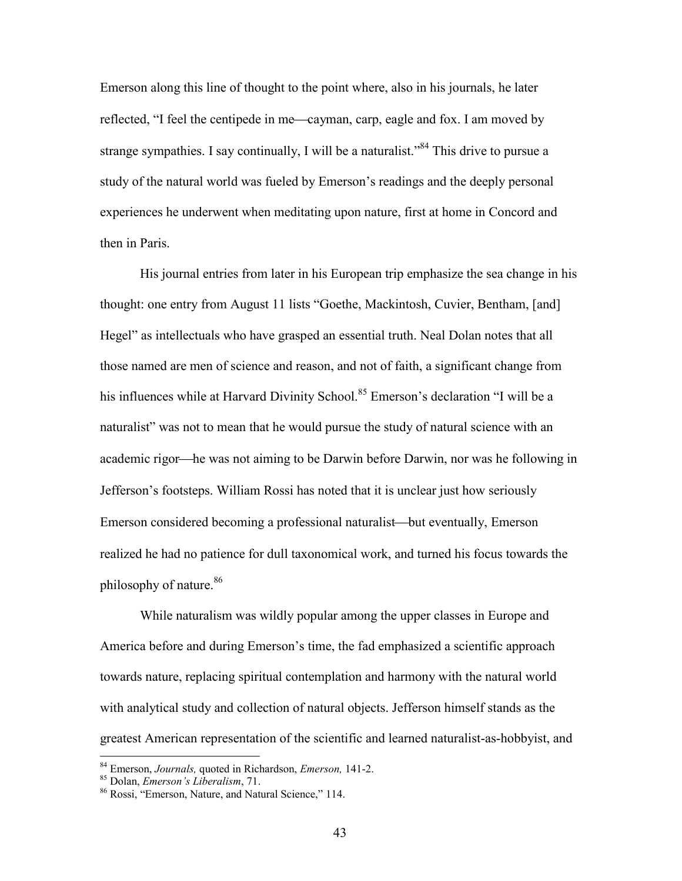Emerson along this line of thought to the point where, also in his journals, he later reflected, "I feel the centipede in me—cayman, carp, eagle and fox. I am moved by strange sympathies. I say continually, I will be a naturalist."<sup>84</sup> This drive to pursue a study of the natural world was fueled by Emerson's readings and the deeply personal experiences he underwent when meditating upon nature, first at home in Concord and then in Paris.

His journal entries from later in his European trip emphasize the sea change in his thought: one entry from August 11 lists "Goethe, Mackintosh, Cuvier, Bentham, [and] Hegel" as intellectuals who have grasped an essential truth. Neal Dolan notes that all those named are men of science and reason, and not of faith, a significant change from his influences while at Harvard Divinity School.<sup>85</sup> Emerson's declaration "I will be a naturalist" was not to mean that he would pursue the study of natural science with an academic rigor—he was not aiming to be Darwin before Darwin, nor was he following in Jefferson's footsteps. William Rossi has noted that it is unclear just how seriously Emerson considered becoming a professional naturalist—but eventually, Emerson realized he had no patience for dull taxonomical work, and turned his focus towards the philosophy of nature.<sup>86</sup>

While naturalism was wildly popular among the upper classes in Europe and America before and during Emerson's time, the fad emphasized a scientific approach towards nature, replacing spiritual contemplation and harmony with the natural world with analytical study and collection of natural objects. Jefferson himself stands as the greatest American representation of the scientific and learned naturalist-as-hobbyist, and

<sup>84</sup> Emerson, *Journals,* quoted in Richardson, *Emerson,* 141-2.

<sup>85</sup> Dolan, *Emerson's Liberalism*, 71.

<sup>86</sup> Rossi, "Emerson, Nature, and Natural Science," 114.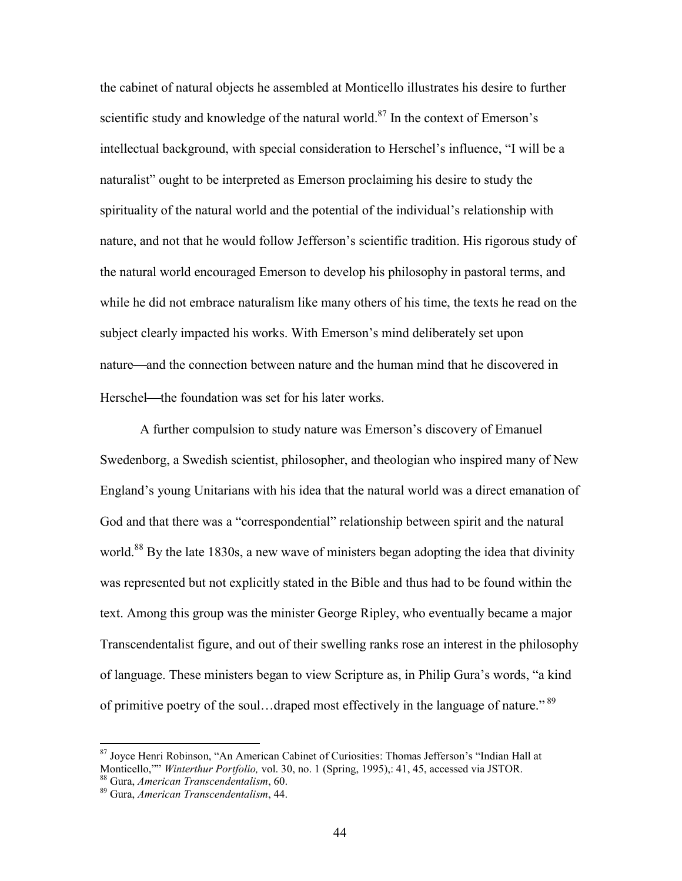the cabinet of natural objects he assembled at Monticello illustrates his desire to further scientific study and knowledge of the natural world.<sup>87</sup> In the context of Emerson's intellectual background, with special consideration to Herschel's influence, "I will be a naturalist" ought to be interpreted as Emerson proclaiming his desire to study the spirituality of the natural world and the potential of the individual's relationship with nature, and not that he would follow Jefferson's scientific tradition. His rigorous study of the natural world encouraged Emerson to develop his philosophy in pastoral terms, and while he did not embrace naturalism like many others of his time, the texts he read on the subject clearly impacted his works. With Emerson's mind deliberately set upon nature—and the connection between nature and the human mind that he discovered in Herschel—the foundation was set for his later works.

A further compulsion to study nature was Emerson's discovery of Emanuel Swedenborg, a Swedish scientist, philosopher, and theologian who inspired many of New England's young Unitarians with his idea that the natural world was a direct emanation of God and that there was a "correspondential" relationship between spirit and the natural world.<sup>88</sup> By the late 1830s, a new wave of ministers began adopting the idea that divinity was represented but not explicitly stated in the Bible and thus had to be found within the text. Among this group was the minister George Ripley, who eventually became a major Transcendentalist figure, and out of their swelling ranks rose an interest in the philosophy of language. These ministers began to view Scripture as, in Philip Gura's words, "a kind of primitive poetry of the soul...draped most effectively in the language of nature."<sup>89</sup>

<sup>&</sup>lt;sup>87</sup> Joyce Henri Robinson, "An American Cabinet of Curiosities: Thomas Jefferson's "Indian Hall at Monticello,"" *Winterthur Portfolio,* vol. 30, no. 1 (Spring, 1995),: 41, 45, accessed via JSTOR.

<sup>88</sup> Gura, *American Transcendentalism*, 60.

<sup>89</sup> Gura, *American Transcendentalism*, 44.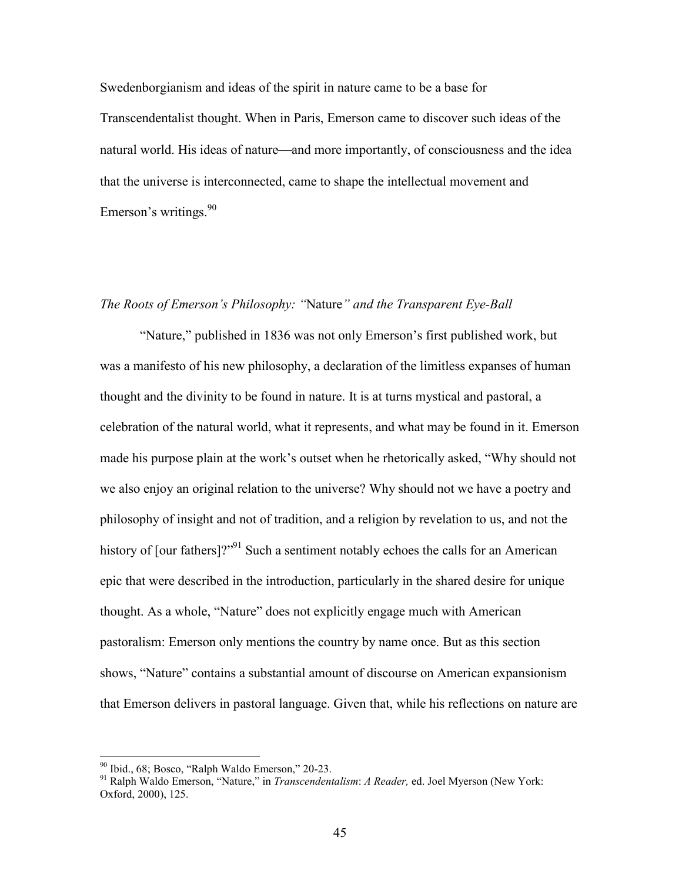Swedenborgianism and ideas of the spirit in nature came to be a base for Transcendentalist thought. When in Paris, Emerson came to discover such ideas of the natural world. His ideas of nature—and more importantly, of consciousness and the idea that the universe is interconnected, came to shape the intellectual movement and Emerson's writings.  $90^\circ$ 

## *The Roots of Emerson's Philosophy: "*Nature*" and the Transparent Eye-Ball*

"Nature," published in 1836 was not only Emerson's first published work, but was a manifesto of his new philosophy, a declaration of the limitless expanses of human thought and the divinity to be found in nature. It is at turns mystical and pastoral, a celebration of the natural world, what it represents, and what may be found in it. Emerson made his purpose plain at the work's outset when he rhetorically asked, "Why should not we also enjoy an original relation to the universe? Why should not we have a poetry and philosophy of insight and not of tradition, and a religion by revelation to us, and not the history of [our fathers]?"<sup>91</sup> Such a sentiment notably echoes the calls for an American epic that were described in the introduction, particularly in the shared desire for unique thought. As a whole, "Nature" does not explicitly engage much with American pastoralism: Emerson only mentions the country by name once. But as this section shows, "Nature" contains a substantial amount of discourse on American expansionism that Emerson delivers in pastoral language. Given that, while his reflections on nature are

 $90$  Ibid., 68; Bosco, "Ralph Waldo Emerson," 20-23.

<sup>91</sup> Ralph Waldo Emerson, "Nature," in *Transcendentalism*: *A Reader,* ed. Joel Myerson (New York: Oxford, 2000), 125.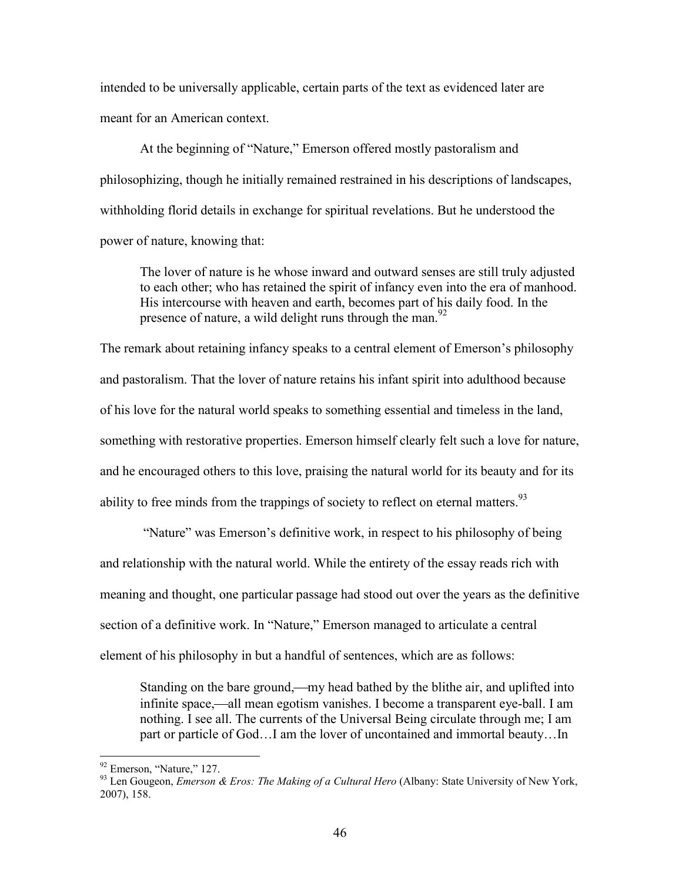intended to be universally applicable, certain parts of the text as evidenced later are meant for an American context.

At the beginning of "Nature," Emerson offered mostly pastoralism and philosophizing, though he initially remained restrained in his descriptions of landscapes, withholding florid details in exchange for spiritual revelations. But he understood the power of nature, knowing that:

The lover of nature is he whose inward and outward senses are still truly adjusted to each other; who has retained the spirit of infancy even into the era of manhood. His intercourse with heaven and earth, becomes part of his daily food. In the presence of nature, a wild delight runs through the man.<sup>92</sup>

The remark about retaining infancy speaks to a central element of Emerson's philosophy and pastoralism. That the lover of nature retains his infant spirit into adulthood because of his love for the natural world speaks to something essential and timeless in the land, something with restorative properties. Emerson himself clearly felt such a love for nature, and he encouraged others to this love, praising the natural world for its beauty and for its ability to free minds from the trappings of society to reflect on eternal matters.<sup>93</sup>

"Nature" was Emerson's definitive work, in respect to his philosophy of being and relationship with the natural world. While the entirety of the essay reads rich with meaning and thought, one particular passage had stood out over the years as the definitive section of a definitive work. In "Nature," Emerson managed to articulate a central element of his philosophy in but a handful of sentences, which are as follows:

Standing on the bare ground,—my head bathed by the blithe air, and uplifted into infinite space,—all mean egotism vanishes. I become a transparent eye-ball. I am nothing. I see all. The currents of the Universal Being circulate through me; I am part or particle of God…I am the lover of uncontained and immortal beauty…In

<sup>&</sup>lt;sup>92</sup> Emerson, "Nature," 127.

<sup>93</sup> Len Gougeon, *Emerson & Eros: The Making of a Cultural Hero* (Albany: State University of New York, 2007), 158.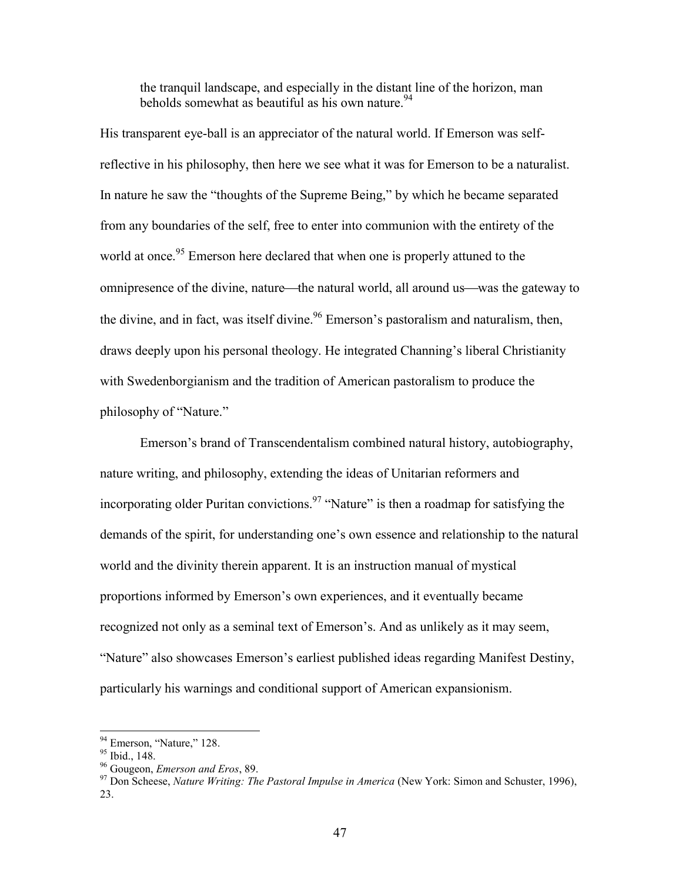the tranquil landscape, and especially in the distant line of the horizon, man beholds somewhat as beautiful as his own nature.<sup>94</sup>

His transparent eye-ball is an appreciator of the natural world. If Emerson was selfreflective in his philosophy, then here we see what it was for Emerson to be a naturalist. In nature he saw the "thoughts of the Supreme Being," by which he became separated from any boundaries of the self, free to enter into communion with the entirety of the world at once.<sup>95</sup> Emerson here declared that when one is properly attuned to the omnipresence of the divine, nature—the natural world, all around us—was the gateway to the divine, and in fact, was itself divine.<sup>96</sup> Emerson's pastoralism and naturalism, then, draws deeply upon his personal theology. He integrated Channing's liberal Christianity with Swedenborgianism and the tradition of American pastoralism to produce the philosophy of "Nature."

Emerson's brand of Transcendentalism combined natural history, autobiography, nature writing, and philosophy, extending the ideas of Unitarian reformers and incorporating older Puritan convictions.<sup>97</sup> "Nature" is then a roadmap for satisfying the demands of the spirit, for understanding one's own essence and relationship to the natural world and the divinity therein apparent. It is an instruction manual of mystical proportions informed by Emerson's own experiences, and it eventually became recognized not only as a seminal text of Emerson's. And as unlikely as it may seem, "Nature" also showcases Emerson's earliest published ideas regarding Manifest Destiny, particularly his warnings and conditional support of American expansionism.

<sup>&</sup>lt;sup>94</sup> Emerson, "Nature," 128.

<sup>95</sup> Ibid., 148.

<sup>96</sup> Gougeon, *Emerson and Eros*, 89.

<sup>97</sup> Don Scheese, *Nature Writing: The Pastoral Impulse in America* (New York: Simon and Schuster, 1996), 23.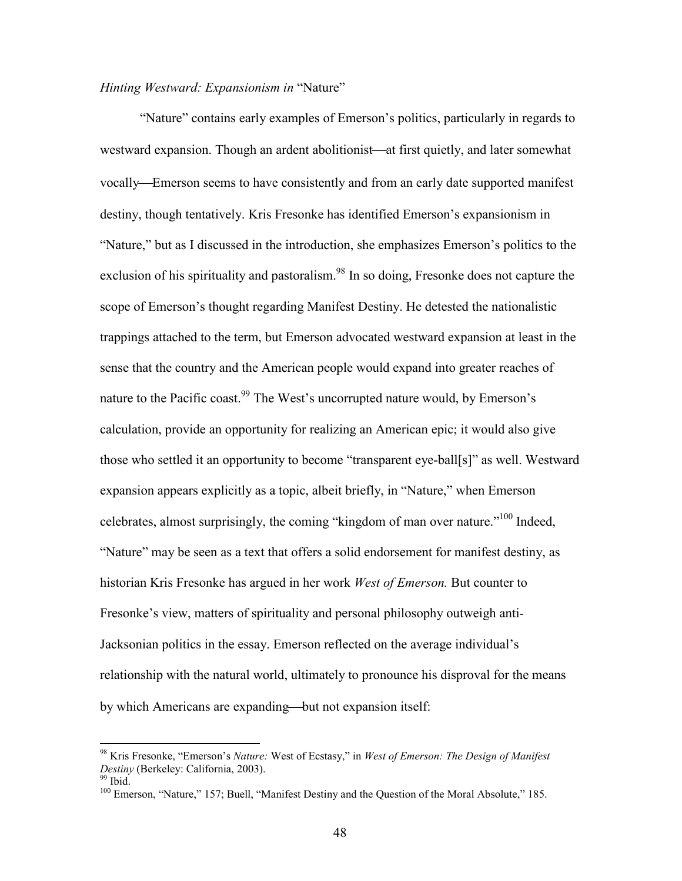## *Hinting Westward: Expansionism in* "Nature"

"Nature" contains early examples of Emerson's politics, particularly in regards to westward expansion. Though an ardent abolitionist—at first quietly, and later somewhat vocally—Emerson seems to have consistently and from an early date supported manifest destiny, though tentatively. Kris Fresonke has identified Emerson's expansionism in "Nature," but as I discussed in the introduction, she emphasizes Emerson's politics to the exclusion of his spirituality and pastoralism.<sup>98</sup> In so doing, Fresonke does not capture the scope of Emerson's thought regarding Manifest Destiny. He detested the nationalistic trappings attached to the term, but Emerson advocated westward expansion at least in the sense that the country and the American people would expand into greater reaches of nature to the Pacific coast.<sup>99</sup> The West's uncorrupted nature would, by Emerson's calculation, provide an opportunity for realizing an American epic; it would also give those who settled it an opportunity to become "transparent eye-ball[s]" as well. Westward expansion appears explicitly as a topic, albeit briefly, in "Nature," when Emerson celebrates, almost surprisingly, the coming "kingdom of man over nature."<sup>100</sup> Indeed, "Nature" may be seen as a text that offers a solid endorsement for manifest destiny, as historian Kris Fresonke has argued in her work *West of Emerson.* But counter to Fresonke's view, matters of spirituality and personal philosophy outweigh anti-Jacksonian politics in the essay. Emerson reflected on the average individual's relationship with the natural world, ultimately to pronounce his disproval for the means by which Americans are expanding—but not expansion itself:

<sup>98</sup> Kris Fresonke, "Emerson's *Nature:* West of Ecstasy," in *West of Emerson: The Design of Manifest Destiny* (Berkeley: California, 2003).

 $99$  Ibid.

<sup>&</sup>lt;sup>100</sup> Emerson, "Nature," 157; Buell, "Manifest Destiny and the Question of the Moral Absolute," 185.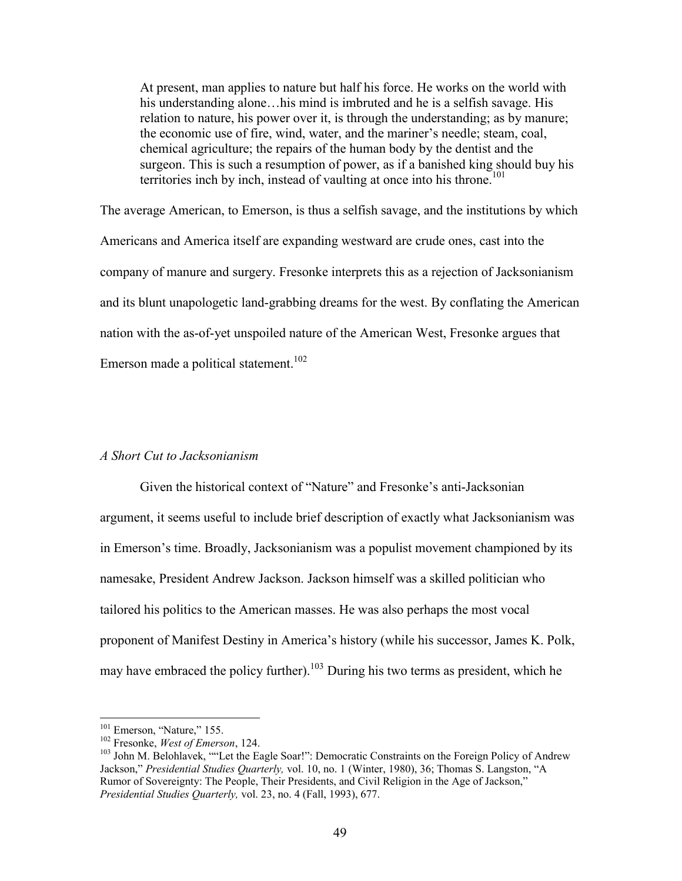At present, man applies to nature but half his force. He works on the world with his understanding alone...his mind is imbruted and he is a selfish savage. His relation to nature, his power over it, is through the understanding; as by manure; the economic use of fire, wind, water, and the mariner's needle; steam, coal, chemical agriculture; the repairs of the human body by the dentist and the surgeon. This is such a resumption of power, as if a banished king should buy his territories inch by inch, instead of vaulting at once into his throne.<sup>101</sup>

The average American, to Emerson, is thus a selfish savage, and the institutions by which Americans and America itself are expanding westward are crude ones, cast into the company of manure and surgery. Fresonke interprets this as a rejection of Jacksonianism and its blunt unapologetic land-grabbing dreams for the west. By conflating the American nation with the as-of-yet unspoiled nature of the American West, Fresonke argues that Emerson made a political statement.<sup>102</sup>

#### *A Short Cut to Jacksonianism*

Given the historical context of "Nature" and Fresonke's anti-Jacksonian argument, it seems useful to include brief description of exactly what Jacksonianism was in Emerson's time. Broadly, Jacksonianism was a populist movement championed by its namesake, President Andrew Jackson. Jackson himself was a skilled politician who tailored his politics to the American masses. He was also perhaps the most vocal proponent of Manifest Destiny in America's history (while his successor, James K. Polk, may have embraced the policy further).<sup>103</sup> During his two terms as president, which he

<sup>&</sup>lt;sup>101</sup> Emerson, "Nature," 155.

<sup>102</sup> Fresonke, *West of Emerson*, 124.

<sup>&</sup>lt;sup>103</sup> John M. Belohlavek, ""Let the Eagle Soar!": Democratic Constraints on the Foreign Policy of Andrew Jackson," *Presidential Studies Quarterly,* vol. 10, no. 1 (Winter, 1980), 36; Thomas S. Langston, "A Rumor of Sovereignty: The People, Their Presidents, and Civil Religion in the Age of Jackson," *Presidential Studies Quarterly,* vol. 23, no. 4 (Fall, 1993), 677.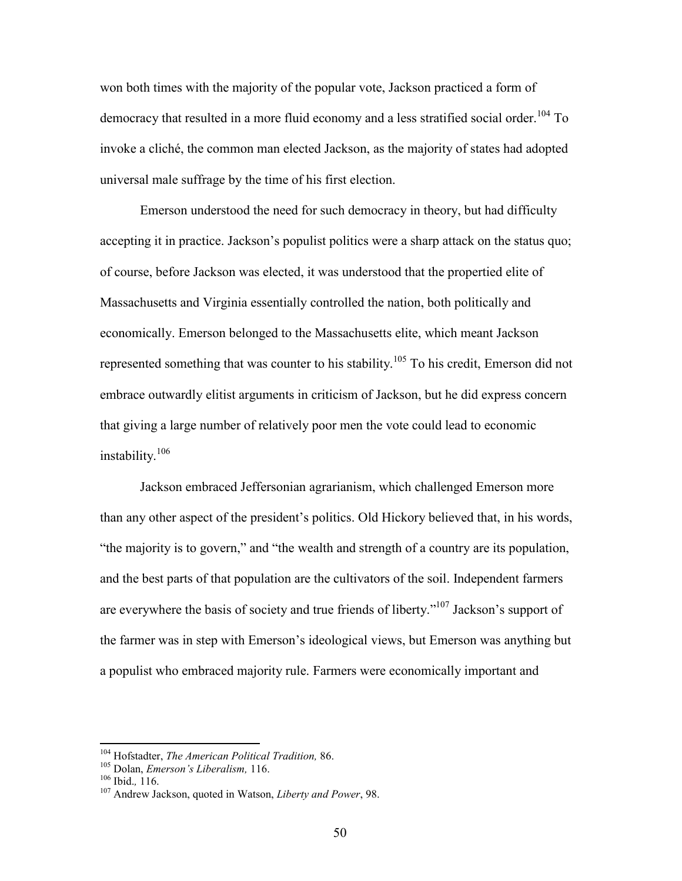won both times with the majority of the popular vote, Jackson practiced a form of democracy that resulted in a more fluid economy and a less stratified social order.<sup>104</sup> To invoke a cliché, the common man elected Jackson, as the majority of states had adopted universal male suffrage by the time of his first election.

Emerson understood the need for such democracy in theory, but had difficulty accepting it in practice. Jackson's populist politics were a sharp attack on the status quo; of course, before Jackson was elected, it was understood that the propertied elite of Massachusetts and Virginia essentially controlled the nation, both politically and economically. Emerson belonged to the Massachusetts elite, which meant Jackson represented something that was counter to his stability.<sup>105</sup> To his credit, Emerson did not embrace outwardly elitist arguments in criticism of Jackson, but he did express concern that giving a large number of relatively poor men the vote could lead to economic instability.<sup>106</sup>

Jackson embraced Jeffersonian agrarianism, which challenged Emerson more than any other aspect of the president's politics. Old Hickory believed that, in his words, "the majority is to govern," and "the wealth and strength of a country are its population, and the best parts of that population are the cultivators of the soil. Independent farmers are everywhere the basis of society and true friends of liberty."<sup>107</sup> Jackson's support of the farmer was in step with Emerson's ideological views, but Emerson was anything but a populist who embraced majority rule. Farmers were economically important and

<sup>104</sup> Hofstadter, *The American Political Tradition,* 86.

<sup>105</sup> Dolan, *Emerson's Liberalism,* 116.

<sup>106</sup> Ibid.*,* 116.

<sup>107</sup> Andrew Jackson, quoted in Watson, *Liberty and Power*, 98.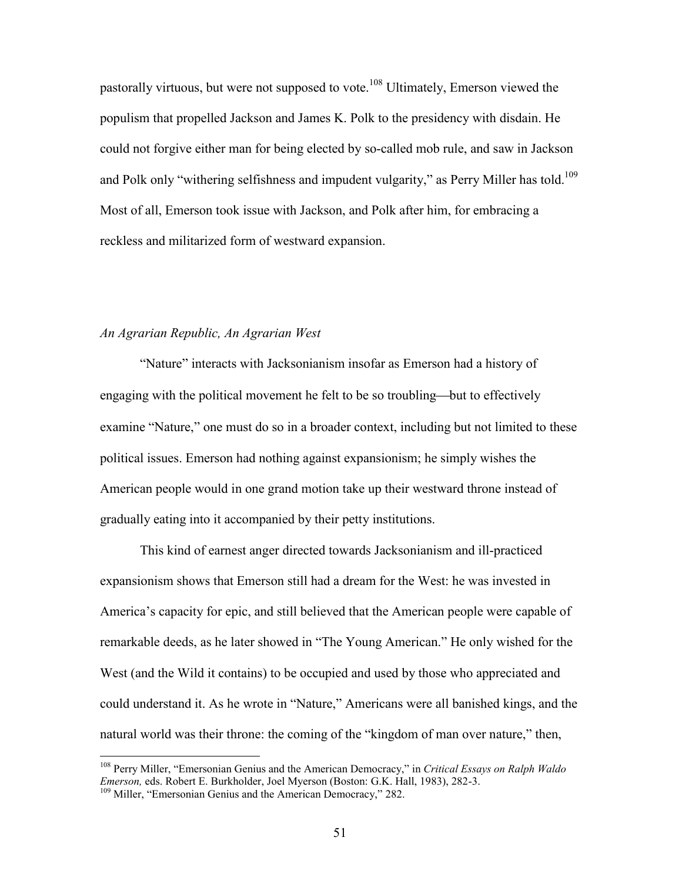pastorally virtuous, but were not supposed to vote.<sup>108</sup> Ultimately, Emerson viewed the populism that propelled Jackson and James K. Polk to the presidency with disdain. He could not forgive either man for being elected by so-called mob rule, and saw in Jackson and Polk only "withering selfishness and impudent vulgarity," as Perry Miller has told.<sup>109</sup> Most of all, Emerson took issue with Jackson, and Polk after him, for embracing a reckless and militarized form of westward expansion.

### *An Agrarian Republic, An Agrarian West*

"Nature" interacts with Jacksonianism insofar as Emerson had a history of engaging with the political movement he felt to be so troubling—but to effectively examine "Nature," one must do so in a broader context, including but not limited to these political issues. Emerson had nothing against expansionism; he simply wishes the American people would in one grand motion take up their westward throne instead of gradually eating into it accompanied by their petty institutions.

This kind of earnest anger directed towards Jacksonianism and ill-practiced expansionism shows that Emerson still had a dream for the West: he was invested in America's capacity for epic, and still believed that the American people were capable of remarkable deeds, as he later showed in "The Young American." He only wished for the West (and the Wild it contains) to be occupied and used by those who appreciated and could understand it. As he wrote in "Nature," Americans were all banished kings, and the natural world was their throne: the coming of the "kingdom of man over nature," then,

<sup>108</sup> Perry Miller, "Emersonian Genius and the American Democracy," in *Critical Essays on Ralph Waldo Emerson,* eds. Robert E. Burkholder, Joel Myerson (Boston: G.K. Hall, 1983), 282-3.

<sup>&</sup>lt;sup>109</sup> Miller, "Emersonian Genius and the American Democracy," 282.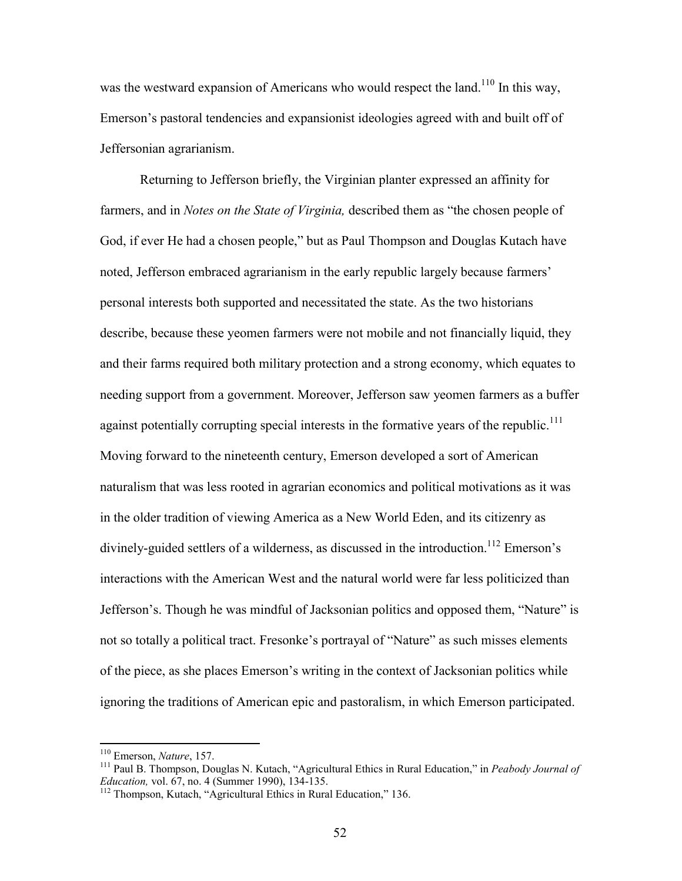was the westward expansion of Americans who would respect the land.<sup>110</sup> In this way, Emerson's pastoral tendencies and expansionist ideologies agreed with and built off of Jeffersonian agrarianism.

Returning to Jefferson briefly, the Virginian planter expressed an affinity for farmers, and in *Notes on the State of Virginia,* described them as "the chosen people of God, if ever He had a chosen people," but as Paul Thompson and Douglas Kutach have noted, Jefferson embraced agrarianism in the early republic largely because farmers' personal interests both supported and necessitated the state. As the two historians describe, because these yeomen farmers were not mobile and not financially liquid, they and their farms required both military protection and a strong economy, which equates to needing support from a government. Moreover, Jefferson saw yeomen farmers as a buffer against potentially corrupting special interests in the formative years of the republic.<sup>111</sup> Moving forward to the nineteenth century, Emerson developed a sort of American naturalism that was less rooted in agrarian economics and political motivations as it was in the older tradition of viewing America as a New World Eden, and its citizenry as divinely-guided settlers of a wilderness, as discussed in the introduction.<sup>112</sup> Emerson's interactions with the American West and the natural world were far less politicized than Jefferson's. Though he was mindful of Jacksonian politics and opposed them, "Nature" is not so totally a political tract. Fresonke's portrayal of "Nature" as such misses elements of the piece, as she places Emerson's writing in the context of Jacksonian politics while ignoring the traditions of American epic and pastoralism, in which Emerson participated.

<sup>110</sup> Emerson, *Nature*, 157.

<sup>111</sup> Paul B. Thompson, Douglas N. Kutach, "Agricultural Ethics in Rural Education," in *Peabody Journal of Education,* vol. 67, no. 4 (Summer 1990), 134-135.

<sup>&</sup>lt;sup>112</sup> Thompson, Kutach, "Agricultural Ethics in Rural Education," 136.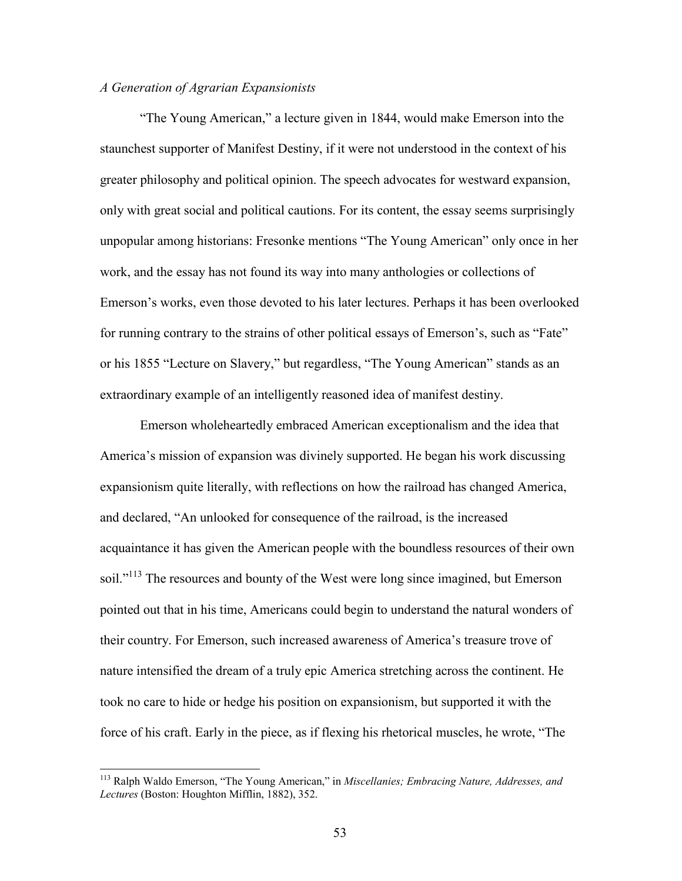## *A Generation of Agrarian Expansionists*

"The Young American," a lecture given in 1844, would make Emerson into the staunchest supporter of Manifest Destiny, if it were not understood in the context of his greater philosophy and political opinion. The speech advocates for westward expansion, only with great social and political cautions. For its content, the essay seems surprisingly unpopular among historians: Fresonke mentions "The Young American" only once in her work, and the essay has not found its way into many anthologies or collections of Emerson's works, even those devoted to his later lectures. Perhaps it has been overlooked for running contrary to the strains of other political essays of Emerson's, such as "Fate" or his 1855 "Lecture on Slavery," but regardless, "The Young American" stands as an extraordinary example of an intelligently reasoned idea of manifest destiny.

Emerson wholeheartedly embraced American exceptionalism and the idea that America's mission of expansion was divinely supported. He began his work discussing expansionism quite literally, with reflections on how the railroad has changed America, and declared, "An unlooked for consequence of the railroad, is the increased acquaintance it has given the American people with the boundless resources of their own soil."<sup>113</sup> The resources and bounty of the West were long since imagined, but Emerson pointed out that in his time, Americans could begin to understand the natural wonders of their country. For Emerson, such increased awareness of America's treasure trove of nature intensified the dream of a truly epic America stretching across the continent. He took no care to hide or hedge his position on expansionism, but supported it with the force of his craft. Early in the piece, as if flexing his rhetorical muscles, he wrote, "The

<sup>113</sup> Ralph Waldo Emerson, "The Young American," in *Miscellanies; Embracing Nature, Addresses, and Lectures* (Boston: Houghton Mifflin, 1882), 352.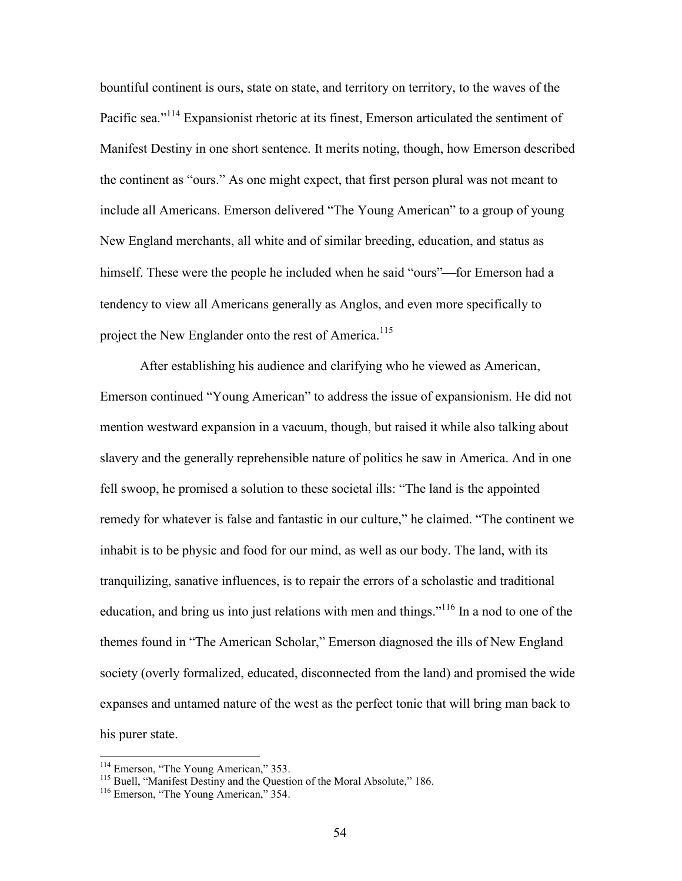bountiful continent is ours, state on state, and territory on territory, to the waves of the Pacific sea."<sup>114</sup> Expansionist rhetoric at its finest, Emerson articulated the sentiment of Manifest Destiny in one short sentence. It merits noting, though, how Emerson described the continent as "ours." As one might expect, that first person plural was not meant to include all Americans. Emerson delivered "The Young American" to a group of young New England merchants, all white and of similar breeding, education, and status as himself. These were the people he included when he said "ours"—for Emerson had a tendency to view all Americans generally as Anglos, and even more specifically to project the New Englander onto the rest of America.<sup>115</sup>

After establishing his audience and clarifying who he viewed as American, Emerson continued "Young American" to address the issue of expansionism. He did not mention westward expansion in a vacuum, though, but raised it while also talking about slavery and the generally reprehensible nature of politics he saw in America. And in one fell swoop, he promised a solution to these societal ills: "The land is the appointed remedy for whatever is false and fantastic in our culture," he claimed. "The continent we inhabit is to be physic and food for our mind, as well as our body. The land, with its tranquilizing, sanative influences, is to repair the errors of a scholastic and traditional education, and bring us into just relations with men and things."<sup>116</sup> In a nod to one of the themes found in "The American Scholar," Emerson diagnosed the ills of New England society (overly formalized, educated, disconnected from the land) and promised the wide expanses and untamed nature of the west as the perfect tonic that will bring man back to his purer state.

<sup>&</sup>lt;sup>114</sup> Emerson, "The Young American," 353.

<sup>&</sup>lt;sup>115</sup> Buell, "Manifest Destiny and the Question of the Moral Absolute," 186.

<sup>&</sup>lt;sup>116</sup> Emerson, "The Young American," 354.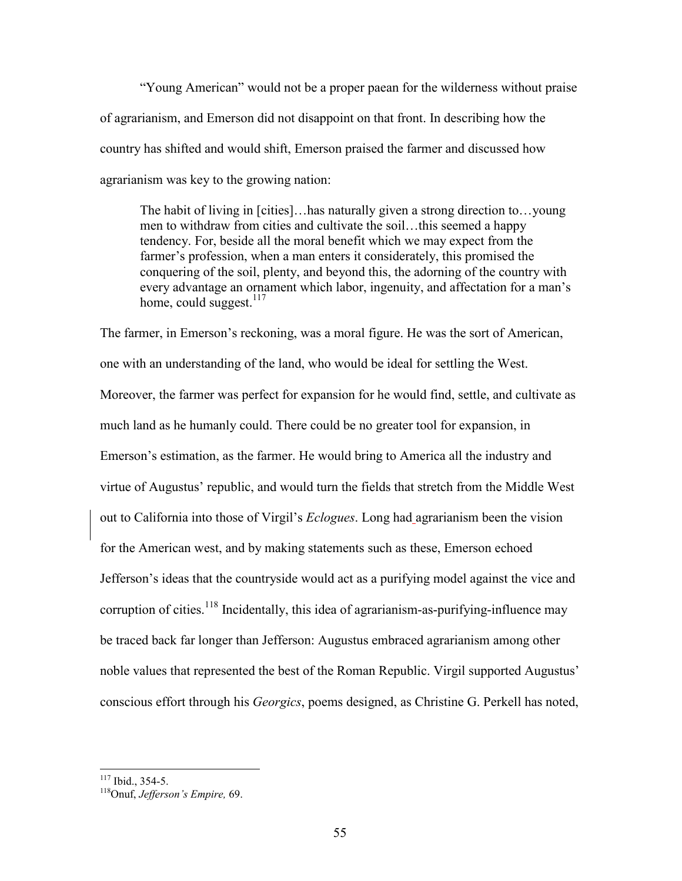"Young American" would not be a proper paean for the wilderness without praise of agrarianism, and Emerson did not disappoint on that front. In describing how the country has shifted and would shift, Emerson praised the farmer and discussed how agrarianism was key to the growing nation:

The habit of living in [cities]…has naturally given a strong direction to…young men to withdraw from cities and cultivate the soil…this seemed a happy tendency. For, beside all the moral benefit which we may expect from the farmer's profession, when a man enters it considerately, this promised the conquering of the soil, plenty, and beyond this, the adorning of the country with every advantage an ornament which labor, ingenuity, and affectation for a man's home, could suggest.<sup>117</sup>

The farmer, in Emerson's reckoning, was a moral figure. He was the sort of American, one with an understanding of the land, who would be ideal for settling the West. Moreover, the farmer was perfect for expansion for he would find, settle, and cultivate as much land as he humanly could. There could be no greater tool for expansion, in Emerson's estimation, as the farmer. He would bring to America all the industry and virtue of Augustus' republic, and would turn the fields that stretch from the Middle West out to California into those of Virgil's *Eclogues*. Long had agrarianism been the vision for the American west, and by making statements such as these, Emerson echoed Jefferson's ideas that the countryside would act as a purifying model against the vice and corruption of cities.<sup>118</sup> Incidentally, this idea of agrarianism-as-purifying-influence may be traced back far longer than Jefferson: Augustus embraced agrarianism among other noble values that represented the best of the Roman Republic. Virgil supported Augustus' conscious effort through his *Georgics*, poems designed, as Christine G. Perkell has noted,

 $117$  Ibid., 354-5.

<sup>118</sup>Onuf, *Jefferson's Empire,* 69.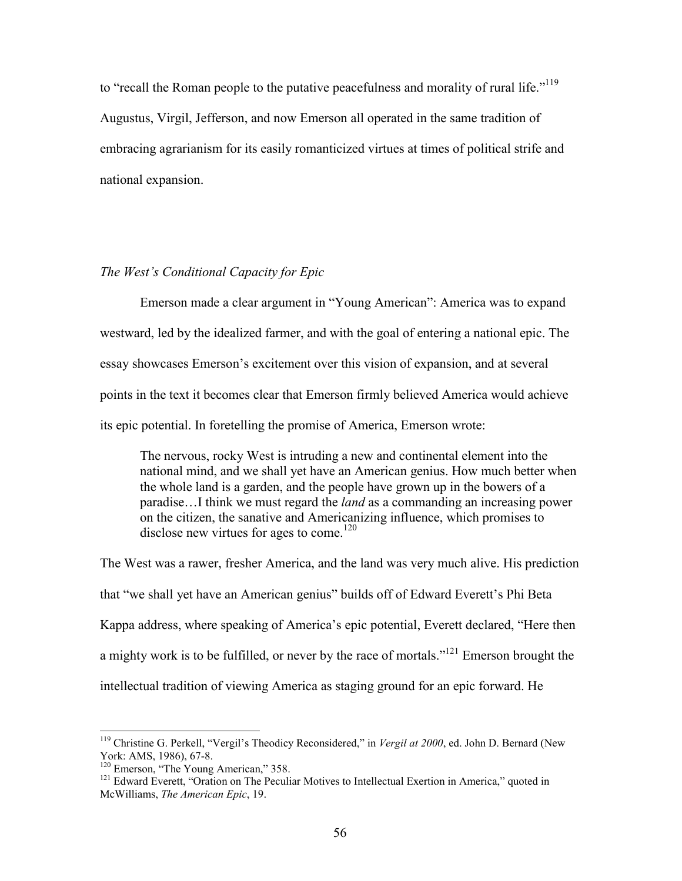to "recall the Roman people to the putative peacefulness and morality of rural life."<sup>119</sup> Augustus, Virgil, Jefferson, and now Emerson all operated in the same tradition of embracing agrarianism for its easily romanticized virtues at times of political strife and national expansion.

# *The West's Conditional Capacity for Epic*

Emerson made a clear argument in "Young American": America was to expand westward, led by the idealized farmer, and with the goal of entering a national epic. The essay showcases Emerson's excitement over this vision of expansion, and at several points in the text it becomes clear that Emerson firmly believed America would achieve its epic potential. In foretelling the promise of America, Emerson wrote:

The nervous, rocky West is intruding a new and continental element into the national mind, and we shall yet have an American genius. How much better when the whole land is a garden, and the people have grown up in the bowers of a paradise…I think we must regard the *land* as a commanding an increasing power on the citizen, the sanative and Americanizing influence, which promises to disclose new virtues for ages to come.<sup>120</sup>

The West was a rawer, fresher America, and the land was very much alive. His prediction that "we shall yet have an American genius" builds off of Edward Everett's Phi Beta Kappa address, where speaking of America's epic potential, Everett declared, "Here then a mighty work is to be fulfilled, or never by the race of mortals."<sup>121</sup> Emerson brought the intellectual tradition of viewing America as staging ground for an epic forward. He

<sup>&</sup>lt;sup>119</sup> Christine G. Perkell, "Vergil's Theodicy Reconsidered," in *Vergil at 2000*, ed. John D. Bernard (New York: AMS, 1986), 67-8.

<sup>&</sup>lt;sup>120</sup> Emerson, "The Young American," 358.

<sup>&</sup>lt;sup>121</sup> Edward Everett, "Oration on The Peculiar Motives to Intellectual Exertion in America," quoted in McWilliams, *The American Epic*, 19.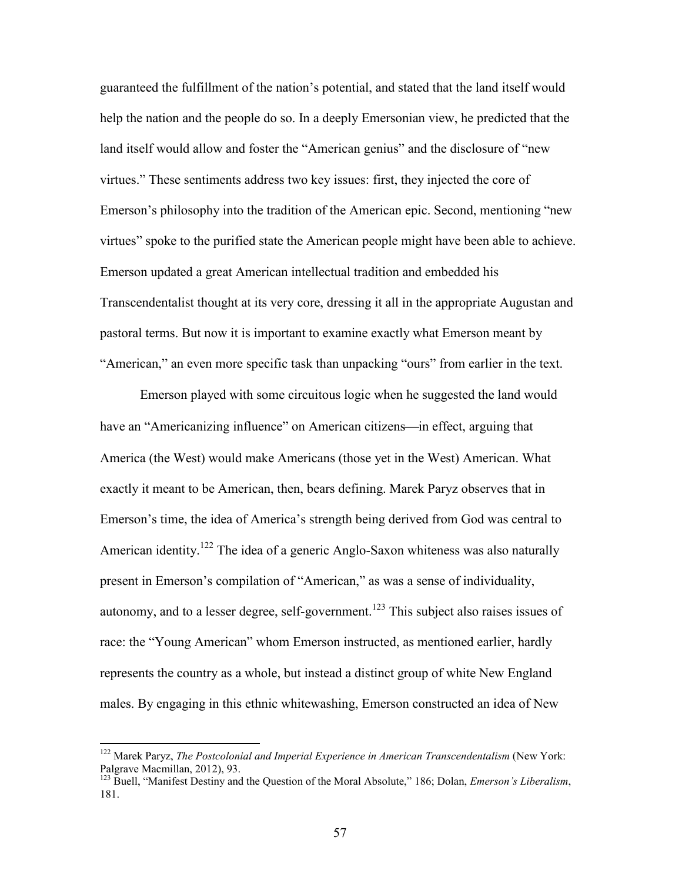guaranteed the fulfillment of the nation's potential, and stated that the land itself would help the nation and the people do so. In a deeply Emersonian view, he predicted that the land itself would allow and foster the "American genius" and the disclosure of "new virtues." These sentiments address two key issues: first, they injected the core of Emerson's philosophy into the tradition of the American epic. Second, mentioning "new virtues" spoke to the purified state the American people might have been able to achieve. Emerson updated a great American intellectual tradition and embedded his Transcendentalist thought at its very core, dressing it all in the appropriate Augustan and pastoral terms. But now it is important to examine exactly what Emerson meant by "American," an even more specific task than unpacking "ours" from earlier in the text.

Emerson played with some circuitous logic when he suggested the land would have an "Americanizing influence" on American citizens—in effect, arguing that America (the West) would make Americans (those yet in the West) American. What exactly it meant to be American, then, bears defining. Marek Paryz observes that in Emerson's time, the idea of America's strength being derived from God was central to American identity.<sup>122</sup> The idea of a generic Anglo-Saxon whiteness was also naturally present in Emerson's compilation of "American," as was a sense of individuality, autonomy, and to a lesser degree, self-government.<sup>123</sup> This subject also raises issues of race: the "Young American" whom Emerson instructed, as mentioned earlier, hardly represents the country as a whole, but instead a distinct group of white New England males. By engaging in this ethnic whitewashing, Emerson constructed an idea of New

<sup>122</sup> Marek Paryz, *The Postcolonial and Imperial Experience in American Transcendentalism* (New York: Palgrave Macmillan, 2012), 93.

<sup>123</sup> Buell, "Manifest Destiny and the Question of the Moral Absolute," 186; Dolan, *Emerson's Liberalism*, 181.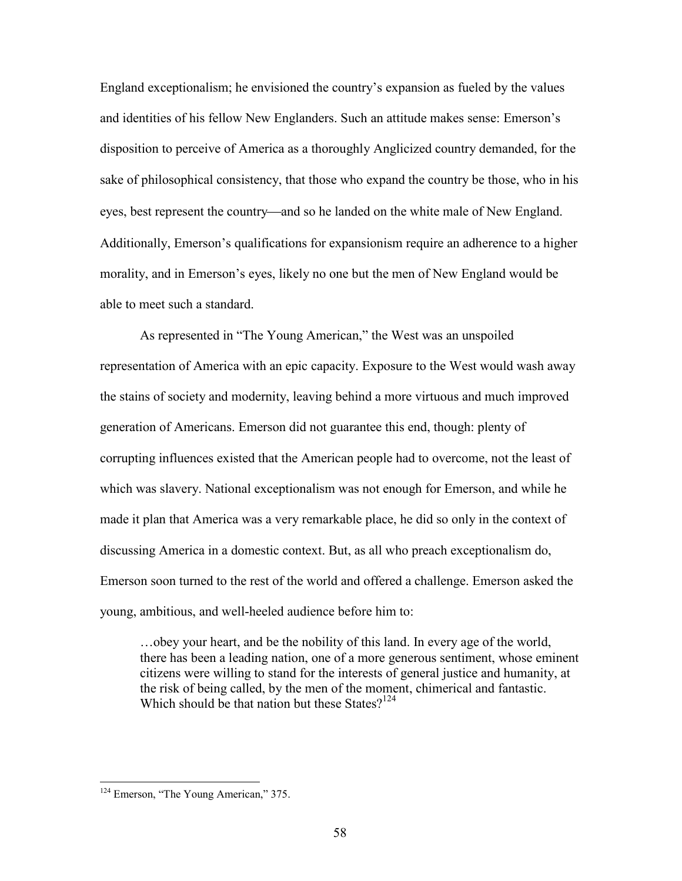England exceptionalism; he envisioned the country's expansion as fueled by the values and identities of his fellow New Englanders. Such an attitude makes sense: Emerson's disposition to perceive of America as a thoroughly Anglicized country demanded, for the sake of philosophical consistency, that those who expand the country be those, who in his eyes, best represent the country—and so he landed on the white male of New England. Additionally, Emerson's qualifications for expansionism require an adherence to a higher morality, and in Emerson's eyes, likely no one but the men of New England would be able to meet such a standard.

As represented in "The Young American," the West was an unspoiled representation of America with an epic capacity. Exposure to the West would wash away the stains of society and modernity, leaving behind a more virtuous and much improved generation of Americans. Emerson did not guarantee this end, though: plenty of corrupting influences existed that the American people had to overcome, not the least of which was slavery. National exceptionalism was not enough for Emerson, and while he made it plan that America was a very remarkable place, he did so only in the context of discussing America in a domestic context. But, as all who preach exceptionalism do, Emerson soon turned to the rest of the world and offered a challenge. Emerson asked the young, ambitious, and well-heeled audience before him to:

…obey your heart, and be the nobility of this land. In every age of the world, there has been a leading nation, one of a more generous sentiment, whose eminent citizens were willing to stand for the interests of general justice and humanity, at the risk of being called, by the men of the moment, chimerical and fantastic. Which should be that nation but these States? $124$ 

<sup>&</sup>lt;sup>124</sup> Emerson, "The Young American," 375.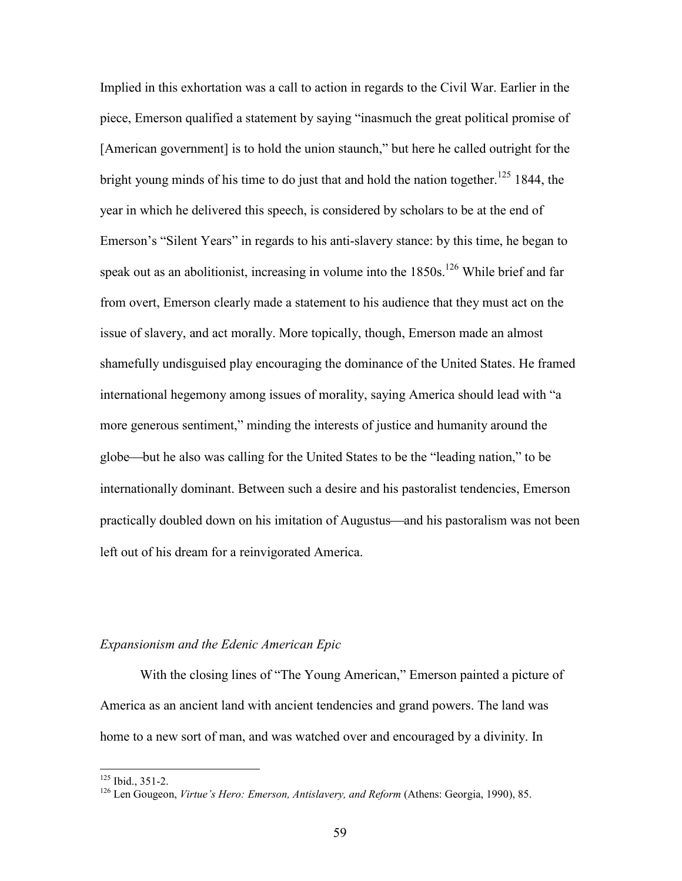Implied in this exhortation was a call to action in regards to the Civil War. Earlier in the piece, Emerson qualified a statement by saying "inasmuch the great political promise of [American government] is to hold the union staunch," but here he called outright for the bright young minds of his time to do just that and hold the nation together.<sup>125</sup> 1844, the year in which he delivered this speech, is considered by scholars to be at the end of Emerson's "Silent Years" in regards to his anti-slavery stance: by this time, he began to speak out as an abolitionist, increasing in volume into the  $1850s$ .<sup>126</sup> While brief and far from overt, Emerson clearly made a statement to his audience that they must act on the issue of slavery, and act morally. More topically, though, Emerson made an almost shamefully undisguised play encouraging the dominance of the United States. He framed international hegemony among issues of morality, saying America should lead with "a more generous sentiment," minding the interests of justice and humanity around the globe—but he also was calling for the United States to be the "leading nation," to be internationally dominant. Between such a desire and his pastoralist tendencies, Emerson practically doubled down on his imitation of Augustus—and his pastoralism was not been left out of his dream for a reinvigorated America.

## *Expansionism and the Edenic American Epic*

With the closing lines of "The Young American," Emerson painted a picture of America as an ancient land with ancient tendencies and grand powers. The land was home to a new sort of man, and was watched over and encouraged by a divinity. In

<sup>125</sup> Ibid., 351-2.

<sup>126</sup> Len Gougeon, *Virtue's Hero: Emerson, Antislavery, and Reform* (Athens: Georgia, 1990), 85.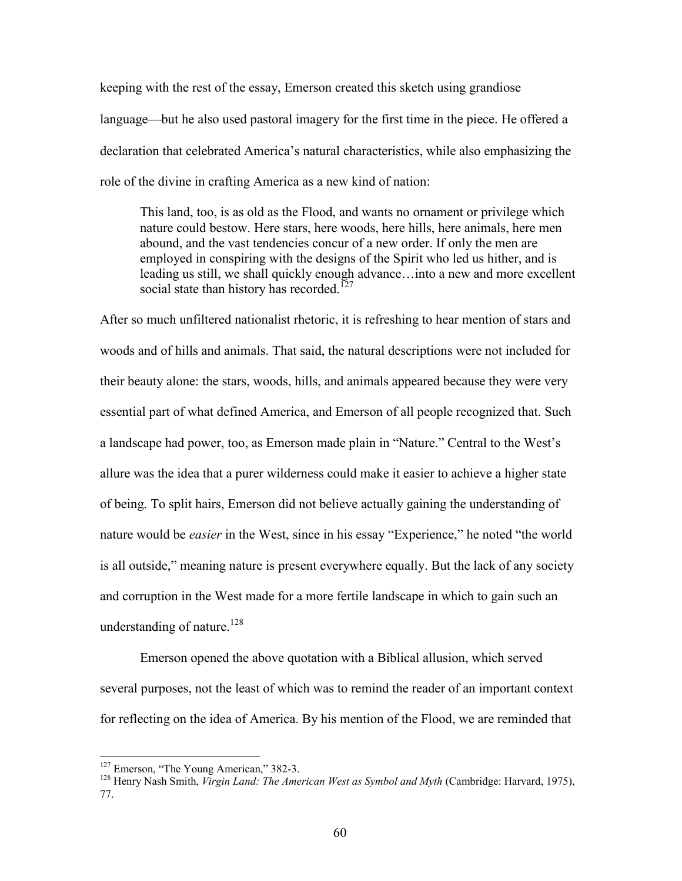keeping with the rest of the essay, Emerson created this sketch using grandiose language—but he also used pastoral imagery for the first time in the piece. He offered a declaration that celebrated America's natural characteristics, while also emphasizing the role of the divine in crafting America as a new kind of nation:

This land, too, is as old as the Flood, and wants no ornament or privilege which nature could bestow. Here stars, here woods, here hills, here animals, here men abound, and the vast tendencies concur of a new order. If only the men are employed in conspiring with the designs of the Spirit who led us hither, and is leading us still, we shall quickly enough advance…into a new and more excellent social state than history has recorded.<sup>127</sup>

After so much unfiltered nationalist rhetoric, it is refreshing to hear mention of stars and woods and of hills and animals. That said, the natural descriptions were not included for their beauty alone: the stars, woods, hills, and animals appeared because they were very essential part of what defined America, and Emerson of all people recognized that. Such a landscape had power, too, as Emerson made plain in "Nature." Central to the West's allure was the idea that a purer wilderness could make it easier to achieve a higher state of being. To split hairs, Emerson did not believe actually gaining the understanding of nature would be *easier* in the West, since in his essay "Experience," he noted "the world is all outside," meaning nature is present everywhere equally. But the lack of any society and corruption in the West made for a more fertile landscape in which to gain such an understanding of nature.<sup>128</sup>

Emerson opened the above quotation with a Biblical allusion, which served several purposes, not the least of which was to remind the reader of an important context for reflecting on the idea of America. By his mention of the Flood, we are reminded that

<sup>&</sup>lt;sup>127</sup> Emerson, "The Young American," 382-3.

<sup>128</sup> Henry Nash Smith, *Virgin Land: The American West as Symbol and Myth* (Cambridge: Harvard, 1975), 77.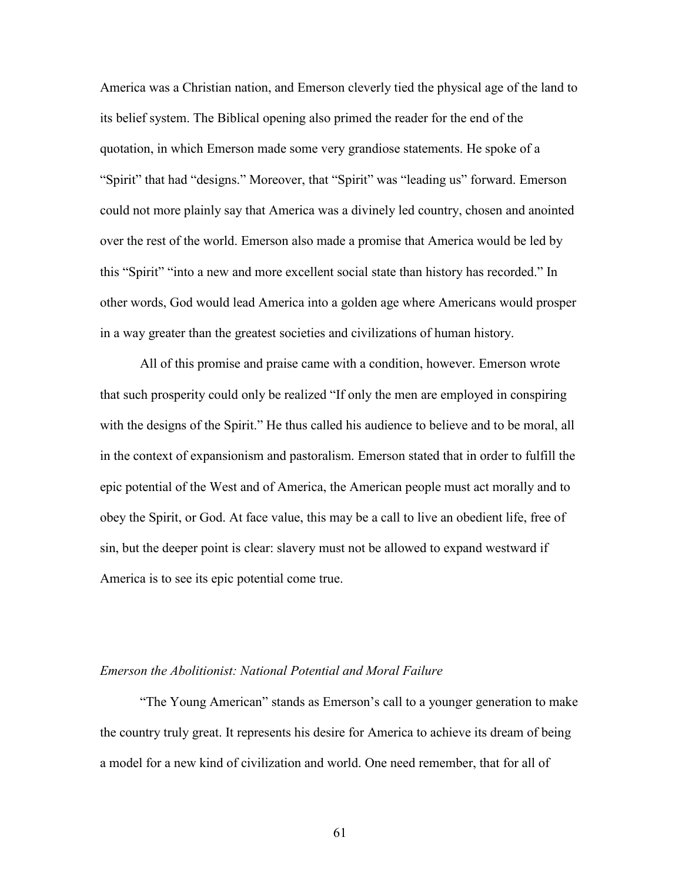America was a Christian nation, and Emerson cleverly tied the physical age of the land to its belief system. The Biblical opening also primed the reader for the end of the quotation, in which Emerson made some very grandiose statements. He spoke of a "Spirit" that had "designs." Moreover, that "Spirit" was "leading us" forward. Emerson could not more plainly say that America was a divinely led country, chosen and anointed over the rest of the world. Emerson also made a promise that America would be led by this "Spirit" "into a new and more excellent social state than history has recorded." In other words, God would lead America into a golden age where Americans would prosper in a way greater than the greatest societies and civilizations of human history.

All of this promise and praise came with a condition, however. Emerson wrote that such prosperity could only be realized "If only the men are employed in conspiring with the designs of the Spirit." He thus called his audience to believe and to be moral, all in the context of expansionism and pastoralism. Emerson stated that in order to fulfill the epic potential of the West and of America, the American people must act morally and to obey the Spirit, or God. At face value, this may be a call to live an obedient life, free of sin, but the deeper point is clear: slavery must not be allowed to expand westward if America is to see its epic potential come true.

#### *Emerson the Abolitionist: National Potential and Moral Failure*

"The Young American" stands as Emerson's call to a younger generation to make the country truly great. It represents his desire for America to achieve its dream of being a model for a new kind of civilization and world. One need remember, that for all of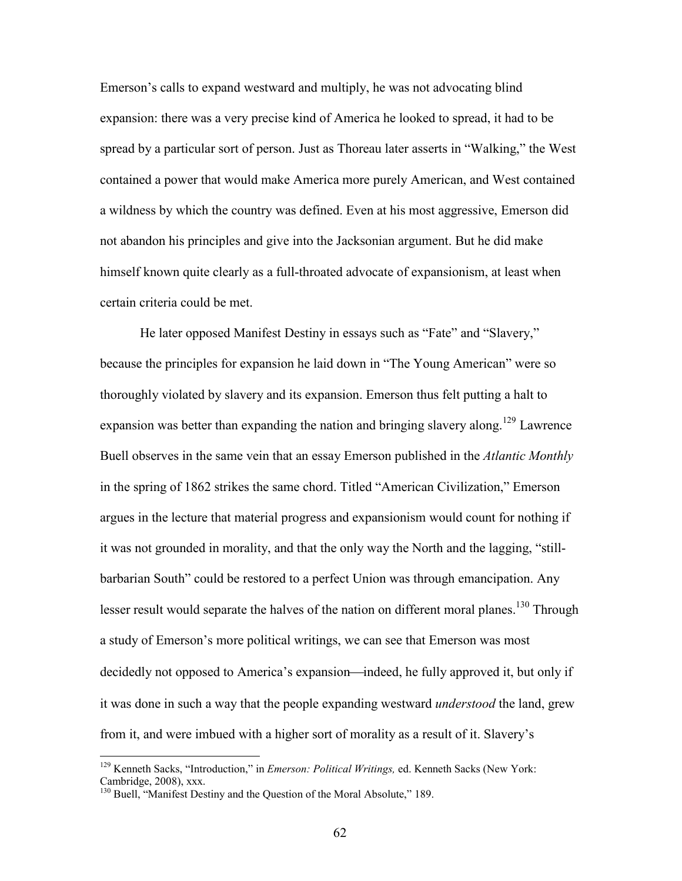Emerson's calls to expand westward and multiply, he was not advocating blind expansion: there was a very precise kind of America he looked to spread, it had to be spread by a particular sort of person. Just as Thoreau later asserts in "Walking," the West contained a power that would make America more purely American, and West contained a wildness by which the country was defined. Even at his most aggressive, Emerson did not abandon his principles and give into the Jacksonian argument. But he did make himself known quite clearly as a full-throated advocate of expansionism, at least when certain criteria could be met.

He later opposed Manifest Destiny in essays such as "Fate" and "Slavery," because the principles for expansion he laid down in "The Young American" were so thoroughly violated by slavery and its expansion. Emerson thus felt putting a halt to expansion was better than expanding the nation and bringing slavery along.<sup>129</sup> Lawrence Buell observes in the same vein that an essay Emerson published in the *Atlantic Monthly* in the spring of 1862 strikes the same chord. Titled "American Civilization," Emerson argues in the lecture that material progress and expansionism would count for nothing if it was not grounded in morality, and that the only way the North and the lagging, "stillbarbarian South" could be restored to a perfect Union was through emancipation. Any lesser result would separate the halves of the nation on different moral planes.<sup>130</sup> Through a study of Emerson's more political writings, we can see that Emerson was most decidedly not opposed to America's expansion—indeed, he fully approved it, but only if it was done in such a way that the people expanding westward *understood* the land, grew from it, and were imbued with a higher sort of morality as a result of it. Slavery's

<sup>129</sup> Kenneth Sacks, "Introduction," in *Emerson: Political Writings,* ed. Kenneth Sacks (New York: Cambridge, 2008), xxx.

<sup>&</sup>lt;sup>130</sup> Buell, "Manifest Destiny and the Question of the Moral Absolute," 189.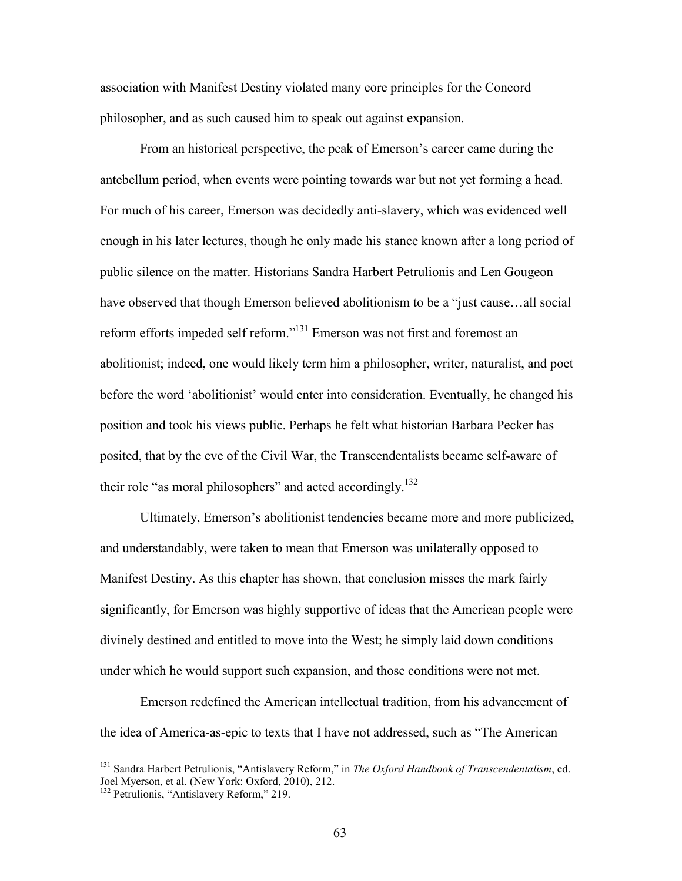association with Manifest Destiny violated many core principles for the Concord philosopher, and as such caused him to speak out against expansion.

From an historical perspective, the peak of Emerson's career came during the antebellum period, when events were pointing towards war but not yet forming a head. For much of his career, Emerson was decidedly anti-slavery, which was evidenced well enough in his later lectures, though he only made his stance known after a long period of public silence on the matter. Historians Sandra Harbert Petrulionis and Len Gougeon have observed that though Emerson believed abolitionism to be a "just cause…all social reform efforts impeded self reform."<sup>131</sup> Emerson was not first and foremost an abolitionist; indeed, one would likely term him a philosopher, writer, naturalist, and poet before the word 'abolitionist' would enter into consideration. Eventually, he changed his position and took his views public. Perhaps he felt what historian Barbara Pecker has posited, that by the eve of the Civil War, the Transcendentalists became self-aware of their role "as moral philosophers" and acted accordingly.<sup>132</sup>

Ultimately, Emerson's abolitionist tendencies became more and more publicized, and understandably, were taken to mean that Emerson was unilaterally opposed to Manifest Destiny. As this chapter has shown, that conclusion misses the mark fairly significantly, for Emerson was highly supportive of ideas that the American people were divinely destined and entitled to move into the West; he simply laid down conditions under which he would support such expansion, and those conditions were not met.

Emerson redefined the American intellectual tradition, from his advancement of the idea of America-as-epic to texts that I have not addressed, such as "The American

<sup>131</sup> Sandra Harbert Petrulionis, "Antislavery Reform," in *The Oxford Handbook of Transcendentalism*, ed. Joel Myerson, et al. (New York: Oxford, 2010), 212.

<sup>&</sup>lt;sup>132</sup> Petrulionis, "Antislavery Reform," 219.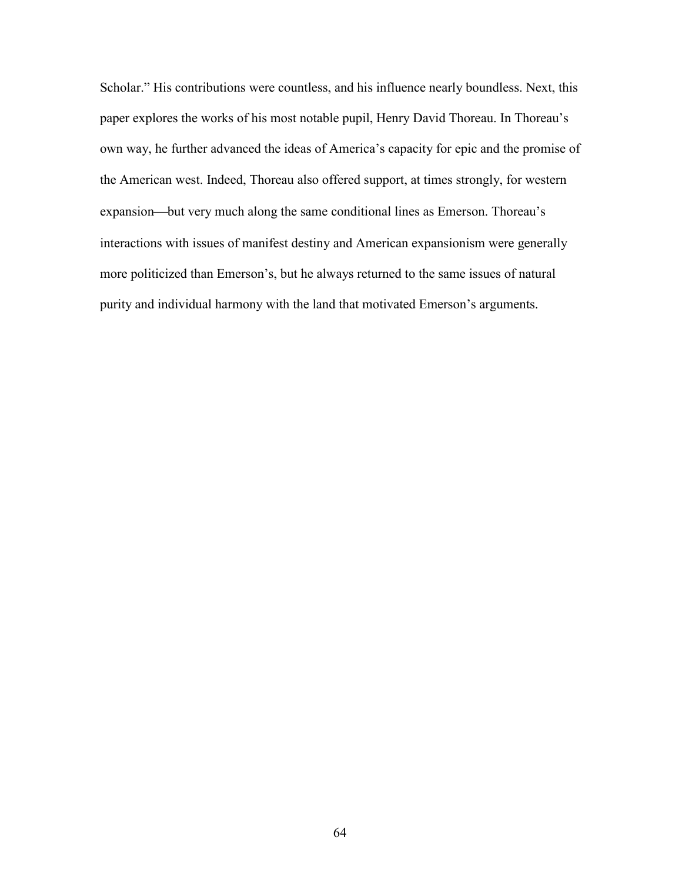Scholar." His contributions were countless, and his influence nearly boundless. Next, this paper explores the works of his most notable pupil, Henry David Thoreau. In Thoreau's own way, he further advanced the ideas of America's capacity for epic and the promise of the American west. Indeed, Thoreau also offered support, at times strongly, for western expansion—but very much along the same conditional lines as Emerson. Thoreau's interactions with issues of manifest destiny and American expansionism were generally more politicized than Emerson's, but he always returned to the same issues of natural purity and individual harmony with the land that motivated Emerson's arguments.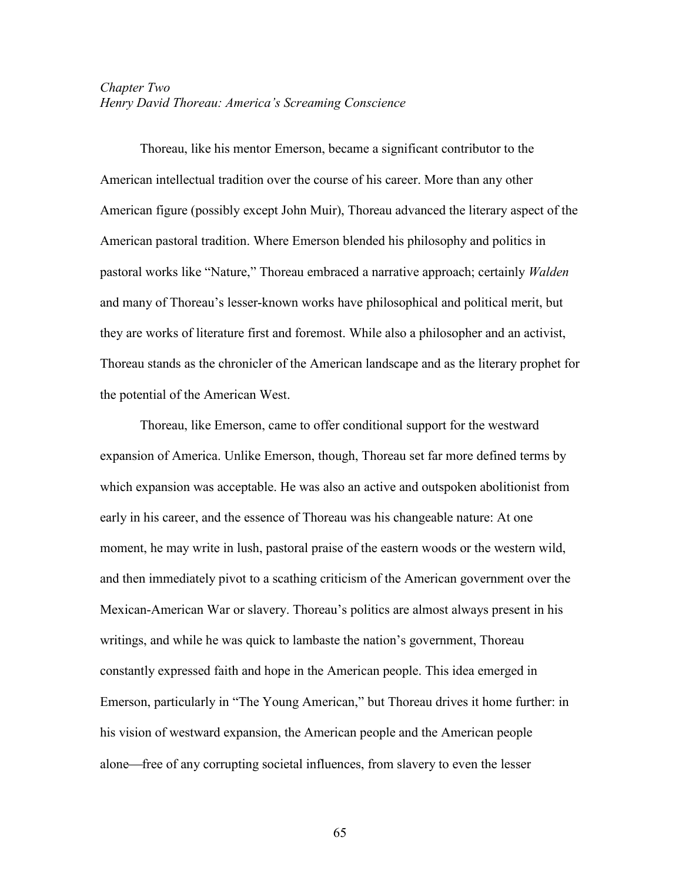# *Chapter Two Henry David Thoreau: America's Screaming Conscience*

Thoreau, like his mentor Emerson, became a significant contributor to the American intellectual tradition over the course of his career. More than any other American figure (possibly except John Muir), Thoreau advanced the literary aspect of the American pastoral tradition. Where Emerson blended his philosophy and politics in pastoral works like "Nature," Thoreau embraced a narrative approach; certainly *Walden* and many of Thoreau's lesser-known works have philosophical and political merit, but they are works of literature first and foremost. While also a philosopher and an activist, Thoreau stands as the chronicler of the American landscape and as the literary prophet for the potential of the American West.

Thoreau, like Emerson, came to offer conditional support for the westward expansion of America. Unlike Emerson, though, Thoreau set far more defined terms by which expansion was acceptable. He was also an active and outspoken abolitionist from early in his career, and the essence of Thoreau was his changeable nature: At one moment, he may write in lush, pastoral praise of the eastern woods or the western wild, and then immediately pivot to a scathing criticism of the American government over the Mexican-American War or slavery. Thoreau's politics are almost always present in his writings, and while he was quick to lambaste the nation's government, Thoreau constantly expressed faith and hope in the American people. This idea emerged in Emerson, particularly in "The Young American," but Thoreau drives it home further: in his vision of westward expansion, the American people and the American people alone—free of any corrupting societal influences, from slavery to even the lesser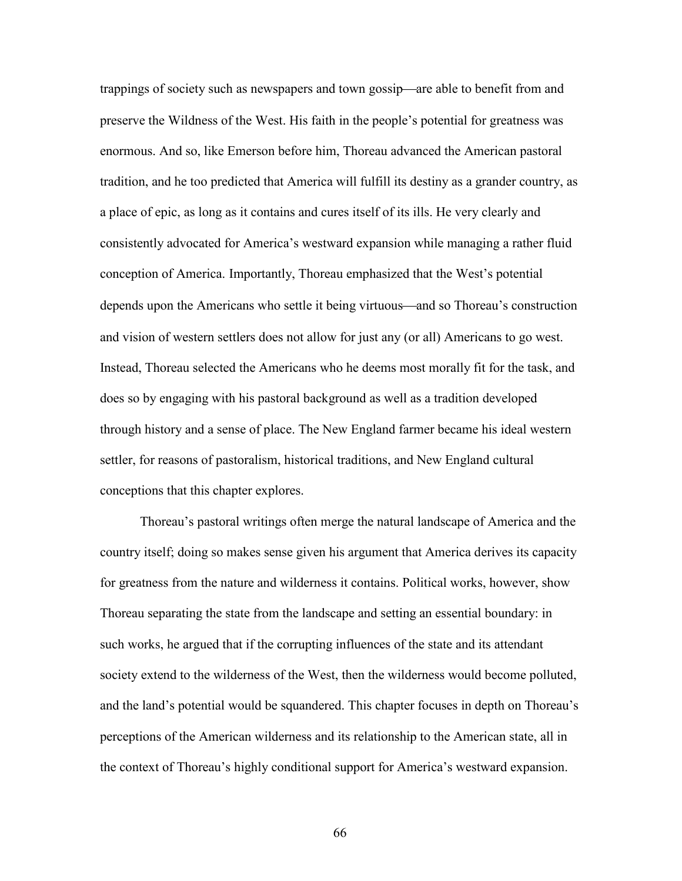trappings of society such as newspapers and town gossip—are able to benefit from and preserve the Wildness of the West. His faith in the people's potential for greatness was enormous. And so, like Emerson before him, Thoreau advanced the American pastoral tradition, and he too predicted that America will fulfill its destiny as a grander country, as a place of epic, as long as it contains and cures itself of its ills. He very clearly and consistently advocated for America's westward expansion while managing a rather fluid conception of America. Importantly, Thoreau emphasized that the West's potential depends upon the Americans who settle it being virtuous—and so Thoreau's construction and vision of western settlers does not allow for just any (or all) Americans to go west. Instead, Thoreau selected the Americans who he deems most morally fit for the task, and does so by engaging with his pastoral background as well as a tradition developed through history and a sense of place. The New England farmer became his ideal western settler, for reasons of pastoralism, historical traditions, and New England cultural conceptions that this chapter explores.

Thoreau's pastoral writings often merge the natural landscape of America and the country itself; doing so makes sense given his argument that America derives its capacity for greatness from the nature and wilderness it contains. Political works, however, show Thoreau separating the state from the landscape and setting an essential boundary: in such works, he argued that if the corrupting influences of the state and its attendant society extend to the wilderness of the West, then the wilderness would become polluted, and the land's potential would be squandered. This chapter focuses in depth on Thoreau's perceptions of the American wilderness and its relationship to the American state, all in the context of Thoreau's highly conditional support for America's westward expansion.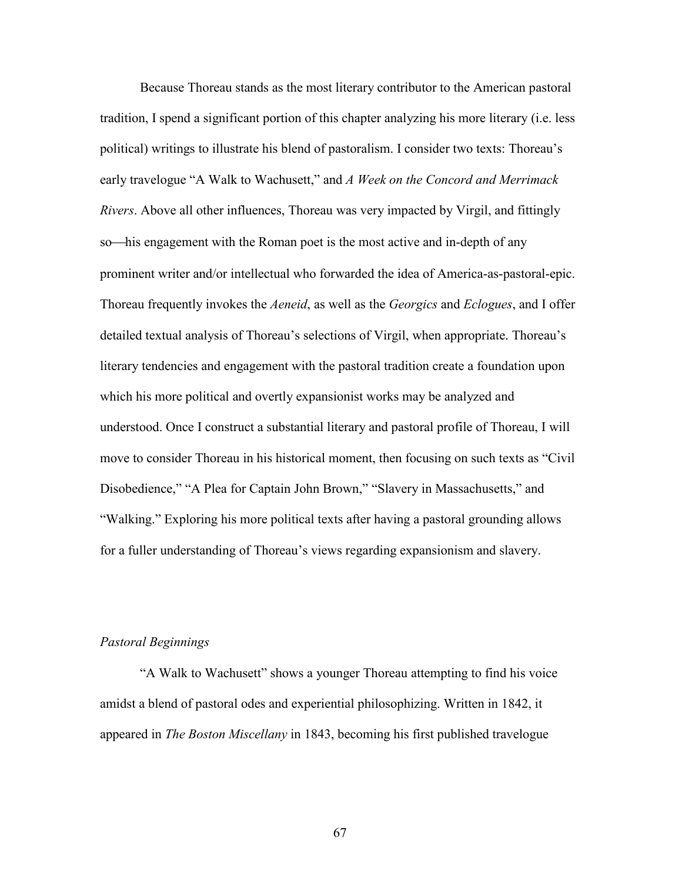Because Thoreau stands as the most literary contributor to the American pastoral tradition, I spend a significant portion of this chapter analyzing his more literary (i.e. less political) writings to illustrate his blend of pastoralism. I consider two texts: Thoreau's early travelogue "A Walk to Wachusett," and *A Week on the Concord and Merrimack Rivers*. Above all other influences, Thoreau was very impacted by Virgil, and fittingly so—his engagement with the Roman poet is the most active and in-depth of any prominent writer and/or intellectual who forwarded the idea of America-as-pastoral-epic. Thoreau frequently invokes the *Aeneid*, as well as the *Georgics* and *Eclogues*, and I offer detailed textual analysis of Thoreau's selections of Virgil, when appropriate. Thoreau's literary tendencies and engagement with the pastoral tradition create a foundation upon which his more political and overtly expansionist works may be analyzed and understood. Once I construct a substantial literary and pastoral profile of Thoreau, I will move to consider Thoreau in his historical moment, then focusing on such texts as "Civil Disobedience," "A Plea for Captain John Brown," "Slavery in Massachusetts," and "Walking." Exploring his more political texts after having a pastoral grounding allows for a fuller understanding of Thoreau's views regarding expansionism and slavery.

## *Pastoral Beginnings*

"A Walk to Wachusett" shows a younger Thoreau attempting to find his voice amidst a blend of pastoral odes and experiential philosophizing. Written in 1842, it appeared in *The Boston Miscellany* in 1843, becoming his first published travelogue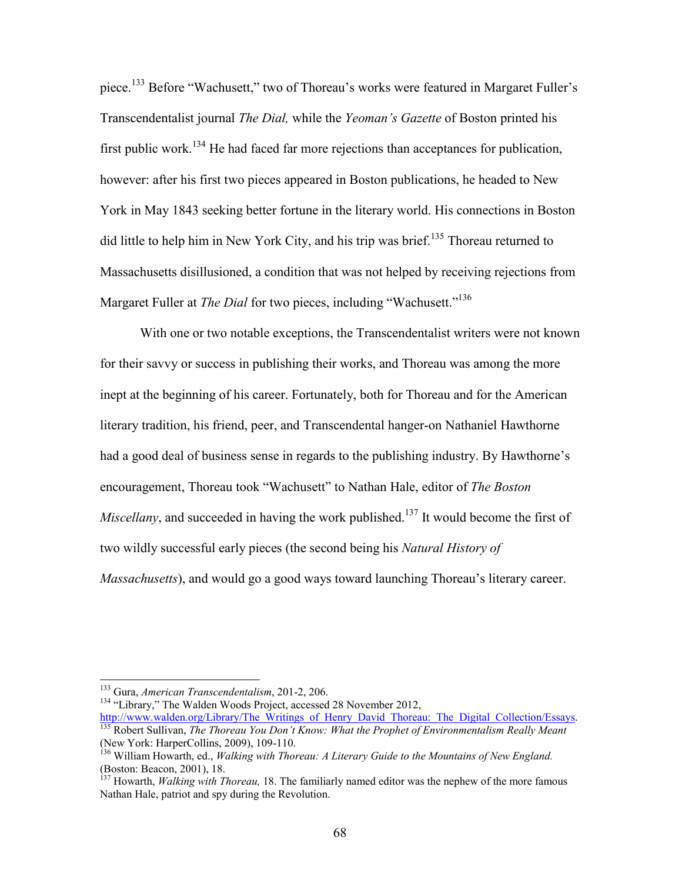piece.<sup>133</sup> Before "Wachusett," two of Thoreau's works were featured in Margaret Fuller's Transcendentalist journal *The Dial,* while the *Yeoman's Gazette* of Boston printed his first public work.<sup>134</sup> He had faced far more rejections than acceptances for publication, however: after his first two pieces appeared in Boston publications, he headed to New York in May 1843 seeking better fortune in the literary world. His connections in Boston did little to help him in New York City, and his trip was brief.<sup>135</sup> Thoreau returned to Massachusetts disillusioned, a condition that was not helped by receiving rejections from Margaret Fuller at *The Dial* for two pieces, including "Wachusett."<sup>136</sup>

With one or two notable exceptions, the Transcendentalist writers were not known for their savvy or success in publishing their works, and Thoreau was among the more inept at the beginning of his career. Fortunately, both for Thoreau and for the American literary tradition, his friend, peer, and Transcendental hanger-on Nathaniel Hawthorne had a good deal of business sense in regards to the publishing industry. By Hawthorne's encouragement, Thoreau took "Wachusett" to Nathan Hale, editor of *The Boston Miscellany*, and succeeded in having the work published.<sup>137</sup> It would become the first of two wildly successful early pieces (the second being his *Natural History of Massachusetts*), and would go a good ways toward launching Thoreau's literary career.

<sup>134</sup> "Library," The Walden Woods Project, accessed 28 November 2012,

<sup>133</sup> Gura, *American Transcendentalism*, 201-2, 206.

[http://www.walden.org/Library/The\\_Writings\\_of\\_Henry\\_David\\_Thoreau:\\_The\\_Digital\\_Collection/Essays](http://www.walden.org/Library/The_Writings_of_Henry_David_Thoreau:_The_Digital_Collection/Essays). <sup>135</sup> Robert Sullivan, *The Thoreau You Don't Know: What the Prophet of Environmentalism Really Meant* (New York: HarperCollins, 2009), 109-110.

<sup>136</sup> William Howarth, ed., *Walking with Thoreau: A Literary Guide to the Mountains of New England.* (Boston: Beacon, 2001), 18.

<sup>137</sup> Howarth, *Walking with Thoreau,* 18. The familiarly named editor was the nephew of the more famous Nathan Hale, patriot and spy during the Revolution.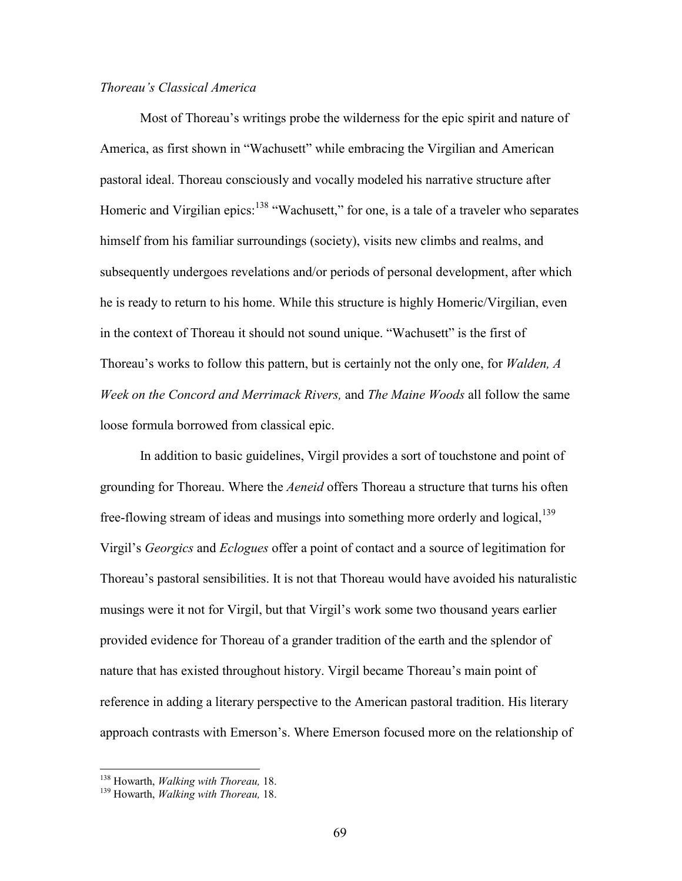# *Thoreau's Classical America*

Most of Thoreau's writings probe the wilderness for the epic spirit and nature of America, as first shown in "Wachusett" while embracing the Virgilian and American pastoral ideal. Thoreau consciously and vocally modeled his narrative structure after Homeric and Virgilian epics:<sup>138</sup> "Wachusett," for one, is a tale of a traveler who separates himself from his familiar surroundings (society), visits new climbs and realms, and subsequently undergoes revelations and/or periods of personal development, after which he is ready to return to his home. While this structure is highly Homeric/Virgilian, even in the context of Thoreau it should not sound unique. "Wachusett" is the first of Thoreau's works to follow this pattern, but is certainly not the only one, for *Walden, A Week on the Concord and Merrimack Rivers,* and *The Maine Woods* all follow the same loose formula borrowed from classical epic.

In addition to basic guidelines, Virgil provides a sort of touchstone and point of grounding for Thoreau. Where the *Aeneid* offers Thoreau a structure that turns his often free-flowing stream of ideas and musings into something more orderly and logical,<sup>139</sup> Virgil's *Georgics* and *Eclogues* offer a point of contact and a source of legitimation for Thoreau's pastoral sensibilities. It is not that Thoreau would have avoided his naturalistic musings were it not for Virgil, but that Virgil's work some two thousand years earlier provided evidence for Thoreau of a grander tradition of the earth and the splendor of nature that has existed throughout history. Virgil became Thoreau's main point of reference in adding a literary perspective to the American pastoral tradition. His literary approach contrasts with Emerson's. Where Emerson focused more on the relationship of

<sup>138</sup> Howarth, *Walking with Thoreau,* 18.

<sup>139</sup> Howarth, *Walking with Thoreau,* 18.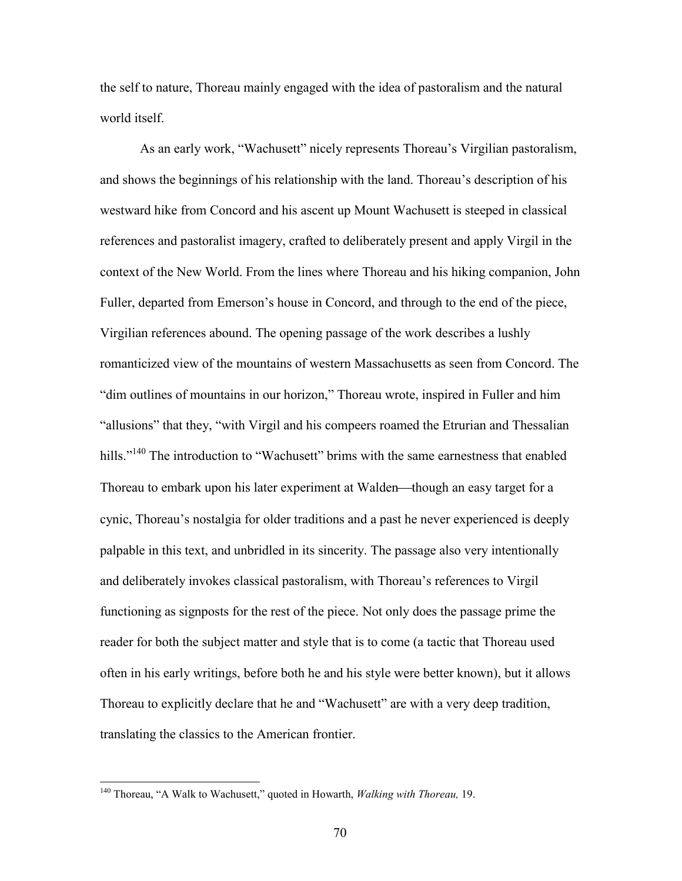the self to nature, Thoreau mainly engaged with the idea of pastoralism and the natural world itself.

As an early work, "Wachusett" nicely represents Thoreau's Virgilian pastoralism, and shows the beginnings of his relationship with the land. Thoreau's description of his westward hike from Concord and his ascent up Mount Wachusett is steeped in classical references and pastoralist imagery, crafted to deliberately present and apply Virgil in the context of the New World. From the lines where Thoreau and his hiking companion, John Fuller, departed from Emerson's house in Concord, and through to the end of the piece, Virgilian references abound. The opening passage of the work describes a lushly romanticized view of the mountains of western Massachusetts as seen from Concord. The "dim outlines of mountains in our horizon," Thoreau wrote, inspired in Fuller and him "allusions" that they, "with Virgil and his compeers roamed the Etrurian and Thessalian hills."<sup>140</sup> The introduction to "Wachusett" brims with the same earnestness that enabled Thoreau to embark upon his later experiment at Walden—though an easy target for a cynic, Thoreau's nostalgia for older traditions and a past he never experienced is deeply palpable in this text, and unbridled in its sincerity. The passage also very intentionally and deliberately invokes classical pastoralism, with Thoreau's references to Virgil functioning as signposts for the rest of the piece. Not only does the passage prime the reader for both the subject matter and style that is to come (a tactic that Thoreau used often in his early writings, before both he and his style were better known), but it allows Thoreau to explicitly declare that he and "Wachusett" are with a very deep tradition, translating the classics to the American frontier.

<sup>140</sup> Thoreau, "A Walk to Wachusett," quoted in Howarth, *Walking with Thoreau,* 19.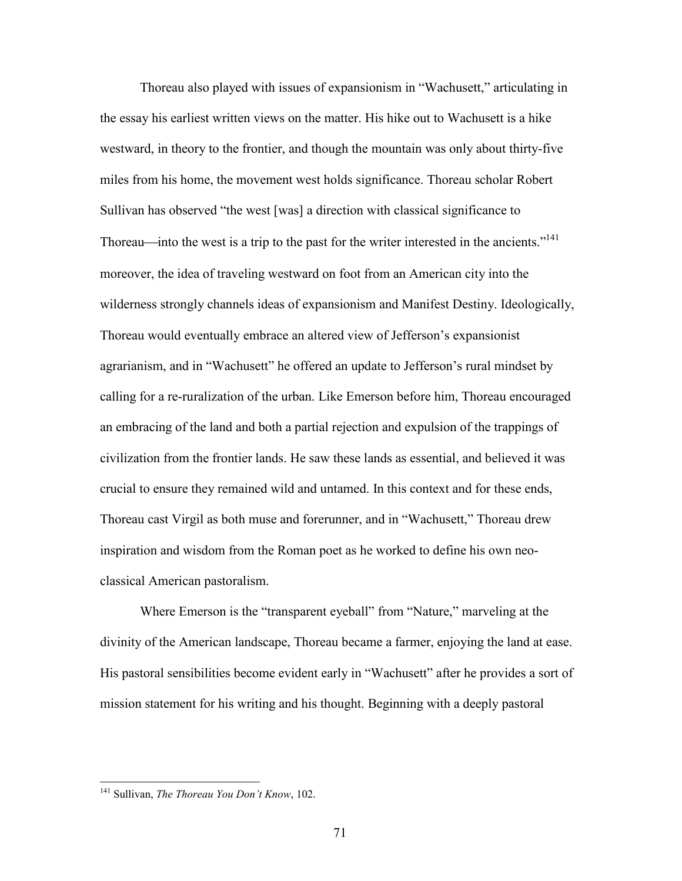Thoreau also played with issues of expansionism in "Wachusett," articulating in the essay his earliest written views on the matter. His hike out to Wachusett is a hike westward, in theory to the frontier, and though the mountain was only about thirty-five miles from his home, the movement west holds significance. Thoreau scholar Robert Sullivan has observed "the west [was] a direction with classical significance to Thoreau—into the west is a trip to the past for the writer interested in the ancients."<sup>141</sup> moreover, the idea of traveling westward on foot from an American city into the wilderness strongly channels ideas of expansionism and Manifest Destiny. Ideologically, Thoreau would eventually embrace an altered view of Jefferson's expansionist agrarianism, and in "Wachusett" he offered an update to Jefferson's rural mindset by calling for a re-ruralization of the urban. Like Emerson before him, Thoreau encouraged an embracing of the land and both a partial rejection and expulsion of the trappings of civilization from the frontier lands. He saw these lands as essential, and believed it was crucial to ensure they remained wild and untamed. In this context and for these ends, Thoreau cast Virgil as both muse and forerunner, and in "Wachusett," Thoreau drew inspiration and wisdom from the Roman poet as he worked to define his own neoclassical American pastoralism.

Where Emerson is the "transparent eyeball" from "Nature," marveling at the divinity of the American landscape, Thoreau became a farmer, enjoying the land at ease. His pastoral sensibilities become evident early in "Wachusett" after he provides a sort of mission statement for his writing and his thought. Beginning with a deeply pastoral

<sup>141</sup> Sullivan, *The Thoreau You Don't Know*, 102.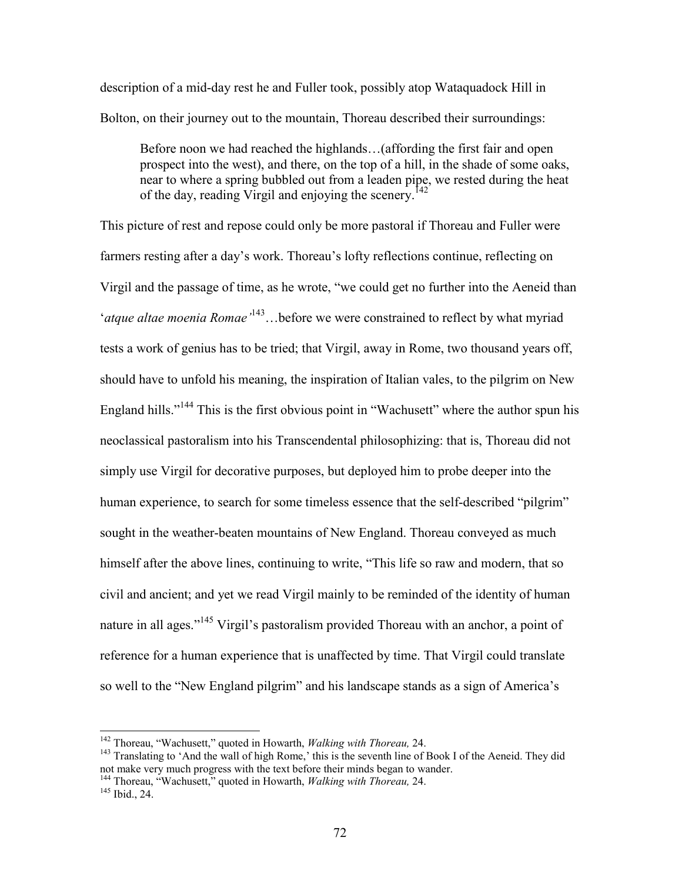description of a mid-day rest he and Fuller took, possibly atop Wataquadock Hill in Bolton, on their journey out to the mountain, Thoreau described their surroundings:

Before noon we had reached the highlands…(affording the first fair and open prospect into the west), and there, on the top of a hill, in the shade of some oaks, near to where a spring bubbled out from a leaden pipe, we rested during the heat of the day, reading Virgil and enjoying the scenery.<sup>142</sup>

This picture of rest and repose could only be more pastoral if Thoreau and Fuller were farmers resting after a day's work. Thoreau's lofty reflections continue, reflecting on Virgil and the passage of time, as he wrote, "we could get no further into the Aeneid than '*atque altae moenia Romae'*<sup>143</sup>…before we were constrained to reflect by what myriad tests a work of genius has to be tried; that Virgil, away in Rome, two thousand years off, should have to unfold his meaning, the inspiration of Italian vales, to the pilgrim on New England hills."<sup>144</sup> This is the first obvious point in "Wachusett" where the author spun his neoclassical pastoralism into his Transcendental philosophizing: that is, Thoreau did not simply use Virgil for decorative purposes, but deployed him to probe deeper into the human experience, to search for some timeless essence that the self-described "pilgrim" sought in the weather-beaten mountains of New England. Thoreau conveyed as much himself after the above lines, continuing to write, "This life so raw and modern, that so civil and ancient; and yet we read Virgil mainly to be reminded of the identity of human nature in all ages."<sup>145</sup> Virgil's pastoralism provided Thoreau with an anchor, a point of reference for a human experience that is unaffected by time. That Virgil could translate so well to the "New England pilgrim" and his landscape stands as a sign of America's

<sup>142</sup> Thoreau, "Wachusett," quoted in Howarth, *Walking with Thoreau,* 24.

<sup>&</sup>lt;sup>143</sup> Translating to 'And the wall of high Rome,' this is the seventh line of Book I of the Aeneid. They did not make very much progress with the text before their minds began to wander.

<sup>144</sup> Thoreau, "Wachusett," quoted in Howarth, *Walking with Thoreau,* 24.

 $145$  Ibid., 24.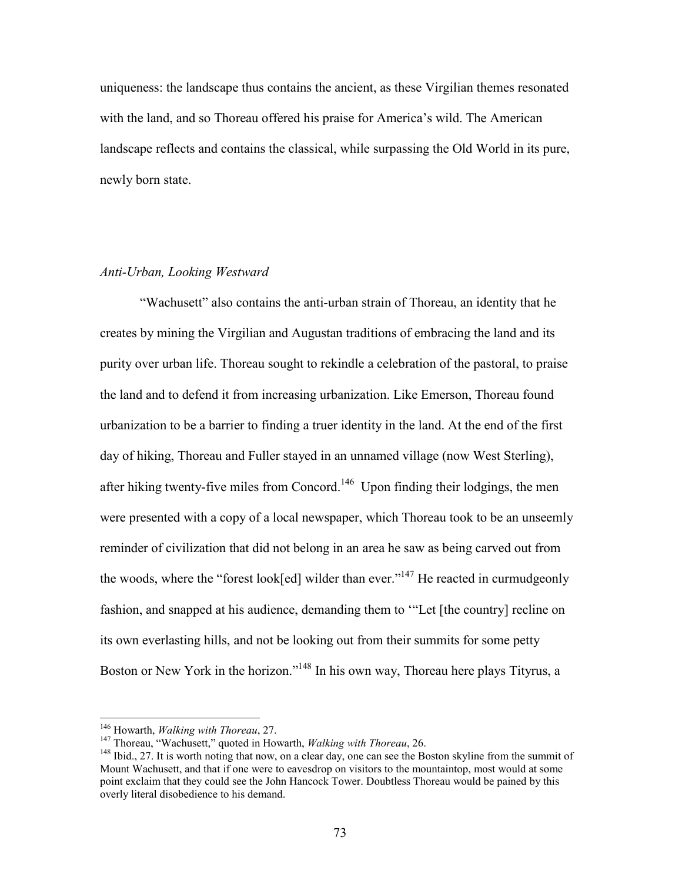uniqueness: the landscape thus contains the ancient, as these Virgilian themes resonated with the land, and so Thoreau offered his praise for America's wild. The American landscape reflects and contains the classical, while surpassing the Old World in its pure, newly born state.

# *Anti-Urban, Looking Westward*

"Wachusett" also contains the anti-urban strain of Thoreau, an identity that he creates by mining the Virgilian and Augustan traditions of embracing the land and its purity over urban life. Thoreau sought to rekindle a celebration of the pastoral, to praise the land and to defend it from increasing urbanization. Like Emerson, Thoreau found urbanization to be a barrier to finding a truer identity in the land. At the end of the first day of hiking, Thoreau and Fuller stayed in an unnamed village (now West Sterling), after hiking twenty-five miles from Concord.<sup>146</sup> Upon finding their lodgings, the men were presented with a copy of a local newspaper, which Thoreau took to be an unseemly reminder of civilization that did not belong in an area he saw as being carved out from the woods, where the "forest look[ed] wilder than ever."<sup>147</sup> He reacted in curmudgeonly fashion, and snapped at his audience, demanding them to '"Let [the country] recline on its own everlasting hills, and not be looking out from their summits for some petty Boston or New York in the horizon."<sup>148</sup> In his own way, Thoreau here plays Tityrus, a

<sup>146</sup> Howarth, *Walking with Thoreau*, 27.

<sup>&</sup>lt;sup>147</sup> Thoreau, "Wachusett," quoted in Howarth, *Walking with Thoreau*, 26.

<sup>&</sup>lt;sup>148</sup> Ibid., 27. It is worth noting that now, on a clear day, one can see the Boston skyline from the summit of Mount Wachusett, and that if one were to eavesdrop on visitors to the mountaintop, most would at some point exclaim that they could see the John Hancock Tower. Doubtless Thoreau would be pained by this overly literal disobedience to his demand.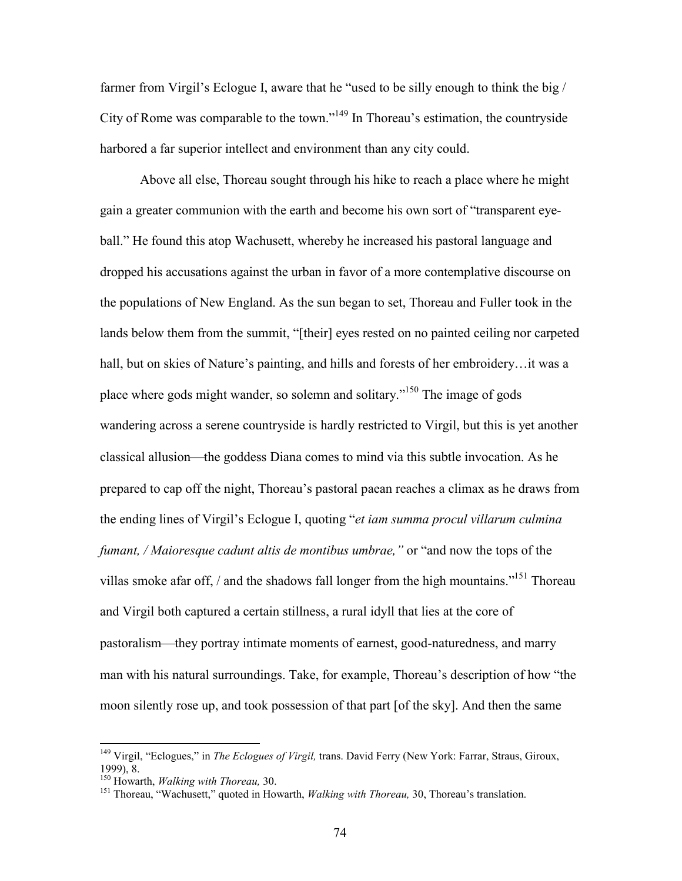farmer from Virgil's Eclogue I, aware that he "used to be silly enough to think the big / City of Rome was comparable to the town."<sup>149</sup> In Thoreau's estimation, the countryside harbored a far superior intellect and environment than any city could.

Above all else, Thoreau sought through his hike to reach a place where he might gain a greater communion with the earth and become his own sort of "transparent eyeball." He found this atop Wachusett, whereby he increased his pastoral language and dropped his accusations against the urban in favor of a more contemplative discourse on the populations of New England. As the sun began to set, Thoreau and Fuller took in the lands below them from the summit, "[their] eyes rested on no painted ceiling nor carpeted hall, but on skies of Nature's painting, and hills and forests of her embroidery…it was a place where gods might wander, so solemn and solitary."<sup>150</sup> The image of gods wandering across a serene countryside is hardly restricted to Virgil, but this is yet another classical allusion—the goddess Diana comes to mind via this subtle invocation. As he prepared to cap off the night, Thoreau's pastoral paean reaches a climax as he draws from the ending lines of Virgil's Eclogue I, quoting "*et iam summa procul villarum culmina fumant, / Maioresque cadunt altis de montibus umbrae,"* or "and now the tops of the villas smoke afar off,  $\ell$  and the shadows fall longer from the high mountains.<sup> $151$ </sup> Thoreau and Virgil both captured a certain stillness, a rural idyll that lies at the core of pastoralism—they portray intimate moments of earnest, good-naturedness, and marry man with his natural surroundings. Take, for example, Thoreau's description of how "the moon silently rose up, and took possession of that part [of the sky]. And then the same

<sup>149</sup> Virgil, "Eclogues," in *The Eclogues of Virgil,* trans. David Ferry (New York: Farrar, Straus, Giroux, 1999), 8.

<sup>150</sup> Howarth, *Walking with Thoreau,* 30.

<sup>151</sup> Thoreau, "Wachusett," quoted in Howarth, *Walking with Thoreau,* 30, Thoreau's translation.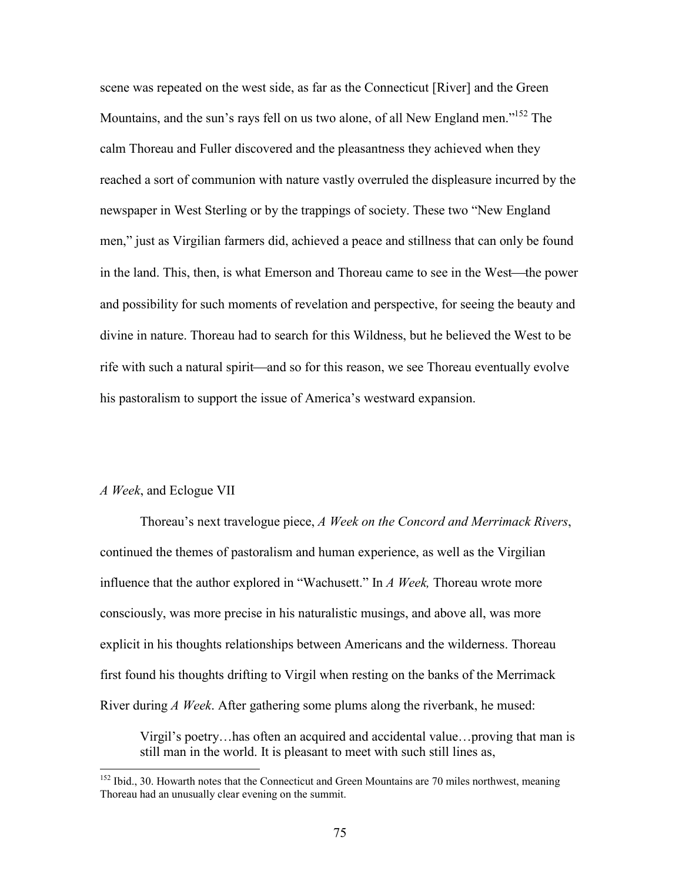scene was repeated on the west side, as far as the Connecticut [River] and the Green Mountains, and the sun's rays fell on us two alone, of all New England men."<sup>152</sup> The calm Thoreau and Fuller discovered and the pleasantness they achieved when they reached a sort of communion with nature vastly overruled the displeasure incurred by the newspaper in West Sterling or by the trappings of society. These two "New England men," just as Virgilian farmers did, achieved a peace and stillness that can only be found in the land. This, then, is what Emerson and Thoreau came to see in the West—the power and possibility for such moments of revelation and perspective, for seeing the beauty and divine in nature. Thoreau had to search for this Wildness, but he believed the West to be rife with such a natural spirit—and so for this reason, we see Thoreau eventually evolve his pastoralism to support the issue of America's westward expansion.

### *A Week*, and Eclogue VII

Thoreau's next travelogue piece, *A Week on the Concord and Merrimack Rivers*, continued the themes of pastoralism and human experience, as well as the Virgilian influence that the author explored in "Wachusett." In *A Week,* Thoreau wrote more consciously, was more precise in his naturalistic musings, and above all, was more explicit in his thoughts relationships between Americans and the wilderness. Thoreau first found his thoughts drifting to Virgil when resting on the banks of the Merrimack River during *A Week*. After gathering some plums along the riverbank, he mused:

Virgil's poetry…has often an acquired and accidental value…proving that man is still man in the world. It is pleasant to meet with such still lines as,

<sup>&</sup>lt;sup>152</sup> Ibid., 30. Howarth notes that the Connecticut and Green Mountains are 70 miles northwest, meaning Thoreau had an unusually clear evening on the summit.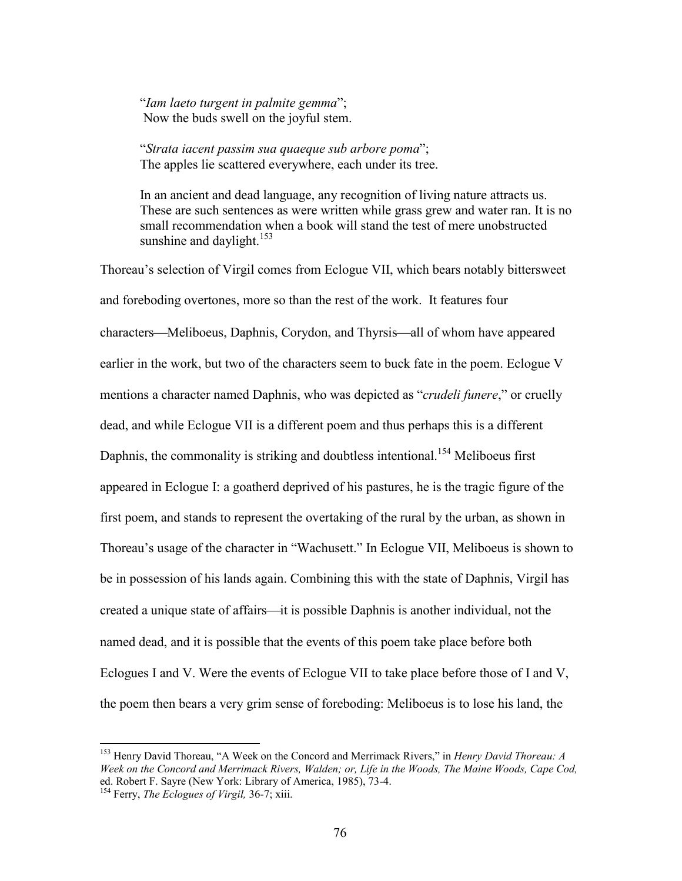"*Iam laeto turgent in palmite gemma*"; Now the buds swell on the joyful stem.

"*Strata iacent passim sua quaeque sub arbore poma*"; The apples lie scattered everywhere, each under its tree.

In an ancient and dead language, any recognition of living nature attracts us. These are such sentences as were written while grass grew and water ran. It is no small recommendation when a book will stand the test of mere unobstructed sunshine and daylight. $153$ 

Thoreau's selection of Virgil comes from Eclogue VII, which bears notably bittersweet and foreboding overtones, more so than the rest of the work. It features four characters—Meliboeus, Daphnis, Corydon, and Thyrsis—all of whom have appeared earlier in the work, but two of the characters seem to buck fate in the poem. Eclogue V mentions a character named Daphnis, who was depicted as "*crudeli funere*," or cruelly dead, and while Eclogue VII is a different poem and thus perhaps this is a different Daphnis, the commonality is striking and doubtless intentional.<sup>154</sup> Meliboeus first appeared in Eclogue I: a goatherd deprived of his pastures, he is the tragic figure of the first poem, and stands to represent the overtaking of the rural by the urban, as shown in Thoreau's usage of the character in "Wachusett." In Eclogue VII, Meliboeus is shown to be in possession of his lands again. Combining this with the state of Daphnis, Virgil has created a unique state of affairs—it is possible Daphnis is another individual, not the named dead, and it is possible that the events of this poem take place before both Eclogues I and V. Were the events of Eclogue VII to take place before those of I and V, the poem then bears a very grim sense of foreboding: Meliboeus is to lose his land, the

<sup>153</sup> Henry David Thoreau, "A Week on the Concord and Merrimack Rivers," in *Henry David Thoreau: A Week on the Concord and Merrimack Rivers, Walden; or, Life in the Woods, The Maine Woods, Cape Cod,* ed. Robert F. Sayre (New York: Library of America, 1985), 73-4.

<sup>154</sup> Ferry, *The Eclogues of Virgil,* 36-7; xiii.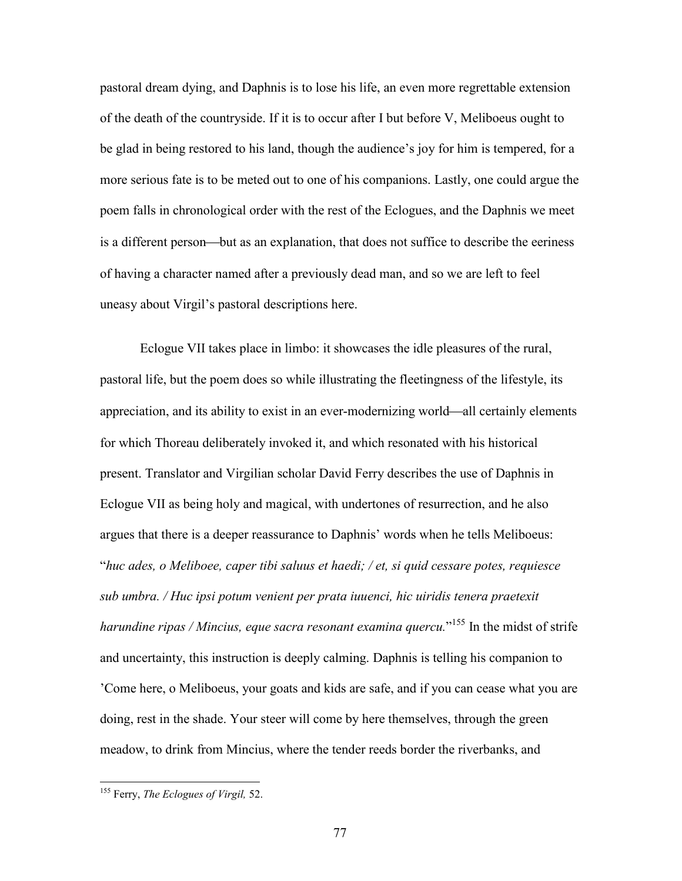pastoral dream dying, and Daphnis is to lose his life, an even more regrettable extension of the death of the countryside. If it is to occur after I but before V, Meliboeus ought to be glad in being restored to his land, though the audience's joy for him is tempered, for a more serious fate is to be meted out to one of his companions. Lastly, one could argue the poem falls in chronological order with the rest of the Eclogues, and the Daphnis we meet is a different person—but as an explanation, that does not suffice to describe the eeriness of having a character named after a previously dead man, and so we are left to feel uneasy about Virgil's pastoral descriptions here.

Eclogue VII takes place in limbo: it showcases the idle pleasures of the rural, pastoral life, but the poem does so while illustrating the fleetingness of the lifestyle, its appreciation, and its ability to exist in an ever-modernizing world—all certainly elements for which Thoreau deliberately invoked it, and which resonated with his historical present. Translator and Virgilian scholar David Ferry describes the use of Daphnis in Eclogue VII as being holy and magical, with undertones of resurrection, and he also argues that there is a deeper reassurance to Daphnis' words when he tells Meliboeus: "*huc ades, o Meliboee, caper tibi saluus et haedi; / et, si quid cessare potes, requiesce sub umbra. / Huc ipsi potum venient per prata iuuenci, hic uiridis tenera praetexit harundine ripas / Mincius, eque sacra resonant examina quercu.*" <sup>155</sup> In the midst of strife and uncertainty, this instruction is deeply calming. Daphnis is telling his companion to 'Come here, o Meliboeus, your goats and kids are safe, and if you can cease what you are doing, rest in the shade. Your steer will come by here themselves, through the green meadow, to drink from Mincius, where the tender reeds border the riverbanks, and

<sup>155</sup> Ferry, *The Eclogues of Virgil,* 52.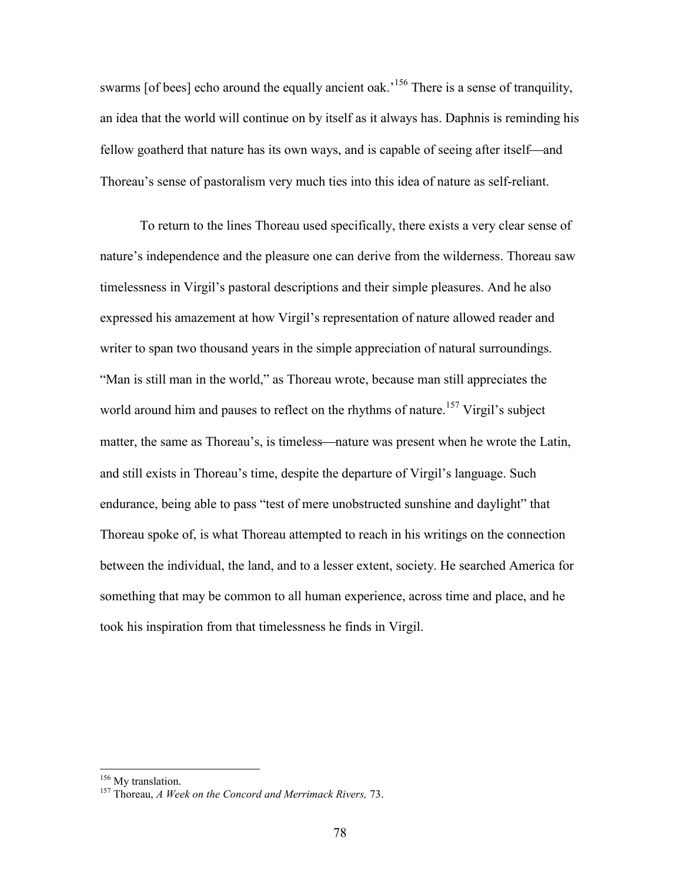swarms [of bees] echo around the equally ancient oak.<sup>156</sup> There is a sense of tranquility, an idea that the world will continue on by itself as it always has. Daphnis is reminding his fellow goatherd that nature has its own ways, and is capable of seeing after itself—and Thoreau's sense of pastoralism very much ties into this idea of nature as self-reliant.

To return to the lines Thoreau used specifically, there exists a very clear sense of nature's independence and the pleasure one can derive from the wilderness. Thoreau saw timelessness in Virgil's pastoral descriptions and their simple pleasures. And he also expressed his amazement at how Virgil's representation of nature allowed reader and writer to span two thousand years in the simple appreciation of natural surroundings. "Man is still man in the world," as Thoreau wrote, because man still appreciates the world around him and pauses to reflect on the rhythms of nature.<sup>157</sup> Virgil's subject matter, the same as Thoreau's, is timeless—nature was present when he wrote the Latin, and still exists in Thoreau's time, despite the departure of Virgil's language. Such endurance, being able to pass "test of mere unobstructed sunshine and daylight" that Thoreau spoke of, is what Thoreau attempted to reach in his writings on the connection between the individual, the land, and to a lesser extent, society. He searched America for something that may be common to all human experience, across time and place, and he took his inspiration from that timelessness he finds in Virgil.

<sup>&</sup>lt;sup>156</sup> My translation.

<sup>157</sup> Thoreau, *A Week on the Concord and Merrimack Rivers,* 73.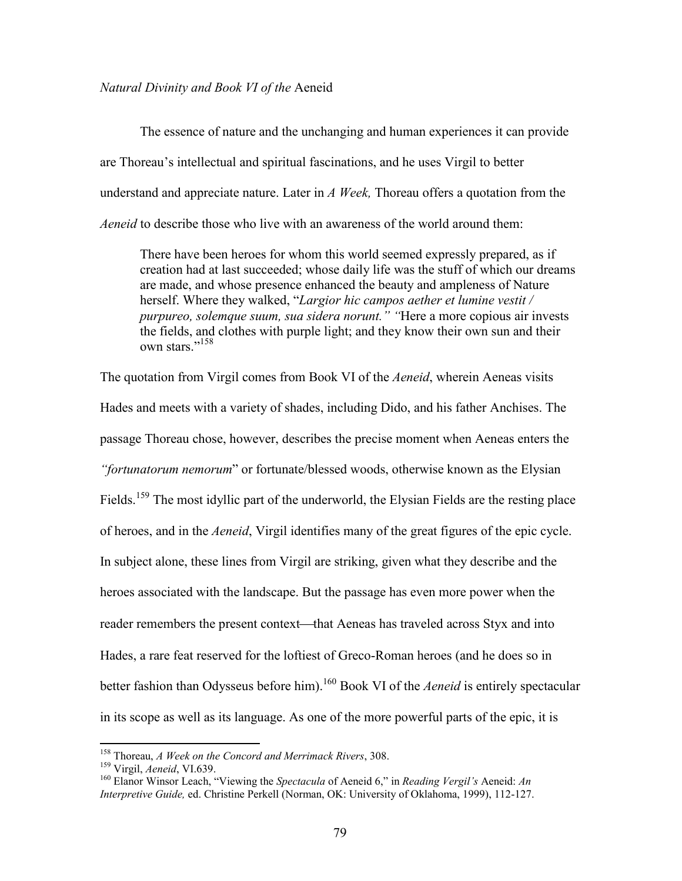### *Natural Divinity and Book VI of the* Aeneid

The essence of nature and the unchanging and human experiences it can provide are Thoreau's intellectual and spiritual fascinations, and he uses Virgil to better understand and appreciate nature. Later in *A Week,* Thoreau offers a quotation from the *Aeneid* to describe those who live with an awareness of the world around them:

There have been heroes for whom this world seemed expressly prepared, as if creation had at last succeeded; whose daily life was the stuff of which our dreams are made, and whose presence enhanced the beauty and ampleness of Nature herself. Where they walked, "*Largior hic campos aether et lumine vestit / purpureo, solemque suum, sua sidera norunt." "*Here a more copious air invests the fields, and clothes with purple light; and they know their own sun and their own stars."<sup>158</sup>

The quotation from Virgil comes from Book VI of the *Aeneid*, wherein Aeneas visits Hades and meets with a variety of shades, including Dido, and his father Anchises. The passage Thoreau chose, however, describes the precise moment when Aeneas enters the *"fortunatorum nemorum*" or fortunate/blessed woods, otherwise known as the Elysian Fields.<sup>159</sup> The most idyllic part of the underworld, the Elysian Fields are the resting place of heroes, and in the *Aeneid*, Virgil identifies many of the great figures of the epic cycle. In subject alone, these lines from Virgil are striking, given what they describe and the heroes associated with the landscape. But the passage has even more power when the reader remembers the present context—that Aeneas has traveled across Styx and into Hades, a rare feat reserved for the loftiest of Greco-Roman heroes (and he does so in better fashion than Odysseus before him).<sup>160</sup> Book VI of the *Aeneid* is entirely spectacular in its scope as well as its language. As one of the more powerful parts of the epic, it is

<sup>158</sup> Thoreau, *A Week on the Concord and Merrimack Rivers*, 308.

<sup>159</sup> Virgil, *Aeneid*, VI.639.

<sup>160</sup> Elanor Winsor Leach, "Viewing the *Spectacula* of Aeneid 6," in *Reading Vergil's* Aeneid: *An Interpretive Guide,* ed. Christine Perkell (Norman, OK: University of Oklahoma, 1999), 112-127.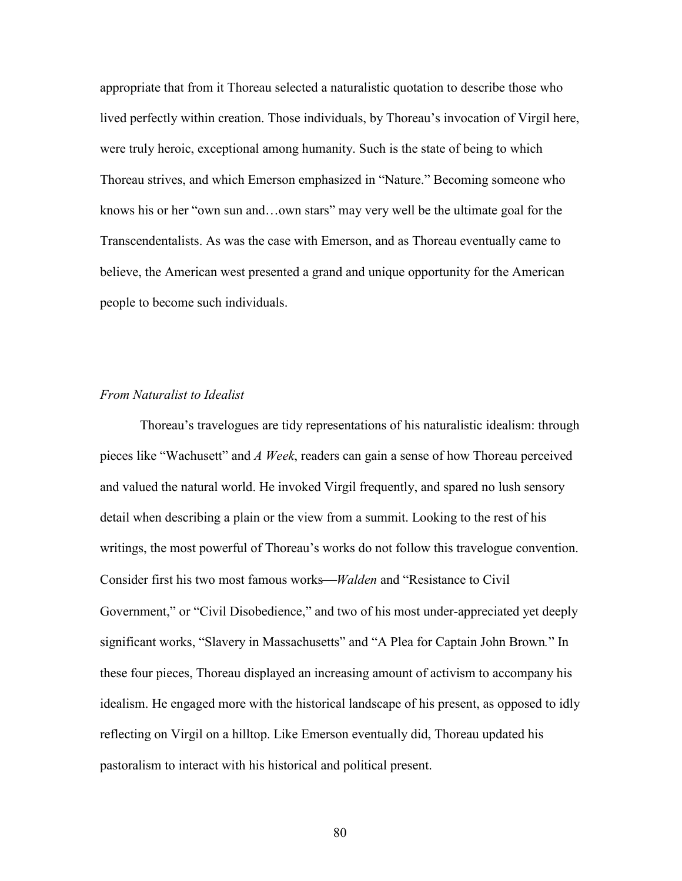appropriate that from it Thoreau selected a naturalistic quotation to describe those who lived perfectly within creation. Those individuals, by Thoreau's invocation of Virgil here, were truly heroic, exceptional among humanity. Such is the state of being to which Thoreau strives, and which Emerson emphasized in "Nature." Becoming someone who knows his or her "own sun and…own stars" may very well be the ultimate goal for the Transcendentalists. As was the case with Emerson, and as Thoreau eventually came to believe, the American west presented a grand and unique opportunity for the American people to become such individuals.

### *From Naturalist to Idealist*

Thoreau's travelogues are tidy representations of his naturalistic idealism: through pieces like "Wachusett" and *A Week*, readers can gain a sense of how Thoreau perceived and valued the natural world. He invoked Virgil frequently, and spared no lush sensory detail when describing a plain or the view from a summit. Looking to the rest of his writings, the most powerful of Thoreau's works do not follow this travelogue convention. Consider first his two most famous works*Walden* and "Resistance to Civil Government," or "Civil Disobedience," and two of his most under-appreciated yet deeply significant works, "Slavery in Massachusetts" and "A Plea for Captain John Brown*.*" In these four pieces, Thoreau displayed an increasing amount of activism to accompany his idealism. He engaged more with the historical landscape of his present, as opposed to idly reflecting on Virgil on a hilltop. Like Emerson eventually did, Thoreau updated his pastoralism to interact with his historical and political present.

80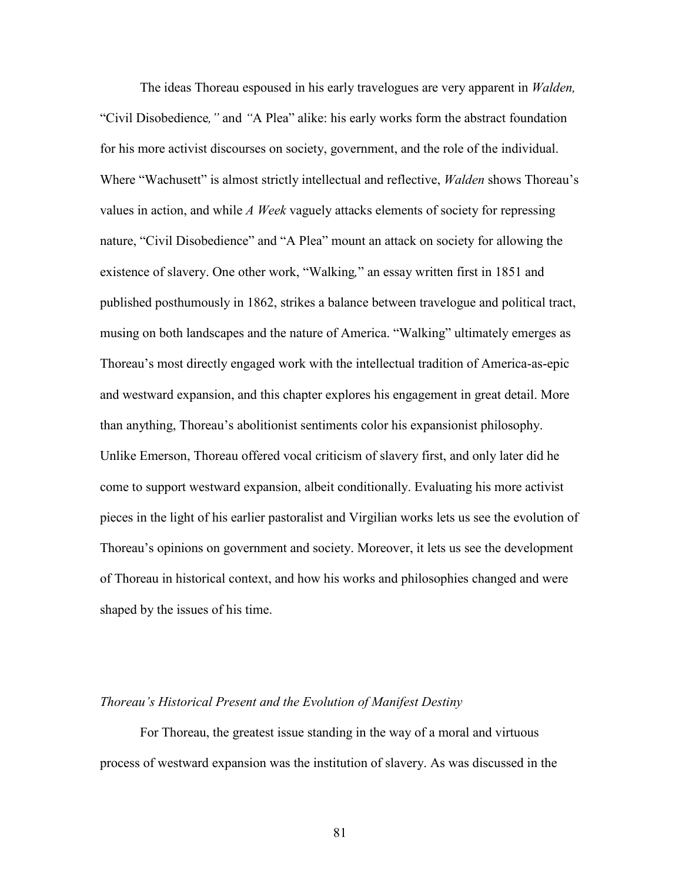The ideas Thoreau espoused in his early travelogues are very apparent in *Walden,* "Civil Disobedience*,"* and *"*A Plea" alike: his early works form the abstract foundation for his more activist discourses on society, government, and the role of the individual. Where "Wachusett" is almost strictly intellectual and reflective, *Walden* shows Thoreau's values in action, and while *A Week* vaguely attacks elements of society for repressing nature, "Civil Disobedience" and "A Plea" mount an attack on society for allowing the existence of slavery. One other work, "Walking*,*" an essay written first in 1851 and published posthumously in 1862, strikes a balance between travelogue and political tract, musing on both landscapes and the nature of America. "Walking" ultimately emerges as Thoreau's most directly engaged work with the intellectual tradition of America-as-epic and westward expansion, and this chapter explores his engagement in great detail. More than anything, Thoreau's abolitionist sentiments color his expansionist philosophy. Unlike Emerson, Thoreau offered vocal criticism of slavery first, and only later did he come to support westward expansion, albeit conditionally. Evaluating his more activist pieces in the light of his earlier pastoralist and Virgilian works lets us see the evolution of Thoreau's opinions on government and society. Moreover, it lets us see the development of Thoreau in historical context, and how his works and philosophies changed and were shaped by the issues of his time.

#### *Thoreau's Historical Present and the Evolution of Manifest Destiny*

For Thoreau, the greatest issue standing in the way of a moral and virtuous process of westward expansion was the institution of slavery. As was discussed in the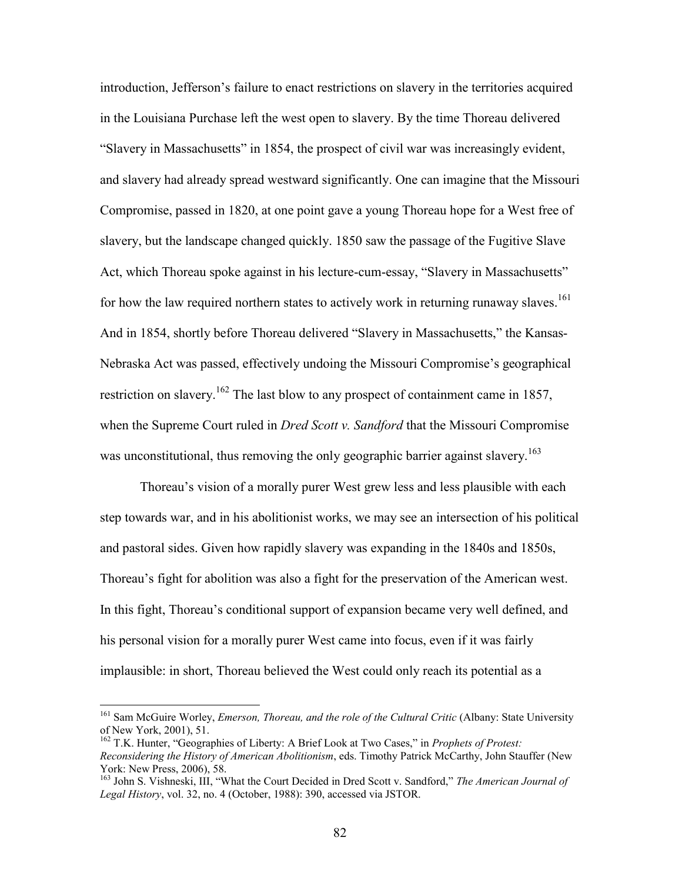introduction, Jefferson's failure to enact restrictions on slavery in the territories acquired in the Louisiana Purchase left the west open to slavery. By the time Thoreau delivered "Slavery in Massachusetts" in 1854, the prospect of civil war was increasingly evident, and slavery had already spread westward significantly. One can imagine that the Missouri Compromise, passed in 1820, at one point gave a young Thoreau hope for a West free of slavery, but the landscape changed quickly. 1850 saw the passage of the Fugitive Slave Act, which Thoreau spoke against in his lecture-cum-essay, "Slavery in Massachusetts" for how the law required northern states to actively work in returning runaway slaves.<sup>161</sup> And in 1854, shortly before Thoreau delivered "Slavery in Massachusetts," the Kansas-Nebraska Act was passed, effectively undoing the Missouri Compromise's geographical restriction on slavery.<sup>162</sup> The last blow to any prospect of containment came in 1857, when the Supreme Court ruled in *Dred Scott v. Sandford* that the Missouri Compromise was unconstitutional, thus removing the only geographic barrier against slavery.<sup>163</sup>

Thoreau's vision of a morally purer West grew less and less plausible with each step towards war, and in his abolitionist works, we may see an intersection of his political and pastoral sides. Given how rapidly slavery was expanding in the 1840s and 1850s, Thoreau's fight for abolition was also a fight for the preservation of the American west. In this fight, Thoreau's conditional support of expansion became very well defined, and his personal vision for a morally purer West came into focus, even if it was fairly implausible: in short, Thoreau believed the West could only reach its potential as a

<sup>161</sup> Sam McGuire Worley, *Emerson, Thoreau, and the role of the Cultural Critic* (Albany: State University of New York, 2001), 51.

<sup>162</sup> T.K. Hunter, "Geographies of Liberty: A Brief Look at Two Cases," in *Prophets of Protest: Reconsidering the History of American Abolitionism*, eds. Timothy Patrick McCarthy, John Stauffer (New York: New Press, 2006), 58.

<sup>163</sup> John S. Vishneski, III, "What the Court Decided in Dred Scott v. Sandford," *The American Journal of Legal History*, vol. 32, no. 4 (October, 1988): 390, accessed via JSTOR.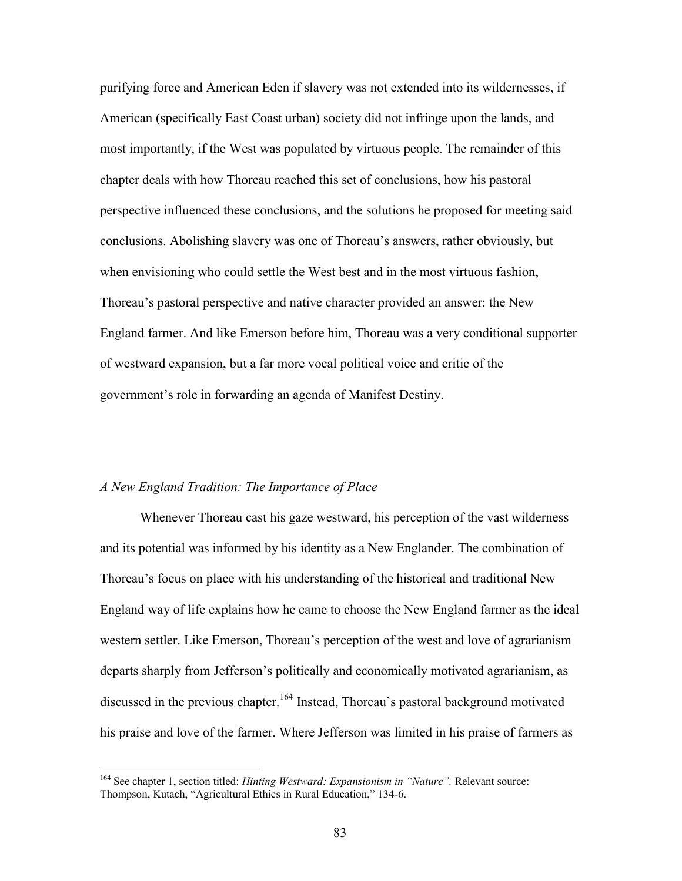purifying force and American Eden if slavery was not extended into its wildernesses, if American (specifically East Coast urban) society did not infringe upon the lands, and most importantly, if the West was populated by virtuous people. The remainder of this chapter deals with how Thoreau reached this set of conclusions, how his pastoral perspective influenced these conclusions, and the solutions he proposed for meeting said conclusions. Abolishing slavery was one of Thoreau's answers, rather obviously, but when envisioning who could settle the West best and in the most virtuous fashion, Thoreau's pastoral perspective and native character provided an answer: the New England farmer. And like Emerson before him, Thoreau was a very conditional supporter of westward expansion, but a far more vocal political voice and critic of the government's role in forwarding an agenda of Manifest Destiny.

#### *A New England Tradition: The Importance of Place*

Whenever Thoreau cast his gaze westward, his perception of the vast wilderness and its potential was informed by his identity as a New Englander. The combination of Thoreau's focus on place with his understanding of the historical and traditional New England way of life explains how he came to choose the New England farmer as the ideal western settler. Like Emerson, Thoreau's perception of the west and love of agrarianism departs sharply from Jefferson's politically and economically motivated agrarianism, as discussed in the previous chapter.<sup>164</sup> Instead, Thoreau's pastoral background motivated his praise and love of the farmer. Where Jefferson was limited in his praise of farmers as

<sup>164</sup> See chapter 1, section titled: *Hinting Westward: Expansionism in "Nature".* Relevant source: Thompson, Kutach, "Agricultural Ethics in Rural Education," 134-6.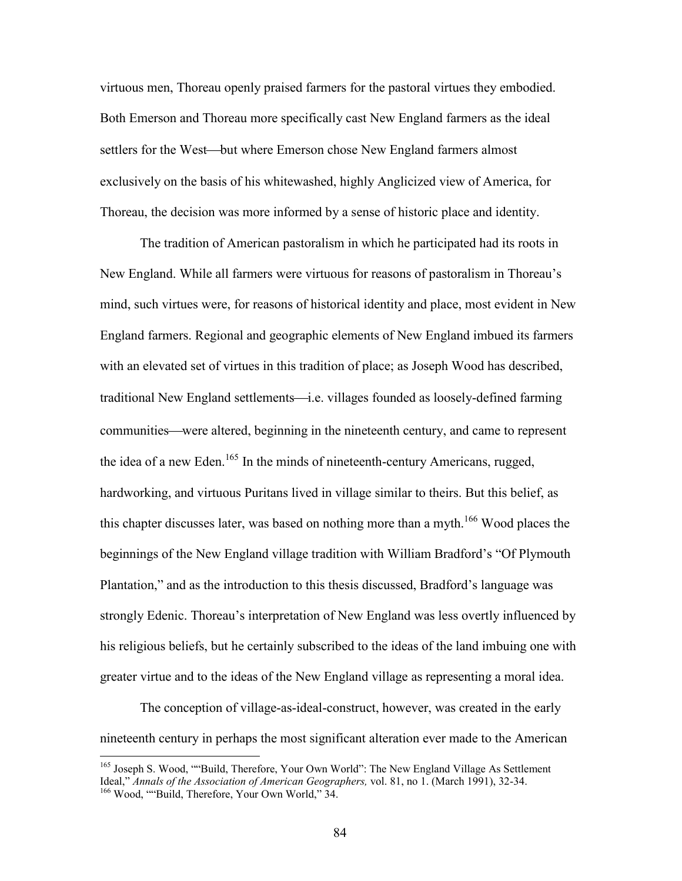virtuous men, Thoreau openly praised farmers for the pastoral virtues they embodied. Both Emerson and Thoreau more specifically cast New England farmers as the ideal settlers for the West—but where Emerson chose New England farmers almost exclusively on the basis of his whitewashed, highly Anglicized view of America, for Thoreau, the decision was more informed by a sense of historic place and identity.

The tradition of American pastoralism in which he participated had its roots in New England. While all farmers were virtuous for reasons of pastoralism in Thoreau's mind, such virtues were, for reasons of historical identity and place, most evident in New England farmers. Regional and geographic elements of New England imbued its farmers with an elevated set of virtues in this tradition of place; as Joseph Wood has described, traditional New England settlements—i.e. villages founded as loosely-defined farming communities—were altered, beginning in the nineteenth century, and came to represent the idea of a new Eden.<sup>165</sup> In the minds of nineteenth-century Americans, rugged, hardworking, and virtuous Puritans lived in village similar to theirs. But this belief, as this chapter discusses later, was based on nothing more than a myth.<sup>166</sup> Wood places the beginnings of the New England village tradition with William Bradford's "Of Plymouth Plantation," and as the introduction to this thesis discussed, Bradford's language was strongly Edenic. Thoreau's interpretation of New England was less overtly influenced by his religious beliefs, but he certainly subscribed to the ideas of the land imbuing one with greater virtue and to the ideas of the New England village as representing a moral idea.

The conception of village-as-ideal-construct, however, was created in the early nineteenth century in perhaps the most significant alteration ever made to the American

<sup>&</sup>lt;sup>165</sup> Joseph S. Wood, ""Build, Therefore, Your Own World": The New England Village As Settlement Ideal," *Annals of the Association of American Geographers,* vol. 81, no 1. (March 1991), 32-34.

<sup>166</sup> Wood, ""Build, Therefore, Your Own World," 34.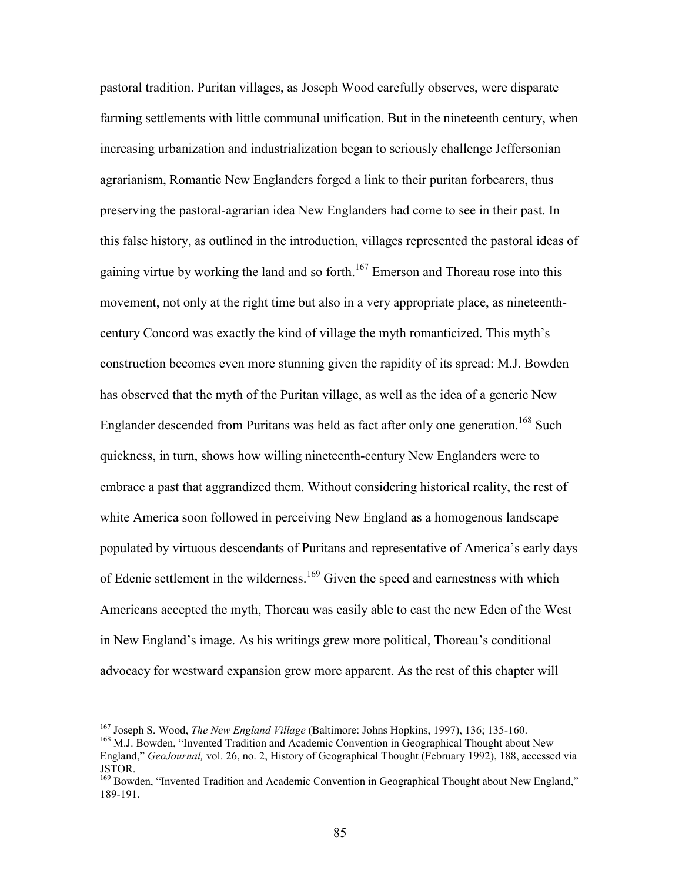pastoral tradition. Puritan villages, as Joseph Wood carefully observes, were disparate farming settlements with little communal unification. But in the nineteenth century, when increasing urbanization and industrialization began to seriously challenge Jeffersonian agrarianism, Romantic New Englanders forged a link to their puritan forbearers, thus preserving the pastoral-agrarian idea New Englanders had come to see in their past. In this false history, as outlined in the introduction, villages represented the pastoral ideas of gaining virtue by working the land and so forth. $167$  Emerson and Thoreau rose into this movement, not only at the right time but also in a very appropriate place, as nineteenthcentury Concord was exactly the kind of village the myth romanticized. This myth's construction becomes even more stunning given the rapidity of its spread: M.J. Bowden has observed that the myth of the Puritan village, as well as the idea of a generic New Englander descended from Puritans was held as fact after only one generation.<sup>168</sup> Such quickness, in turn, shows how willing nineteenth-century New Englanders were to embrace a past that aggrandized them. Without considering historical reality, the rest of white America soon followed in perceiving New England as a homogenous landscape populated by virtuous descendants of Puritans and representative of America's early days of Edenic settlement in the wilderness.<sup>169</sup> Given the speed and earnestness with which Americans accepted the myth, Thoreau was easily able to cast the new Eden of the West in New England's image. As his writings grew more political, Thoreau's conditional advocacy for westward expansion grew more apparent. As the rest of this chapter will

<sup>167</sup> Joseph S. Wood, *The New England Village* (Baltimore: Johns Hopkins, 1997), 136; 135-160.

<sup>&</sup>lt;sup>168</sup> M.J. Bowden, "Invented Tradition and Academic Convention in Geographical Thought about New England," *GeoJournal,* vol. 26, no. 2, History of Geographical Thought (February 1992), 188, accessed via JSTOR.

<sup>&</sup>lt;sup>169</sup> Bowden, "Invented Tradition and Academic Convention in Geographical Thought about New England," 189-191.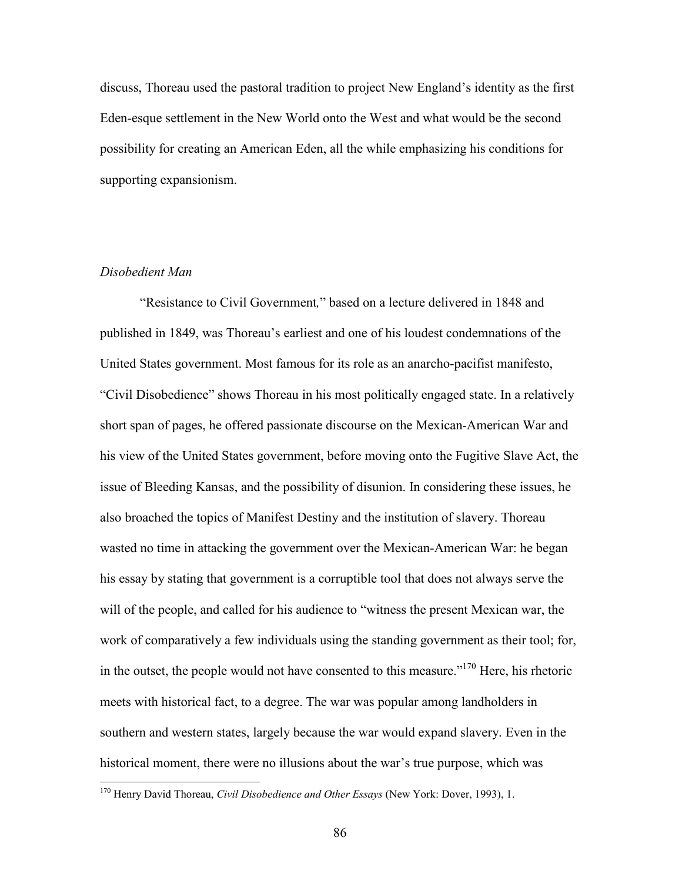discuss, Thoreau used the pastoral tradition to project New England's identity as the first Eden-esque settlement in the New World onto the West and what would be the second possibility for creating an American Eden, all the while emphasizing his conditions for supporting expansionism.

# *Disobedient Man*

"Resistance to Civil Government*,*" based on a lecture delivered in 1848 and published in 1849, was Thoreau's earliest and one of his loudest condemnations of the United States government. Most famous for its role as an anarcho-pacifist manifesto, "Civil Disobedience" shows Thoreau in his most politically engaged state. In a relatively short span of pages, he offered passionate discourse on the Mexican-American War and his view of the United States government, before moving onto the Fugitive Slave Act, the issue of Bleeding Kansas, and the possibility of disunion. In considering these issues, he also broached the topics of Manifest Destiny and the institution of slavery. Thoreau wasted no time in attacking the government over the Mexican-American War: he began his essay by stating that government is a corruptible tool that does not always serve the will of the people, and called for his audience to "witness the present Mexican war, the work of comparatively a few individuals using the standing government as their tool; for, in the outset, the people would not have consented to this measure."<sup>170</sup> Here, his rhetoric meets with historical fact, to a degree. The war was popular among landholders in southern and western states, largely because the war would expand slavery. Even in the historical moment, there were no illusions about the war's true purpose, which was

<sup>170</sup> Henry David Thoreau, *Civil Disobedience and Other Essays* (New York: Dover, 1993), 1.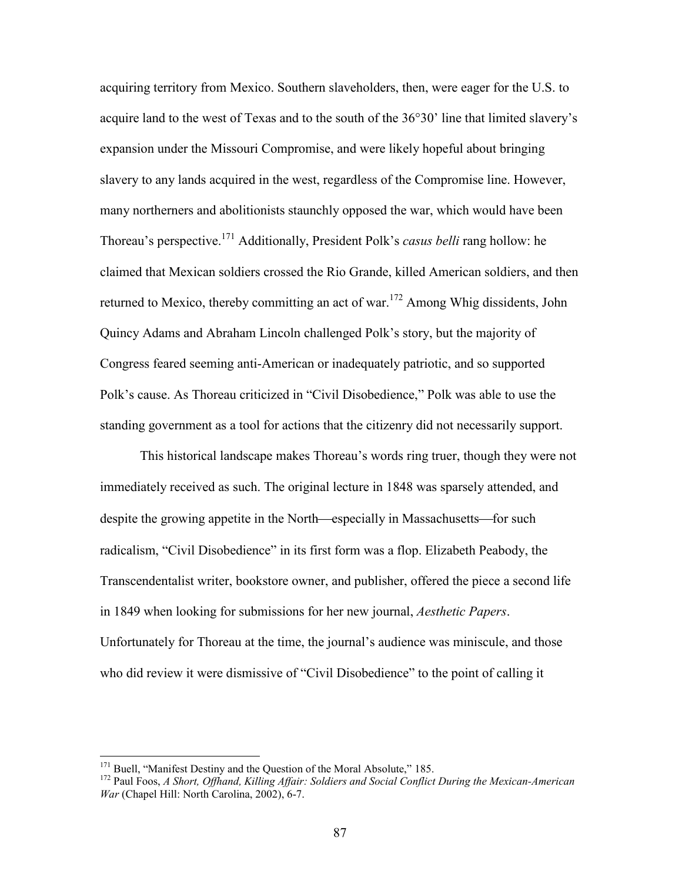acquiring territory from Mexico. Southern slaveholders, then, were eager for the U.S. to acquire land to the west of Texas and to the south of the 36°30' line that limited slavery's expansion under the Missouri Compromise, and were likely hopeful about bringing slavery to any lands acquired in the west, regardless of the Compromise line. However, many northerners and abolitionists staunchly opposed the war, which would have been Thoreau's perspective.<sup>171</sup> Additionally, President Polk's *casus belli* rang hollow: he claimed that Mexican soldiers crossed the Rio Grande, killed American soldiers, and then returned to Mexico, thereby committing an act of war.<sup>172</sup> Among Whig dissidents, John Quincy Adams and Abraham Lincoln challenged Polk's story, but the majority of Congress feared seeming anti-American or inadequately patriotic, and so supported Polk's cause. As Thoreau criticized in "Civil Disobedience," Polk was able to use the standing government as a tool for actions that the citizenry did not necessarily support.

This historical landscape makes Thoreau's words ring truer, though they were not immediately received as such. The original lecture in 1848 was sparsely attended, and despite the growing appetite in the North—especially in Massachusetts—for such radicalism, "Civil Disobedience" in its first form was a flop. Elizabeth Peabody, the Transcendentalist writer, bookstore owner, and publisher, offered the piece a second life in 1849 when looking for submissions for her new journal, *Aesthetic Papers*. Unfortunately for Thoreau at the time, the journal's audience was miniscule, and those who did review it were dismissive of "Civil Disobedience" to the point of calling it

<sup>&</sup>lt;sup>171</sup> Buell, "Manifest Destiny and the Question of the Moral Absolute," 185.

<sup>172</sup> Paul Foos, *A Short, Offhand, Killing Affair: Soldiers and Social Conflict During the Mexican-American War* (Chapel Hill: North Carolina, 2002), 6-7.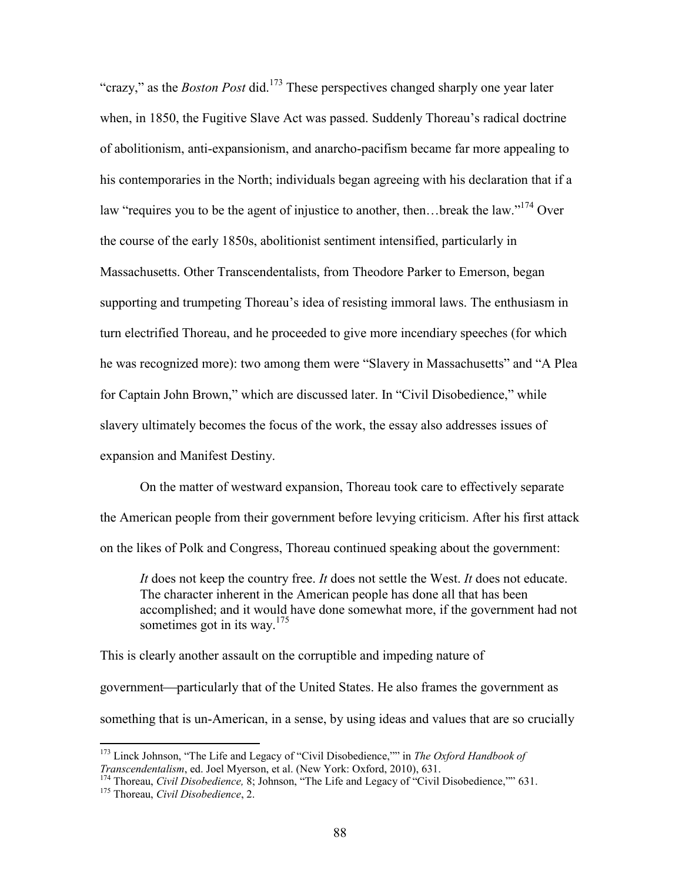"crazy," as the *Boston Post* did.<sup>173</sup> These perspectives changed sharply one year later when, in 1850, the Fugitive Slave Act was passed. Suddenly Thoreau's radical doctrine of abolitionism, anti-expansionism, and anarcho-pacifism became far more appealing to his contemporaries in the North; individuals began agreeing with his declaration that if a law "requires you to be the agent of injustice to another, then... break the law."<sup>174</sup> Over the course of the early 1850s, abolitionist sentiment intensified, particularly in Massachusetts. Other Transcendentalists, from Theodore Parker to Emerson, began supporting and trumpeting Thoreau's idea of resisting immoral laws. The enthusiasm in turn electrified Thoreau, and he proceeded to give more incendiary speeches (for which he was recognized more): two among them were "Slavery in Massachusetts" and "A Plea for Captain John Brown," which are discussed later. In "Civil Disobedience," while slavery ultimately becomes the focus of the work, the essay also addresses issues of expansion and Manifest Destiny.

On the matter of westward expansion, Thoreau took care to effectively separate the American people from their government before levying criticism. After his first attack on the likes of Polk and Congress, Thoreau continued speaking about the government:

*It* does not keep the country free. *It* does not settle the West. *It* does not educate. The character inherent in the American people has done all that has been accomplished; and it would have done somewhat more, if the government had not sometimes got in its way.<sup>175</sup>

This is clearly another assault on the corruptible and impeding nature of government—particularly that of the United States. He also frames the government as something that is un-American, in a sense, by using ideas and values that are so crucially

<sup>173</sup> Linck Johnson, "The Life and Legacy of "Civil Disobedience,"" in *The Oxford Handbook of Transcendentalism*, ed. Joel Myerson, et al. (New York: Oxford, 2010), 631.

<sup>&</sup>lt;sup>174</sup> Thoreau, *Civil Disobedience*, 8; Johnson, "The Life and Legacy of "Civil Disobedience,"" 631. <sup>175</sup> Thoreau, *Civil Disobedience*, 2.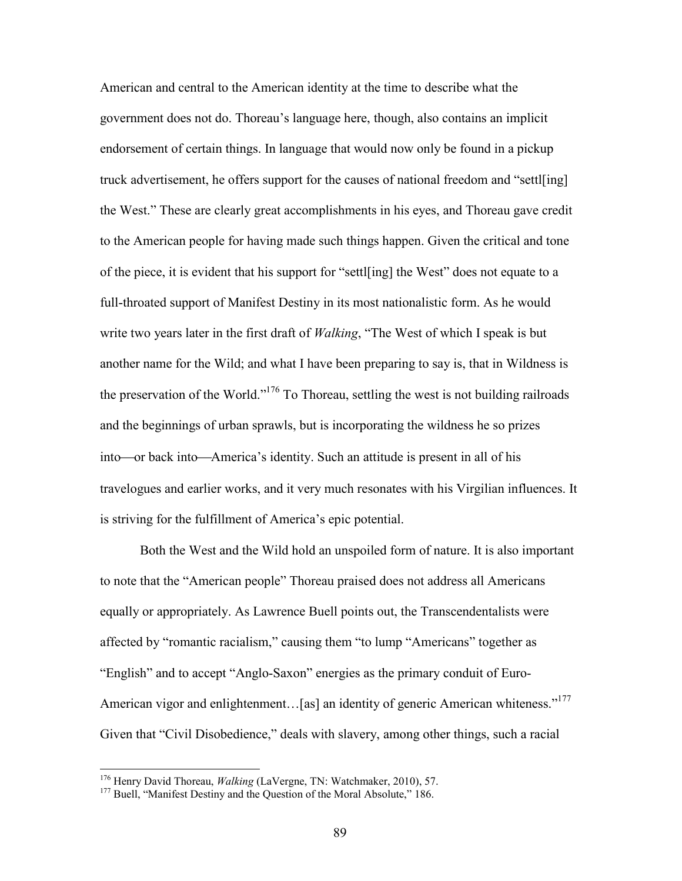American and central to the American identity at the time to describe what the government does not do. Thoreau's language here, though, also contains an implicit endorsement of certain things. In language that would now only be found in a pickup truck advertisement, he offers support for the causes of national freedom and "settl[ing] the West." These are clearly great accomplishments in his eyes, and Thoreau gave credit to the American people for having made such things happen. Given the critical and tone of the piece, it is evident that his support for "settl[ing] the West" does not equate to a full-throated support of Manifest Destiny in its most nationalistic form. As he would write two years later in the first draft of *Walking*, "The West of which I speak is but another name for the Wild; and what I have been preparing to say is, that in Wildness is the preservation of the World."<sup>176</sup> To Thoreau, settling the west is not building railroads and the beginnings of urban sprawls, but is incorporating the wildness he so prizes into—or back into—America's identity. Such an attitude is present in all of his travelogues and earlier works, and it very much resonates with his Virgilian influences. It is striving for the fulfillment of America's epic potential.

Both the West and the Wild hold an unspoiled form of nature. It is also important to note that the "American people" Thoreau praised does not address all Americans equally or appropriately. As Lawrence Buell points out, the Transcendentalists were affected by "romantic racialism," causing them "to lump "Americans" together as "English" and to accept "Anglo-Saxon" energies as the primary conduit of Euro-American vigor and enlightenment...[as] an identity of generic American whiteness."<sup>177</sup> Given that "Civil Disobedience," deals with slavery, among other things, such a racial

<sup>176</sup> Henry David Thoreau, *Walking* (LaVergne, TN: Watchmaker, 2010), 57.

<sup>&</sup>lt;sup>177</sup> Buell, "Manifest Destiny and the Question of the Moral Absolute," 186.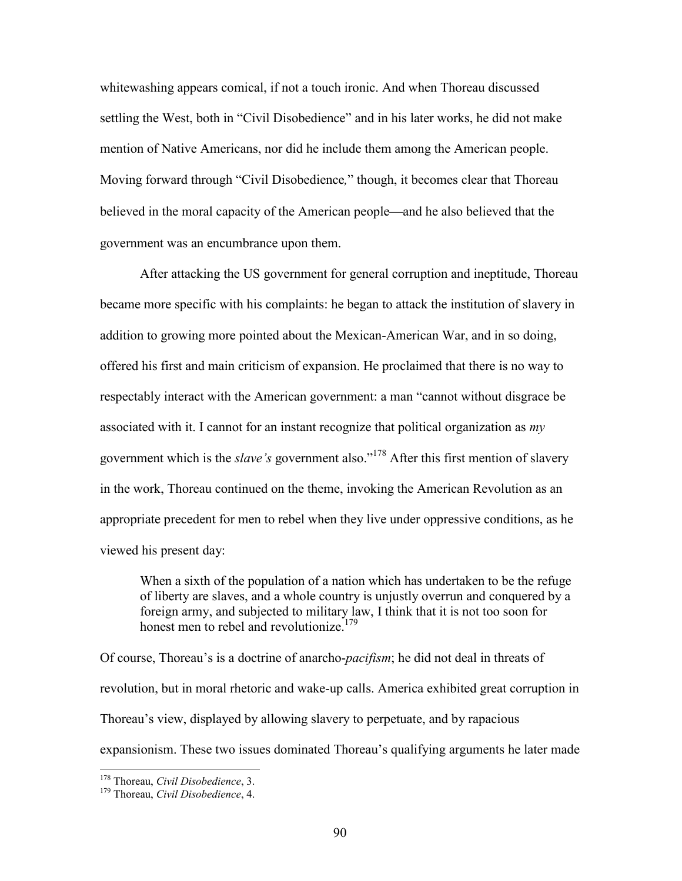whitewashing appears comical, if not a touch ironic. And when Thoreau discussed settling the West, both in "Civil Disobedience" and in his later works, he did not make mention of Native Americans, nor did he include them among the American people. Moving forward through "Civil Disobedience*,*" though, it becomes clear that Thoreau believed in the moral capacity of the American people—and he also believed that the government was an encumbrance upon them.

After attacking the US government for general corruption and ineptitude, Thoreau became more specific with his complaints: he began to attack the institution of slavery in addition to growing more pointed about the Mexican-American War, and in so doing, offered his first and main criticism of expansion. He proclaimed that there is no way to respectably interact with the American government: a man "cannot without disgrace be associated with it. I cannot for an instant recognize that political organization as *my* government which is the *slave's* government also."<sup>178</sup> After this first mention of slavery in the work, Thoreau continued on the theme, invoking the American Revolution as an appropriate precedent for men to rebel when they live under oppressive conditions, as he viewed his present day:

When a sixth of the population of a nation which has undertaken to be the refuge of liberty are slaves, and a whole country is unjustly overrun and conquered by a foreign army, and subjected to military law, I think that it is not too soon for honest men to rebel and revolutionize<sup>179</sup>

Of course, Thoreau's is a doctrine of anarcho-*pacifism*; he did not deal in threats of revolution, but in moral rhetoric and wake-up calls. America exhibited great corruption in Thoreau's view, displayed by allowing slavery to perpetuate, and by rapacious expansionism. These two issues dominated Thoreau's qualifying arguments he later made

<sup>178</sup> Thoreau, *Civil Disobedience*, 3.

<sup>179</sup> Thoreau, *Civil Disobedience*, 4.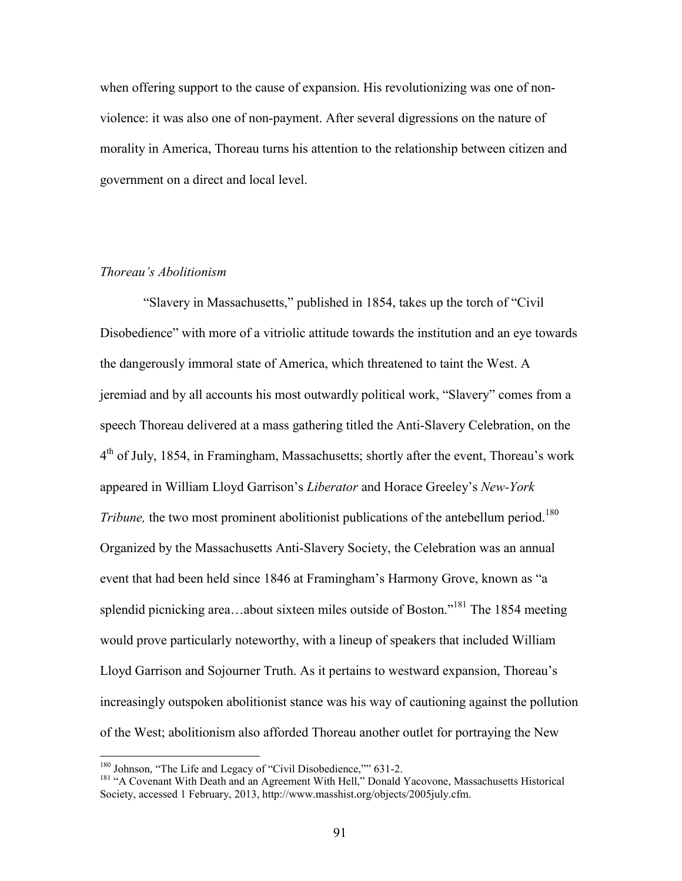when offering support to the cause of expansion. His revolutionizing was one of nonviolence: it was also one of non-payment. After several digressions on the nature of morality in America, Thoreau turns his attention to the relationship between citizen and government on a direct and local level.

# *Thoreau's Abolitionism*

"Slavery in Massachusetts," published in 1854, takes up the torch of "Civil Disobedience" with more of a vitriolic attitude towards the institution and an eye towards the dangerously immoral state of America, which threatened to taint the West. A jeremiad and by all accounts his most outwardly political work, "Slavery" comes from a speech Thoreau delivered at a mass gathering titled the Anti-Slavery Celebration, on the 4<sup>th</sup> of July, 1854, in Framingham, Massachusetts; shortly after the event, Thoreau's work appeared in William Lloyd Garrison's *Liberator* and Horace Greeley's *New-York Tribune*, the two most prominent abolitionist publications of the antebellum period.<sup>180</sup> Organized by the Massachusetts Anti-Slavery Society, the Celebration was an annual event that had been held since 1846 at Framingham's Harmony Grove, known as "a splendid picnicking area...about sixteen miles outside of Boston."<sup>181</sup> The 1854 meeting would prove particularly noteworthy, with a lineup of speakers that included William Lloyd Garrison and Sojourner Truth. As it pertains to westward expansion, Thoreau's increasingly outspoken abolitionist stance was his way of cautioning against the pollution of the West; abolitionism also afforded Thoreau another outlet for portraying the New

<sup>&</sup>lt;sup>180</sup> Johnson, "The Life and Legacy of "Civil Disobedience,"" 631-2.

<sup>&</sup>lt;sup>181</sup> "A Covenant With Death and an Agreement With Hell," Donald Yacovone, Massachusetts Historical Society, accessed 1 February, 2013, http://www.masshist.org/objects/2005july.cfm.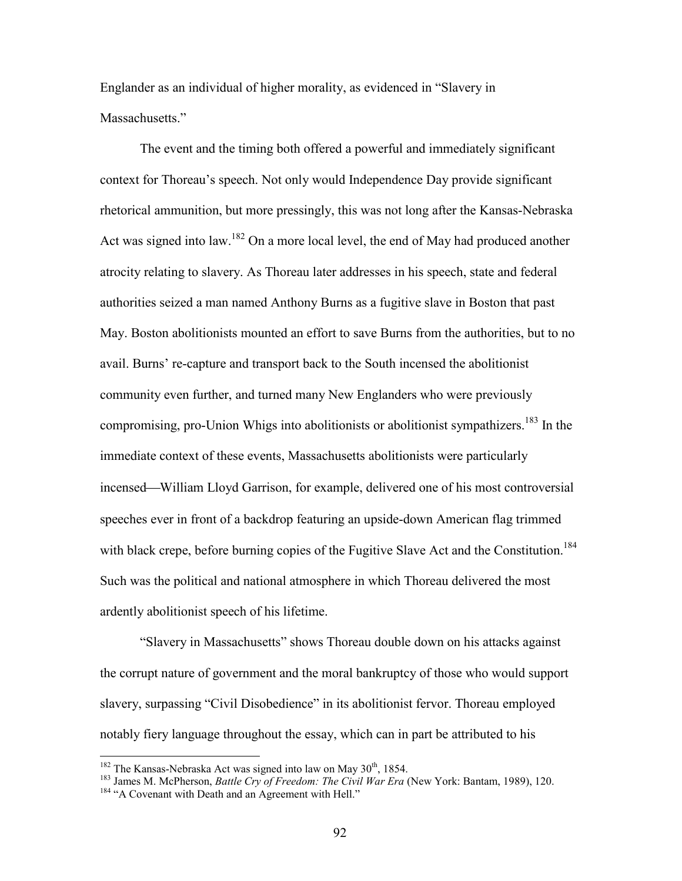Englander as an individual of higher morality, as evidenced in "Slavery in Massachusetts."

The event and the timing both offered a powerful and immediately significant context for Thoreau's speech. Not only would Independence Day provide significant rhetorical ammunition, but more pressingly, this was not long after the Kansas-Nebraska Act was signed into law.<sup>182</sup> On a more local level, the end of May had produced another atrocity relating to slavery. As Thoreau later addresses in his speech, state and federal authorities seized a man named Anthony Burns as a fugitive slave in Boston that past May. Boston abolitionists mounted an effort to save Burns from the authorities, but to no avail. Burns' re-capture and transport back to the South incensed the abolitionist community even further, and turned many New Englanders who were previously compromising, pro-Union Whigs into abolitionists or abolitionist sympathizers.<sup>183</sup> In the immediate context of these events, Massachusetts abolitionists were particularly incensed—William Lloyd Garrison, for example, delivered one of his most controversial speeches ever in front of a backdrop featuring an upside-down American flag trimmed with black crepe, before burning copies of the Fugitive Slave Act and the Constitution.<sup>184</sup> Such was the political and national atmosphere in which Thoreau delivered the most ardently abolitionist speech of his lifetime.

"Slavery in Massachusetts" shows Thoreau double down on his attacks against the corrupt nature of government and the moral bankruptcy of those who would support slavery, surpassing "Civil Disobedience" in its abolitionist fervor. Thoreau employed notably fiery language throughout the essay, which can in part be attributed to his

 $182$  The Kansas-Nebraska Act was signed into law on May  $30<sup>th</sup>$ , 1854.

<sup>183</sup> James M. McPherson, *Battle Cry of Freedom: The Civil War Era* (New York: Bantam, 1989), 120. <sup>184</sup> "A Covenant with Death and an Agreement with Hell."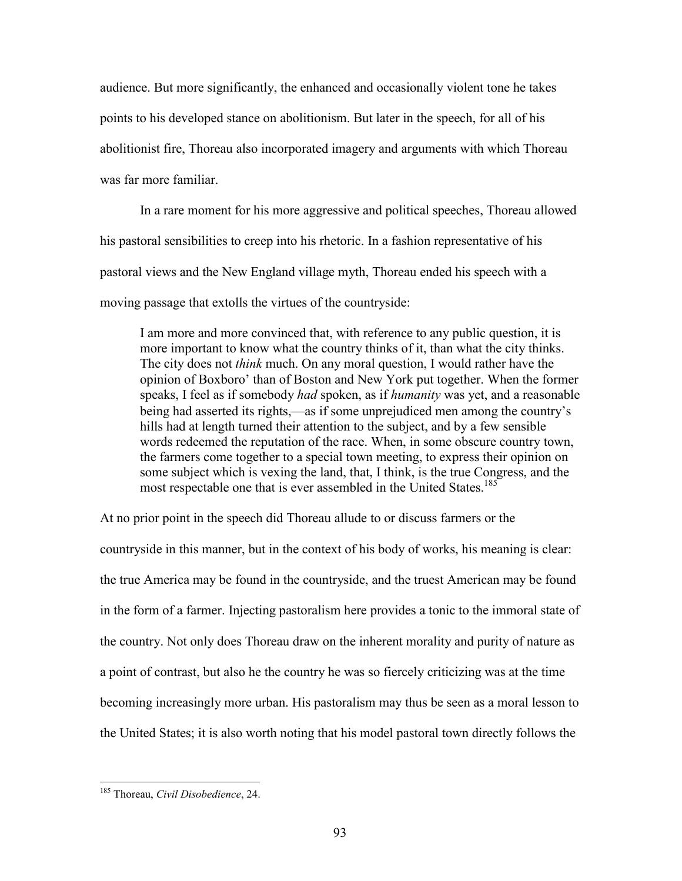audience. But more significantly, the enhanced and occasionally violent tone he takes points to his developed stance on abolitionism. But later in the speech, for all of his abolitionist fire, Thoreau also incorporated imagery and arguments with which Thoreau was far more familiar.

In a rare moment for his more aggressive and political speeches, Thoreau allowed his pastoral sensibilities to creep into his rhetoric. In a fashion representative of his pastoral views and the New England village myth, Thoreau ended his speech with a moving passage that extolls the virtues of the countryside:

I am more and more convinced that, with reference to any public question, it is more important to know what the country thinks of it, than what the city thinks. The city does not *think* much. On any moral question, I would rather have the opinion of Boxboro' than of Boston and New York put together. When the former speaks, I feel as if somebody *had* spoken, as if *humanity* was yet, and a reasonable being had asserted its rights,—as if some unprejudiced men among the country's hills had at length turned their attention to the subject, and by a few sensible words redeemed the reputation of the race. When, in some obscure country town, the farmers come together to a special town meeting, to express their opinion on some subject which is vexing the land, that, I think, is the true Congress, and the most respectable one that is ever assembled in the United States.<sup>185</sup>

At no prior point in the speech did Thoreau allude to or discuss farmers or the countryside in this manner, but in the context of his body of works, his meaning is clear: the true America may be found in the countryside, and the truest American may be found in the form of a farmer. Injecting pastoralism here provides a tonic to the immoral state of the country. Not only does Thoreau draw on the inherent morality and purity of nature as a point of contrast, but also he the country he was so fiercely criticizing was at the time becoming increasingly more urban. His pastoralism may thus be seen as a moral lesson to the United States; it is also worth noting that his model pastoral town directly follows the

<sup>185</sup> Thoreau, *Civil Disobedience*, 24.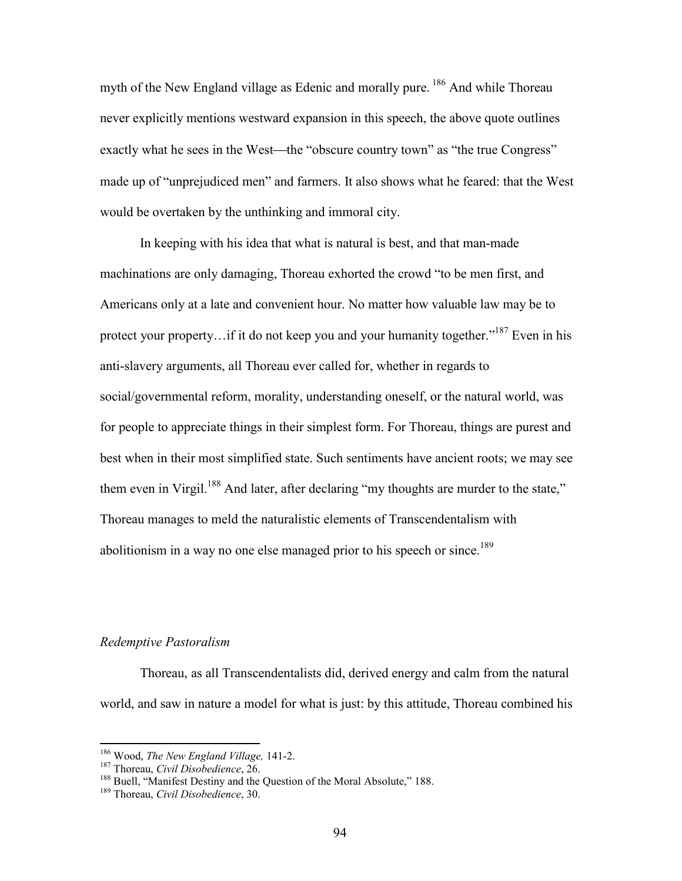myth of the New England village as Edenic and morally pure. <sup>186</sup> And while Thoreau never explicitly mentions westward expansion in this speech, the above quote outlines exactly what he sees in the West—the "obscure country town" as "the true Congress" made up of "unprejudiced men" and farmers. It also shows what he feared: that the West would be overtaken by the unthinking and immoral city.

In keeping with his idea that what is natural is best, and that man-made machinations are only damaging, Thoreau exhorted the crowd "to be men first, and Americans only at a late and convenient hour. No matter how valuable law may be to protect your property...if it do not keep you and your humanity together."<sup>187</sup> Even in his anti-slavery arguments, all Thoreau ever called for, whether in regards to social/governmental reform, morality, understanding oneself, or the natural world, was for people to appreciate things in their simplest form. For Thoreau, things are purest and best when in their most simplified state. Such sentiments have ancient roots; we may see them even in Virgil.<sup>188</sup> And later, after declaring "my thoughts are murder to the state," Thoreau manages to meld the naturalistic elements of Transcendentalism with abolitionism in a way no one else managed prior to his speech or since.<sup>189</sup>

# *Redemptive Pastoralism*

Thoreau, as all Transcendentalists did, derived energy and calm from the natural world, and saw in nature a model for what is just: by this attitude, Thoreau combined his

<sup>186</sup> Wood, *The New England Village,* 141-2.

<sup>187</sup> Thoreau, *Civil Disobedience*, 26.

<sup>&</sup>lt;sup>188</sup> Buell, "Manifest Destiny and the Question of the Moral Absolute," 188.

<sup>189</sup> Thoreau, *Civil Disobedience*, 30.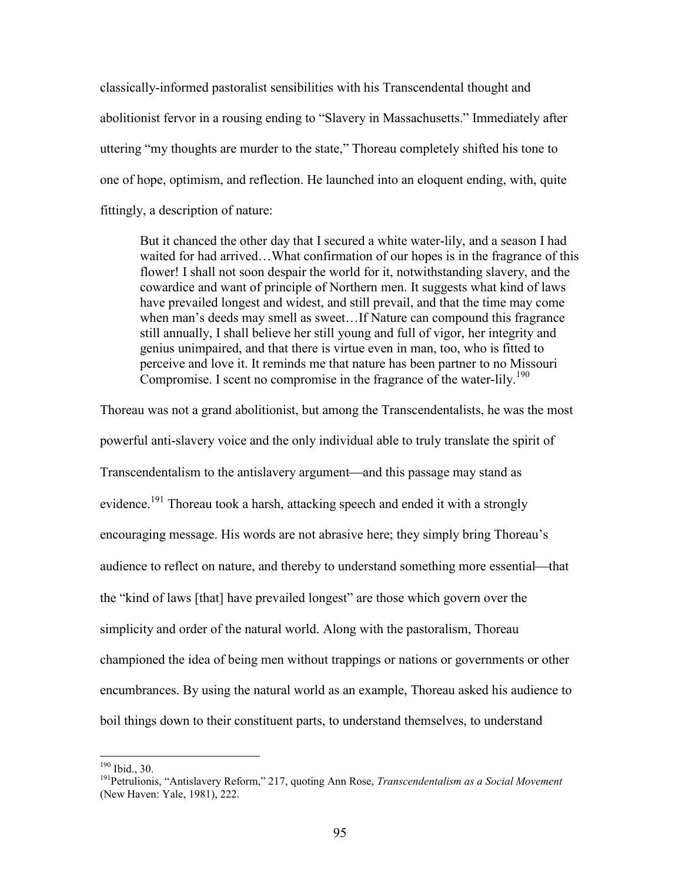classically-informed pastoralist sensibilities with his Transcendental thought and abolitionist fervor in a rousing ending to "Slavery in Massachusetts." Immediately after uttering "my thoughts are murder to the state," Thoreau completely shifted his tone to one of hope, optimism, and reflection. He launched into an eloquent ending, with, quite fittingly, a description of nature:

But it chanced the other day that I secured a white water-lily, and a season I had waited for had arrived…What confirmation of our hopes is in the fragrance of this flower! I shall not soon despair the world for it, notwithstanding slavery, and the cowardice and want of principle of Northern men. It suggests what kind of laws have prevailed longest and widest, and still prevail, and that the time may come when man's deeds may smell as sweet…If Nature can compound this fragrance still annually, I shall believe her still young and full of vigor, her integrity and genius unimpaired, and that there is virtue even in man, too, who is fitted to perceive and love it. It reminds me that nature has been partner to no Missouri Compromise. I scent no compromise in the fragrance of the water-lily.<sup>190</sup>

Thoreau was not a grand abolitionist, but among the Transcendentalists, he was the most powerful anti-slavery voice and the only individual able to truly translate the spirit of Transcendentalism to the antislavery argument—and this passage may stand as evidence.<sup>191</sup> Thoreau took a harsh, attacking speech and ended it with a strongly encouraging message. His words are not abrasive here; they simply bring Thoreau's audience to reflect on nature, and thereby to understand something more essential—that the "kind of laws [that] have prevailed longest" are those which govern over the simplicity and order of the natural world. Along with the pastoralism, Thoreau championed the idea of being men without trappings or nations or governments or other encumbrances. By using the natural world as an example, Thoreau asked his audience to boil things down to their constituent parts, to understand themselves, to understand

<sup>190</sup> Ibid., 30.

<sup>191</sup>Petrulionis, "Antislavery Reform," 217, quoting Ann Rose, *Transcendentalism as a Social Movement* (New Haven: Yale, 1981), 222.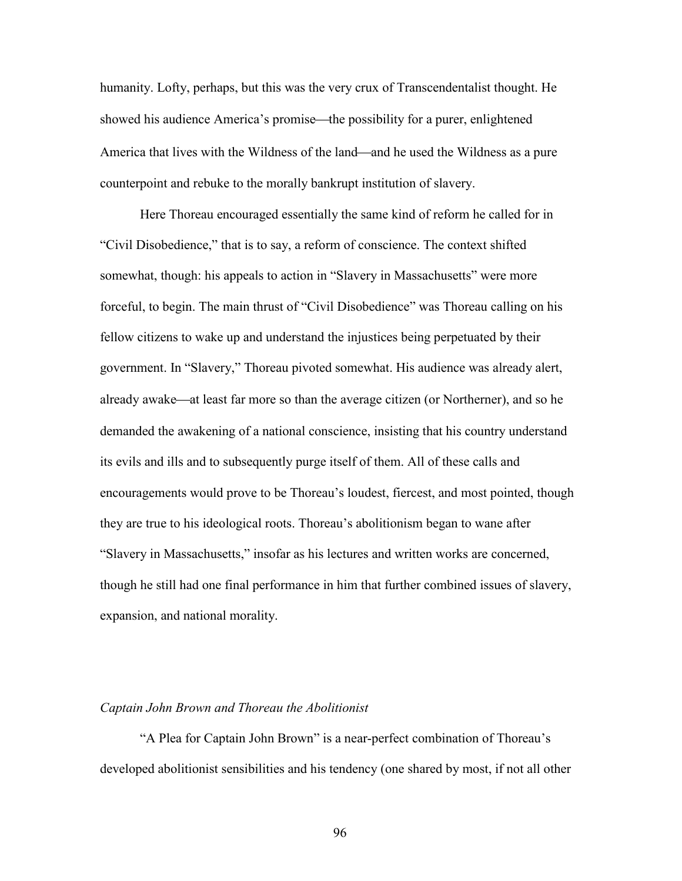humanity. Lofty, perhaps, but this was the very crux of Transcendentalist thought. He showed his audience America's promise—the possibility for a purer, enlightened America that lives with the Wildness of the land—and he used the Wildness as a pure counterpoint and rebuke to the morally bankrupt institution of slavery.

Here Thoreau encouraged essentially the same kind of reform he called for in "Civil Disobedience," that is to say, a reform of conscience. The context shifted somewhat, though: his appeals to action in "Slavery in Massachusetts" were more forceful, to begin. The main thrust of "Civil Disobedience" was Thoreau calling on his fellow citizens to wake up and understand the injustices being perpetuated by their government. In "Slavery," Thoreau pivoted somewhat. His audience was already alert, already awake—at least far more so than the average citizen (or Northerner), and so he demanded the awakening of a national conscience, insisting that his country understand its evils and ills and to subsequently purge itself of them. All of these calls and encouragements would prove to be Thoreau's loudest, fiercest, and most pointed, though they are true to his ideological roots. Thoreau's abolitionism began to wane after "Slavery in Massachusetts," insofar as his lectures and written works are concerned, though he still had one final performance in him that further combined issues of slavery, expansion, and national morality.

#### *Captain John Brown and Thoreau the Abolitionist*

"A Plea for Captain John Brown" is a near-perfect combination of Thoreau's developed abolitionist sensibilities and his tendency (one shared by most, if not all other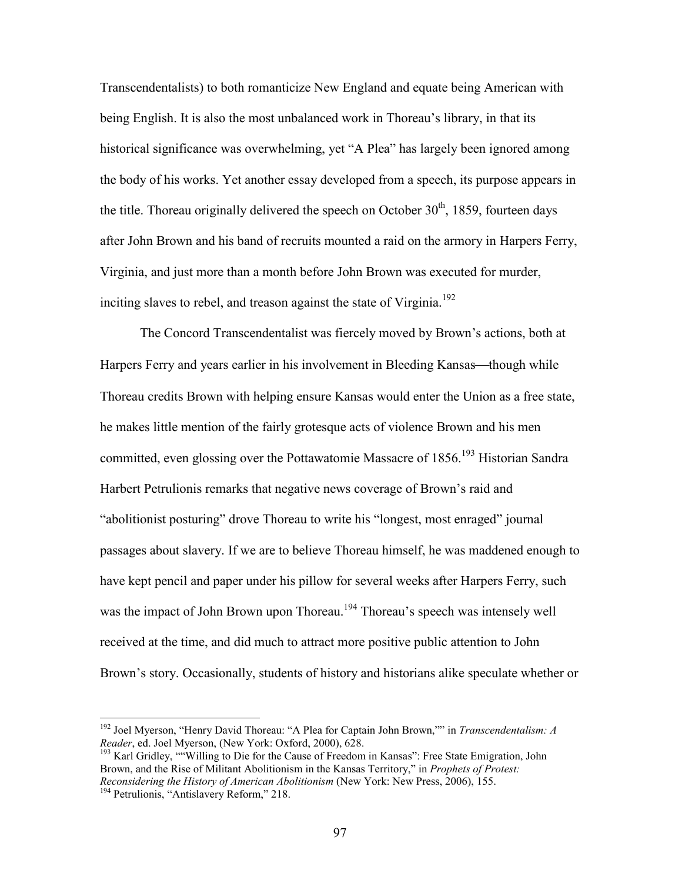Transcendentalists) to both romanticize New England and equate being American with being English. It is also the most unbalanced work in Thoreau's library, in that its historical significance was overwhelming, yet "A Plea" has largely been ignored among the body of his works. Yet another essay developed from a speech, its purpose appears in the title. Thoreau originally delivered the speech on October  $30<sup>th</sup>$ , 1859, fourteen days after John Brown and his band of recruits mounted a raid on the armory in Harpers Ferry, Virginia, and just more than a month before John Brown was executed for murder, inciting slaves to rebel, and treason against the state of Virginia.<sup>192</sup>

The Concord Transcendentalist was fiercely moved by Brown's actions, both at Harpers Ferry and years earlier in his involvement in Bleeding Kansas—though while Thoreau credits Brown with helping ensure Kansas would enter the Union as a free state, he makes little mention of the fairly grotesque acts of violence Brown and his men committed, even glossing over the Pottawatomie Massacre of  $1856$ <sup>193</sup> Historian Sandra Harbert Petrulionis remarks that negative news coverage of Brown's raid and "abolitionist posturing" drove Thoreau to write his "longest, most enraged" journal passages about slavery. If we are to believe Thoreau himself, he was maddened enough to have kept pencil and paper under his pillow for several weeks after Harpers Ferry, such was the impact of John Brown upon Thoreau.<sup>194</sup> Thoreau's speech was intensely well received at the time, and did much to attract more positive public attention to John Brown's story. Occasionally, students of history and historians alike speculate whether or

<sup>192</sup> Joel Myerson, "Henry David Thoreau: "A Plea for Captain John Brown,"" in *Transcendentalism: A Reader*, ed. Joel Myerson, (New York: Oxford, 2000), 628.

<sup>193</sup> Karl Gridley, ""Willing to Die for the Cause of Freedom in Kansas": Free State Emigration, John Brown, and the Rise of Militant Abolitionism in the Kansas Territory," in *Prophets of Protest: Reconsidering the History of American Abolitionism* (New York: New Press, 2006), 155. <sup>194</sup> Petrulionis, "Antislavery Reform," 218.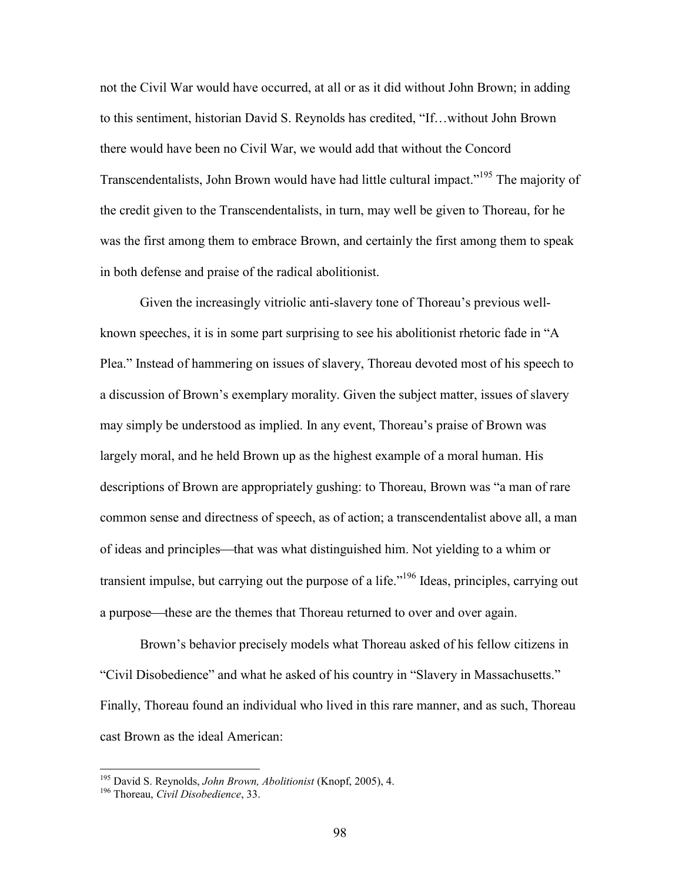not the Civil War would have occurred, at all or as it did without John Brown; in adding to this sentiment, historian David S. Reynolds has credited, "If…without John Brown there would have been no Civil War, we would add that without the Concord Transcendentalists, John Brown would have had little cultural impact.<sup>195</sup> The majority of the credit given to the Transcendentalists, in turn, may well be given to Thoreau, for he was the first among them to embrace Brown, and certainly the first among them to speak in both defense and praise of the radical abolitionist.

Given the increasingly vitriolic anti-slavery tone of Thoreau's previous wellknown speeches, it is in some part surprising to see his abolitionist rhetoric fade in "A Plea." Instead of hammering on issues of slavery, Thoreau devoted most of his speech to a discussion of Brown's exemplary morality. Given the subject matter, issues of slavery may simply be understood as implied. In any event, Thoreau's praise of Brown was largely moral, and he held Brown up as the highest example of a moral human. His descriptions of Brown are appropriately gushing: to Thoreau, Brown was "a man of rare common sense and directness of speech, as of action; a transcendentalist above all, a man of ideas and principles—that was what distinguished him. Not yielding to a whim or transient impulse, but carrying out the purpose of a life."<sup>196</sup> Ideas, principles, carrying out a purpose—these are the themes that Thoreau returned to over and over again.

Brown's behavior precisely models what Thoreau asked of his fellow citizens in "Civil Disobedience" and what he asked of his country in "Slavery in Massachusetts." Finally, Thoreau found an individual who lived in this rare manner, and as such, Thoreau cast Brown as the ideal American:

<sup>195</sup> David S. Reynolds, *John Brown, Abolitionist* (Knopf, 2005), 4.

<sup>196</sup> Thoreau, *Civil Disobedience*, 33.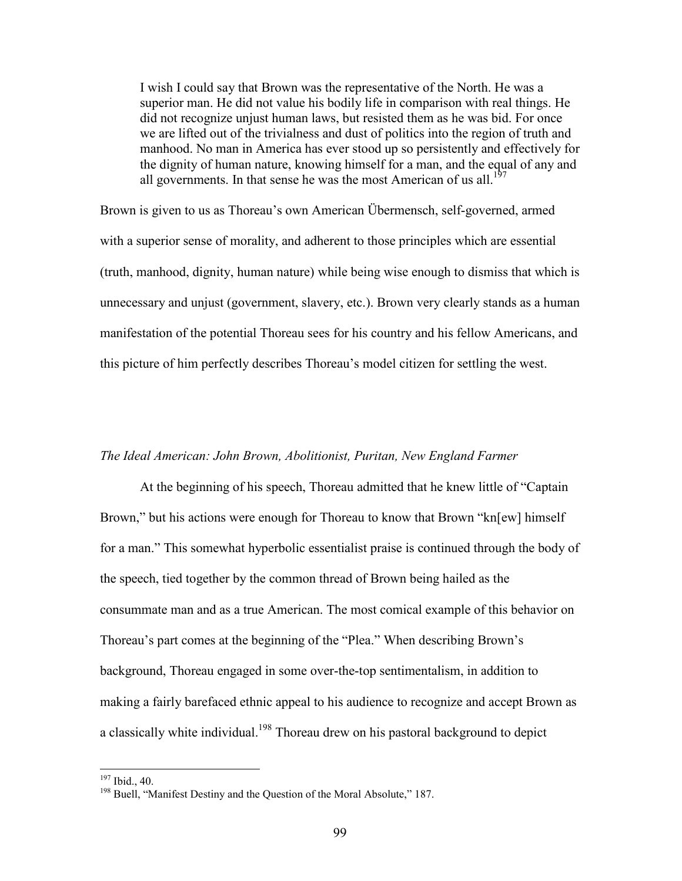I wish I could say that Brown was the representative of the North. He was a superior man. He did not value his bodily life in comparison with real things. He did not recognize unjust human laws, but resisted them as he was bid. For once we are lifted out of the trivialness and dust of politics into the region of truth and manhood. No man in America has ever stood up so persistently and effectively for the dignity of human nature, knowing himself for a man, and the equal of any and all governments. In that sense he was the most American of us all.<sup>197</sup>

Brown is given to us as Thoreau's own American Übermensch, self-governed, armed with a superior sense of morality, and adherent to those principles which are essential (truth, manhood, dignity, human nature) while being wise enough to dismiss that which is unnecessary and unjust (government, slavery, etc.). Brown very clearly stands as a human manifestation of the potential Thoreau sees for his country and his fellow Americans, and this picture of him perfectly describes Thoreau's model citizen for settling the west.

#### *The Ideal American: John Brown, Abolitionist, Puritan, New England Farmer*

At the beginning of his speech, Thoreau admitted that he knew little of "Captain Brown," but his actions were enough for Thoreau to know that Brown "kn[ew] himself for a man." This somewhat hyperbolic essentialist praise is continued through the body of the speech, tied together by the common thread of Brown being hailed as the consummate man and as a true American. The most comical example of this behavior on Thoreau's part comes at the beginning of the "Plea." When describing Brown's background, Thoreau engaged in some over-the-top sentimentalism, in addition to making a fairly barefaced ethnic appeal to his audience to recognize and accept Brown as a classically white individual.<sup>198</sup> Thoreau drew on his pastoral background to depict

<sup>197</sup> Ibid., 40.

<sup>&</sup>lt;sup>198</sup> Buell, "Manifest Destiny and the Question of the Moral Absolute," 187.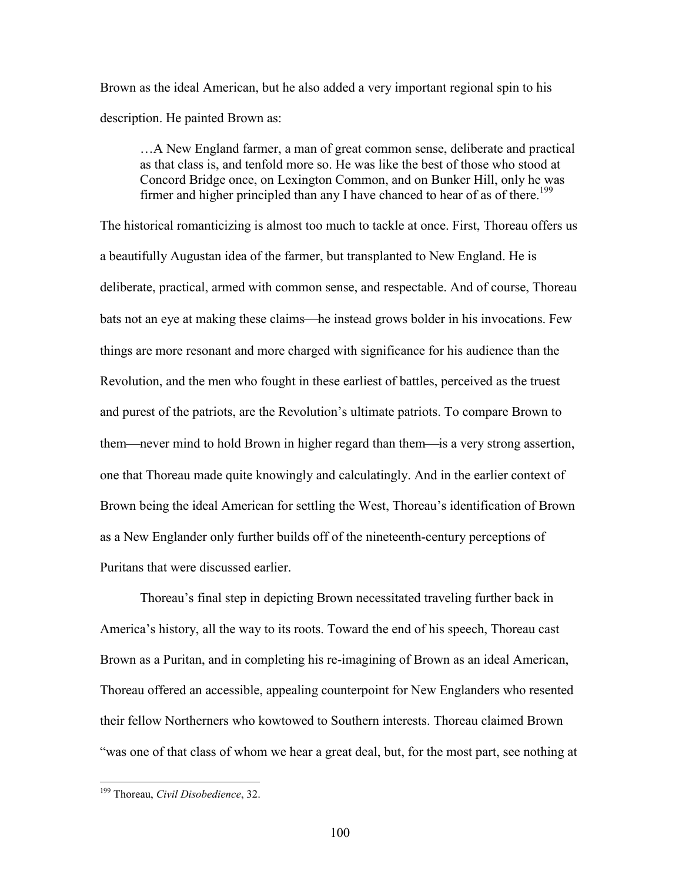Brown as the ideal American, but he also added a very important regional spin to his description. He painted Brown as:

…A New England farmer, a man of great common sense, deliberate and practical as that class is, and tenfold more so. He was like the best of those who stood at Concord Bridge once, on Lexington Common, and on Bunker Hill, only he was firmer and higher principled than any I have chanced to hear of as of there.<sup>199</sup>

The historical romanticizing is almost too much to tackle at once. First, Thoreau offers us a beautifully Augustan idea of the farmer, but transplanted to New England. He is deliberate, practical, armed with common sense, and respectable. And of course, Thoreau bats not an eye at making these claims—he instead grows bolder in his invocations. Few things are more resonant and more charged with significance for his audience than the Revolution, and the men who fought in these earliest of battles, perceived as the truest and purest of the patriots, are the Revolution's ultimate patriots. To compare Brown to them—never mind to hold Brown in higher regard than them—is a very strong assertion, one that Thoreau made quite knowingly and calculatingly. And in the earlier context of Brown being the ideal American for settling the West, Thoreau's identification of Brown as a New Englander only further builds off of the nineteenth-century perceptions of Puritans that were discussed earlier.

Thoreau's final step in depicting Brown necessitated traveling further back in America's history, all the way to its roots. Toward the end of his speech, Thoreau cast Brown as a Puritan, and in completing his re-imagining of Brown as an ideal American, Thoreau offered an accessible, appealing counterpoint for New Englanders who resented their fellow Northerners who kowtowed to Southern interests. Thoreau claimed Brown "was one of that class of whom we hear a great deal, but, for the most part, see nothing at

<sup>199</sup> Thoreau, *Civil Disobedience*, 32.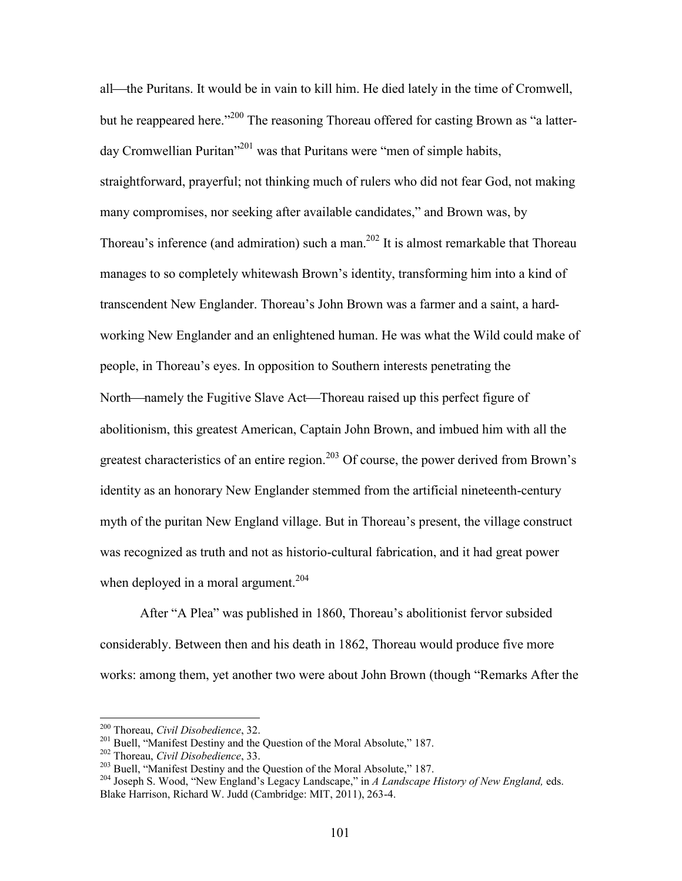all—the Puritans. It would be in vain to kill him. He died lately in the time of Cromwell, but he reappeared here.<sup>200</sup> The reasoning Thoreau offered for casting Brown as "a latterday Cromwellian Puritan"<sup>201</sup> was that Puritans were "men of simple habits, straightforward, prayerful; not thinking much of rulers who did not fear God, not making many compromises, nor seeking after available candidates," and Brown was, by Thoreau's inference (and admiration) such a man.<sup>202</sup> It is almost remarkable that Thoreau manages to so completely whitewash Brown's identity, transforming him into a kind of transcendent New Englander. Thoreau's John Brown was a farmer and a saint, a hardworking New Englander and an enlightened human. He was what the Wild could make of people, in Thoreau's eyes. In opposition to Southern interests penetrating the North—namely the Fugitive Slave Act—Thoreau raised up this perfect figure of abolitionism, this greatest American, Captain John Brown, and imbued him with all the greatest characteristics of an entire region.<sup>203</sup> Of course, the power derived from Brown's identity as an honorary New Englander stemmed from the artificial nineteenth-century myth of the puritan New England village. But in Thoreau's present, the village construct was recognized as truth and not as historio-cultural fabrication, and it had great power when deployed in a moral argument.<sup>204</sup>

After "A Plea" was published in 1860, Thoreau's abolitionist fervor subsided considerably. Between then and his death in 1862, Thoreau would produce five more works: among them, yet another two were about John Brown (though "Remarks After the

<sup>200</sup> Thoreau, *Civil Disobedience*, 32.

<sup>&</sup>lt;sup>201</sup> Buell, "Manifest Destiny and the Question of the Moral Absolute," 187.

<sup>202</sup> Thoreau, *Civil Disobedience*, 33.

<sup>&</sup>lt;sup>203</sup> Buell, "Manifest Destiny and the Question of the Moral Absolute," 187.

<sup>204</sup> Joseph S. Wood, "New England's Legacy Landscape," in *A Landscape History of New England,* eds. Blake Harrison, Richard W. Judd (Cambridge: MIT, 2011), 263-4.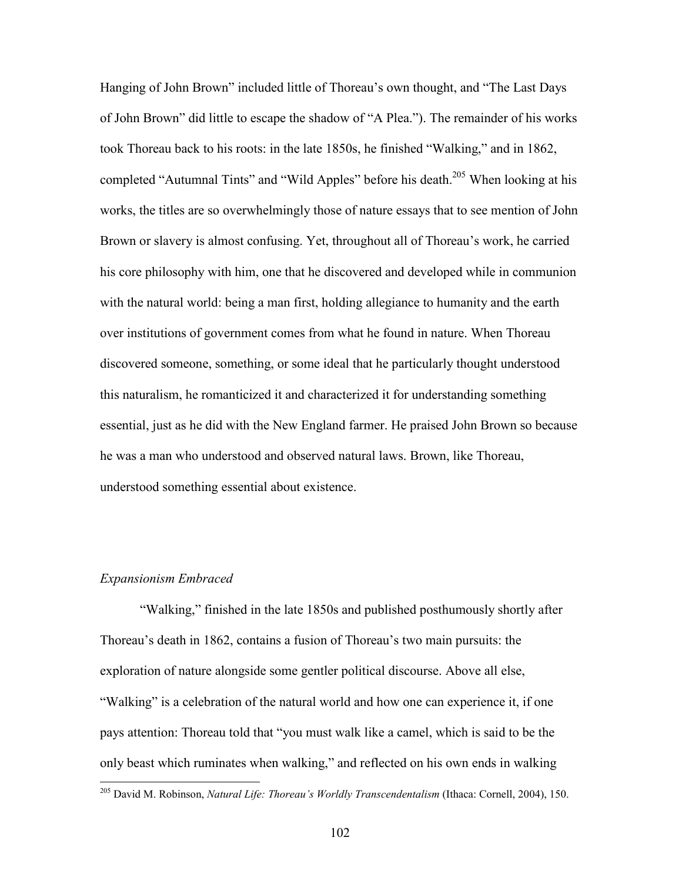Hanging of John Brown" included little of Thoreau's own thought, and "The Last Days of John Brown" did little to escape the shadow of "A Plea."). The remainder of his works took Thoreau back to his roots: in the late 1850s, he finished "Walking," and in 1862, completed "Autumnal Tints" and "Wild Apples" before his death.<sup>205</sup> When looking at his works, the titles are so overwhelmingly those of nature essays that to see mention of John Brown or slavery is almost confusing. Yet, throughout all of Thoreau's work, he carried his core philosophy with him, one that he discovered and developed while in communion with the natural world: being a man first, holding allegiance to humanity and the earth over institutions of government comes from what he found in nature. When Thoreau discovered someone, something, or some ideal that he particularly thought understood this naturalism, he romanticized it and characterized it for understanding something essential, just as he did with the New England farmer. He praised John Brown so because he was a man who understood and observed natural laws. Brown, like Thoreau, understood something essential about existence.

### *Expansionism Embraced*

"Walking," finished in the late 1850s and published posthumously shortly after Thoreau's death in 1862, contains a fusion of Thoreau's two main pursuits: the exploration of nature alongside some gentler political discourse. Above all else, "Walking" is a celebration of the natural world and how one can experience it, if one pays attention: Thoreau told that "you must walk like a camel, which is said to be the only beast which ruminates when walking," and reflected on his own ends in walking

<sup>205</sup> David M. Robinson, *Natural Life: Thoreau's Worldly Transcendentalism* (Ithaca: Cornell, 2004), 150.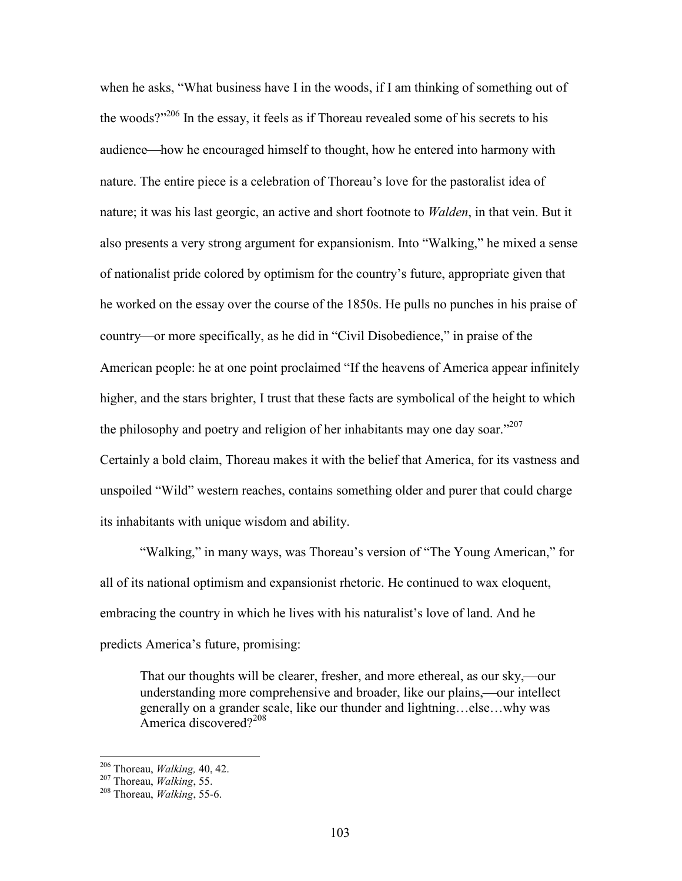when he asks, "What business have I in the woods, if I am thinking of something out of the woods?"<sup>206</sup> In the essay, it feels as if Thoreau revealed some of his secrets to his audience—how he encouraged himself to thought, how he entered into harmony with nature. The entire piece is a celebration of Thoreau's love for the pastoralist idea of nature; it was his last georgic, an active and short footnote to *Walden*, in that vein. But it also presents a very strong argument for expansionism. Into "Walking," he mixed a sense of nationalist pride colored by optimism for the country's future, appropriate given that he worked on the essay over the course of the 1850s. He pulls no punches in his praise of country—or more specifically, as he did in "Civil Disobedience," in praise of the American people: he at one point proclaimed "If the heavens of America appear infinitely higher, and the stars brighter, I trust that these facts are symbolical of the height to which the philosophy and poetry and religion of her inhabitants may one day soar."<sup>207</sup> Certainly a bold claim, Thoreau makes it with the belief that America, for its vastness and unspoiled "Wild" western reaches, contains something older and purer that could charge its inhabitants with unique wisdom and ability.

"Walking," in many ways, was Thoreau's version of "The Young American," for all of its national optimism and expansionist rhetoric. He continued to wax eloquent, embracing the country in which he lives with his naturalist's love of land. And he predicts America's future, promising:

That our thoughts will be clearer, fresher, and more ethereal, as our sky,—our understanding more comprehensive and broader, like our plains,—our intellect generally on a grander scale, like our thunder and lightning…else…why was America discovered?<sup>208</sup>

<sup>206</sup> Thoreau, *Walking,* 40, 42.

<sup>207</sup> Thoreau, *Walking*, 55.

<sup>208</sup> Thoreau, *Walking*, 55-6.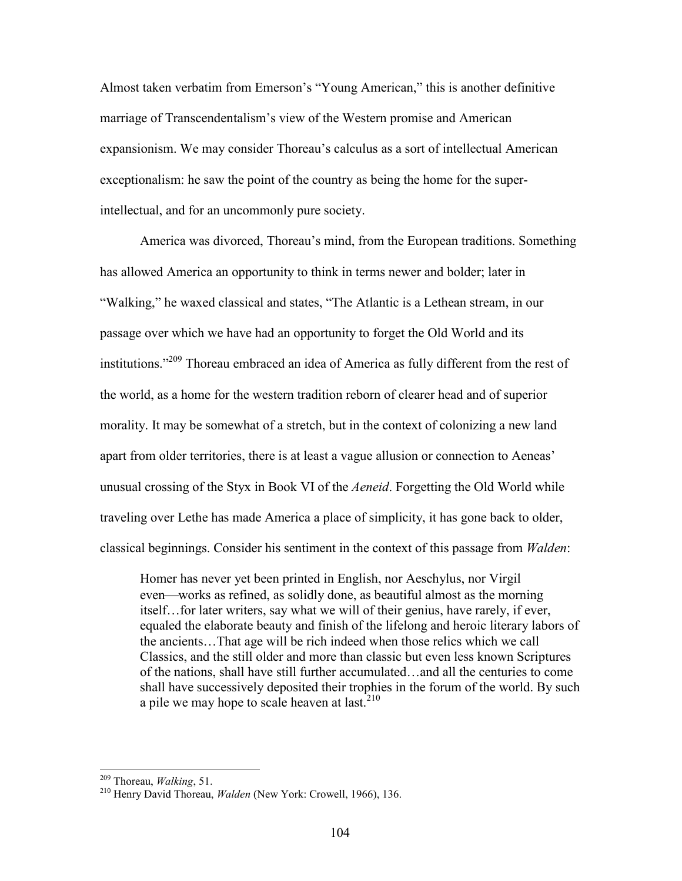Almost taken verbatim from Emerson's "Young American," this is another definitive marriage of Transcendentalism's view of the Western promise and American expansionism. We may consider Thoreau's calculus as a sort of intellectual American exceptionalism: he saw the point of the country as being the home for the superintellectual, and for an uncommonly pure society.

America was divorced, Thoreau's mind, from the European traditions. Something has allowed America an opportunity to think in terms newer and bolder; later in "Walking," he waxed classical and states, "The Atlantic is a Lethean stream, in our passage over which we have had an opportunity to forget the Old World and its institutions."<sup>209</sup> Thoreau embraced an idea of America as fully different from the rest of the world, as a home for the western tradition reborn of clearer head and of superior morality. It may be somewhat of a stretch, but in the context of colonizing a new land apart from older territories, there is at least a vague allusion or connection to Aeneas' unusual crossing of the Styx in Book VI of the *Aeneid*. Forgetting the Old World while traveling over Lethe has made America a place of simplicity, it has gone back to older, classical beginnings. Consider his sentiment in the context of this passage from *Walden*:

Homer has never yet been printed in English, nor Aeschylus, nor Virgil even—works as refined, as solidly done, as beautiful almost as the morning itself…for later writers, say what we will of their genius, have rarely, if ever, equaled the elaborate beauty and finish of the lifelong and heroic literary labors of the ancients…That age will be rich indeed when those relics which we call Classics, and the still older and more than classic but even less known Scriptures of the nations, shall have still further accumulated…and all the centuries to come shall have successively deposited their trophies in the forum of the world. By such a pile we may hope to scale heaven at last. $2^{10}$ 

<sup>209</sup> Thoreau, *Walking*, 51.

<sup>210</sup> Henry David Thoreau, *Walden* (New York: Crowell, 1966), 136.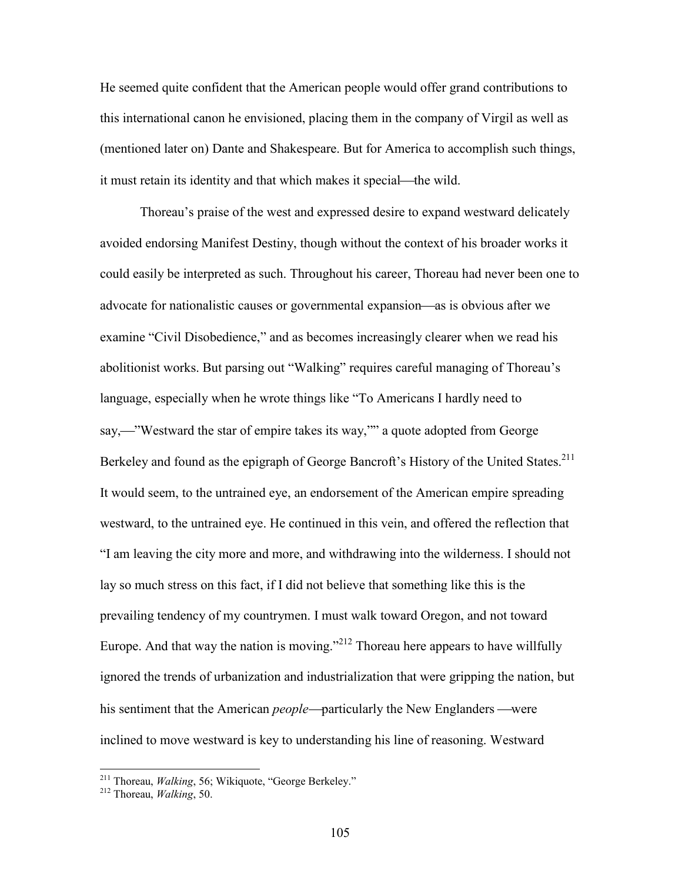He seemed quite confident that the American people would offer grand contributions to this international canon he envisioned, placing them in the company of Virgil as well as (mentioned later on) Dante and Shakespeare. But for America to accomplish such things, it must retain its identity and that which makes it special—the wild.

Thoreau's praise of the west and expressed desire to expand westward delicately avoided endorsing Manifest Destiny, though without the context of his broader works it could easily be interpreted as such. Throughout his career, Thoreau had never been one to advocate for nationalistic causes or governmental expansion—as is obvious after we examine "Civil Disobedience," and as becomes increasingly clearer when we read his abolitionist works. But parsing out "Walking" requires careful managing of Thoreau's language, especially when he wrote things like "To Americans I hardly need to say,—"Westward the star of empire takes its way,"" a quote adopted from George Berkeley and found as the epigraph of George Bancroft's History of the United States.<sup>211</sup> It would seem, to the untrained eye, an endorsement of the American empire spreading westward, to the untrained eye. He continued in this vein, and offered the reflection that "I am leaving the city more and more, and withdrawing into the wilderness. I should not lay so much stress on this fact, if I did not believe that something like this is the prevailing tendency of my countrymen. I must walk toward Oregon, and not toward Europe. And that way the nation is moving."<sup> $212$ </sup> Thoreau here appears to have willfully ignored the trends of urbanization and industrialization that were gripping the nation, but his sentiment that the American *people*—particularly the New Englanders —were inclined to move westward is key to understanding his line of reasoning. Westward

<sup>211</sup> Thoreau, *Walking*, 56; Wikiquote, "George Berkeley."

<sup>212</sup> Thoreau, *Walking*, 50.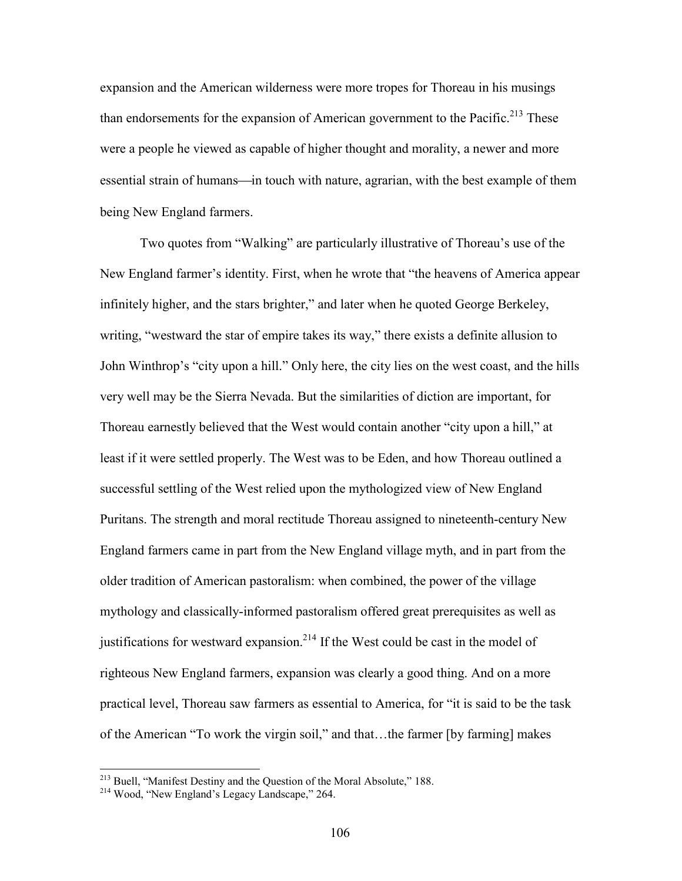expansion and the American wilderness were more tropes for Thoreau in his musings than endorsements for the expansion of American government to the Pacific.<sup>213</sup> These were a people he viewed as capable of higher thought and morality, a newer and more essential strain of humans—in touch with nature, agrarian, with the best example of them being New England farmers.

Two quotes from "Walking" are particularly illustrative of Thoreau's use of the New England farmer's identity. First, when he wrote that "the heavens of America appear infinitely higher, and the stars brighter," and later when he quoted George Berkeley, writing, "westward the star of empire takes its way," there exists a definite allusion to John Winthrop's "city upon a hill." Only here, the city lies on the west coast, and the hills very well may be the Sierra Nevada. But the similarities of diction are important, for Thoreau earnestly believed that the West would contain another "city upon a hill," at least if it were settled properly. The West was to be Eden, and how Thoreau outlined a successful settling of the West relied upon the mythologized view of New England Puritans. The strength and moral rectitude Thoreau assigned to nineteenth-century New England farmers came in part from the New England village myth, and in part from the older tradition of American pastoralism: when combined, the power of the village mythology and classically-informed pastoralism offered great prerequisites as well as justifications for westward expansion.<sup>214</sup> If the West could be cast in the model of righteous New England farmers, expansion was clearly a good thing. And on a more practical level, Thoreau saw farmers as essential to America, for "it is said to be the task of the American "To work the virgin soil," and that…the farmer [by farming] makes

<sup>&</sup>lt;sup>213</sup> Buell, "Manifest Destiny and the Question of the Moral Absolute," 188.

<sup>214</sup> Wood, "New England's Legacy Landscape," 264.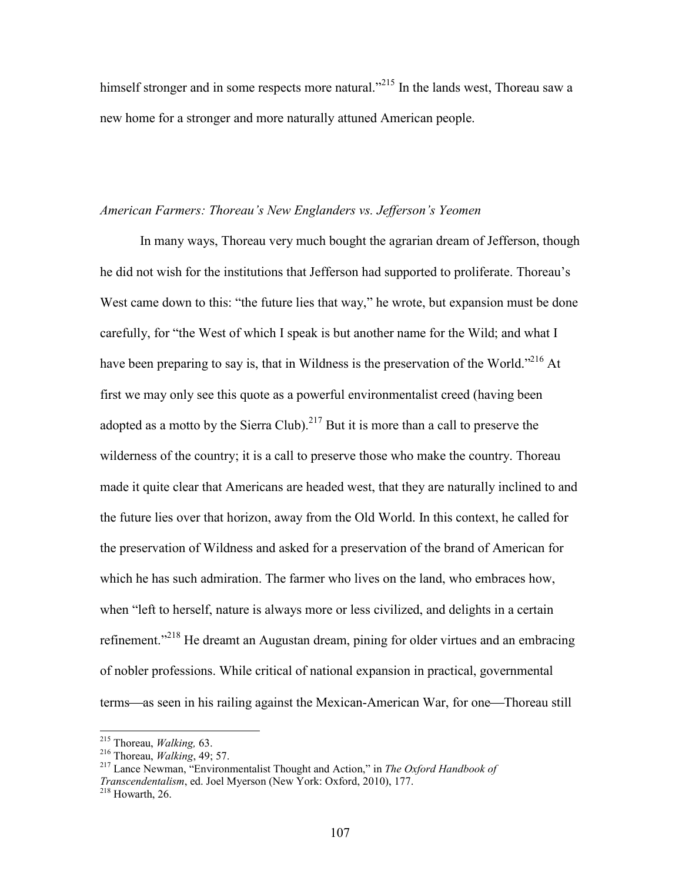himself stronger and in some respects more natural."<sup>215</sup> In the lands west. Thoreau saw a new home for a stronger and more naturally attuned American people.

# *American Farmers: Thoreau's New Englanders vs. Jefferson's Yeomen*

In many ways, Thoreau very much bought the agrarian dream of Jefferson, though he did not wish for the institutions that Jefferson had supported to proliferate. Thoreau's West came down to this: "the future lies that way," he wrote, but expansion must be done carefully, for "the West of which I speak is but another name for the Wild; and what I have been preparing to say is, that in Wildness is the preservation of the World."<sup>216</sup> At first we may only see this quote as a powerful environmentalist creed (having been adopted as a motto by the Sierra Club).<sup>217</sup> But it is more than a call to preserve the wilderness of the country; it is a call to preserve those who make the country. Thoreau made it quite clear that Americans are headed west, that they are naturally inclined to and the future lies over that horizon, away from the Old World. In this context, he called for the preservation of Wildness and asked for a preservation of the brand of American for which he has such admiration. The farmer who lives on the land, who embraces how, when "left to herself, nature is always more or less civilized, and delights in a certain refinement."<sup>218</sup> He dreamt an Augustan dream, pining for older virtues and an embracing of nobler professions. While critical of national expansion in practical, governmental terms—as seen in his railing against the Mexican-American War, for one—Thoreau still

<sup>215</sup> Thoreau, *Walking,* 63.

<sup>216</sup> Thoreau, *Walking*, 49; 57.

<sup>217</sup> Lance Newman, "Environmentalist Thought and Action," in *The Oxford Handbook of Transcendentalism*, ed. Joel Myerson (New York: Oxford, 2010), 177.  $218$  Howarth, 26.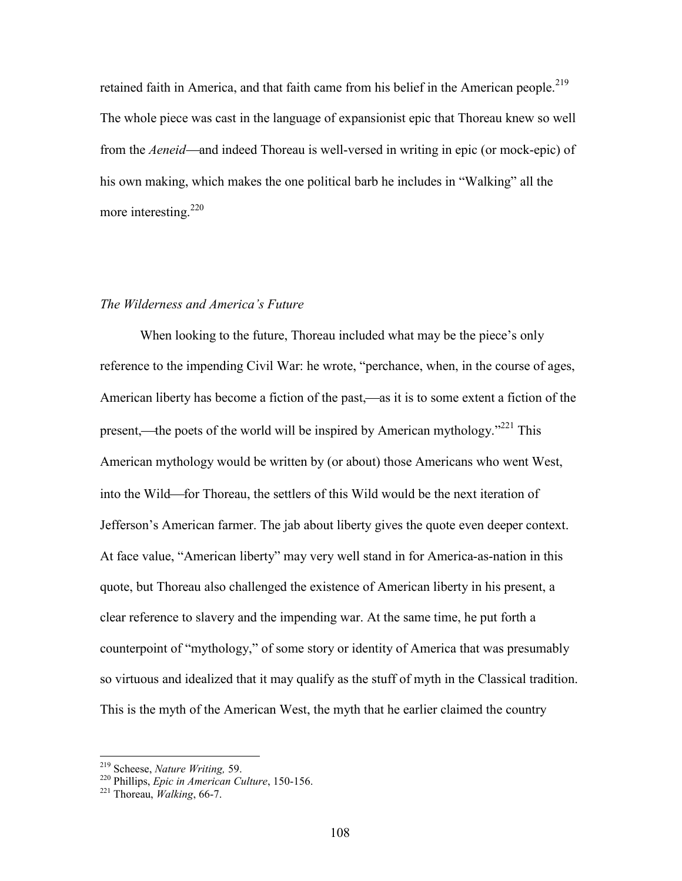retained faith in America, and that faith came from his belief in the American people.<sup>219</sup> The whole piece was cast in the language of expansionist epic that Thoreau knew so well from the *Aeneid*—and indeed Thoreau is well-versed in writing in epic (or mock-epic) of his own making, which makes the one political barb he includes in "Walking" all the more interesting.<sup>220</sup>

# *The Wilderness and America's Future*

When looking to the future, Thoreau included what may be the piece's only reference to the impending Civil War: he wrote, "perchance, when, in the course of ages, American liberty has become a fiction of the past,—as it is to some extent a fiction of the present,—the poets of the world will be inspired by American mythology."<sup>221</sup> This American mythology would be written by (or about) those Americans who went West, into the Wild—for Thoreau, the settlers of this Wild would be the next iteration of Jefferson's American farmer. The jab about liberty gives the quote even deeper context. At face value, "American liberty" may very well stand in for America-as-nation in this quote, but Thoreau also challenged the existence of American liberty in his present, a clear reference to slavery and the impending war. At the same time, he put forth a counterpoint of "mythology," of some story or identity of America that was presumably so virtuous and idealized that it may qualify as the stuff of myth in the Classical tradition. This is the myth of the American West, the myth that he earlier claimed the country

<sup>219</sup> Scheese, *Nature Writing,* 59.

<sup>220</sup> Phillips, *Epic in American Culture*, 150-156.

<sup>221</sup> Thoreau, *Walking*, 66-7.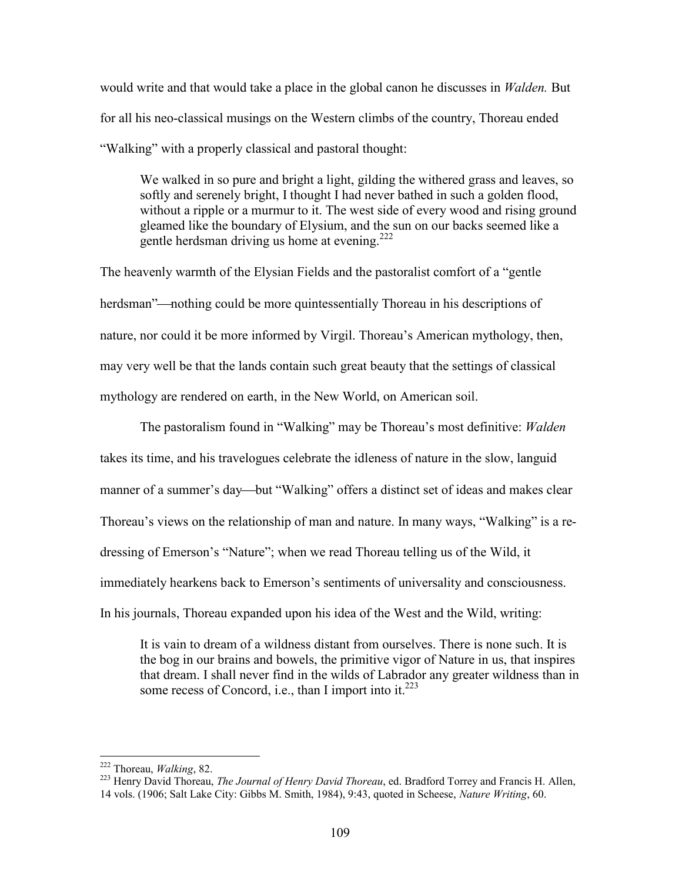would write and that would take a place in the global canon he discusses in *Walden.* But for all his neo-classical musings on the Western climbs of the country, Thoreau ended "Walking" with a properly classical and pastoral thought:

We walked in so pure and bright a light, gilding the withered grass and leaves, so softly and serenely bright, I thought I had never bathed in such a golden flood, without a ripple or a murmur to it. The west side of every wood and rising ground gleamed like the boundary of Elysium, and the sun on our backs seemed like a gentle herdsman driving us home at evening.<sup>222</sup>

The heavenly warmth of the Elysian Fields and the pastoralist comfort of a "gentle herdsman"—nothing could be more quintessentially Thoreau in his descriptions of nature, nor could it be more informed by Virgil. Thoreau's American mythology, then, may very well be that the lands contain such great beauty that the settings of classical mythology are rendered on earth, in the New World, on American soil.

The pastoralism found in "Walking" may be Thoreau's most definitive: *Walden* takes its time, and his travelogues celebrate the idleness of nature in the slow, languid manner of a summer's day—but "Walking" offers a distinct set of ideas and makes clear Thoreau's views on the relationship of man and nature. In many ways, "Walking" is a redressing of Emerson's "Nature"; when we read Thoreau telling us of the Wild, it immediately hearkens back to Emerson's sentiments of universality and consciousness. In his journals, Thoreau expanded upon his idea of the West and the Wild, writing:

It is vain to dream of a wildness distant from ourselves. There is none such. It is the bog in our brains and bowels, the primitive vigor of Nature in us, that inspires that dream. I shall never find in the wilds of Labrador any greater wildness than in some recess of Concord, i.e., than I import into it. $^{223}$ 

<sup>222</sup> Thoreau, *Walking*, 82.

<sup>223</sup> Henry David Thoreau, *The Journal of Henry David Thoreau*, ed. Bradford Torrey and Francis H. Allen, 14 vols. (1906; Salt Lake City: Gibbs M. Smith, 1984), 9:43, quoted in Scheese, *Nature Writing*, 60.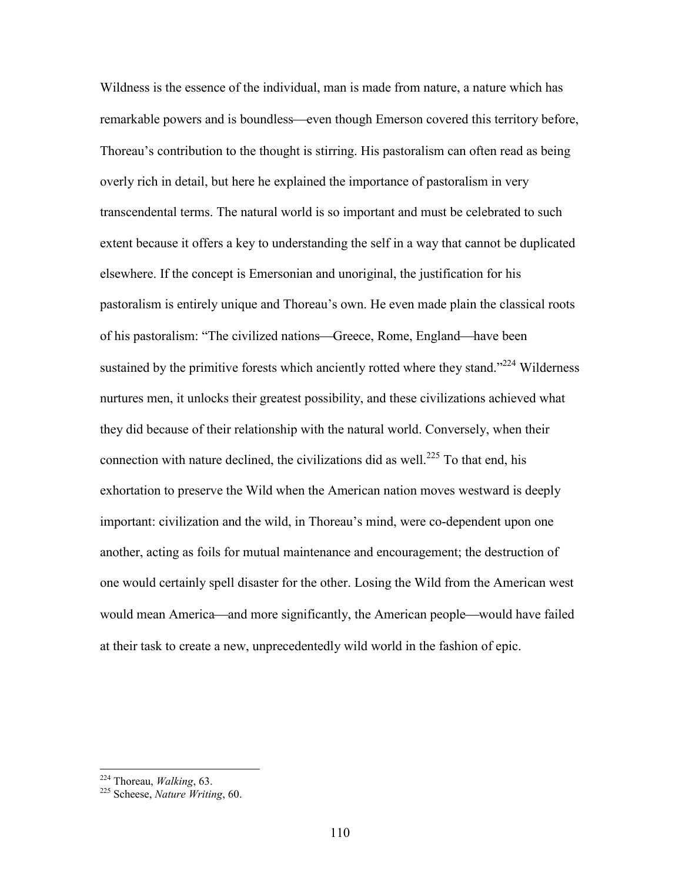Wildness is the essence of the individual, man is made from nature, a nature which has remarkable powers and is boundless—even though Emerson covered this territory before, Thoreau's contribution to the thought is stirring. His pastoralism can often read as being overly rich in detail, but here he explained the importance of pastoralism in very transcendental terms. The natural world is so important and must be celebrated to such extent because it offers a key to understanding the self in a way that cannot be duplicated elsewhere. If the concept is Emersonian and unoriginal, the justification for his pastoralism is entirely unique and Thoreau's own. He even made plain the classical roots of his pastoralism: "The civilized nations—Greece, Rome, England—have been sustained by the primitive forests which anciently rotted where they stand." $^{224}$  Wilderness nurtures men, it unlocks their greatest possibility, and these civilizations achieved what they did because of their relationship with the natural world. Conversely, when their connection with nature declined, the civilizations did as well.<sup>225</sup> To that end, his exhortation to preserve the Wild when the American nation moves westward is deeply important: civilization and the wild, in Thoreau's mind, were co-dependent upon one another, acting as foils for mutual maintenance and encouragement; the destruction of one would certainly spell disaster for the other. Losing the Wild from the American west would mean America—and more significantly, the American people—would have failed at their task to create a new, unprecedentedly wild world in the fashion of epic.

<sup>224</sup> Thoreau, *Walking*, 63.

<sup>225</sup> Scheese, *Nature Writing*, 60.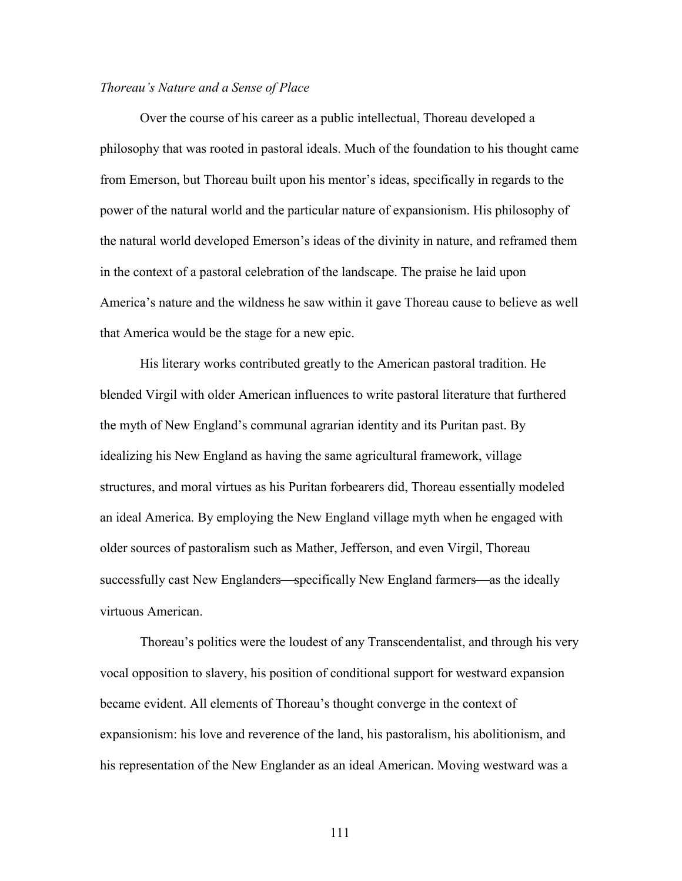## *Thoreau's Nature and a Sense of Place*

Over the course of his career as a public intellectual, Thoreau developed a philosophy that was rooted in pastoral ideals. Much of the foundation to his thought came from Emerson, but Thoreau built upon his mentor's ideas, specifically in regards to the power of the natural world and the particular nature of expansionism. His philosophy of the natural world developed Emerson's ideas of the divinity in nature, and reframed them in the context of a pastoral celebration of the landscape. The praise he laid upon America's nature and the wildness he saw within it gave Thoreau cause to believe as well that America would be the stage for a new epic.

His literary works contributed greatly to the American pastoral tradition. He blended Virgil with older American influences to write pastoral literature that furthered the myth of New England's communal agrarian identity and its Puritan past. By idealizing his New England as having the same agricultural framework, village structures, and moral virtues as his Puritan forbearers did, Thoreau essentially modeled an ideal America. By employing the New England village myth when he engaged with older sources of pastoralism such as Mather, Jefferson, and even Virgil, Thoreau successfully cast New Englanders—specifically New England farmers—as the ideally virtuous American.

Thoreau's politics were the loudest of any Transcendentalist, and through his very vocal opposition to slavery, his position of conditional support for westward expansion became evident. All elements of Thoreau's thought converge in the context of expansionism: his love and reverence of the land, his pastoralism, his abolitionism, and his representation of the New Englander as an ideal American. Moving westward was a

111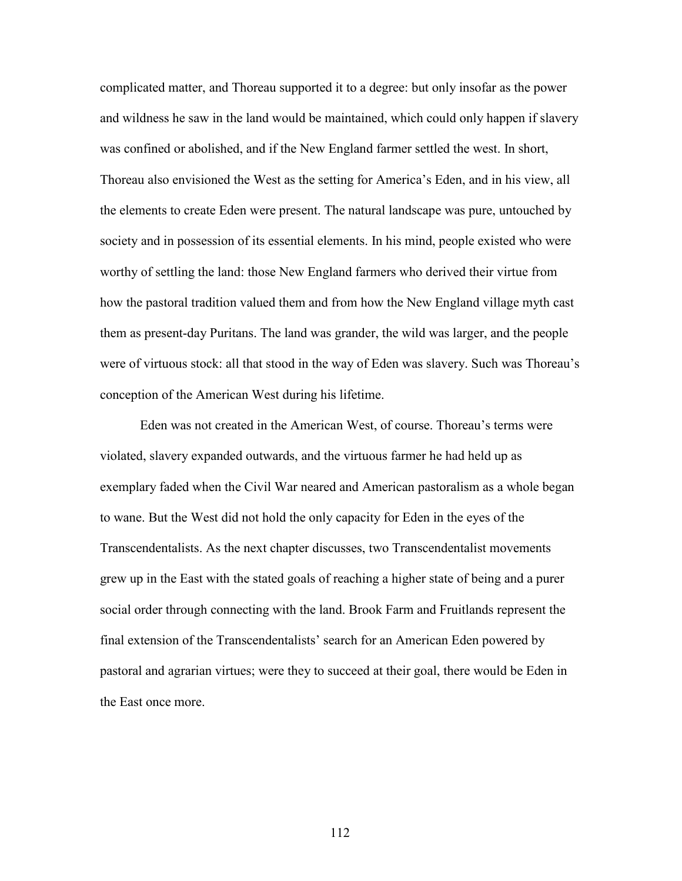complicated matter, and Thoreau supported it to a degree: but only insofar as the power and wildness he saw in the land would be maintained, which could only happen if slavery was confined or abolished, and if the New England farmer settled the west. In short, Thoreau also envisioned the West as the setting for America's Eden, and in his view, all the elements to create Eden were present. The natural landscape was pure, untouched by society and in possession of its essential elements. In his mind, people existed who were worthy of settling the land: those New England farmers who derived their virtue from how the pastoral tradition valued them and from how the New England village myth cast them as present-day Puritans. The land was grander, the wild was larger, and the people were of virtuous stock: all that stood in the way of Eden was slavery. Such was Thoreau's conception of the American West during his lifetime.

Eden was not created in the American West, of course. Thoreau's terms were violated, slavery expanded outwards, and the virtuous farmer he had held up as exemplary faded when the Civil War neared and American pastoralism as a whole began to wane. But the West did not hold the only capacity for Eden in the eyes of the Transcendentalists. As the next chapter discusses, two Transcendentalist movements grew up in the East with the stated goals of reaching a higher state of being and a purer social order through connecting with the land. Brook Farm and Fruitlands represent the final extension of the Transcendentalists' search for an American Eden powered by pastoral and agrarian virtues; were they to succeed at their goal, there would be Eden in the East once more.

112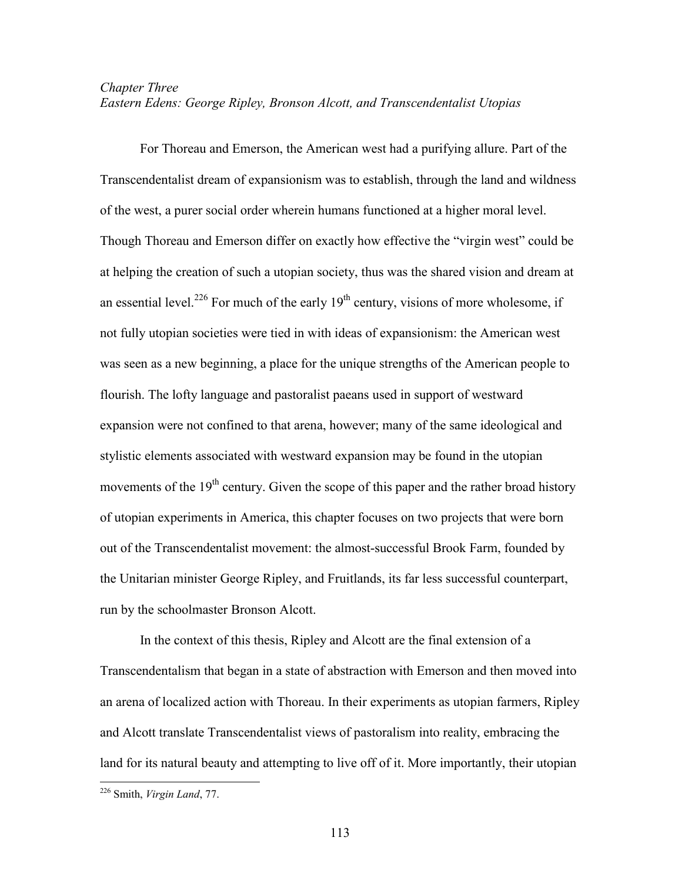# *Chapter Three Eastern Edens: George Ripley, Bronson Alcott, and Transcendentalist Utopias*

For Thoreau and Emerson, the American west had a purifying allure. Part of the Transcendentalist dream of expansionism was to establish, through the land and wildness of the west, a purer social order wherein humans functioned at a higher moral level. Though Thoreau and Emerson differ on exactly how effective the "virgin west" could be at helping the creation of such a utopian society, thus was the shared vision and dream at an essential level.<sup>226</sup> For much of the early  $19<sup>th</sup>$  century, visions of more wholesome, if not fully utopian societies were tied in with ideas of expansionism: the American west was seen as a new beginning, a place for the unique strengths of the American people to flourish. The lofty language and pastoralist paeans used in support of westward expansion were not confined to that arena, however; many of the same ideological and stylistic elements associated with westward expansion may be found in the utopian movements of the  $19<sup>th</sup>$  century. Given the scope of this paper and the rather broad history of utopian experiments in America, this chapter focuses on two projects that were born out of the Transcendentalist movement: the almost-successful Brook Farm, founded by the Unitarian minister George Ripley, and Fruitlands, its far less successful counterpart, run by the schoolmaster Bronson Alcott.

In the context of this thesis, Ripley and Alcott are the final extension of a Transcendentalism that began in a state of abstraction with Emerson and then moved into an arena of localized action with Thoreau. In their experiments as utopian farmers, Ripley and Alcott translate Transcendentalist views of pastoralism into reality, embracing the land for its natural beauty and attempting to live off of it. More importantly, their utopian

<sup>226</sup> Smith, *Virgin Land*, 77.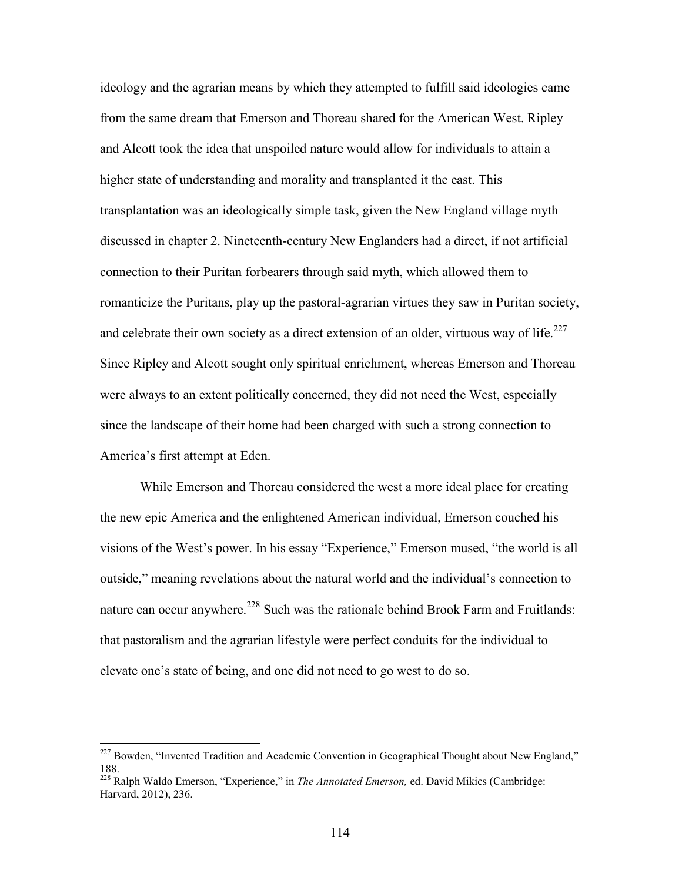ideology and the agrarian means by which they attempted to fulfill said ideologies came from the same dream that Emerson and Thoreau shared for the American West. Ripley and Alcott took the idea that unspoiled nature would allow for individuals to attain a higher state of understanding and morality and transplanted it the east. This transplantation was an ideologically simple task, given the New England village myth discussed in chapter 2. Nineteenth-century New Englanders had a direct, if not artificial connection to their Puritan forbearers through said myth, which allowed them to romanticize the Puritans, play up the pastoral-agrarian virtues they saw in Puritan society, and celebrate their own society as a direct extension of an older, virtuous way of life.<sup>227</sup> Since Ripley and Alcott sought only spiritual enrichment, whereas Emerson and Thoreau were always to an extent politically concerned, they did not need the West, especially since the landscape of their home had been charged with such a strong connection to America's first attempt at Eden.

While Emerson and Thoreau considered the west a more ideal place for creating the new epic America and the enlightened American individual, Emerson couched his visions of the West's power. In his essay "Experience," Emerson mused, "the world is all outside," meaning revelations about the natural world and the individual's connection to nature can occur anywhere.<sup>228</sup> Such was the rationale behind Brook Farm and Fruitlands: that pastoralism and the agrarian lifestyle were perfect conduits for the individual to elevate one's state of being, and one did not need to go west to do so.

<sup>&</sup>lt;sup>227</sup> Bowden, "Invented Tradition and Academic Convention in Geographical Thought about New England," 188.

<sup>228</sup> Ralph Waldo Emerson, "Experience," in *The Annotated Emerson,* ed. David Mikics (Cambridge: Harvard, 2012), 236.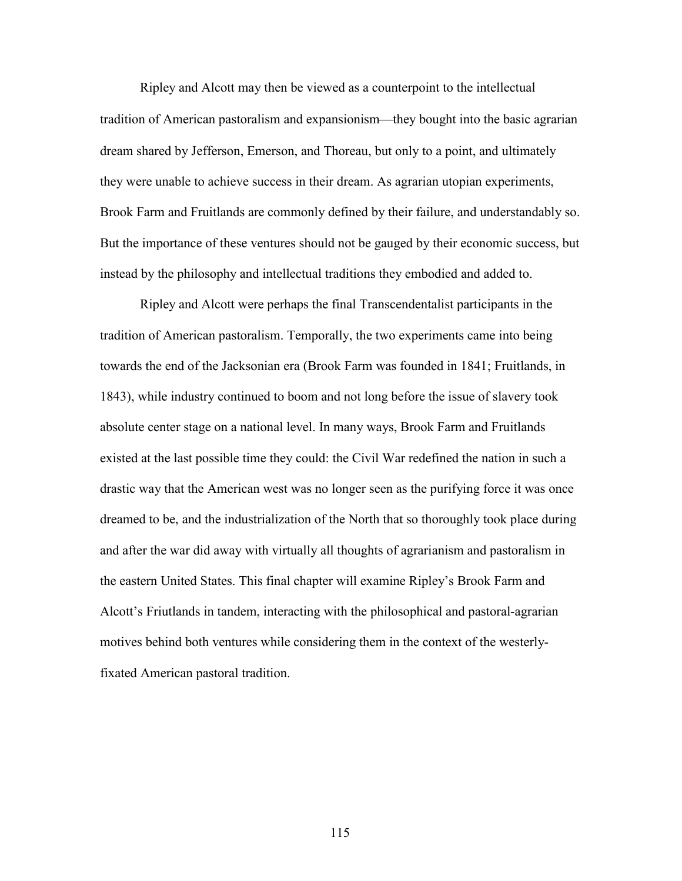Ripley and Alcott may then be viewed as a counterpoint to the intellectual tradition of American pastoralism and expansionism—they bought into the basic agrarian dream shared by Jefferson, Emerson, and Thoreau, but only to a point, and ultimately they were unable to achieve success in their dream. As agrarian utopian experiments, Brook Farm and Fruitlands are commonly defined by their failure, and understandably so. But the importance of these ventures should not be gauged by their economic success, but instead by the philosophy and intellectual traditions they embodied and added to.

Ripley and Alcott were perhaps the final Transcendentalist participants in the tradition of American pastoralism. Temporally, the two experiments came into being towards the end of the Jacksonian era (Brook Farm was founded in 1841; Fruitlands, in 1843), while industry continued to boom and not long before the issue of slavery took absolute center stage on a national level. In many ways, Brook Farm and Fruitlands existed at the last possible time they could: the Civil War redefined the nation in such a drastic way that the American west was no longer seen as the purifying force it was once dreamed to be, and the industrialization of the North that so thoroughly took place during and after the war did away with virtually all thoughts of agrarianism and pastoralism in the eastern United States. This final chapter will examine Ripley's Brook Farm and Alcott's Friutlands in tandem, interacting with the philosophical and pastoral-agrarian motives behind both ventures while considering them in the context of the westerlyfixated American pastoral tradition.

115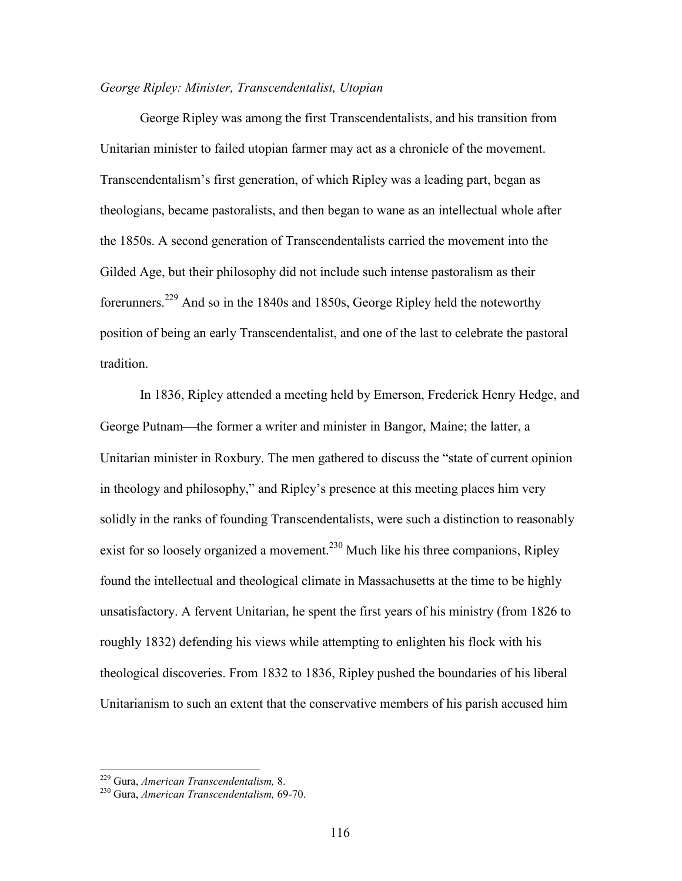## *George Ripley: Minister, Transcendentalist, Utopian*

George Ripley was among the first Transcendentalists, and his transition from Unitarian minister to failed utopian farmer may act as a chronicle of the movement. Transcendentalism's first generation, of which Ripley was a leading part, began as theologians, became pastoralists, and then began to wane as an intellectual whole after the 1850s. A second generation of Transcendentalists carried the movement into the Gilded Age, but their philosophy did not include such intense pastoralism as their forerunners.<sup>229</sup> And so in the 1840s and 1850s, George Ripley held the noteworthy position of being an early Transcendentalist, and one of the last to celebrate the pastoral tradition.

In 1836, Ripley attended a meeting held by Emerson, Frederick Henry Hedge, and George Putnam—the former a writer and minister in Bangor, Maine; the latter, a Unitarian minister in Roxbury. The men gathered to discuss the "state of current opinion in theology and philosophy," and Ripley's presence at this meeting places him very solidly in the ranks of founding Transcendentalists, were such a distinction to reasonably exist for so loosely organized a movement.<sup>230</sup> Much like his three companions, Ripley found the intellectual and theological climate in Massachusetts at the time to be highly unsatisfactory. A fervent Unitarian, he spent the first years of his ministry (from 1826 to roughly 1832) defending his views while attempting to enlighten his flock with his theological discoveries. From 1832 to 1836, Ripley pushed the boundaries of his liberal Unitarianism to such an extent that the conservative members of his parish accused him

<sup>229</sup> Gura, *American Transcendentalism,* 8.

<sup>230</sup> Gura, *American Transcendentalism,* 69-70.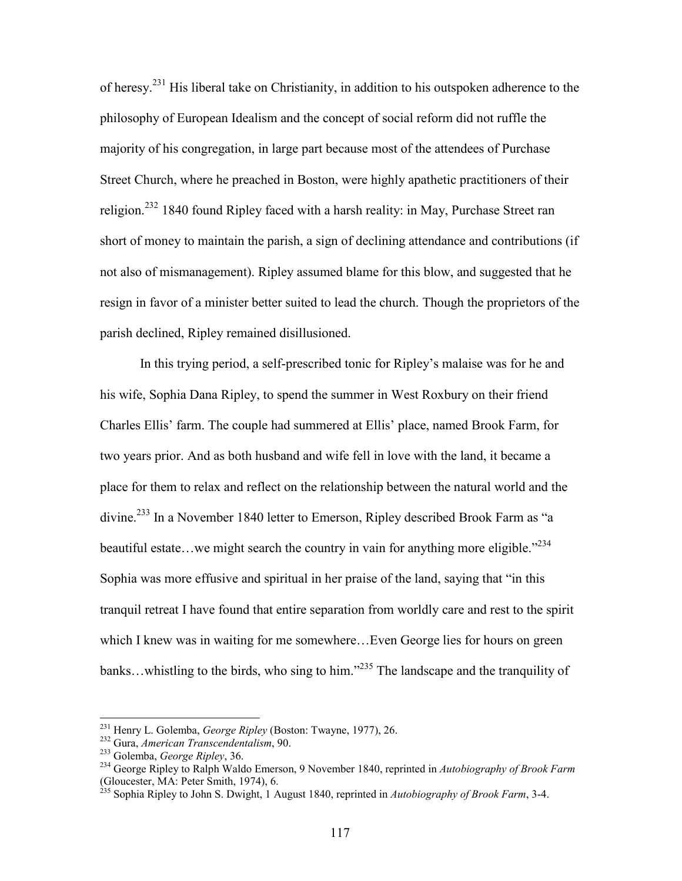of heresy.<sup>231</sup> His liberal take on Christianity, in addition to his outspoken adherence to the philosophy of European Idealism and the concept of social reform did not ruffle the majority of his congregation, in large part because most of the attendees of Purchase Street Church, where he preached in Boston, were highly apathetic practitioners of their religion.<sup>232</sup> 1840 found Ripley faced with a harsh reality: in May, Purchase Street ran short of money to maintain the parish, a sign of declining attendance and contributions (if not also of mismanagement). Ripley assumed blame for this blow, and suggested that he resign in favor of a minister better suited to lead the church. Though the proprietors of the parish declined, Ripley remained disillusioned.

In this trying period, a self-prescribed tonic for Ripley's malaise was for he and his wife, Sophia Dana Ripley, to spend the summer in West Roxbury on their friend Charles Ellis' farm. The couple had summered at Ellis' place, named Brook Farm, for two years prior. And as both husband and wife fell in love with the land, it became a place for them to relax and reflect on the relationship between the natural world and the divine.<sup>233</sup> In a November 1840 letter to Emerson, Ripley described Brook Farm as "a beautiful estate...we might search the country in vain for anything more eligible."<sup> $234$ </sup> Sophia was more effusive and spiritual in her praise of the land, saying that "in this tranquil retreat I have found that entire separation from worldly care and rest to the spirit which I knew was in waiting for me somewhere…Even George lies for hours on green banks...whistling to the birds, who sing to him."<sup>235</sup> The landscape and the tranquility of

<sup>231</sup> Henry L. Golemba, *George Ripley* (Boston: Twayne, 1977), 26.

<sup>232</sup> Gura, *American Transcendentalism*, 90.

<sup>233</sup> Golemba, *George Ripley*, 36.

<sup>234</sup> George Ripley to Ralph Waldo Emerson, 9 November 1840, reprinted in *Autobiography of Brook Farm* (Gloucester, MA: Peter Smith, 1974), 6.

<sup>235</sup> Sophia Ripley to John S. Dwight, 1 August 1840, reprinted in *Autobiography of Brook Farm*, 3-4.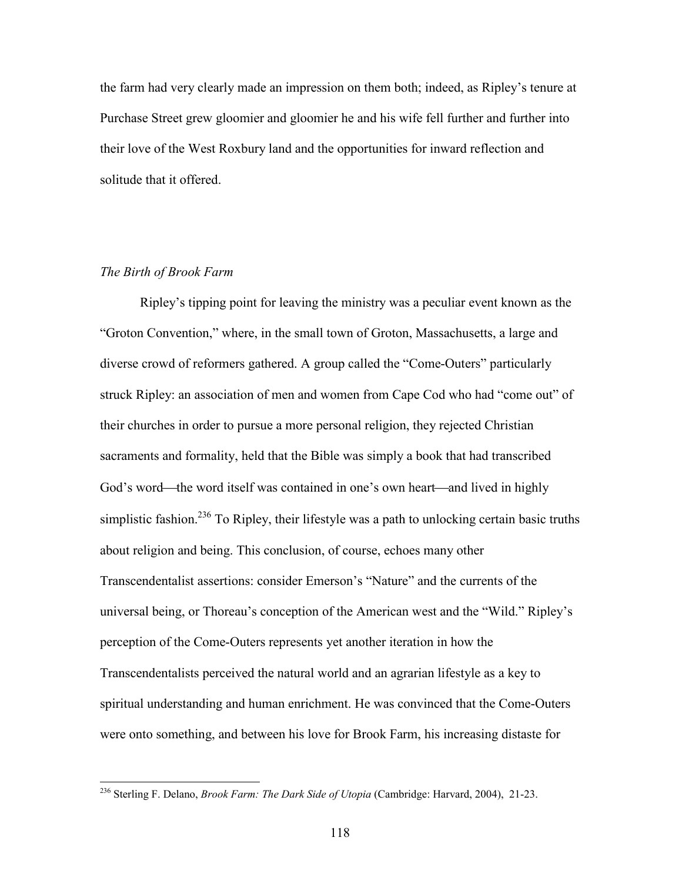the farm had very clearly made an impression on them both; indeed, as Ripley's tenure at Purchase Street grew gloomier and gloomier he and his wife fell further and further into their love of the West Roxbury land and the opportunities for inward reflection and solitude that it offered.

## *The Birth of Brook Farm*

Ripley's tipping point for leaving the ministry was a peculiar event known as the "Groton Convention," where, in the small town of Groton, Massachusetts, a large and diverse crowd of reformers gathered. A group called the "Come-Outers" particularly struck Ripley: an association of men and women from Cape Cod who had "come out" of their churches in order to pursue a more personal religion, they rejected Christian sacraments and formality, held that the Bible was simply a book that had transcribed God's word—the word itself was contained in one's own heart—and lived in highly simplistic fashion.<sup>236</sup> To Ripley, their lifestyle was a path to unlocking certain basic truths about religion and being. This conclusion, of course, echoes many other Transcendentalist assertions: consider Emerson's "Nature" and the currents of the universal being, or Thoreau's conception of the American west and the "Wild." Ripley's perception of the Come-Outers represents yet another iteration in how the Transcendentalists perceived the natural world and an agrarian lifestyle as a key to spiritual understanding and human enrichment. He was convinced that the Come-Outers were onto something, and between his love for Brook Farm, his increasing distaste for

<sup>236</sup> Sterling F. Delano, *Brook Farm: The Dark Side of Utopia* (Cambridge: Harvard, 2004), 21-23.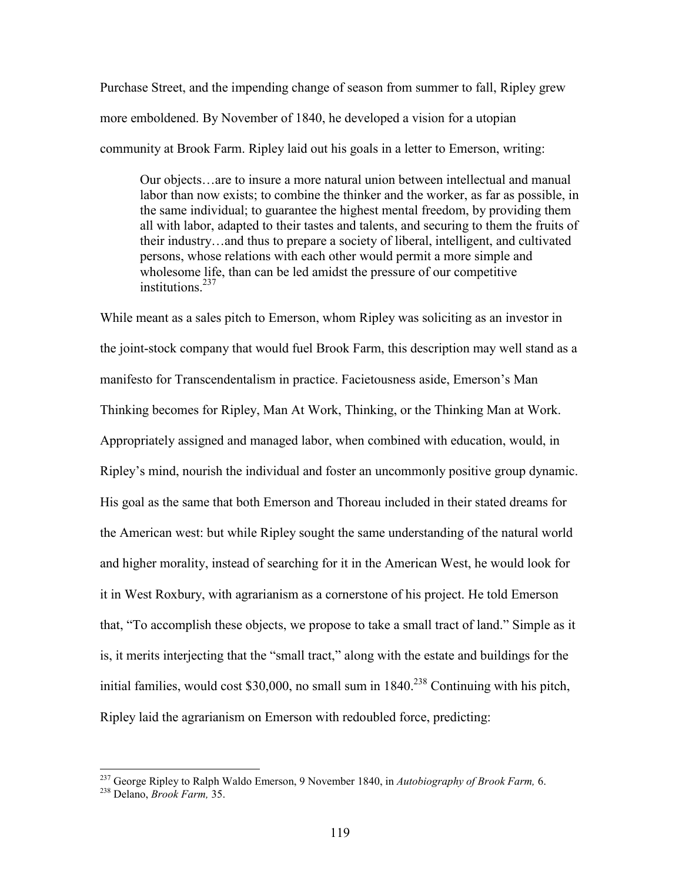Purchase Street, and the impending change of season from summer to fall, Ripley grew more emboldened. By November of 1840, he developed a vision for a utopian community at Brook Farm. Ripley laid out his goals in a letter to Emerson, writing:

Our objects…are to insure a more natural union between intellectual and manual labor than now exists; to combine the thinker and the worker, as far as possible, in the same individual; to guarantee the highest mental freedom, by providing them all with labor, adapted to their tastes and talents, and securing to them the fruits of their industry…and thus to prepare a society of liberal, intelligent, and cultivated persons, whose relations with each other would permit a more simple and wholesome life, than can be led amidst the pressure of our competitive institutions<sup>237</sup>

While meant as a sales pitch to Emerson, whom Ripley was soliciting as an investor in the joint-stock company that would fuel Brook Farm, this description may well stand as a manifesto for Transcendentalism in practice. Facietousness aside, Emerson's Man Thinking becomes for Ripley, Man At Work, Thinking, or the Thinking Man at Work. Appropriately assigned and managed labor, when combined with education, would, in Ripley's mind, nourish the individual and foster an uncommonly positive group dynamic. His goal as the same that both Emerson and Thoreau included in their stated dreams for the American west: but while Ripley sought the same understanding of the natural world and higher morality, instead of searching for it in the American West, he would look for it in West Roxbury, with agrarianism as a cornerstone of his project. He told Emerson that, "To accomplish these objects, we propose to take a small tract of land." Simple as it is, it merits interjecting that the "small tract," along with the estate and buildings for the initial families, would cost \$30,000, no small sum in  $1840$ <sup>238</sup> Continuing with his pitch, Ripley laid the agrarianism on Emerson with redoubled force, predicting:

<sup>237</sup> George Ripley to Ralph Waldo Emerson, 9 November 1840, in *Autobiography of Brook Farm,* 6.

<sup>238</sup> Delano, *Brook Farm,* 35.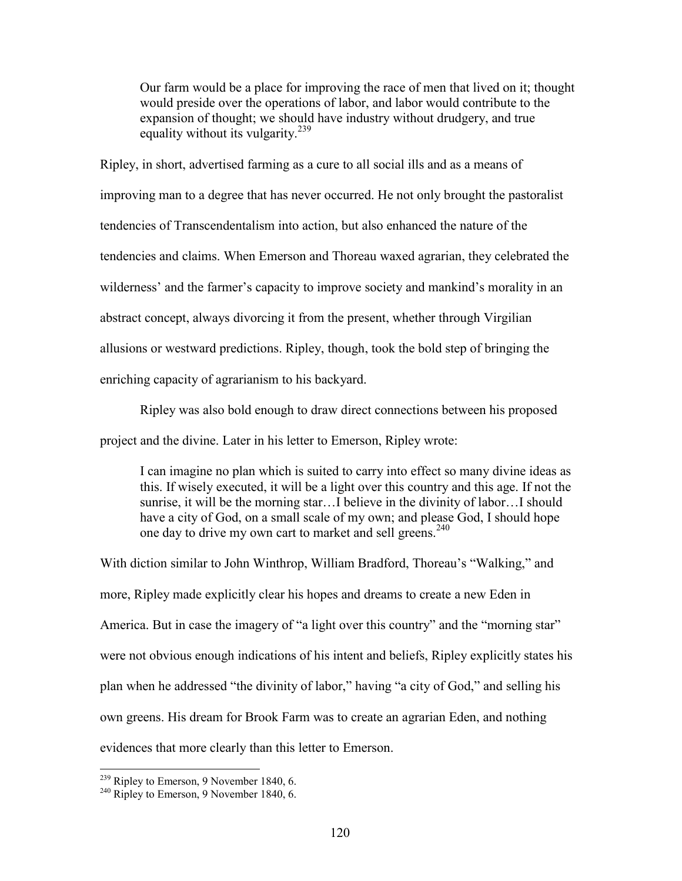Our farm would be a place for improving the race of men that lived on it; thought would preside over the operations of labor, and labor would contribute to the expansion of thought; we should have industry without drudgery, and true equality without its vulgarity.<sup>239</sup>

Ripley, in short, advertised farming as a cure to all social ills and as a means of improving man to a degree that has never occurred. He not only brought the pastoralist tendencies of Transcendentalism into action, but also enhanced the nature of the tendencies and claims. When Emerson and Thoreau waxed agrarian, they celebrated the wilderness' and the farmer's capacity to improve society and mankind's morality in an abstract concept, always divorcing it from the present, whether through Virgilian allusions or westward predictions. Ripley, though, took the bold step of bringing the enriching capacity of agrarianism to his backyard.

Ripley was also bold enough to draw direct connections between his proposed project and the divine. Later in his letter to Emerson, Ripley wrote:

I can imagine no plan which is suited to carry into effect so many divine ideas as this. If wisely executed, it will be a light over this country and this age. If not the sunrise, it will be the morning star…I believe in the divinity of labor…I should have a city of God, on a small scale of my own; and please God, I should hope one day to drive my own cart to market and sell greens.<sup>240</sup>

With diction similar to John Winthrop, William Bradford, Thoreau's "Walking," and more, Ripley made explicitly clear his hopes and dreams to create a new Eden in America. But in case the imagery of "a light over this country" and the "morning star" were not obvious enough indications of his intent and beliefs, Ripley explicitly states his plan when he addressed "the divinity of labor," having "a city of God," and selling his own greens. His dream for Brook Farm was to create an agrarian Eden, and nothing evidences that more clearly than this letter to Emerson.

<sup>239</sup> Ripley to Emerson, 9 November 1840, 6.

<sup>&</sup>lt;sup>240</sup> Ripley to Emerson, 9 November 1840, 6.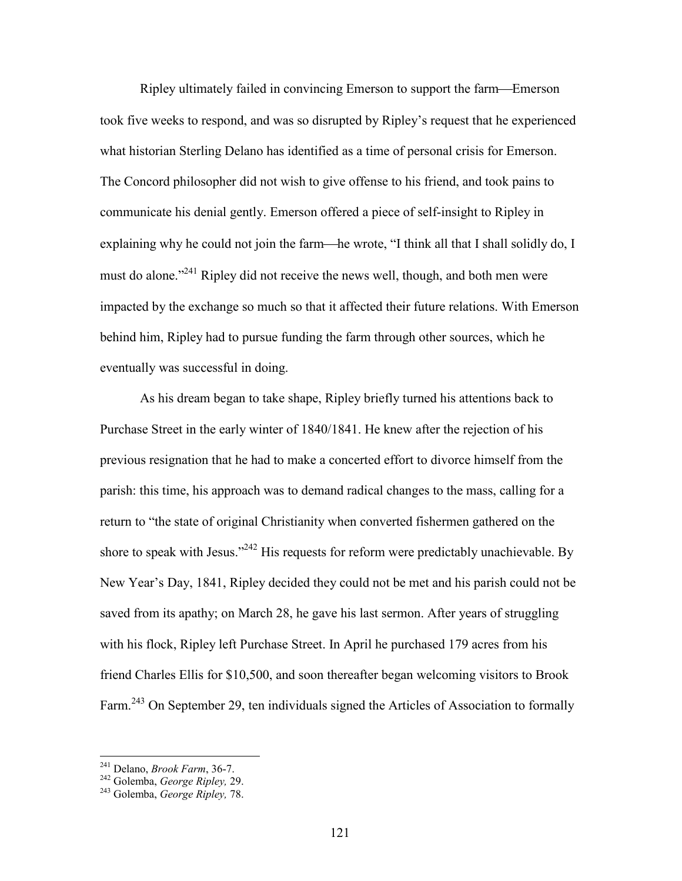Ripley ultimately failed in convincing Emerson to support the farm—Emerson took five weeks to respond, and was so disrupted by Ripley's request that he experienced what historian Sterling Delano has identified as a time of personal crisis for Emerson. The Concord philosopher did not wish to give offense to his friend, and took pains to communicate his denial gently. Emerson offered a piece of self-insight to Ripley in explaining why he could not join the farm—he wrote, "I think all that I shall solidly do, I must do alone."<sup>241</sup> Ripley did not receive the news well, though, and both men were impacted by the exchange so much so that it affected their future relations. With Emerson behind him, Ripley had to pursue funding the farm through other sources, which he eventually was successful in doing.

As his dream began to take shape, Ripley briefly turned his attentions back to Purchase Street in the early winter of 1840/1841. He knew after the rejection of his previous resignation that he had to make a concerted effort to divorce himself from the parish: this time, his approach was to demand radical changes to the mass, calling for a return to "the state of original Christianity when converted fishermen gathered on the shore to speak with Jesus."<sup>242</sup> His requests for reform were predictably unachievable. By New Year's Day, 1841, Ripley decided they could not be met and his parish could not be saved from its apathy; on March 28, he gave his last sermon. After years of struggling with his flock, Ripley left Purchase Street. In April he purchased 179 acres from his friend Charles Ellis for \$10,500, and soon thereafter began welcoming visitors to Brook Farm.<sup>243</sup> On September 29, ten individuals signed the Articles of Association to formally

<sup>241</sup> Delano, *Brook Farm*, 36-7.

<sup>242</sup> Golemba, *George Ripley,* 29.

<sup>243</sup> Golemba, *George Ripley,* 78.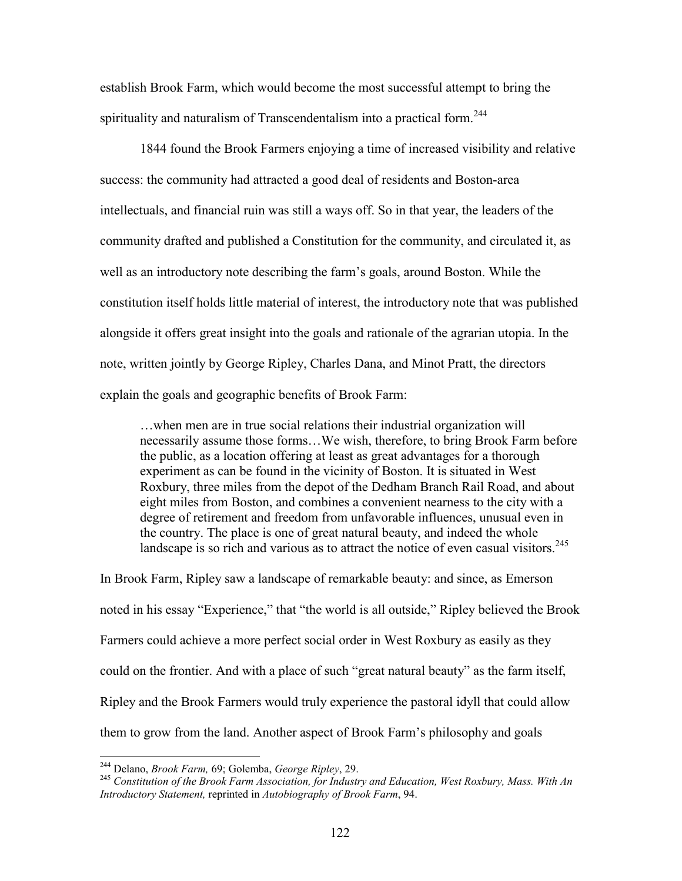establish Brook Farm, which would become the most successful attempt to bring the spirituality and naturalism of Transcendentalism into a practical form.<sup>244</sup>

1844 found the Brook Farmers enjoying a time of increased visibility and relative success: the community had attracted a good deal of residents and Boston-area intellectuals, and financial ruin was still a ways off. So in that year, the leaders of the community drafted and published a Constitution for the community, and circulated it, as well as an introductory note describing the farm's goals, around Boston. While the constitution itself holds little material of interest, the introductory note that was published alongside it offers great insight into the goals and rationale of the agrarian utopia. In the note, written jointly by George Ripley, Charles Dana, and Minot Pratt, the directors explain the goals and geographic benefits of Brook Farm:

…when men are in true social relations their industrial organization will necessarily assume those forms…We wish, therefore, to bring Brook Farm before the public, as a location offering at least as great advantages for a thorough experiment as can be found in the vicinity of Boston. It is situated in West Roxbury, three miles from the depot of the Dedham Branch Rail Road, and about eight miles from Boston, and combines a convenient nearness to the city with a degree of retirement and freedom from unfavorable influences, unusual even in the country. The place is one of great natural beauty, and indeed the whole landscape is so rich and various as to attract the notice of even casual visitors.<sup>245</sup>

In Brook Farm, Ripley saw a landscape of remarkable beauty: and since, as Emerson noted in his essay "Experience," that "the world is all outside," Ripley believed the Brook Farmers could achieve a more perfect social order in West Roxbury as easily as they could on the frontier. And with a place of such "great natural beauty" as the farm itself, Ripley and the Brook Farmers would truly experience the pastoral idyll that could allow them to grow from the land. Another aspect of Brook Farm's philosophy and goals

<sup>244</sup> Delano, *Brook Farm,* 69; Golemba, *George Ripley*, 29.

<sup>245</sup> *Constitution of the Brook Farm Association, for Industry and Education, West Roxbury, Mass. With An Introductory Statement,* reprinted in *Autobiography of Brook Farm*, 94.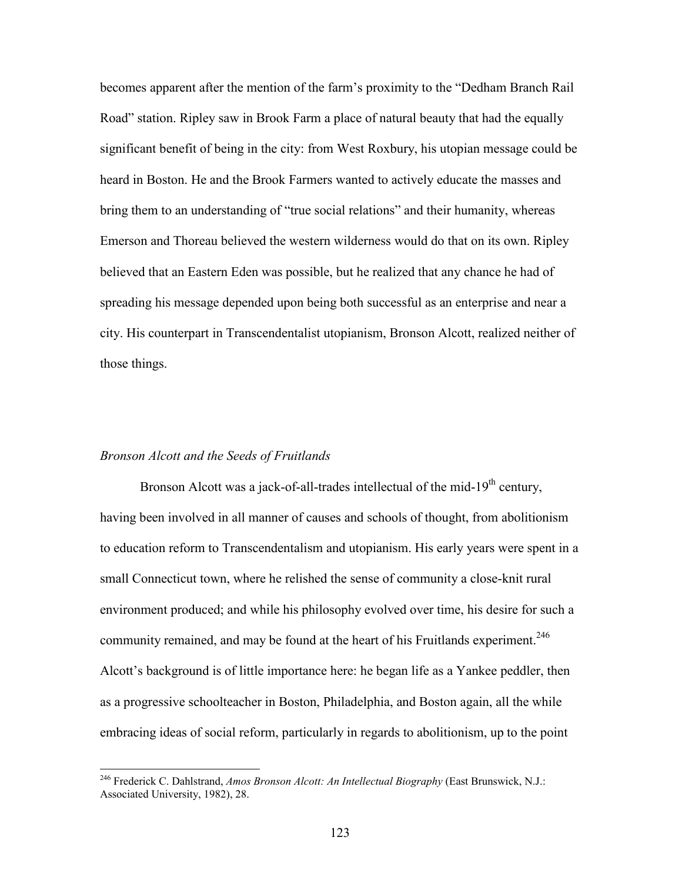becomes apparent after the mention of the farm's proximity to the "Dedham Branch Rail Road" station. Ripley saw in Brook Farm a place of natural beauty that had the equally significant benefit of being in the city: from West Roxbury, his utopian message could be heard in Boston. He and the Brook Farmers wanted to actively educate the masses and bring them to an understanding of "true social relations" and their humanity, whereas Emerson and Thoreau believed the western wilderness would do that on its own. Ripley believed that an Eastern Eden was possible, but he realized that any chance he had of spreading his message depended upon being both successful as an enterprise and near a city. His counterpart in Transcendentalist utopianism, Bronson Alcott, realized neither of those things.

#### *Bronson Alcott and the Seeds of Fruitlands*

Bronson Alcott was a jack-of-all-trades intellectual of the mid-19<sup>th</sup> century, having been involved in all manner of causes and schools of thought, from abolitionism to education reform to Transcendentalism and utopianism. His early years were spent in a small Connecticut town, where he relished the sense of community a close-knit rural environment produced; and while his philosophy evolved over time, his desire for such a community remained, and may be found at the heart of his Fruitlands experiment.<sup>246</sup> Alcott's background is of little importance here: he began life as a Yankee peddler, then as a progressive schoolteacher in Boston, Philadelphia, and Boston again, all the while embracing ideas of social reform, particularly in regards to abolitionism, up to the point

<sup>246</sup> Frederick C. Dahlstrand, *Amos Bronson Alcott: An Intellectual Biography* (East Brunswick, N.J.: Associated University, 1982), 28.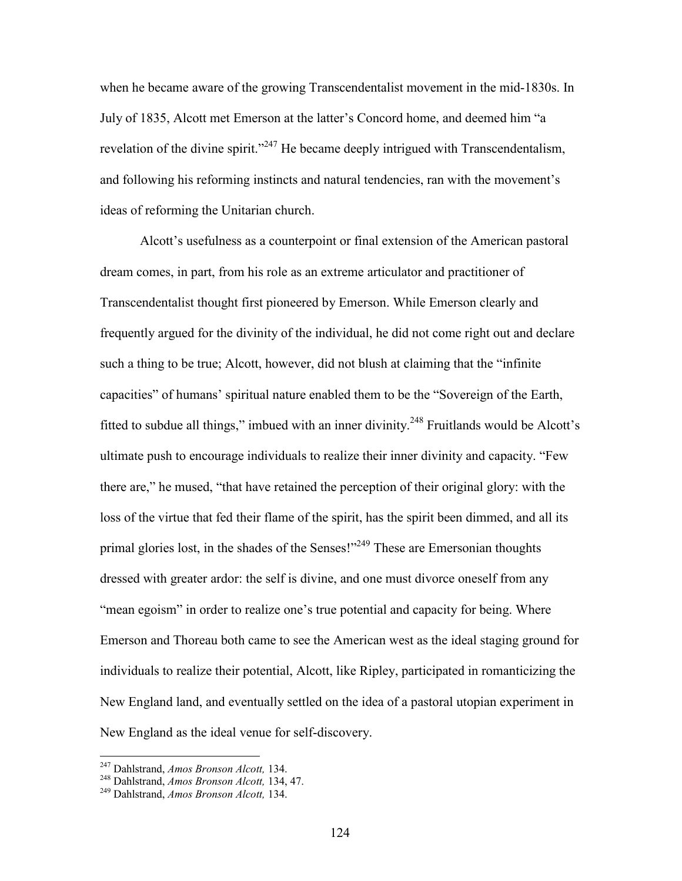when he became aware of the growing Transcendentalist movement in the mid-1830s. In July of 1835, Alcott met Emerson at the latter's Concord home, and deemed him "a revelation of the divine spirit."<sup>247</sup> He became deeply intrigued with Transcendentalism, and following his reforming instincts and natural tendencies, ran with the movement's ideas of reforming the Unitarian church.

Alcott's usefulness as a counterpoint or final extension of the American pastoral dream comes, in part, from his role as an extreme articulator and practitioner of Transcendentalist thought first pioneered by Emerson. While Emerson clearly and frequently argued for the divinity of the individual, he did not come right out and declare such a thing to be true; Alcott, however, did not blush at claiming that the "infinite capacities" of humans' spiritual nature enabled them to be the "Sovereign of the Earth, fitted to subdue all things," imbued with an inner divinity.<sup>248</sup> Fruitlands would be Alcott's ultimate push to encourage individuals to realize their inner divinity and capacity. "Few there are," he mused, "that have retained the perception of their original glory: with the loss of the virtue that fed their flame of the spirit, has the spirit been dimmed, and all its primal glories lost, in the shades of the Senses!"<sup>249</sup> These are Emersonian thoughts dressed with greater ardor: the self is divine, and one must divorce oneself from any "mean egoism" in order to realize one's true potential and capacity for being. Where Emerson and Thoreau both came to see the American west as the ideal staging ground for individuals to realize their potential, Alcott, like Ripley, participated in romanticizing the New England land, and eventually settled on the idea of a pastoral utopian experiment in New England as the ideal venue for self-discovery.

<sup>247</sup> Dahlstrand, *Amos Bronson Alcott,* 134.

<sup>248</sup> Dahlstrand, *Amos Bronson Alcott,* 134, 47.

<sup>249</sup> Dahlstrand, *Amos Bronson Alcott,* 134.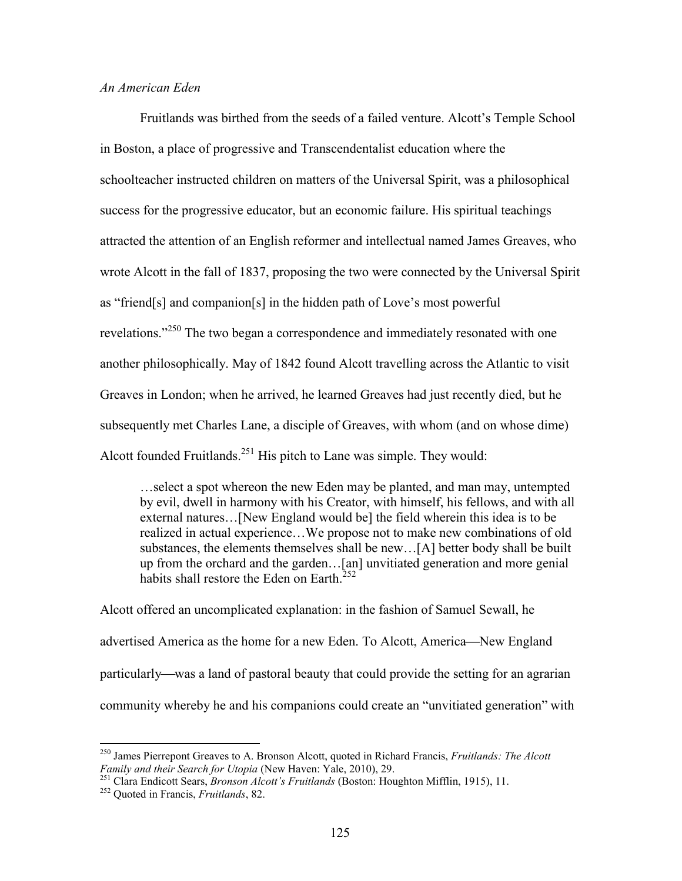# *An American Eden*

Fruitlands was birthed from the seeds of a failed venture. Alcott's Temple School in Boston, a place of progressive and Transcendentalist education where the schoolteacher instructed children on matters of the Universal Spirit, was a philosophical success for the progressive educator, but an economic failure. His spiritual teachings attracted the attention of an English reformer and intellectual named James Greaves, who wrote Alcott in the fall of 1837, proposing the two were connected by the Universal Spirit as "friend[s] and companion[s] in the hidden path of Love's most powerful revelations."<sup>250</sup> The two began a correspondence and immediately resonated with one another philosophically. May of 1842 found Alcott travelling across the Atlantic to visit Greaves in London; when he arrived, he learned Greaves had just recently died, but he subsequently met Charles Lane, a disciple of Greaves, with whom (and on whose dime) Alcott founded Fruitlands.<sup>251</sup> His pitch to Lane was simple. They would:

…select a spot whereon the new Eden may be planted, and man may, untempted by evil, dwell in harmony with his Creator, with himself, his fellows, and with all external natures…[New England would be] the field wherein this idea is to be realized in actual experience…We propose not to make new combinations of old substances, the elements themselves shall be new…[A] better body shall be built up from the orchard and the garden…[an] unvitiated generation and more genial habits shall restore the Eden on Earth<sup>2</sup>

Alcott offered an uncomplicated explanation: in the fashion of Samuel Sewall, he advertised America as the home for a new Eden. To Alcott, America—New England particularly—was a land of pastoral beauty that could provide the setting for an agrarian community whereby he and his companions could create an "unvitiated generation" with

<sup>250</sup> James Pierrepont Greaves to A. Bronson Alcott, quoted in Richard Francis, *Fruitlands: The Alcott Family and their Search for Utopia* (New Haven: Yale, 2010), 29.

<sup>251</sup> Clara Endicott Sears, *Bronson Alcott's Fruitlands* (Boston: Houghton Mifflin, 1915), 11.

<sup>252</sup> Quoted in Francis, *Fruitlands*, 82.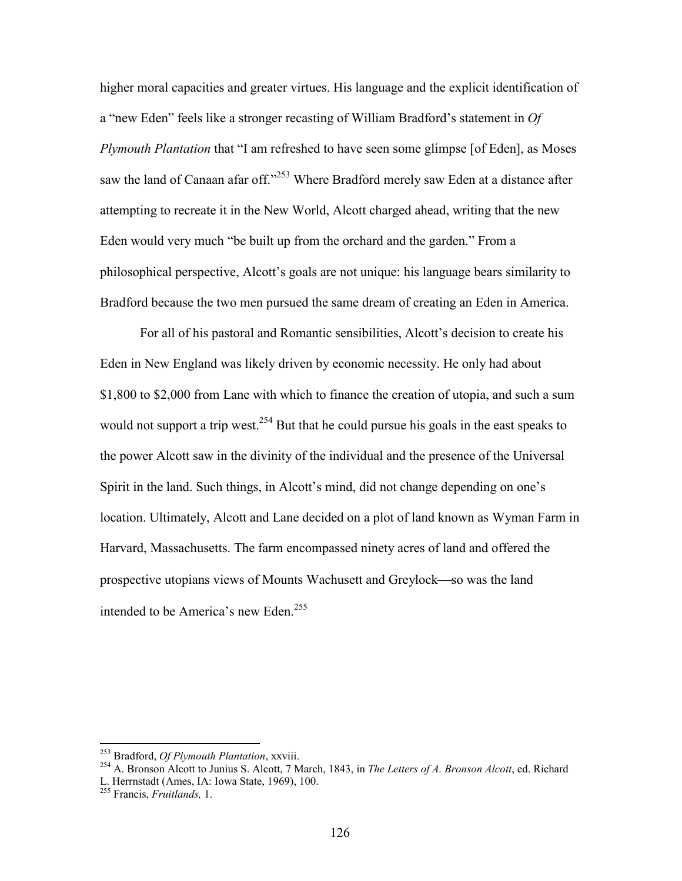higher moral capacities and greater virtues. His language and the explicit identification of a "new Eden" feels like a stronger recasting of William Bradford's statement in *Of Plymouth Plantation* that "I am refreshed to have seen some glimpse [of Eden], as Moses saw the land of Canaan afar off."<sup>253</sup> Where Bradford merely saw Eden at a distance after attempting to recreate it in the New World, Alcott charged ahead, writing that the new Eden would very much "be built up from the orchard and the garden." From a philosophical perspective, Alcott's goals are not unique: his language bears similarity to Bradford because the two men pursued the same dream of creating an Eden in America.

For all of his pastoral and Romantic sensibilities, Alcott's decision to create his Eden in New England was likely driven by economic necessity. He only had about \$1,800 to \$2,000 from Lane with which to finance the creation of utopia, and such a sum would not support a trip west.  $254$  But that he could pursue his goals in the east speaks to the power Alcott saw in the divinity of the individual and the presence of the Universal Spirit in the land. Such things, in Alcott's mind, did not change depending on one's location. Ultimately, Alcott and Lane decided on a plot of land known as Wyman Farm in Harvard, Massachusetts. The farm encompassed ninety acres of land and offered the prospective utopians views of Mounts Wachusett and Greylock—so was the land intended to be America's new Eden.<sup>255</sup>

<sup>253</sup> Bradford, *Of Plymouth Plantation*, xxviii.

<sup>254</sup> A. Bronson Alcott to Junius S. Alcott, 7 March, 1843, in *The Letters of A. Bronson Alcott*, ed. Richard L. Herrnstadt (Ames, IA: Iowa State, 1969), 100.

<sup>255</sup> Francis, *Fruitlands,* 1.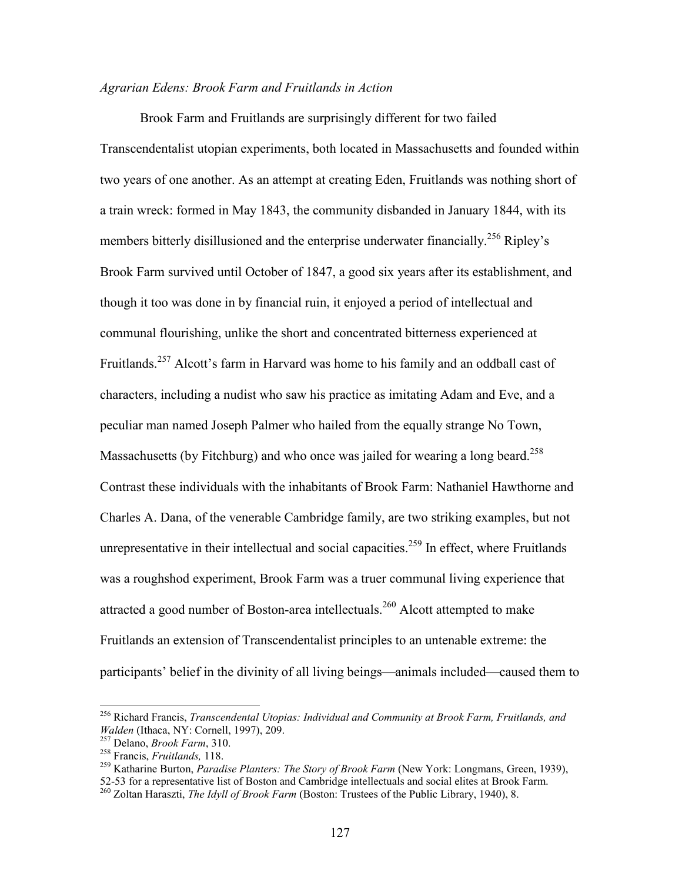## *Agrarian Edens: Brook Farm and Fruitlands in Action*

Brook Farm and Fruitlands are surprisingly different for two failed Transcendentalist utopian experiments, both located in Massachusetts and founded within two years of one another. As an attempt at creating Eden, Fruitlands was nothing short of a train wreck: formed in May 1843, the community disbanded in January 1844, with its members bitterly disillusioned and the enterprise underwater financially.<sup>256</sup> Ripley's Brook Farm survived until October of 1847, a good six years after its establishment, and though it too was done in by financial ruin, it enjoyed a period of intellectual and communal flourishing, unlike the short and concentrated bitterness experienced at Fruitlands.<sup>257</sup> Alcott's farm in Harvard was home to his family and an oddball cast of characters, including a nudist who saw his practice as imitating Adam and Eve, and a peculiar man named Joseph Palmer who hailed from the equally strange No Town, Massachusetts (by Fitchburg) and who once was jailed for wearing a long beard.<sup>258</sup> Contrast these individuals with the inhabitants of Brook Farm: Nathaniel Hawthorne and Charles A. Dana, of the venerable Cambridge family, are two striking examples, but not unrepresentative in their intellectual and social capacities.<sup>259</sup> In effect, where Fruitlands was a roughshod experiment, Brook Farm was a truer communal living experience that attracted a good number of Boston-area intellectuals.<sup>260</sup> Alcott attempted to make Fruitlands an extension of Transcendentalist principles to an untenable extreme: the participants' belief in the divinity of all living beings—animals included—caused them to

<sup>256</sup> Richard Francis, *Transcendental Utopias: Individual and Community at Brook Farm, Fruitlands, and Walden* (Ithaca, NY: Cornell, 1997), 209.

<sup>257</sup> Delano, *Brook Farm*, 310.

<sup>258</sup> Francis, *Fruitlands,* 118.

<sup>259</sup> Katharine Burton, *Paradise Planters: The Story of Brook Farm* (New York: Longmans, Green, 1939), 52-53 for a representative list of Boston and Cambridge intellectuals and social elites at Brook Farm.

<sup>260</sup> Zoltan Haraszti, *The Idyll of Brook Farm* (Boston: Trustees of the Public Library, 1940), 8.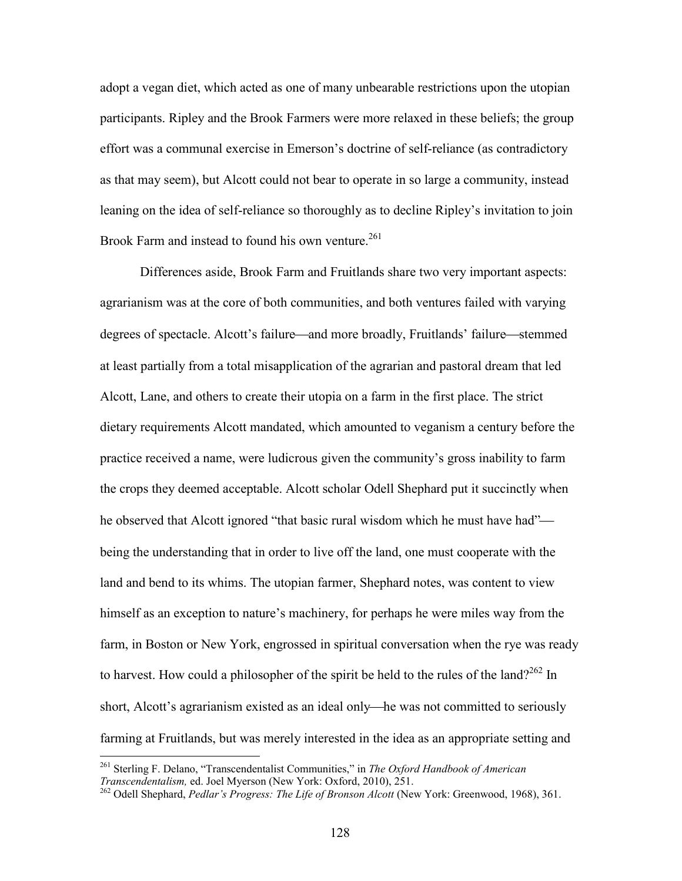adopt a vegan diet, which acted as one of many unbearable restrictions upon the utopian participants. Ripley and the Brook Farmers were more relaxed in these beliefs; the group effort was a communal exercise in Emerson's doctrine of self-reliance (as contradictory as that may seem), but Alcott could not bear to operate in so large a community, instead leaning on the idea of self-reliance so thoroughly as to decline Ripley's invitation to join Brook Farm and instead to found his own venture.<sup>261</sup>

Differences aside, Brook Farm and Fruitlands share two very important aspects: agrarianism was at the core of both communities, and both ventures failed with varying degrees of spectacle. Alcott's failure—and more broadly, Fruitlands' failure—stemmed at least partially from a total misapplication of the agrarian and pastoral dream that led Alcott, Lane, and others to create their utopia on a farm in the first place. The strict dietary requirements Alcott mandated, which amounted to veganism a century before the practice received a name, were ludicrous given the community's gross inability to farm the crops they deemed acceptable. Alcott scholar Odell Shephard put it succinctly when he observed that Alcott ignored "that basic rural wisdom which he must have had" being the understanding that in order to live off the land, one must cooperate with the land and bend to its whims. The utopian farmer, Shephard notes, was content to view himself as an exception to nature's machinery, for perhaps he were miles way from the farm, in Boston or New York, engrossed in spiritual conversation when the rye was ready to harvest. How could a philosopher of the spirit be held to the rules of the land?<sup>262</sup> In short, Alcott's agrarianism existed as an ideal only—he was not committed to seriously farming at Fruitlands, but was merely interested in the idea as an appropriate setting and

<sup>261</sup> Sterling F. Delano, "Transcendentalist Communities," in *The Oxford Handbook of American Transcendentalism,* ed. Joel Myerson (New York: Oxford, 2010), 251.

<sup>262</sup> Odell Shephard, *Pedlar's Progress: The Life of Bronson Alcott* (New York: Greenwood, 1968), 361.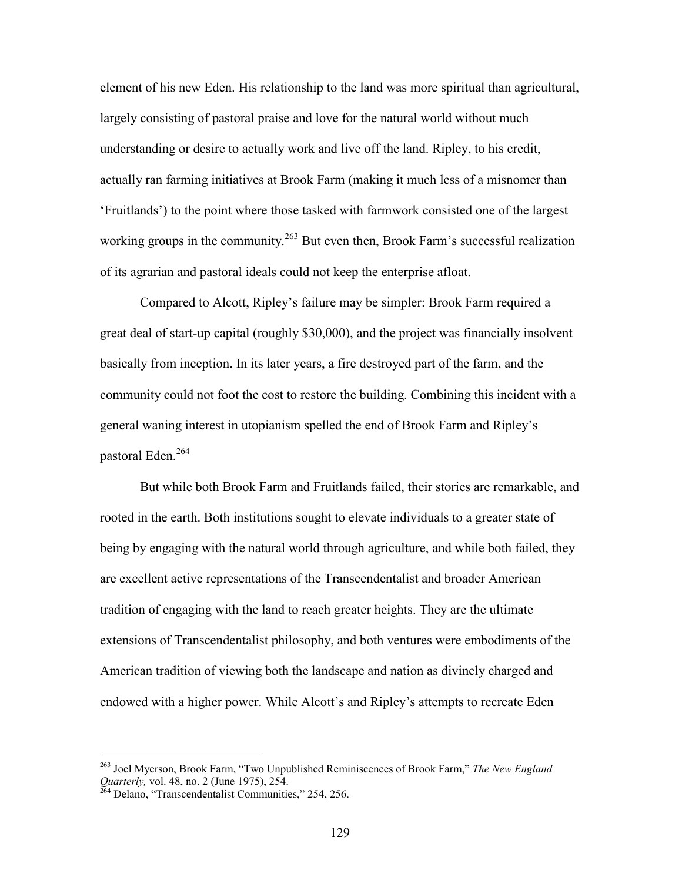element of his new Eden. His relationship to the land was more spiritual than agricultural, largely consisting of pastoral praise and love for the natural world without much understanding or desire to actually work and live off the land. Ripley, to his credit, actually ran farming initiatives at Brook Farm (making it much less of a misnomer than 'Fruitlands') to the point where those tasked with farmwork consisted one of the largest working groups in the community.<sup>263</sup> But even then, Brook Farm's successful realization of its agrarian and pastoral ideals could not keep the enterprise afloat.

Compared to Alcott, Ripley's failure may be simpler: Brook Farm required a great deal of start-up capital (roughly \$30,000), and the project was financially insolvent basically from inception. In its later years, a fire destroyed part of the farm, and the community could not foot the cost to restore the building. Combining this incident with a general waning interest in utopianism spelled the end of Brook Farm and Ripley's pastoral Eden.<sup>264</sup>

But while both Brook Farm and Fruitlands failed, their stories are remarkable, and rooted in the earth. Both institutions sought to elevate individuals to a greater state of being by engaging with the natural world through agriculture, and while both failed, they are excellent active representations of the Transcendentalist and broader American tradition of engaging with the land to reach greater heights. They are the ultimate extensions of Transcendentalist philosophy, and both ventures were embodiments of the American tradition of viewing both the landscape and nation as divinely charged and endowed with a higher power. While Alcott's and Ripley's attempts to recreate Eden

<sup>263</sup> Joel Myerson, Brook Farm, "Two Unpublished Reminiscences of Brook Farm," *The New England Quarterly,* vol. 48, no. 2 (June 1975), 254.

 $^{264}$  Delano, "Transcendentalist Communities," 254, 256.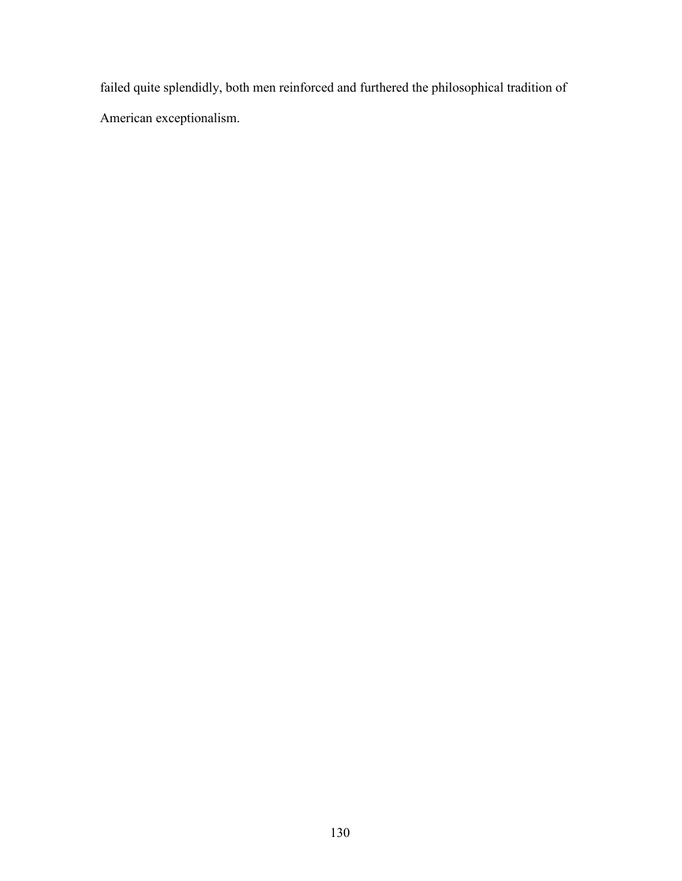failed quite splendidly, both men reinforced and furthered the philosophical tradition of American exceptionalism.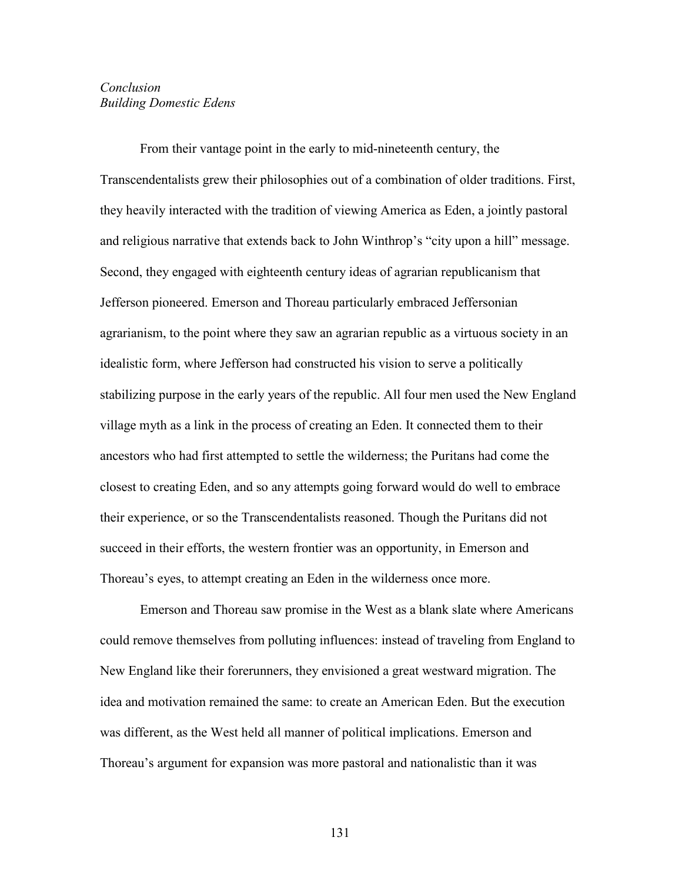# *Conclusion Building Domestic Edens*

From their vantage point in the early to mid-nineteenth century, the Transcendentalists grew their philosophies out of a combination of older traditions. First, they heavily interacted with the tradition of viewing America as Eden, a jointly pastoral and religious narrative that extends back to John Winthrop's "city upon a hill" message. Second, they engaged with eighteenth century ideas of agrarian republicanism that Jefferson pioneered. Emerson and Thoreau particularly embraced Jeffersonian agrarianism, to the point where they saw an agrarian republic as a virtuous society in an idealistic form, where Jefferson had constructed his vision to serve a politically stabilizing purpose in the early years of the republic. All four men used the New England village myth as a link in the process of creating an Eden. It connected them to their ancestors who had first attempted to settle the wilderness; the Puritans had come the closest to creating Eden, and so any attempts going forward would do well to embrace their experience, or so the Transcendentalists reasoned. Though the Puritans did not succeed in their efforts, the western frontier was an opportunity, in Emerson and Thoreau's eyes, to attempt creating an Eden in the wilderness once more.

Emerson and Thoreau saw promise in the West as a blank slate where Americans could remove themselves from polluting influences: instead of traveling from England to New England like their forerunners, they envisioned a great westward migration. The idea and motivation remained the same: to create an American Eden. But the execution was different, as the West held all manner of political implications. Emerson and Thoreau's argument for expansion was more pastoral and nationalistic than it was

131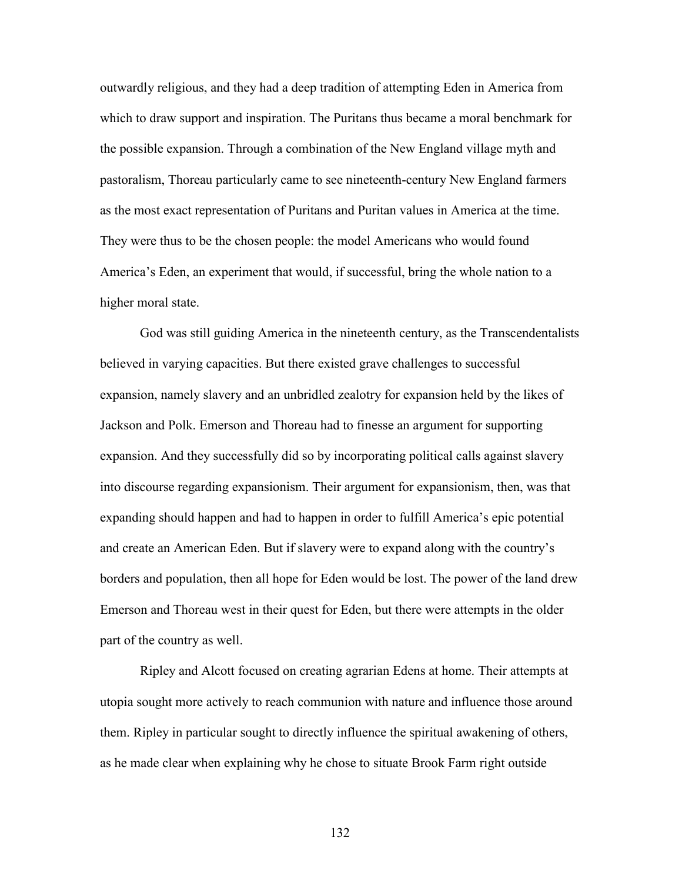outwardly religious, and they had a deep tradition of attempting Eden in America from which to draw support and inspiration. The Puritans thus became a moral benchmark for the possible expansion. Through a combination of the New England village myth and pastoralism, Thoreau particularly came to see nineteenth-century New England farmers as the most exact representation of Puritans and Puritan values in America at the time. They were thus to be the chosen people: the model Americans who would found America's Eden, an experiment that would, if successful, bring the whole nation to a higher moral state.

God was still guiding America in the nineteenth century, as the Transcendentalists believed in varying capacities. But there existed grave challenges to successful expansion, namely slavery and an unbridled zealotry for expansion held by the likes of Jackson and Polk. Emerson and Thoreau had to finesse an argument for supporting expansion. And they successfully did so by incorporating political calls against slavery into discourse regarding expansionism. Their argument for expansionism, then, was that expanding should happen and had to happen in order to fulfill America's epic potential and create an American Eden. But if slavery were to expand along with the country's borders and population, then all hope for Eden would be lost. The power of the land drew Emerson and Thoreau west in their quest for Eden, but there were attempts in the older part of the country as well.

Ripley and Alcott focused on creating agrarian Edens at home. Their attempts at utopia sought more actively to reach communion with nature and influence those around them. Ripley in particular sought to directly influence the spiritual awakening of others, as he made clear when explaining why he chose to situate Brook Farm right outside

132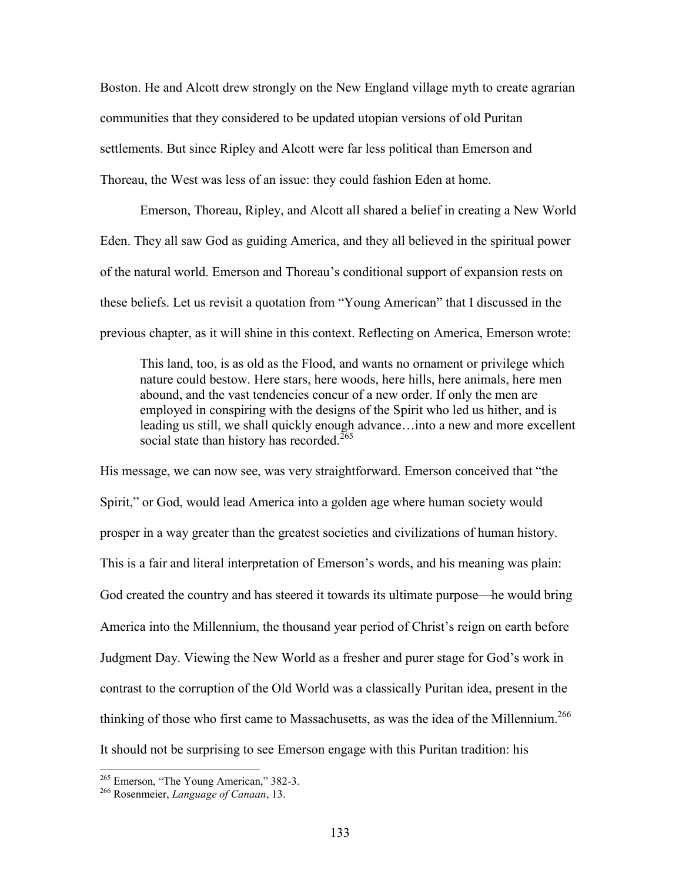Boston. He and Alcott drew strongly on the New England village myth to create agrarian communities that they considered to be updated utopian versions of old Puritan settlements. But since Ripley and Alcott were far less political than Emerson and Thoreau, the West was less of an issue: they could fashion Eden at home.

Emerson, Thoreau, Ripley, and Alcott all shared a belief in creating a New World Eden. They all saw God as guiding America, and they all believed in the spiritual power of the natural world. Emerson and Thoreau's conditional support of expansion rests on these beliefs. Let us revisit a quotation from "Young American" that I discussed in the previous chapter, as it will shine in this context. Reflecting on America, Emerson wrote:

This land, too, is as old as the Flood, and wants no ornament or privilege which nature could bestow. Here stars, here woods, here hills, here animals, here men abound, and the vast tendencies concur of a new order. If only the men are employed in conspiring with the designs of the Spirit who led us hither, and is leading us still, we shall quickly enough advance…into a new and more excellent social state than history has recorded.<sup>265</sup>

His message, we can now see, was very straightforward. Emerson conceived that "the Spirit," or God, would lead America into a golden age where human society would prosper in a way greater than the greatest societies and civilizations of human history. This is a fair and literal interpretation of Emerson's words, and his meaning was plain: God created the country and has steered it towards its ultimate purpose—he would bring America into the Millennium, the thousand year period of Christ's reign on earth before Judgment Day. Viewing the New World as a fresher and purer stage for God's work in contrast to the corruption of the Old World was a classically Puritan idea, present in the thinking of those who first came to Massachusetts, as was the idea of the Millennium.<sup>266</sup> It should not be surprising to see Emerson engage with this Puritan tradition: his

<sup>265</sup> Emerson, "The Young American," 382-3.

<sup>266</sup> Rosenmeier, *Language of Canaan*, 13.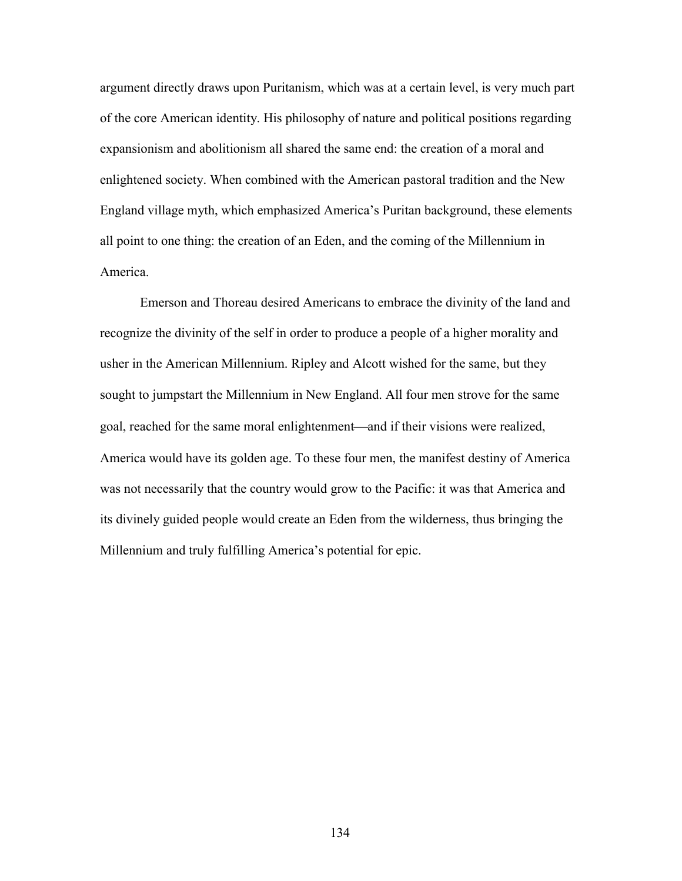argument directly draws upon Puritanism, which was at a certain level, is very much part of the core American identity. His philosophy of nature and political positions regarding expansionism and abolitionism all shared the same end: the creation of a moral and enlightened society. When combined with the American pastoral tradition and the New England village myth, which emphasized America's Puritan background, these elements all point to one thing: the creation of an Eden, and the coming of the Millennium in America.

Emerson and Thoreau desired Americans to embrace the divinity of the land and recognize the divinity of the self in order to produce a people of a higher morality and usher in the American Millennium. Ripley and Alcott wished for the same, but they sought to jumpstart the Millennium in New England. All four men strove for the same goal, reached for the same moral enlightenment—and if their visions were realized, America would have its golden age. To these four men, the manifest destiny of America was not necessarily that the country would grow to the Pacific: it was that America and its divinely guided people would create an Eden from the wilderness, thus bringing the Millennium and truly fulfilling America's potential for epic.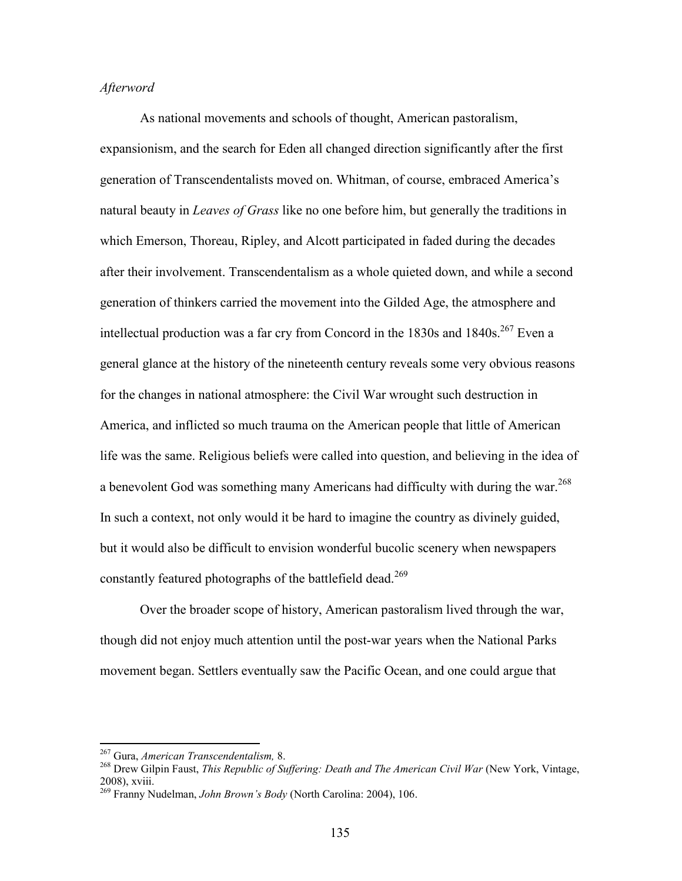## *Afterword*

As national movements and schools of thought, American pastoralism, expansionism, and the search for Eden all changed direction significantly after the first generation of Transcendentalists moved on. Whitman, of course, embraced America's natural beauty in *Leaves of Grass* like no one before him, but generally the traditions in which Emerson, Thoreau, Ripley, and Alcott participated in faded during the decades after their involvement. Transcendentalism as a whole quieted down, and while a second generation of thinkers carried the movement into the Gilded Age, the atmosphere and intellectual production was a far cry from Concord in the  $1830s$  and  $1840s$ .<sup>267</sup> Even a general glance at the history of the nineteenth century reveals some very obvious reasons for the changes in national atmosphere: the Civil War wrought such destruction in America, and inflicted so much trauma on the American people that little of American life was the same. Religious beliefs were called into question, and believing in the idea of a benevolent God was something many Americans had difficulty with during the war.<sup>268</sup> In such a context, not only would it be hard to imagine the country as divinely guided, but it would also be difficult to envision wonderful bucolic scenery when newspapers constantly featured photographs of the battlefield dead.<sup>269</sup>

Over the broader scope of history, American pastoralism lived through the war, though did not enjoy much attention until the post-war years when the National Parks movement began. Settlers eventually saw the Pacific Ocean, and one could argue that

<sup>267</sup> Gura, *American Transcendentalism,* 8.

<sup>268</sup> Drew Gilpin Faust, *This Republic of Suffering: Death and The American Civil War* (New York, Vintage, 2008), xviii.

<sup>269</sup> Franny Nudelman, *John Brown's Body* (North Carolina: 2004), 106.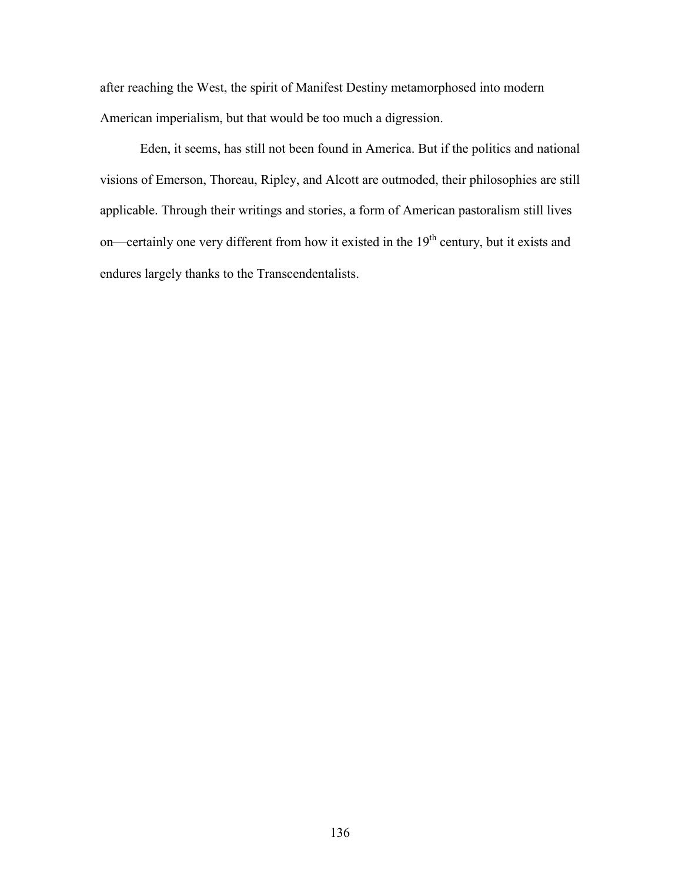after reaching the West, the spirit of Manifest Destiny metamorphosed into modern American imperialism, but that would be too much a digression.

Eden, it seems, has still not been found in America. But if the politics and national visions of Emerson, Thoreau, Ripley, and Alcott are outmoded, their philosophies are still applicable. Through their writings and stories, a form of American pastoralism still lives on—certainly one very different from how it existed in the  $19<sup>th</sup>$  century, but it exists and endures largely thanks to the Transcendentalists.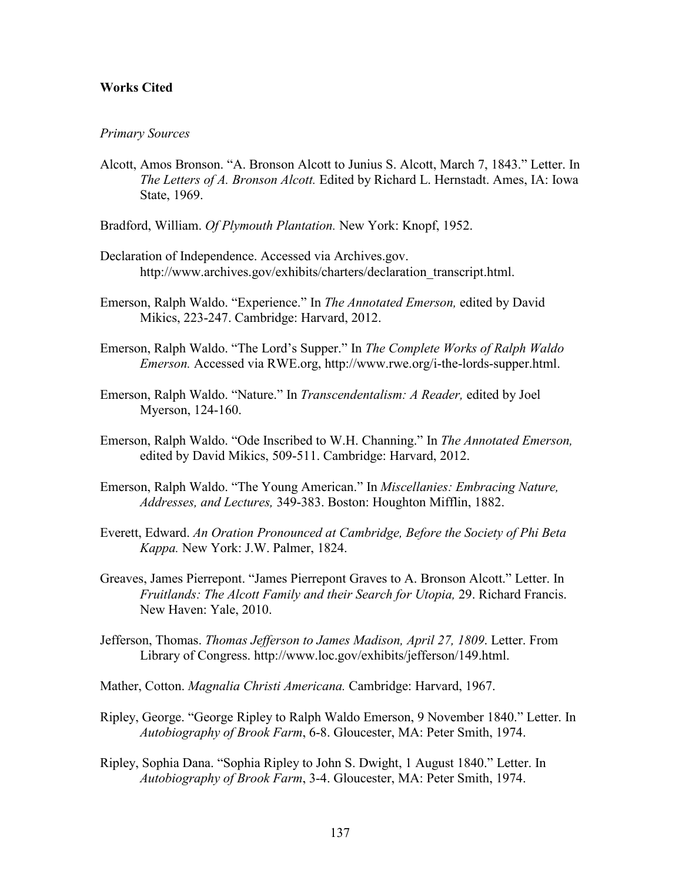#### **Works Cited**

#### *Primary Sources*

- Alcott, Amos Bronson. "A. Bronson Alcott to Junius S. Alcott, March 7, 1843." Letter. In *The Letters of A. Bronson Alcott.* Edited by Richard L. Hernstadt. Ames, IA: Iowa State, 1969.
- Bradford, William. *Of Plymouth Plantation.* New York: Knopf, 1952.
- Declaration of Independence. Accessed via Archives.gov. http://www.archives.gov/exhibits/charters/declaration\_transcript.html.
- Emerson, Ralph Waldo. "Experience." In *The Annotated Emerson,* edited by David Mikics, 223-247. Cambridge: Harvard, 2012.
- Emerson, Ralph Waldo. "The Lord's Supper." In *The Complete Works of Ralph Waldo Emerson.* Accessed via RWE.org, http://www.rwe.org/i-the-lords-supper.html.
- Emerson, Ralph Waldo. "Nature." In *Transcendentalism: A Reader,* edited by Joel Myerson, 124-160.
- Emerson, Ralph Waldo. "Ode Inscribed to W.H. Channing." In *The Annotated Emerson,* edited by David Mikics, 509-511. Cambridge: Harvard, 2012.
- Emerson, Ralph Waldo. "The Young American." In *Miscellanies: Embracing Nature, Addresses, and Lectures,* 349-383. Boston: Houghton Mifflin, 1882.
- Everett, Edward. *An Oration Pronounced at Cambridge, Before the Society of Phi Beta Kappa.* New York: J.W. Palmer, 1824.
- Greaves, James Pierrepont. "James Pierrepont Graves to A. Bronson Alcott." Letter. In *Fruitlands: The Alcott Family and their Search for Utopia,* 29. Richard Francis. New Haven: Yale, 2010.
- Jefferson, Thomas. *Thomas Jefferson to James Madison, April 27, 1809*. Letter. From Library of Congress. http://www.loc.gov/exhibits/jefferson/149.html.
- Mather, Cotton. *Magnalia Christi Americana.* Cambridge: Harvard, 1967.
- Ripley, George. "George Ripley to Ralph Waldo Emerson, 9 November 1840." Letter. In *Autobiography of Brook Farm*, 6-8. Gloucester, MA: Peter Smith, 1974.
- Ripley, Sophia Dana. "Sophia Ripley to John S. Dwight, 1 August 1840." Letter. In *Autobiography of Brook Farm*, 3-4. Gloucester, MA: Peter Smith, 1974.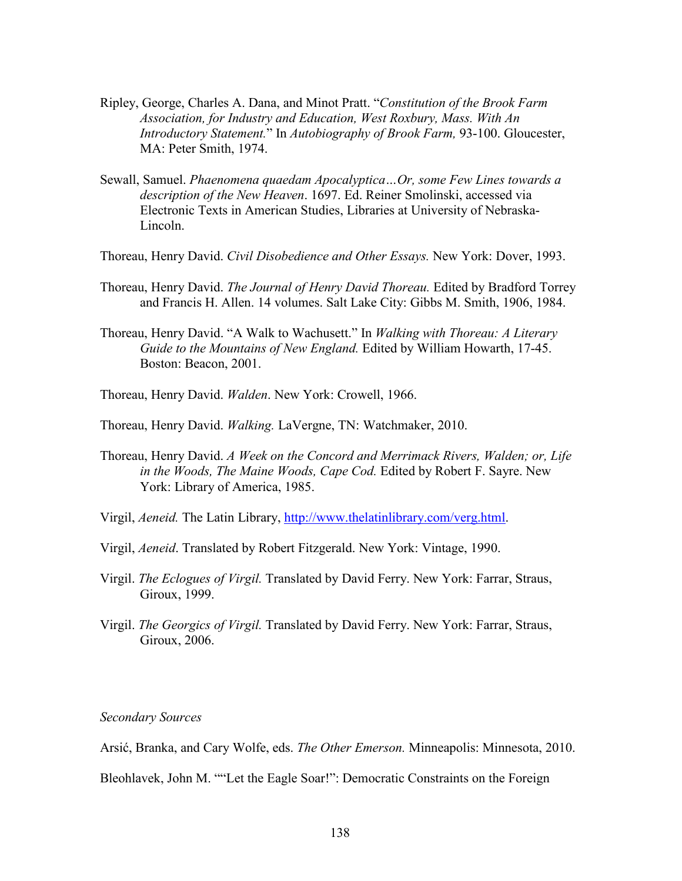- Ripley, George, Charles A. Dana, and Minot Pratt. "*Constitution of the Brook Farm Association, for Industry and Education, West Roxbury, Mass. With An Introductory Statement.*" In *Autobiography of Brook Farm,* 93-100. Gloucester, MA: Peter Smith, 1974.
- Sewall, Samuel. *Phaenomena quaedam Apocalyptica…Or, some Few Lines towards a description of the New Heaven*. 1697. Ed. Reiner Smolinski, accessed via Electronic Texts in American Studies, Libraries at University of Nebraska-Lincoln.
- Thoreau, Henry David. *Civil Disobedience and Other Essays.* New York: Dover, 1993.
- Thoreau, Henry David. *The Journal of Henry David Thoreau.* Edited by Bradford Torrey and Francis H. Allen. 14 volumes. Salt Lake City: Gibbs M. Smith, 1906, 1984.
- Thoreau, Henry David. "A Walk to Wachusett." In *Walking with Thoreau: A Literary Guide to the Mountains of New England.* Edited by William Howarth, 17-45. Boston: Beacon, 2001.
- Thoreau, Henry David. *Walden*. New York: Crowell, 1966.
- Thoreau, Henry David. *Walking.* LaVergne, TN: Watchmaker, 2010.
- Thoreau, Henry David. *A Week on the Concord and Merrimack Rivers, Walden; or, Life in the Woods, The Maine Woods, Cape Cod.* Edited by Robert F. Sayre. New York: Library of America, 1985.
- Virgil, *Aeneid.* The Latin Library, [http://www.thelatinlibrary.com/verg.htm](http://www.thelatinlibrary.com/verg.html)l.
- Virgil, *Aeneid*. Translated by Robert Fitzgerald. New York: Vintage, 1990.
- Virgil. *The Eclogues of Virgil.* Translated by David Ferry. New York: Farrar, Straus, Giroux, 1999.
- Virgil. *The Georgics of Virgil.* Translated by David Ferry. New York: Farrar, Straus, Giroux, 2006.

## *Secondary Sources*

Arsić, Branka, and Cary Wolfe, eds. *The Other Emerson.* Minneapolis: Minnesota, 2010.

Bleohlavek, John M. ""Let the Eagle Soar!": Democratic Constraints on the Foreign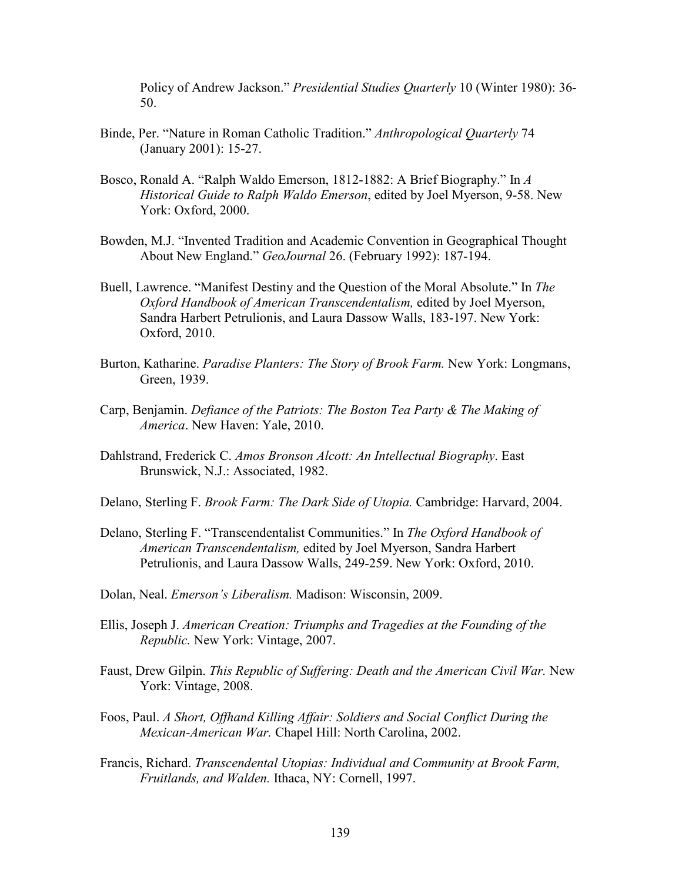Policy of Andrew Jackson." *Presidential Studies Quarterly* 10 (Winter 1980): 36- 50.

- Binde, Per. "Nature in Roman Catholic Tradition." *Anthropological Quarterly* 74 (January 2001): 15-27.
- Bosco, Ronald A. "Ralph Waldo Emerson, 1812-1882: A Brief Biography." In *A Historical Guide to Ralph Waldo Emerson*, edited by Joel Myerson, 9-58. New York: Oxford, 2000.
- Bowden, M.J. "Invented Tradition and Academic Convention in Geographical Thought About New England." *GeoJournal* 26. (February 1992): 187-194.
- Buell, Lawrence. "Manifest Destiny and the Question of the Moral Absolute." In *The Oxford Handbook of American Transcendentalism,* edited by Joel Myerson, Sandra Harbert Petrulionis, and Laura Dassow Walls, 183-197. New York: Oxford, 2010.
- Burton, Katharine. *Paradise Planters: The Story of Brook Farm.* New York: Longmans, Green, 1939.
- Carp, Benjamin. *Defiance of the Patriots: The Boston Tea Party & The Making of America*. New Haven: Yale, 2010.
- Dahlstrand, Frederick C. *Amos Bronson Alcott: An Intellectual Biography*. East Brunswick, N.J.: Associated, 1982.
- Delano, Sterling F. *Brook Farm: The Dark Side of Utopia.* Cambridge: Harvard, 2004.
- Delano, Sterling F. "Transcendentalist Communities." In *The Oxford Handbook of American Transcendentalism,* edited by Joel Myerson, Sandra Harbert Petrulionis, and Laura Dassow Walls, 249-259. New York: Oxford, 2010.
- Dolan, Neal. *Emerson's Liberalism.* Madison: Wisconsin, 2009.
- Ellis, Joseph J. *American Creation: Triumphs and Tragedies at the Founding of the Republic.* New York: Vintage, 2007.
- Faust, Drew Gilpin. *This Republic of Suffering: Death and the American Civil War.* New York: Vintage, 2008.
- Foos, Paul. *A Short, Offhand Killing Affair: Soldiers and Social Conflict During the Mexican-American War.* Chapel Hill: North Carolina, 2002.
- Francis, Richard. *Transcendental Utopias: Individual and Community at Brook Farm, Fruitlands, and Walden.* Ithaca, NY: Cornell, 1997.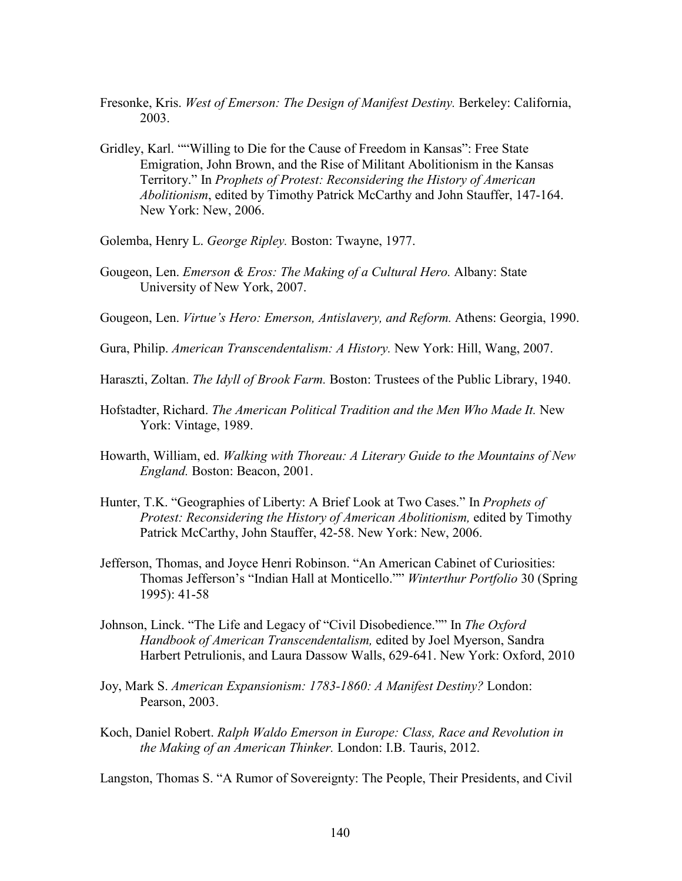- Fresonke, Kris. *West of Emerson: The Design of Manifest Destiny.* Berkeley: California, 2003.
- Gridley, Karl. ""Willing to Die for the Cause of Freedom in Kansas": Free State Emigration, John Brown, and the Rise of Militant Abolitionism in the Kansas Territory." In *Prophets of Protest: Reconsidering the History of American Abolitionism*, edited by Timothy Patrick McCarthy and John Stauffer, 147-164. New York: New, 2006.
- Golemba, Henry L. *George Ripley.* Boston: Twayne, 1977.
- Gougeon, Len. *Emerson & Eros: The Making of a Cultural Hero.* Albany: State University of New York, 2007.
- Gougeon, Len. *Virtue's Hero: Emerson, Antislavery, and Reform.* Athens: Georgia, 1990.
- Gura, Philip. *American Transcendentalism: A History.* New York: Hill, Wang, 2007.
- Haraszti, Zoltan. *The Idyll of Brook Farm.* Boston: Trustees of the Public Library, 1940.
- Hofstadter, Richard. *The American Political Tradition and the Men Who Made It.* New York: Vintage, 1989.
- Howarth, William, ed. *Walking with Thoreau: A Literary Guide to the Mountains of New England.* Boston: Beacon, 2001.
- Hunter, T.K. "Geographies of Liberty: A Brief Look at Two Cases." In *Prophets of Protest: Reconsidering the History of American Abolitionism,* edited by Timothy Patrick McCarthy, John Stauffer, 42-58. New York: New, 2006.
- Jefferson, Thomas, and Joyce Henri Robinson. "An American Cabinet of Curiosities: Thomas Jefferson's "Indian Hall at Monticello."" *Winterthur Portfolio* 30 (Spring 1995): 41-58
- Johnson, Linck. "The Life and Legacy of "Civil Disobedience."" In *The Oxford Handbook of American Transcendentalism,* edited by Joel Myerson, Sandra Harbert Petrulionis, and Laura Dassow Walls, 629-641. New York: Oxford, 2010
- Joy, Mark S. *American Expansionism: 1783-1860: A Manifest Destiny?* London: Pearson, 2003.
- Koch, Daniel Robert. *Ralph Waldo Emerson in Europe: Class, Race and Revolution in the Making of an American Thinker.* London: I.B. Tauris, 2012.

Langston, Thomas S. "A Rumor of Sovereignty: The People, Their Presidents, and Civil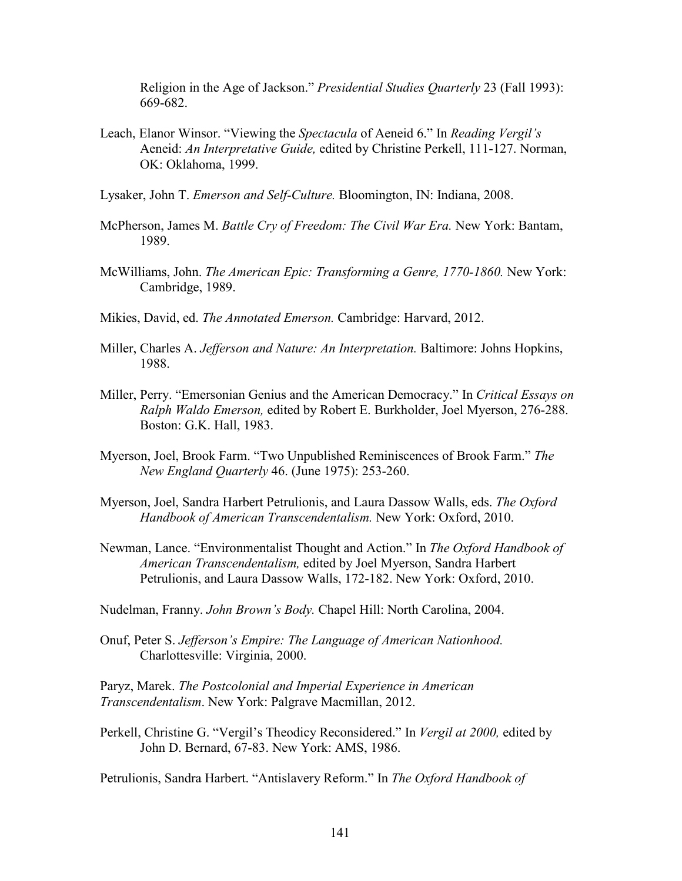Religion in the Age of Jackson." *Presidential Studies Quarterly* 23 (Fall 1993): 669-682.

Leach, Elanor Winsor. "Viewing the *Spectacula* of Aeneid 6." In *Reading Vergil's* Aeneid: *An Interpretative Guide,* edited by Christine Perkell, 111-127. Norman, OK: Oklahoma, 1999.

Lysaker, John T. *Emerson and Self-Culture.* Bloomington, IN: Indiana, 2008.

- McPherson, James M. *Battle Cry of Freedom: The Civil War Era.* New York: Bantam, 1989.
- McWilliams, John. *The American Epic: Transforming a Genre, 1770-1860.* New York: Cambridge, 1989.
- Mikies, David, ed. *The Annotated Emerson.* Cambridge: Harvard, 2012.
- Miller, Charles A. *Jefferson and Nature: An Interpretation.* Baltimore: Johns Hopkins, 1988.
- Miller, Perry. "Emersonian Genius and the American Democracy." In *Critical Essays on Ralph Waldo Emerson,* edited by Robert E. Burkholder, Joel Myerson, 276-288. Boston: G.K. Hall, 1983.
- Myerson, Joel, Brook Farm. "Two Unpublished Reminiscences of Brook Farm." *The New England Quarterly* 46. (June 1975): 253-260.
- Myerson, Joel, Sandra Harbert Petrulionis, and Laura Dassow Walls, eds. *The Oxford Handbook of American Transcendentalism.* New York: Oxford, 2010.
- Newman, Lance. "Environmentalist Thought and Action." In *The Oxford Handbook of American Transcendentalism,* edited by Joel Myerson, Sandra Harbert Petrulionis, and Laura Dassow Walls, 172-182. New York: Oxford, 2010.

Nudelman, Franny. *John Brown's Body.* Chapel Hill: North Carolina, 2004.

Onuf, Peter S. *Jefferson's Empire: The Language of American Nationhood.* Charlottesville: Virginia, 2000.

Paryz, Marek. *The Postcolonial and Imperial Experience in American Transcendentalism*. New York: Palgrave Macmillan, 2012.

Perkell, Christine G. "Vergil's Theodicy Reconsidered." In *Vergil at 2000,* edited by John D. Bernard, 67-83. New York: AMS, 1986.

Petrulionis, Sandra Harbert. "Antislavery Reform." In *The Oxford Handbook of*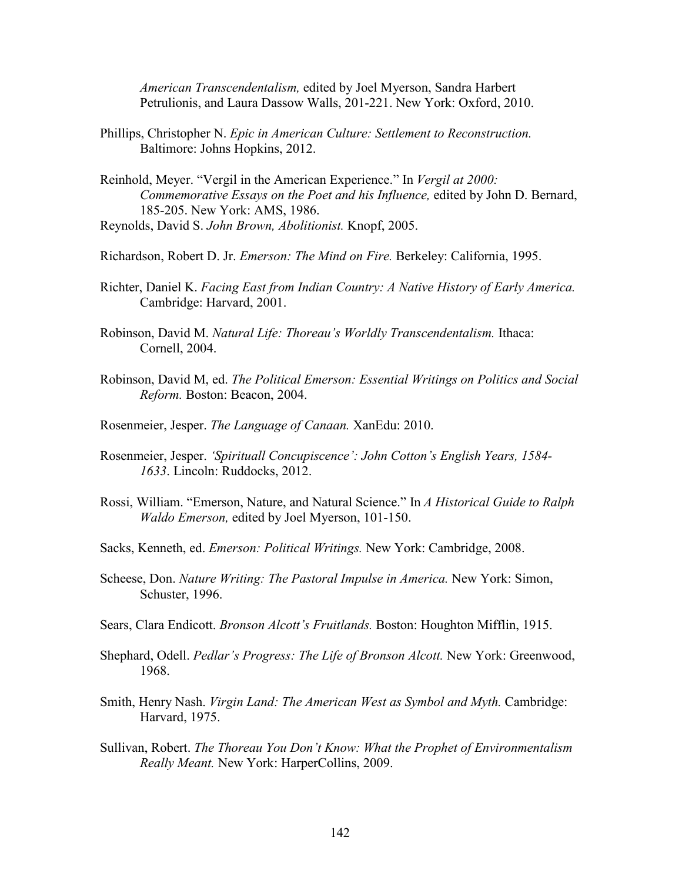*American Transcendentalism,* edited by Joel Myerson, Sandra Harbert Petrulionis, and Laura Dassow Walls, 201-221. New York: Oxford, 2010.

- Phillips, Christopher N. *Epic in American Culture: Settlement to Reconstruction.* Baltimore: Johns Hopkins, 2012.
- Reinhold, Meyer. "Vergil in the American Experience." In *Vergil at 2000: Commemorative Essays on the Poet and his Influence,* edited by John D. Bernard, 185-205. New York: AMS, 1986.
- Reynolds, David S. *John Brown, Abolitionist.* Knopf, 2005.
- Richardson, Robert D. Jr. *Emerson: The Mind on Fire.* Berkeley: California, 1995.
- Richter, Daniel K. *Facing East from Indian Country: A Native History of Early America.* Cambridge: Harvard, 2001.
- Robinson, David M. *Natural Life: Thoreau's Worldly Transcendentalism.* Ithaca: Cornell, 2004.
- Robinson, David M, ed. *The Political Emerson: Essential Writings on Politics and Social Reform.* Boston: Beacon, 2004.
- Rosenmeier, Jesper. *The Language of Canaan.* XanEdu: 2010.
- Rosenmeier, Jesper. *'Spirituall Concupiscence': John Cotton's English Years, 1584- 1633*. Lincoln: Ruddocks, 2012.
- Rossi, William. "Emerson, Nature, and Natural Science." In *A Historical Guide to Ralph Waldo Emerson,* edited by Joel Myerson, 101-150.
- Sacks, Kenneth, ed. *Emerson: Political Writings.* New York: Cambridge, 2008.
- Scheese, Don. *Nature Writing: The Pastoral Impulse in America.* New York: Simon, Schuster, 1996.
- Sears, Clara Endicott. *Bronson Alcott's Fruitlands.* Boston: Houghton Mifflin, 1915.
- Shephard, Odell. *Pedlar's Progress: The Life of Bronson Alcott.* New York: Greenwood, 1968.
- Smith, Henry Nash. *Virgin Land: The American West as Symbol and Myth.* Cambridge: Harvard, 1975.
- Sullivan, Robert. *The Thoreau You Don't Know: What the Prophet of Environmentalism Really Meant.* New York: HarperCollins, 2009.